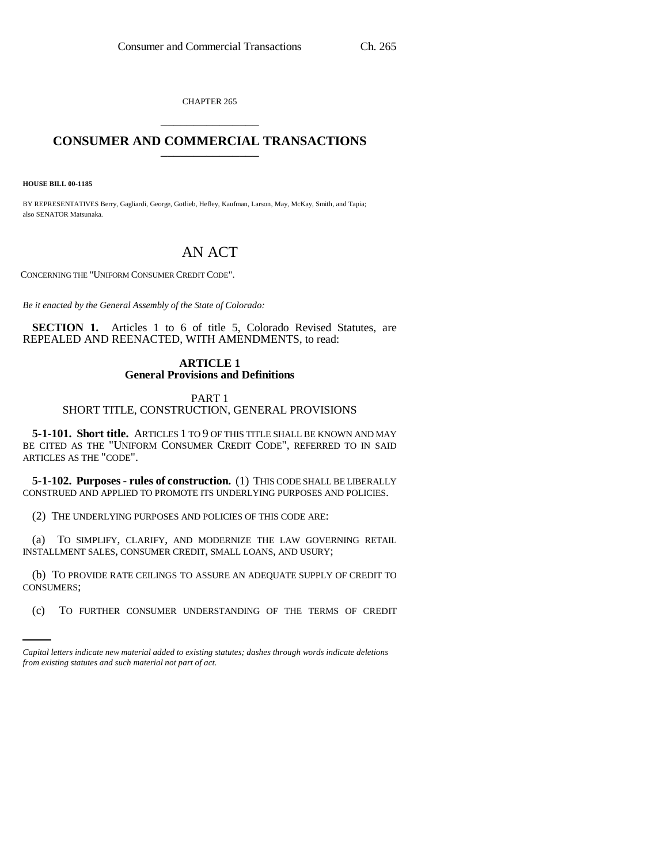CHAPTER 265 \_\_\_\_\_\_\_\_\_\_\_\_\_\_\_

# **CONSUMER AND COMMERCIAL TRANSACTIONS** \_\_\_\_\_\_\_\_\_\_\_\_\_\_\_

**HOUSE BILL 00-1185** 

BY REPRESENTATIVES Berry, Gagliardi, George, Gotlieb, Hefley, Kaufman, Larson, May, McKay, Smith, and Tapia; also SENATOR Matsunaka.

# AN ACT

CONCERNING THE "UNIFORM CONSUMER CREDIT CODE".

*Be it enacted by the General Assembly of the State of Colorado:*

**SECTION 1.** Articles 1 to 6 of title 5, Colorado Revised Statutes, are REPEALED AND REENACTED, WITH AMENDMENTS, to read:

# **ARTICLE 1 General Provisions and Definitions**

# PART 1 SHORT TITLE, CONSTRUCTION, GENERAL PROVISIONS

**5-1-101. Short title.** ARTICLES 1 TO 9 OF THIS TITLE SHALL BE KNOWN AND MAY BE CITED AS THE "UNIFORM CONSUMER CREDIT CODE", REFERRED TO IN SAID ARTICLES AS THE "CODE".

**5-1-102. Purposes - rules of construction.** (1) THIS CODE SHALL BE LIBERALLY CONSTRUED AND APPLIED TO PROMOTE ITS UNDERLYING PURPOSES AND POLICIES.

(2) THE UNDERLYING PURPOSES AND POLICIES OF THIS CODE ARE:

(a) TO SIMPLIFY, CLARIFY, AND MODERNIZE THE LAW GOVERNING RETAIL INSTALLMENT SALES, CONSUMER CREDIT, SMALL LOANS, AND USURY;

CONSUMERS; (b) TO PROVIDE RATE CEILINGS TO ASSURE AN ADEQUATE SUPPLY OF CREDIT TO

(c) TO FURTHER CONSUMER UNDERSTANDING OF THE TERMS OF CREDIT

*Capital letters indicate new material added to existing statutes; dashes through words indicate deletions from existing statutes and such material not part of act.*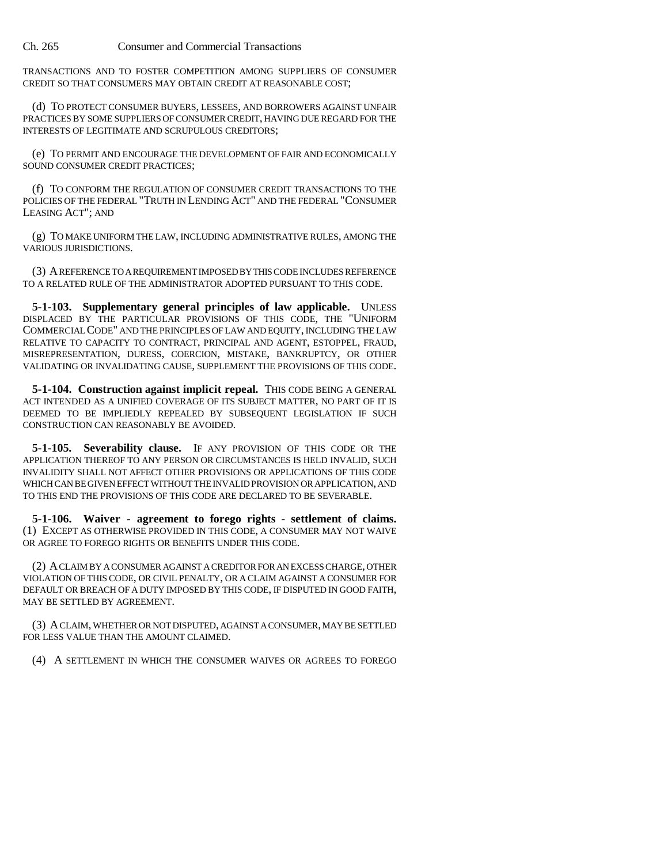TRANSACTIONS AND TO FOSTER COMPETITION AMONG SUPPLIERS OF CONSUMER CREDIT SO THAT CONSUMERS MAY OBTAIN CREDIT AT REASONABLE COST;

(d) TO PROTECT CONSUMER BUYERS, LESSEES, AND BORROWERS AGAINST UNFAIR PRACTICES BY SOME SUPPLIERS OF CONSUMER CREDIT, HAVING DUE REGARD FOR THE INTERESTS OF LEGITIMATE AND SCRUPULOUS CREDITORS;

(e) TO PERMIT AND ENCOURAGE THE DEVELOPMENT OF FAIR AND ECONOMICALLY SOUND CONSUMER CREDIT PRACTICES;

(f) TO CONFORM THE REGULATION OF CONSUMER CREDIT TRANSACTIONS TO THE POLICIES OF THE FEDERAL "TRUTH IN LENDING ACT" AND THE FEDERAL "CONSUMER LEASING ACT"; AND

(g) TO MAKE UNIFORM THE LAW, INCLUDING ADMINISTRATIVE RULES, AMONG THE VARIOUS JURISDICTIONS.

(3) A REFERENCE TO A REQUIREMENT IMPOSED BY THIS CODE INCLUDES REFERENCE TO A RELATED RULE OF THE ADMINISTRATOR ADOPTED PURSUANT TO THIS CODE.

**5-1-103. Supplementary general principles of law applicable.** UNLESS DISPLACED BY THE PARTICULAR PROVISIONS OF THIS CODE, THE "UNIFORM COMMERCIAL CODE" AND THE PRINCIPLES OF LAW AND EQUITY, INCLUDING THE LAW RELATIVE TO CAPACITY TO CONTRACT, PRINCIPAL AND AGENT, ESTOPPEL, FRAUD, MISREPRESENTATION, DURESS, COERCION, MISTAKE, BANKRUPTCY, OR OTHER VALIDATING OR INVALIDATING CAUSE, SUPPLEMENT THE PROVISIONS OF THIS CODE.

**5-1-104. Construction against implicit repeal.** THIS CODE BEING A GENERAL ACT INTENDED AS A UNIFIED COVERAGE OF ITS SUBJECT MATTER, NO PART OF IT IS DEEMED TO BE IMPLIEDLY REPEALED BY SUBSEQUENT LEGISLATION IF SUCH CONSTRUCTION CAN REASONABLY BE AVOIDED.

**5-1-105. Severability clause.** IF ANY PROVISION OF THIS CODE OR THE APPLICATION THEREOF TO ANY PERSON OR CIRCUMSTANCES IS HELD INVALID, SUCH INVALIDITY SHALL NOT AFFECT OTHER PROVISIONS OR APPLICATIONS OF THIS CODE WHICH CAN BE GIVEN EFFECT WITHOUT THE INVALID PROVISION OR APPLICATION, AND TO THIS END THE PROVISIONS OF THIS CODE ARE DECLARED TO BE SEVERABLE.

**5-1-106. Waiver - agreement to forego rights - settlement of claims.** (1) EXCEPT AS OTHERWISE PROVIDED IN THIS CODE, A CONSUMER MAY NOT WAIVE OR AGREE TO FOREGO RIGHTS OR BENEFITS UNDER THIS CODE.

(2) A CLAIM BY A CONSUMER AGAINST A CREDITOR FOR AN EXCESS CHARGE, OTHER VIOLATION OF THIS CODE, OR CIVIL PENALTY, OR A CLAIM AGAINST A CONSUMER FOR DEFAULT OR BREACH OF A DUTY IMPOSED BY THIS CODE, IF DISPUTED IN GOOD FAITH, MAY BE SETTLED BY AGREEMENT.

(3) A CLAIM, WHETHER OR NOT DISPUTED, AGAINST A CONSUMER, MAY BE SETTLED FOR LESS VALUE THAN THE AMOUNT CLAIMED.

(4) A SETTLEMENT IN WHICH THE CONSUMER WAIVES OR AGREES TO FOREGO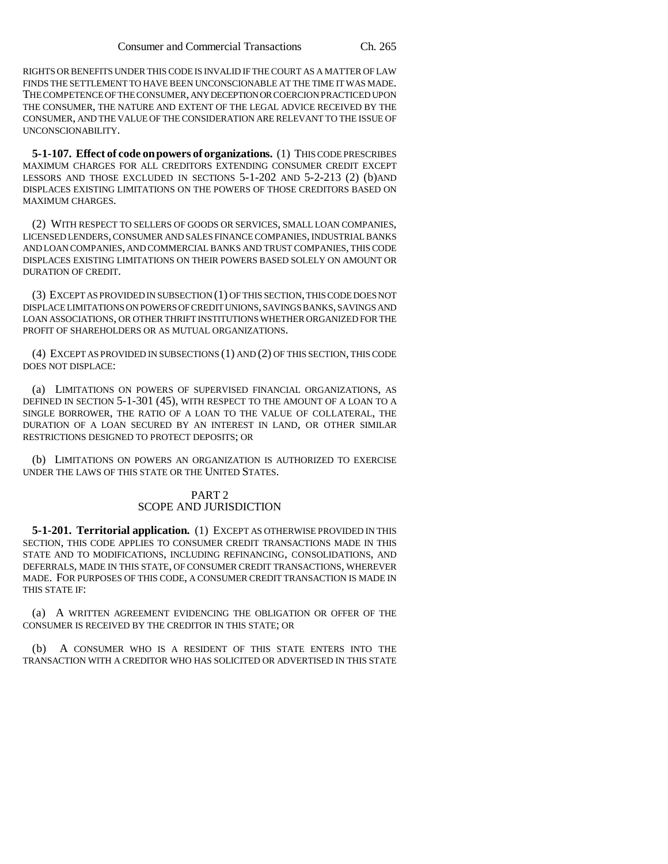RIGHTS OR BENEFITS UNDER THIS CODE IS INVALID IF THE COURT AS A MATTER OF LAW FINDS THE SETTLEMENT TO HAVE BEEN UNCONSCIONABLE AT THE TIME IT WAS MADE. THE COMPETENCE OF THE CONSUMER, ANY DECEPTION OR COERCION PRACTICED UPON THE CONSUMER, THE NATURE AND EXTENT OF THE LEGAL ADVICE RECEIVED BY THE CONSUMER, AND THE VALUE OF THE CONSIDERATION ARE RELEVANT TO THE ISSUE OF UNCONSCIONABILITY.

**5-1-107. Effect of code on powers of organizations.** (1) THIS CODE PRESCRIBES MAXIMUM CHARGES FOR ALL CREDITORS EXTENDING CONSUMER CREDIT EXCEPT LESSORS AND THOSE EXCLUDED IN SECTIONS 5-1-202 AND 5-2-213 (2) (b)AND DISPLACES EXISTING LIMITATIONS ON THE POWERS OF THOSE CREDITORS BASED ON MAXIMUM CHARGES.

(2) WITH RESPECT TO SELLERS OF GOODS OR SERVICES, SMALL LOAN COMPANIES, LICENSED LENDERS, CONSUMER AND SALES FINANCE COMPANIES, INDUSTRIAL BANKS AND LOAN COMPANIES, AND COMMERCIAL BANKS AND TRUST COMPANIES, THIS CODE DISPLACES EXISTING LIMITATIONS ON THEIR POWERS BASED SOLELY ON AMOUNT OR DURATION OF CREDIT.

(3) EXCEPT AS PROVIDED IN SUBSECTION (1) OF THIS SECTION, THIS CODE DOES NOT DISPLACE LIMITATIONS ON POWERS OF CREDIT UNIONS, SAVINGS BANKS, SAVINGS AND LOAN ASSOCIATIONS, OR OTHER THRIFT INSTITUTIONS WHETHER ORGANIZED FOR THE PROFIT OF SHAREHOLDERS OR AS MUTUAL ORGANIZATIONS.

(4) EXCEPT AS PROVIDED IN SUBSECTIONS (1) AND (2) OF THIS SECTION, THIS CODE DOES NOT DISPLACE:

(a) LIMITATIONS ON POWERS OF SUPERVISED FINANCIAL ORGANIZATIONS, AS DEFINED IN SECTION 5-1-301 (45), WITH RESPECT TO THE AMOUNT OF A LOAN TO A SINGLE BORROWER, THE RATIO OF A LOAN TO THE VALUE OF COLLATERAL, THE DURATION OF A LOAN SECURED BY AN INTEREST IN LAND, OR OTHER SIMILAR RESTRICTIONS DESIGNED TO PROTECT DEPOSITS; OR

(b) LIMITATIONS ON POWERS AN ORGANIZATION IS AUTHORIZED TO EXERCISE UNDER THE LAWS OF THIS STATE OR THE UNITED STATES.

### PART 2 SCOPE AND JURISDICTION

**5-1-201. Territorial application.** (1) EXCEPT AS OTHERWISE PROVIDED IN THIS SECTION, THIS CODE APPLIES TO CONSUMER CREDIT TRANSACTIONS MADE IN THIS STATE AND TO MODIFICATIONS, INCLUDING REFINANCING, CONSOLIDATIONS, AND DEFERRALS, MADE IN THIS STATE, OF CONSUMER CREDIT TRANSACTIONS, WHEREVER MADE. FOR PURPOSES OF THIS CODE, A CONSUMER CREDIT TRANSACTION IS MADE IN THIS STATE IF:

(a) A WRITTEN AGREEMENT EVIDENCING THE OBLIGATION OR OFFER OF THE CONSUMER IS RECEIVED BY THE CREDITOR IN THIS STATE; OR

(b) A CONSUMER WHO IS A RESIDENT OF THIS STATE ENTERS INTO THE TRANSACTION WITH A CREDITOR WHO HAS SOLICITED OR ADVERTISED IN THIS STATE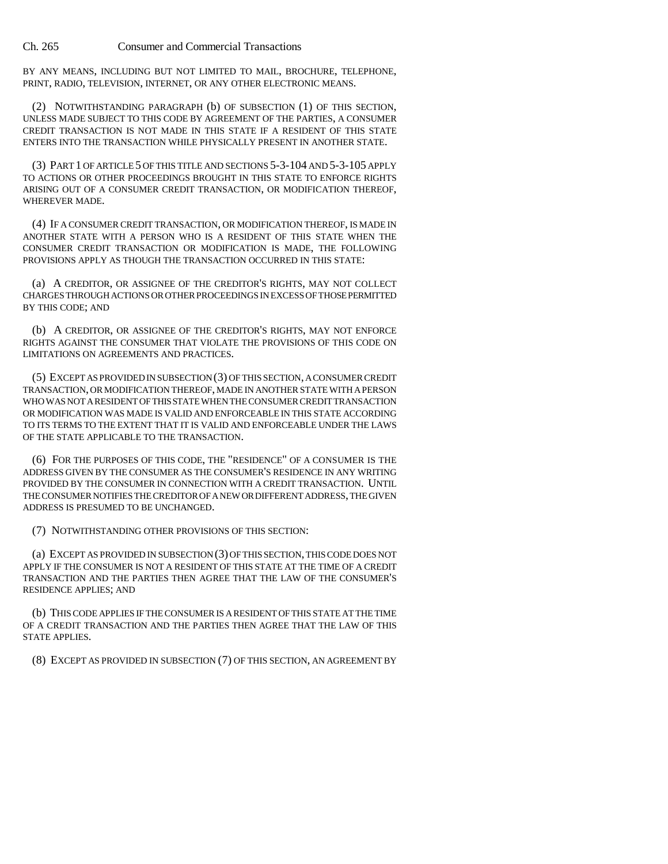BY ANY MEANS, INCLUDING BUT NOT LIMITED TO MAIL, BROCHURE, TELEPHONE, PRINT, RADIO, TELEVISION, INTERNET, OR ANY OTHER ELECTRONIC MEANS.

(2) NOTWITHSTANDING PARAGRAPH (b) OF SUBSECTION (1) OF THIS SECTION, UNLESS MADE SUBJECT TO THIS CODE BY AGREEMENT OF THE PARTIES, A CONSUMER CREDIT TRANSACTION IS NOT MADE IN THIS STATE IF A RESIDENT OF THIS STATE ENTERS INTO THE TRANSACTION WHILE PHYSICALLY PRESENT IN ANOTHER STATE.

(3) PART 1 OF ARTICLE 5 OF THIS TITLE AND SECTIONS 5-3-104 AND 5-3-105 APPLY TO ACTIONS OR OTHER PROCEEDINGS BROUGHT IN THIS STATE TO ENFORCE RIGHTS ARISING OUT OF A CONSUMER CREDIT TRANSACTION, OR MODIFICATION THEREOF, WHEREVER MADE.

(4) IF A CONSUMER CREDIT TRANSACTION, OR MODIFICATION THEREOF, IS MADE IN ANOTHER STATE WITH A PERSON WHO IS A RESIDENT OF THIS STATE WHEN THE CONSUMER CREDIT TRANSACTION OR MODIFICATION IS MADE, THE FOLLOWING PROVISIONS APPLY AS THOUGH THE TRANSACTION OCCURRED IN THIS STATE:

(a) A CREDITOR, OR ASSIGNEE OF THE CREDITOR'S RIGHTS, MAY NOT COLLECT CHARGES THROUGH ACTIONS OR OTHER PROCEEDINGS IN EXCESS OF THOSE PERMITTED BY THIS CODE; AND

(b) A CREDITOR, OR ASSIGNEE OF THE CREDITOR'S RIGHTS, MAY NOT ENFORCE RIGHTS AGAINST THE CONSUMER THAT VIOLATE THE PROVISIONS OF THIS CODE ON LIMITATIONS ON AGREEMENTS AND PRACTICES.

(5) EXCEPT AS PROVIDED IN SUBSECTION (3) OF THIS SECTION, A CONSUMER CREDIT TRANSACTION, OR MODIFICATION THEREOF, MADE IN ANOTHER STATE WITH A PERSON WHO WAS NOT A RESIDENT OF THIS STATE WHEN THE CONSUMER CREDIT TRANSACTION OR MODIFICATION WAS MADE IS VALID AND ENFORCEABLE IN THIS STATE ACCORDING TO ITS TERMS TO THE EXTENT THAT IT IS VALID AND ENFORCEABLE UNDER THE LAWS OF THE STATE APPLICABLE TO THE TRANSACTION.

(6) FOR THE PURPOSES OF THIS CODE, THE "RESIDENCE" OF A CONSUMER IS THE ADDRESS GIVEN BY THE CONSUMER AS THE CONSUMER'S RESIDENCE IN ANY WRITING PROVIDED BY THE CONSUMER IN CONNECTION WITH A CREDIT TRANSACTION. UNTIL THE CONSUMER NOTIFIES THE CREDITOR OF A NEW OR DIFFERENT ADDRESS, THE GIVEN ADDRESS IS PRESUMED TO BE UNCHANGED.

(7) NOTWITHSTANDING OTHER PROVISIONS OF THIS SECTION:

(a) EXCEPT AS PROVIDED IN SUBSECTION (3) OF THIS SECTION, THIS CODE DOES NOT APPLY IF THE CONSUMER IS NOT A RESIDENT OF THIS STATE AT THE TIME OF A CREDIT TRANSACTION AND THE PARTIES THEN AGREE THAT THE LAW OF THE CONSUMER'S RESIDENCE APPLIES; AND

(b) THIS CODE APPLIES IF THE CONSUMER IS A RESIDENT OF THIS STATE AT THE TIME OF A CREDIT TRANSACTION AND THE PARTIES THEN AGREE THAT THE LAW OF THIS STATE APPLIES.

(8) EXCEPT AS PROVIDED IN SUBSECTION (7) OF THIS SECTION, AN AGREEMENT BY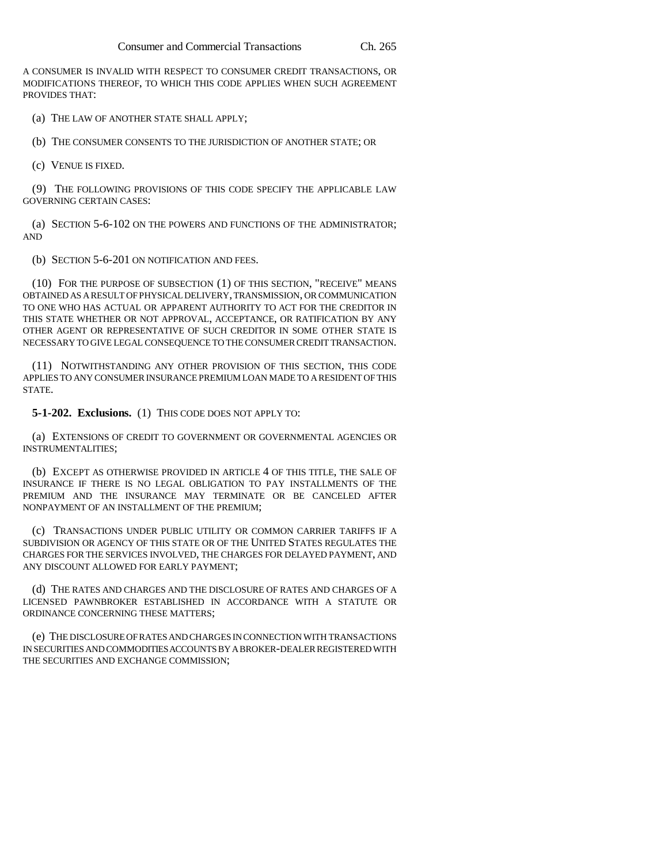A CONSUMER IS INVALID WITH RESPECT TO CONSUMER CREDIT TRANSACTIONS, OR MODIFICATIONS THEREOF, TO WHICH THIS CODE APPLIES WHEN SUCH AGREEMENT PROVIDES THAT:

(a) THE LAW OF ANOTHER STATE SHALL APPLY;

(b) THE CONSUMER CONSENTS TO THE JURISDICTION OF ANOTHER STATE; OR

(c) VENUE IS FIXED.

(9) THE FOLLOWING PROVISIONS OF THIS CODE SPECIFY THE APPLICABLE LAW GOVERNING CERTAIN CASES:

(a) SECTION 5-6-102 ON THE POWERS AND FUNCTIONS OF THE ADMINISTRATOR; AND

(b) SECTION 5-6-201 ON NOTIFICATION AND FEES.

(10) FOR THE PURPOSE OF SUBSECTION (1) OF THIS SECTION, "RECEIVE" MEANS OBTAINED AS A RESULT OF PHYSICAL DELIVERY, TRANSMISSION, OR COMMUNICATION TO ONE WHO HAS ACTUAL OR APPARENT AUTHORITY TO ACT FOR THE CREDITOR IN THIS STATE WHETHER OR NOT APPROVAL, ACCEPTANCE, OR RATIFICATION BY ANY OTHER AGENT OR REPRESENTATIVE OF SUCH CREDITOR IN SOME OTHER STATE IS NECESSARY TO GIVE LEGAL CONSEQUENCE TO THE CONSUMER CREDIT TRANSACTION.

(11) NOTWITHSTANDING ANY OTHER PROVISION OF THIS SECTION, THIS CODE APPLIES TO ANY CONSUMER INSURANCE PREMIUM LOAN MADE TO A RESIDENT OF THIS STATE.

**5-1-202. Exclusions.** (1) THIS CODE DOES NOT APPLY TO:

(a) EXTENSIONS OF CREDIT TO GOVERNMENT OR GOVERNMENTAL AGENCIES OR INSTRUMENTALITIES;

(b) EXCEPT AS OTHERWISE PROVIDED IN ARTICLE 4 OF THIS TITLE, THE SALE OF INSURANCE IF THERE IS NO LEGAL OBLIGATION TO PAY INSTALLMENTS OF THE PREMIUM AND THE INSURANCE MAY TERMINATE OR BE CANCELED AFTER NONPAYMENT OF AN INSTALLMENT OF THE PREMIUM;

(c) TRANSACTIONS UNDER PUBLIC UTILITY OR COMMON CARRIER TARIFFS IF A SUBDIVISION OR AGENCY OF THIS STATE OR OF THE UNITED STATES REGULATES THE CHARGES FOR THE SERVICES INVOLVED, THE CHARGES FOR DELAYED PAYMENT, AND ANY DISCOUNT ALLOWED FOR EARLY PAYMENT;

(d) THE RATES AND CHARGES AND THE DISCLOSURE OF RATES AND CHARGES OF A LICENSED PAWNBROKER ESTABLISHED IN ACCORDANCE WITH A STATUTE OR ORDINANCE CONCERNING THESE MATTERS;

(e) THE DISCLOSURE OF RATES AND CHARGES IN CONNECTION WITH TRANSACTIONS IN SECURITIES AND COMMODITIES ACCOUNTS BY A BROKER-DEALER REGISTERED WITH THE SECURITIES AND EXCHANGE COMMISSION;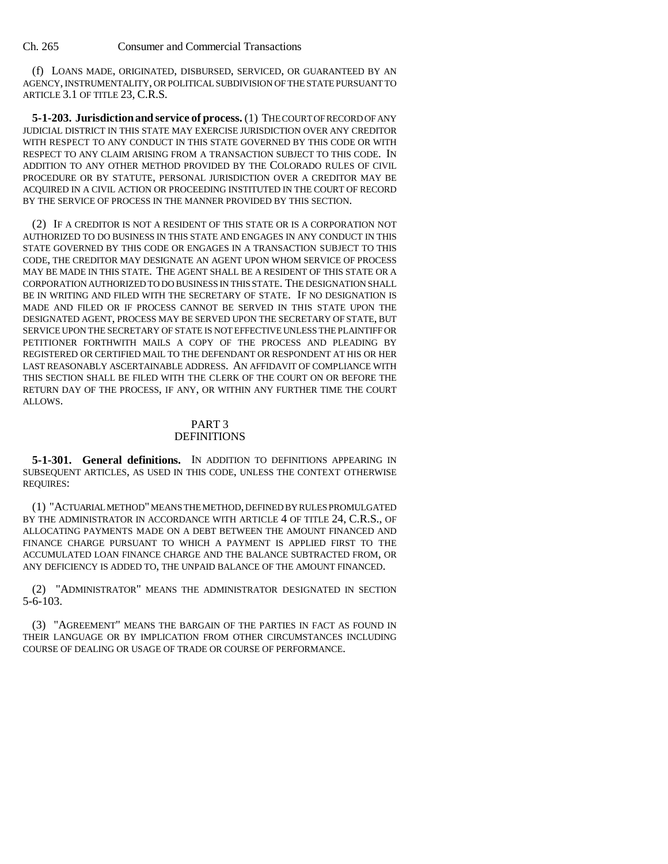(f) LOANS MADE, ORIGINATED, DISBURSED, SERVICED, OR GUARANTEED BY AN AGENCY, INSTRUMENTALITY, OR POLITICAL SUBDIVISION OF THE STATE PURSUANT TO ARTICLE 3.1 OF TITLE 23, C.R.S.

**5-1-203. Jurisdiction and service of process.** (1) THE COURT OF RECORD OF ANY JUDICIAL DISTRICT IN THIS STATE MAY EXERCISE JURISDICTION OVER ANY CREDITOR WITH RESPECT TO ANY CONDUCT IN THIS STATE GOVERNED BY THIS CODE OR WITH RESPECT TO ANY CLAIM ARISING FROM A TRANSACTION SUBJECT TO THIS CODE. IN ADDITION TO ANY OTHER METHOD PROVIDED BY THE COLORADO RULES OF CIVIL PROCEDURE OR BY STATUTE, PERSONAL JURISDICTION OVER A CREDITOR MAY BE ACQUIRED IN A CIVIL ACTION OR PROCEEDING INSTITUTED IN THE COURT OF RECORD BY THE SERVICE OF PROCESS IN THE MANNER PROVIDED BY THIS SECTION.

(2) IF A CREDITOR IS NOT A RESIDENT OF THIS STATE OR IS A CORPORATION NOT AUTHORIZED TO DO BUSINESS IN THIS STATE AND ENGAGES IN ANY CONDUCT IN THIS STATE GOVERNED BY THIS CODE OR ENGAGES IN A TRANSACTION SUBJECT TO THIS CODE, THE CREDITOR MAY DESIGNATE AN AGENT UPON WHOM SERVICE OF PROCESS MAY BE MADE IN THIS STATE. THE AGENT SHALL BE A RESIDENT OF THIS STATE OR A CORPORATION AUTHORIZED TO DO BUSINESS IN THIS STATE. THE DESIGNATION SHALL BE IN WRITING AND FILED WITH THE SECRETARY OF STATE. IF NO DESIGNATION IS MADE AND FILED OR IF PROCESS CANNOT BE SERVED IN THIS STATE UPON THE DESIGNATED AGENT, PROCESS MAY BE SERVED UPON THE SECRETARY OF STATE, BUT SERVICE UPON THE SECRETARY OF STATE IS NOT EFFECTIVE UNLESS THE PLAINTIFF OR PETITIONER FORTHWITH MAILS A COPY OF THE PROCESS AND PLEADING BY REGISTERED OR CERTIFIED MAIL TO THE DEFENDANT OR RESPONDENT AT HIS OR HER LAST REASONABLY ASCERTAINABLE ADDRESS. AN AFFIDAVIT OF COMPLIANCE WITH THIS SECTION SHALL BE FILED WITH THE CLERK OF THE COURT ON OR BEFORE THE RETURN DAY OF THE PROCESS, IF ANY, OR WITHIN ANY FURTHER TIME THE COURT ALLOWS.

#### PART 3 DEFINITIONS

**5-1-301. General definitions.** IN ADDITION TO DEFINITIONS APPEARING IN SUBSEQUENT ARTICLES, AS USED IN THIS CODE, UNLESS THE CONTEXT OTHERWISE REQUIRES:

(1) "ACTUARIAL METHOD" MEANS THE METHOD, DEFINED BY RULES PROMULGATED BY THE ADMINISTRATOR IN ACCORDANCE WITH ARTICLE 4 OF TITLE 24, C.R.S., OF ALLOCATING PAYMENTS MADE ON A DEBT BETWEEN THE AMOUNT FINANCED AND FINANCE CHARGE PURSUANT TO WHICH A PAYMENT IS APPLIED FIRST TO THE ACCUMULATED LOAN FINANCE CHARGE AND THE BALANCE SUBTRACTED FROM, OR ANY DEFICIENCY IS ADDED TO, THE UNPAID BALANCE OF THE AMOUNT FINANCED.

(2) "ADMINISTRATOR" MEANS THE ADMINISTRATOR DESIGNATED IN SECTION 5-6-103.

(3) "AGREEMENT" MEANS THE BARGAIN OF THE PARTIES IN FACT AS FOUND IN THEIR LANGUAGE OR BY IMPLICATION FROM OTHER CIRCUMSTANCES INCLUDING COURSE OF DEALING OR USAGE OF TRADE OR COURSE OF PERFORMANCE.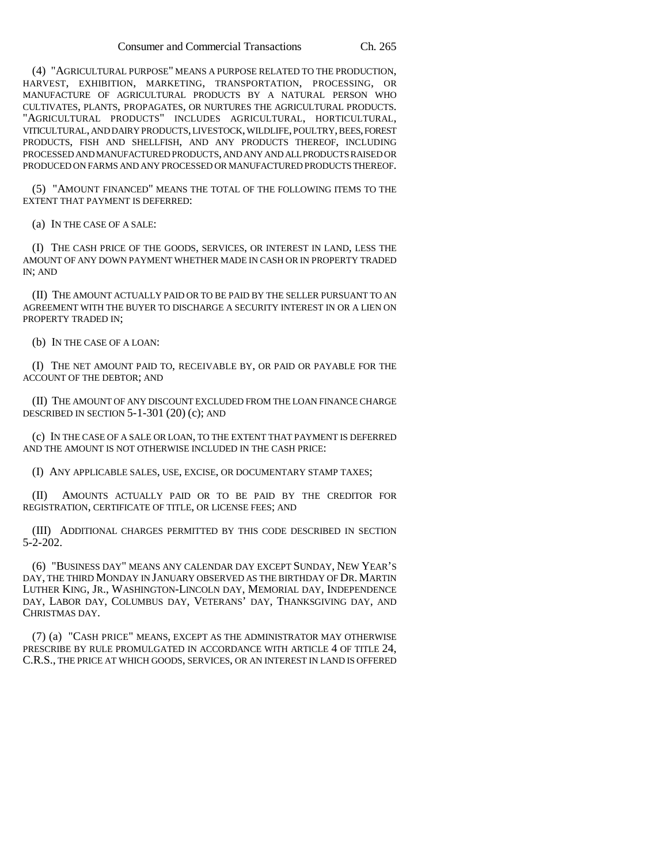(4) "AGRICULTURAL PURPOSE" MEANS A PURPOSE RELATED TO THE PRODUCTION, HARVEST, EXHIBITION, MARKETING, TRANSPORTATION, PROCESSING, OR MANUFACTURE OF AGRICULTURAL PRODUCTS BY A NATURAL PERSON WHO CULTIVATES, PLANTS, PROPAGATES, OR NURTURES THE AGRICULTURAL PRODUCTS. "AGRICULTURAL PRODUCTS" INCLUDES AGRICULTURAL, HORTICULTURAL, VITICULTURAL, AND DAIRY PRODUCTS, LIVESTOCK, WILDLIFE, POULTRY, BEES, FOREST PRODUCTS, FISH AND SHELLFISH, AND ANY PRODUCTS THEREOF, INCLUDING PROCESSED AND MANUFACTURED PRODUCTS, AND ANY AND ALL PRODUCTS RAISED OR PRODUCED ON FARMS AND ANY PROCESSED OR MANUFACTURED PRODUCTS THEREOF.

(5) "AMOUNT FINANCED" MEANS THE TOTAL OF THE FOLLOWING ITEMS TO THE EXTENT THAT PAYMENT IS DEFERRED:

(a) IN THE CASE OF A SALE:

(I) THE CASH PRICE OF THE GOODS, SERVICES, OR INTEREST IN LAND, LESS THE AMOUNT OF ANY DOWN PAYMENT WHETHER MADE IN CASH OR IN PROPERTY TRADED IN; AND

(II) THE AMOUNT ACTUALLY PAID OR TO BE PAID BY THE SELLER PURSUANT TO AN AGREEMENT WITH THE BUYER TO DISCHARGE A SECURITY INTEREST IN OR A LIEN ON PROPERTY TRADED IN;

(b) IN THE CASE OF A LOAN:

(I) THE NET AMOUNT PAID TO, RECEIVABLE BY, OR PAID OR PAYABLE FOR THE ACCOUNT OF THE DEBTOR; AND

(II) THE AMOUNT OF ANY DISCOUNT EXCLUDED FROM THE LOAN FINANCE CHARGE DESCRIBED IN SECTION 5-1-301 (20) (c); AND

(c) IN THE CASE OF A SALE OR LOAN, TO THE EXTENT THAT PAYMENT IS DEFERRED AND THE AMOUNT IS NOT OTHERWISE INCLUDED IN THE CASH PRICE:

(I) ANY APPLICABLE SALES, USE, EXCISE, OR DOCUMENTARY STAMP TAXES;

(II) AMOUNTS ACTUALLY PAID OR TO BE PAID BY THE CREDITOR FOR REGISTRATION, CERTIFICATE OF TITLE, OR LICENSE FEES; AND

(III) ADDITIONAL CHARGES PERMITTED BY THIS CODE DESCRIBED IN SECTION 5-2-202.

(6) "BUSINESS DAY" MEANS ANY CALENDAR DAY EXCEPT SUNDAY, NEW YEAR'S DAY, THE THIRD MONDAY IN JANUARY OBSERVED AS THE BIRTHDAY OF DR. MARTIN LUTHER KING, JR., WASHINGTON-LINCOLN DAY, MEMORIAL DAY, INDEPENDENCE DAY, LABOR DAY, COLUMBUS DAY, VETERANS' DAY, THANKSGIVING DAY, AND CHRISTMAS DAY.

(7) (a) "CASH PRICE" MEANS, EXCEPT AS THE ADMINISTRATOR MAY OTHERWISE PRESCRIBE BY RULE PROMULGATED IN ACCORDANCE WITH ARTICLE 4 OF TITLE 24, C.R.S., THE PRICE AT WHICH GOODS, SERVICES, OR AN INTEREST IN LAND IS OFFERED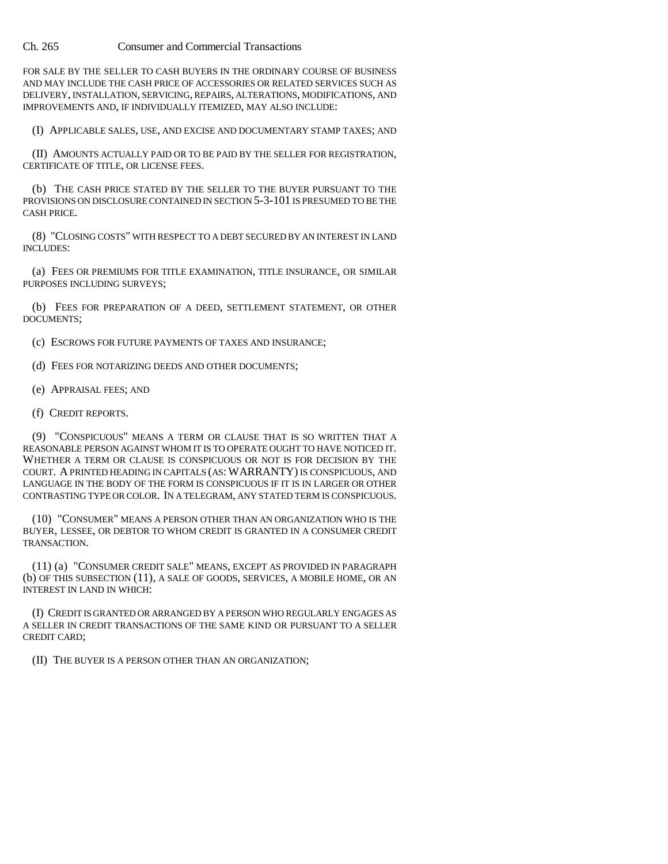FOR SALE BY THE SELLER TO CASH BUYERS IN THE ORDINARY COURSE OF BUSINESS AND MAY INCLUDE THE CASH PRICE OF ACCESSORIES OR RELATED SERVICES SUCH AS DELIVERY, INSTALLATION, SERVICING, REPAIRS, ALTERATIONS, MODIFICATIONS, AND IMPROVEMENTS AND, IF INDIVIDUALLY ITEMIZED, MAY ALSO INCLUDE:

(I) APPLICABLE SALES, USE, AND EXCISE AND DOCUMENTARY STAMP TAXES; AND

(II) AMOUNTS ACTUALLY PAID OR TO BE PAID BY THE SELLER FOR REGISTRATION, CERTIFICATE OF TITLE, OR LICENSE FEES.

(b) THE CASH PRICE STATED BY THE SELLER TO THE BUYER PURSUANT TO THE PROVISIONS ON DISCLOSURE CONTAINED IN SECTION 5-3-101 IS PRESUMED TO BE THE CASH PRICE.

(8) "CLOSING COSTS" WITH RESPECT TO A DEBT SECURED BY AN INTEREST IN LAND INCLUDES:

(a) FEES OR PREMIUMS FOR TITLE EXAMINATION, TITLE INSURANCE, OR SIMILAR PURPOSES INCLUDING SURVEYS;

(b) FEES FOR PREPARATION OF A DEED, SETTLEMENT STATEMENT, OR OTHER DOCUMENTS;

(c) ESCROWS FOR FUTURE PAYMENTS OF TAXES AND INSURANCE;

(d) FEES FOR NOTARIZING DEEDS AND OTHER DOCUMENTS;

(e) APPRAISAL FEES; AND

(f) CREDIT REPORTS.

(9) "CONSPICUOUS" MEANS A TERM OR CLAUSE THAT IS SO WRITTEN THAT A REASONABLE PERSON AGAINST WHOM IT IS TO OPERATE OUGHT TO HAVE NOTICED IT. WHETHER A TERM OR CLAUSE IS CONSPICUOUS OR NOT IS FOR DECISION BY THE COURT. A PRINTED HEADING IN CAPITALS (AS:WARRANTY) IS CONSPICUOUS, AND LANGUAGE IN THE BODY OF THE FORM IS CONSPICUOUS IF IT IS IN LARGER OR OTHER CONTRASTING TYPE OR COLOR. IN A TELEGRAM, ANY STATED TERM IS CONSPICUOUS.

(10) "CONSUMER" MEANS A PERSON OTHER THAN AN ORGANIZATION WHO IS THE BUYER, LESSEE, OR DEBTOR TO WHOM CREDIT IS GRANTED IN A CONSUMER CREDIT TRANSACTION.

(11) (a) "CONSUMER CREDIT SALE" MEANS, EXCEPT AS PROVIDED IN PARAGRAPH (b) OF THIS SUBSECTION (11), A SALE OF GOODS, SERVICES, A MOBILE HOME, OR AN INTEREST IN LAND IN WHICH:

(I) CREDIT IS GRANTED OR ARRANGED BY A PERSON WHO REGULARLY ENGAGES AS A SELLER IN CREDIT TRANSACTIONS OF THE SAME KIND OR PURSUANT TO A SELLER CREDIT CARD;

(II) THE BUYER IS A PERSON OTHER THAN AN ORGANIZATION;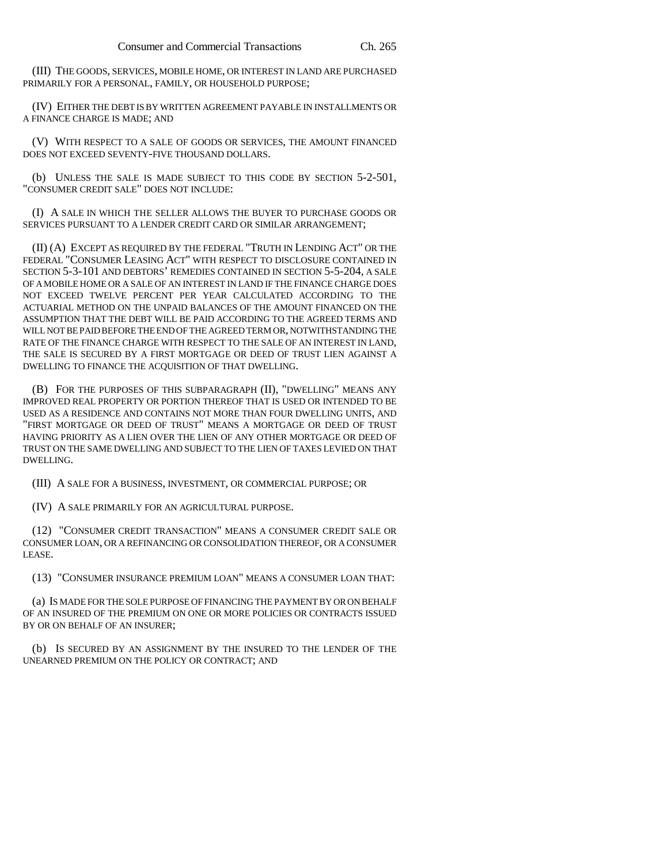(III) THE GOODS, SERVICES, MOBILE HOME, OR INTEREST IN LAND ARE PURCHASED PRIMARILY FOR A PERSONAL, FAMILY, OR HOUSEHOLD PURPOSE;

(IV) EITHER THE DEBT IS BY WRITTEN AGREEMENT PAYABLE IN INSTALLMENTS OR A FINANCE CHARGE IS MADE; AND

(V) WITH RESPECT TO A SALE OF GOODS OR SERVICES, THE AMOUNT FINANCED DOES NOT EXCEED SEVENTY-FIVE THOUSAND DOLLARS.

(b) UNLESS THE SALE IS MADE SUBJECT TO THIS CODE BY SECTION 5-2-501, "CONSUMER CREDIT SALE" DOES NOT INCLUDE:

(I) A SALE IN WHICH THE SELLER ALLOWS THE BUYER TO PURCHASE GOODS OR SERVICES PURSUANT TO A LENDER CREDIT CARD OR SIMILAR ARRANGEMENT;

(II) (A) EXCEPT AS REQUIRED BY THE FEDERAL "TRUTH IN LENDING ACT" OR THE FEDERAL "CONSUMER LEASING ACT" WITH RESPECT TO DISCLOSURE CONTAINED IN SECTION 5-3-101 AND DEBTORS' REMEDIES CONTAINED IN SECTION 5-5-204, A SALE OF A MOBILE HOME OR A SALE OF AN INTEREST IN LAND IF THE FINANCE CHARGE DOES NOT EXCEED TWELVE PERCENT PER YEAR CALCULATED ACCORDING TO THE ACTUARIAL METHOD ON THE UNPAID BALANCES OF THE AMOUNT FINANCED ON THE ASSUMPTION THAT THE DEBT WILL BE PAID ACCORDING TO THE AGREED TERMS AND WILL NOT BE PAID BEFORE THE END OF THE AGREED TERM OR, NOTWITHSTANDING THE RATE OF THE FINANCE CHARGE WITH RESPECT TO THE SALE OF AN INTEREST IN LAND, THE SALE IS SECURED BY A FIRST MORTGAGE OR DEED OF TRUST LIEN AGAINST A DWELLING TO FINANCE THE ACQUISITION OF THAT DWELLING.

(B) FOR THE PURPOSES OF THIS SUBPARAGRAPH (II), "DWELLING" MEANS ANY IMPROVED REAL PROPERTY OR PORTION THEREOF THAT IS USED OR INTENDED TO BE USED AS A RESIDENCE AND CONTAINS NOT MORE THAN FOUR DWELLING UNITS, AND "FIRST MORTGAGE OR DEED OF TRUST" MEANS A MORTGAGE OR DEED OF TRUST HAVING PRIORITY AS A LIEN OVER THE LIEN OF ANY OTHER MORTGAGE OR DEED OF TRUST ON THE SAME DWELLING AND SUBJECT TO THE LIEN OF TAXES LEVIED ON THAT DWELLING.

(III) A SALE FOR A BUSINESS, INVESTMENT, OR COMMERCIAL PURPOSE; OR

(IV) A SALE PRIMARILY FOR AN AGRICULTURAL PURPOSE.

(12) "CONSUMER CREDIT TRANSACTION" MEANS A CONSUMER CREDIT SALE OR CONSUMER LOAN, OR A REFINANCING OR CONSOLIDATION THEREOF, OR A CONSUMER LEASE.

(13) "CONSUMER INSURANCE PREMIUM LOAN" MEANS A CONSUMER LOAN THAT:

(a) IS MADE FOR THE SOLE PURPOSE OF FINANCING THE PAYMENT BY OR ON BEHALF OF AN INSURED OF THE PREMIUM ON ONE OR MORE POLICIES OR CONTRACTS ISSUED BY OR ON BEHALF OF AN INSURER;

(b) IS SECURED BY AN ASSIGNMENT BY THE INSURED TO THE LENDER OF THE UNEARNED PREMIUM ON THE POLICY OR CONTRACT; AND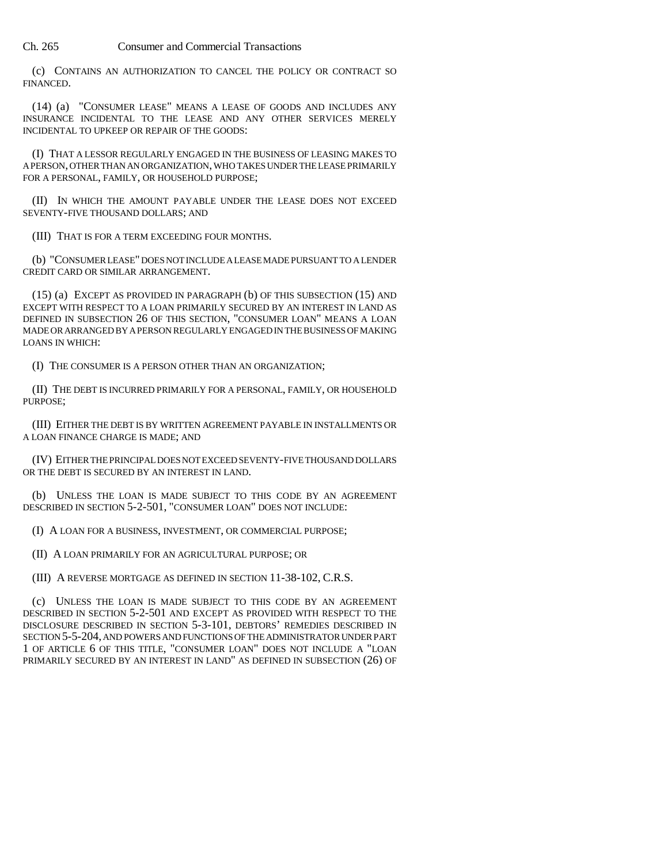(c) CONTAINS AN AUTHORIZATION TO CANCEL THE POLICY OR CONTRACT SO FINANCED.

(14) (a) "CONSUMER LEASE" MEANS A LEASE OF GOODS AND INCLUDES ANY INSURANCE INCIDENTAL TO THE LEASE AND ANY OTHER SERVICES MERELY INCIDENTAL TO UPKEEP OR REPAIR OF THE GOODS:

(I) THAT A LESSOR REGULARLY ENGAGED IN THE BUSINESS OF LEASING MAKES TO A PERSON, OTHER THAN AN ORGANIZATION, WHO TAKES UNDER THE LEASE PRIMARILY FOR A PERSONAL, FAMILY, OR HOUSEHOLD PURPOSE;

(II) IN WHICH THE AMOUNT PAYABLE UNDER THE LEASE DOES NOT EXCEED SEVENTY-FIVE THOUSAND DOLLARS; AND

(III) THAT IS FOR A TERM EXCEEDING FOUR MONTHS.

(b) "CONSUMER LEASE" DOES NOT INCLUDE A LEASE MADE PURSUANT TO A LENDER CREDIT CARD OR SIMILAR ARRANGEMENT.

(15) (a) EXCEPT AS PROVIDED IN PARAGRAPH (b) OF THIS SUBSECTION (15) AND EXCEPT WITH RESPECT TO A LOAN PRIMARILY SECURED BY AN INTEREST IN LAND AS DEFINED IN SUBSECTION 26 OF THIS SECTION, "CONSUMER LOAN" MEANS A LOAN MADE OR ARRANGED BY A PERSON REGULARLY ENGAGED IN THE BUSINESS OF MAKING LOANS IN WHICH:

(I) THE CONSUMER IS A PERSON OTHER THAN AN ORGANIZATION;

(II) THE DEBT IS INCURRED PRIMARILY FOR A PERSONAL, FAMILY, OR HOUSEHOLD PURPOSE;

(III) EITHER THE DEBT IS BY WRITTEN AGREEMENT PAYABLE IN INSTALLMENTS OR A LOAN FINANCE CHARGE IS MADE; AND

(IV) EITHER THE PRINCIPAL DOES NOT EXCEED SEVENTY-FIVE THOUSAND DOLLARS OR THE DEBT IS SECURED BY AN INTEREST IN LAND.

(b) UNLESS THE LOAN IS MADE SUBJECT TO THIS CODE BY AN AGREEMENT DESCRIBED IN SECTION 5-2-501, "CONSUMER LOAN" DOES NOT INCLUDE:

(I) A LOAN FOR A BUSINESS, INVESTMENT, OR COMMERCIAL PURPOSE;

(II) A LOAN PRIMARILY FOR AN AGRICULTURAL PURPOSE; OR

(III) A REVERSE MORTGAGE AS DEFINED IN SECTION 11-38-102, C.R.S.

(c) UNLESS THE LOAN IS MADE SUBJECT TO THIS CODE BY AN AGREEMENT DESCRIBED IN SECTION 5-2-501 AND EXCEPT AS PROVIDED WITH RESPECT TO THE DISCLOSURE DESCRIBED IN SECTION 5-3-101, DEBTORS' REMEDIES DESCRIBED IN SECTION 5-5-204, AND POWERS AND FUNCTIONS OF THE ADMINISTRATOR UNDER PART 1 OF ARTICLE 6 OF THIS TITLE, "CONSUMER LOAN" DOES NOT INCLUDE A "LOAN PRIMARILY SECURED BY AN INTEREST IN LAND" AS DEFINED IN SUBSECTION (26) OF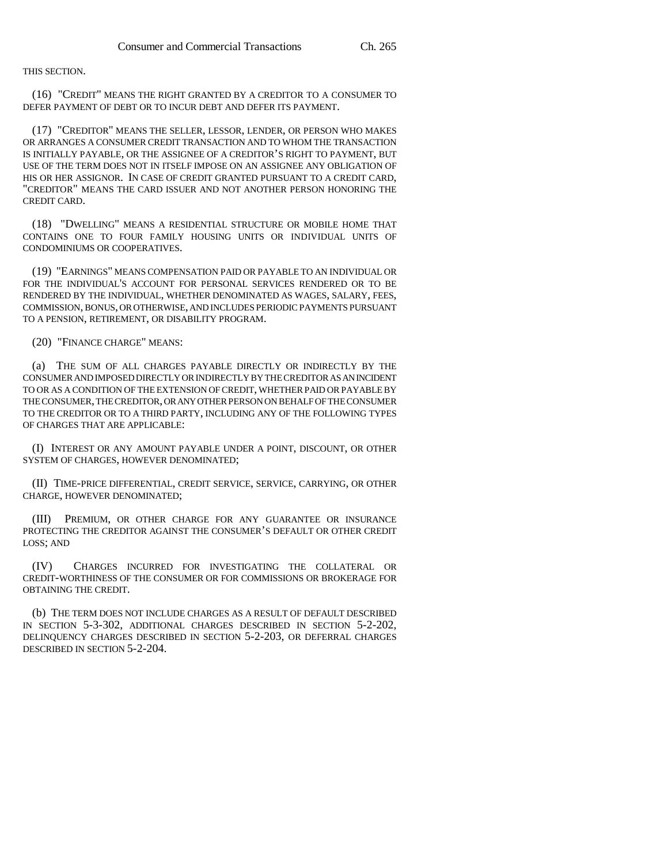#### THIS SECTION.

(16) "CREDIT" MEANS THE RIGHT GRANTED BY A CREDITOR TO A CONSUMER TO DEFER PAYMENT OF DEBT OR TO INCUR DEBT AND DEFER ITS PAYMENT.

(17) "CREDITOR" MEANS THE SELLER, LESSOR, LENDER, OR PERSON WHO MAKES OR ARRANGES A CONSUMER CREDIT TRANSACTION AND TO WHOM THE TRANSACTION IS INITIALLY PAYABLE, OR THE ASSIGNEE OF A CREDITOR'S RIGHT TO PAYMENT, BUT USE OF THE TERM DOES NOT IN ITSELF IMPOSE ON AN ASSIGNEE ANY OBLIGATION OF HIS OR HER ASSIGNOR. IN CASE OF CREDIT GRANTED PURSUANT TO A CREDIT CARD, "CREDITOR" MEANS THE CARD ISSUER AND NOT ANOTHER PERSON HONORING THE CREDIT CARD.

(18) "DWELLING" MEANS A RESIDENTIAL STRUCTURE OR MOBILE HOME THAT CONTAINS ONE TO FOUR FAMILY HOUSING UNITS OR INDIVIDUAL UNITS OF CONDOMINIUMS OR COOPERATIVES.

(19) "EARNINGS" MEANS COMPENSATION PAID OR PAYABLE TO AN INDIVIDUAL OR FOR THE INDIVIDUAL'S ACCOUNT FOR PERSONAL SERVICES RENDERED OR TO BE RENDERED BY THE INDIVIDUAL, WHETHER DENOMINATED AS WAGES, SALARY, FEES, COMMISSION, BONUS, OR OTHERWISE, AND INCLUDES PERIODIC PAYMENTS PURSUANT TO A PENSION, RETIREMENT, OR DISABILITY PROGRAM.

(20) "FINANCE CHARGE" MEANS:

(a) THE SUM OF ALL CHARGES PAYABLE DIRECTLY OR INDIRECTLY BY THE CONSUMER AND IMPOSED DIRECTLY OR INDIRECTLY BY THE CREDITOR AS AN INCIDENT TO OR AS A CONDITION OF THE EXTENSION OF CREDIT, WHETHER PAID OR PAYABLE BY THE CONSUMER, THE CREDITOR, OR ANY OTHER PERSON ON BEHALF OF THE CONSUMER TO THE CREDITOR OR TO A THIRD PARTY, INCLUDING ANY OF THE FOLLOWING TYPES OF CHARGES THAT ARE APPLICABLE:

(I) INTEREST OR ANY AMOUNT PAYABLE UNDER A POINT, DISCOUNT, OR OTHER SYSTEM OF CHARGES, HOWEVER DENOMINATED;

(II) TIME-PRICE DIFFERENTIAL, CREDIT SERVICE, SERVICE, CARRYING, OR OTHER CHARGE, HOWEVER DENOMINATED;

(III) PREMIUM, OR OTHER CHARGE FOR ANY GUARANTEE OR INSURANCE PROTECTING THE CREDITOR AGAINST THE CONSUMER'S DEFAULT OR OTHER CREDIT LOSS; AND

(IV) CHARGES INCURRED FOR INVESTIGATING THE COLLATERAL OR CREDIT-WORTHINESS OF THE CONSUMER OR FOR COMMISSIONS OR BROKERAGE FOR OBTAINING THE CREDIT.

(b) THE TERM DOES NOT INCLUDE CHARGES AS A RESULT OF DEFAULT DESCRIBED IN SECTION 5-3-302, ADDITIONAL CHARGES DESCRIBED IN SECTION 5-2-202, DELINQUENCY CHARGES DESCRIBED IN SECTION 5-2-203, OR DEFERRAL CHARGES DESCRIBED IN SECTION 5-2-204.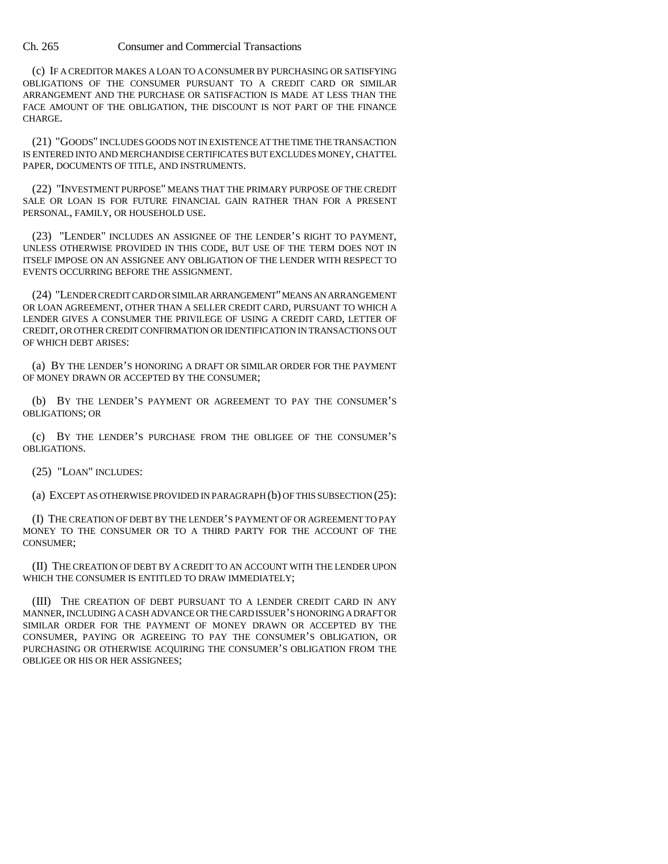(c) IF A CREDITOR MAKES A LOAN TO A CONSUMER BY PURCHASING OR SATISFYING OBLIGATIONS OF THE CONSUMER PURSUANT TO A CREDIT CARD OR SIMILAR ARRANGEMENT AND THE PURCHASE OR SATISFACTION IS MADE AT LESS THAN THE FACE AMOUNT OF THE OBLIGATION, THE DISCOUNT IS NOT PART OF THE FINANCE CHARGE.

(21) "GOODS" INCLUDES GOODS NOT IN EXISTENCE AT THE TIME THE TRANSACTION IS ENTERED INTO AND MERCHANDISE CERTIFICATES BUT EXCLUDES MONEY, CHATTEL PAPER, DOCUMENTS OF TITLE, AND INSTRUMENTS.

(22) "INVESTMENT PURPOSE" MEANS THAT THE PRIMARY PURPOSE OF THE CREDIT SALE OR LOAN IS FOR FUTURE FINANCIAL GAIN RATHER THAN FOR A PRESENT PERSONAL, FAMILY, OR HOUSEHOLD USE.

(23) "LENDER" INCLUDES AN ASSIGNEE OF THE LENDER'S RIGHT TO PAYMENT, UNLESS OTHERWISE PROVIDED IN THIS CODE, BUT USE OF THE TERM DOES NOT IN ITSELF IMPOSE ON AN ASSIGNEE ANY OBLIGATION OF THE LENDER WITH RESPECT TO EVENTS OCCURRING BEFORE THE ASSIGNMENT.

(24) "LENDER CREDIT CARD OR SIMILAR ARRANGEMENT" MEANS AN ARRANGEMENT OR LOAN AGREEMENT, OTHER THAN A SELLER CREDIT CARD, PURSUANT TO WHICH A LENDER GIVES A CONSUMER THE PRIVILEGE OF USING A CREDIT CARD, LETTER OF CREDIT, OR OTHER CREDIT CONFIRMATION OR IDENTIFICATION IN TRANSACTIONS OUT OF WHICH DEBT ARISES:

(a) BY THE LENDER'S HONORING A DRAFT OR SIMILAR ORDER FOR THE PAYMENT OF MONEY DRAWN OR ACCEPTED BY THE CONSUMER;

(b) BY THE LENDER'S PAYMENT OR AGREEMENT TO PAY THE CONSUMER'S OBLIGATIONS; OR

(c) BY THE LENDER'S PURCHASE FROM THE OBLIGEE OF THE CONSUMER'S OBLIGATIONS.

(25) "LOAN" INCLUDES:

(a) EXCEPT AS OTHERWISE PROVIDED IN PARAGRAPH (b) OF THIS SUBSECTION (25):

(I) THE CREATION OF DEBT BY THE LENDER'S PAYMENT OF OR AGREEMENT TO PAY MONEY TO THE CONSUMER OR TO A THIRD PARTY FOR THE ACCOUNT OF THE CONSUMER;

(II) THE CREATION OF DEBT BY A CREDIT TO AN ACCOUNT WITH THE LENDER UPON WHICH THE CONSUMER IS ENTITLED TO DRAW IMMEDIATELY;

(III) THE CREATION OF DEBT PURSUANT TO A LENDER CREDIT CARD IN ANY MANNER, INCLUDING A CASH ADVANCE OR THE CARD ISSUER'S HONORING A DRAFT OR SIMILAR ORDER FOR THE PAYMENT OF MONEY DRAWN OR ACCEPTED BY THE CONSUMER, PAYING OR AGREEING TO PAY THE CONSUMER'S OBLIGATION, OR PURCHASING OR OTHERWISE ACQUIRING THE CONSUMER'S OBLIGATION FROM THE OBLIGEE OR HIS OR HER ASSIGNEES;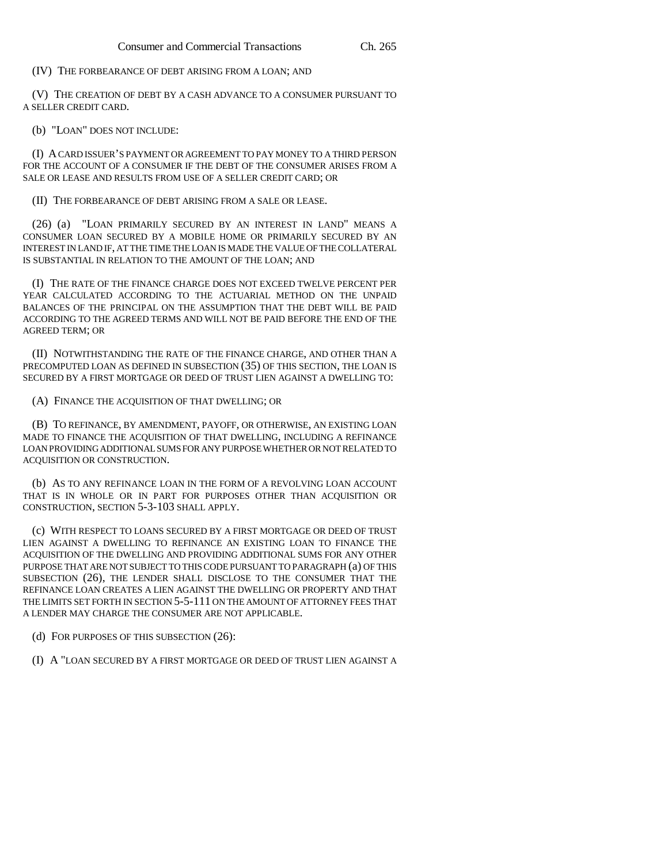### (IV) THE FORBEARANCE OF DEBT ARISING FROM A LOAN; AND

(V) THE CREATION OF DEBT BY A CASH ADVANCE TO A CONSUMER PURSUANT TO A SELLER CREDIT CARD.

#### (b) "LOAN" DOES NOT INCLUDE:

(I) A CARD ISSUER'S PAYMENT OR AGREEMENT TO PAY MONEY TO A THIRD PERSON FOR THE ACCOUNT OF A CONSUMER IF THE DEBT OF THE CONSUMER ARISES FROM A SALE OR LEASE AND RESULTS FROM USE OF A SELLER CREDIT CARD; OR

#### (II) THE FORBEARANCE OF DEBT ARISING FROM A SALE OR LEASE.

(26) (a) "LOAN PRIMARILY SECURED BY AN INTEREST IN LAND" MEANS A CONSUMER LOAN SECURED BY A MOBILE HOME OR PRIMARILY SECURED BY AN INTEREST IN LAND IF, AT THE TIME THE LOAN IS MADE THE VALUE OF THE COLLATERAL IS SUBSTANTIAL IN RELATION TO THE AMOUNT OF THE LOAN; AND

(I) THE RATE OF THE FINANCE CHARGE DOES NOT EXCEED TWELVE PERCENT PER YEAR CALCULATED ACCORDING TO THE ACTUARIAL METHOD ON THE UNPAID BALANCES OF THE PRINCIPAL ON THE ASSUMPTION THAT THE DEBT WILL BE PAID ACCORDING TO THE AGREED TERMS AND WILL NOT BE PAID BEFORE THE END OF THE AGREED TERM; OR

(II) NOTWITHSTANDING THE RATE OF THE FINANCE CHARGE, AND OTHER THAN A PRECOMPUTED LOAN AS DEFINED IN SUBSECTION (35) OF THIS SECTION, THE LOAN IS SECURED BY A FIRST MORTGAGE OR DEED OF TRUST LIEN AGAINST A DWELLING TO:

#### (A) FINANCE THE ACQUISITION OF THAT DWELLING; OR

(B) TO REFINANCE, BY AMENDMENT, PAYOFF, OR OTHERWISE, AN EXISTING LOAN MADE TO FINANCE THE ACQUISITION OF THAT DWELLING, INCLUDING A REFINANCE LOAN PROVIDING ADDITIONAL SUMS FOR ANY PURPOSE WHETHER OR NOT RELATED TO ACQUISITION OR CONSTRUCTION.

(b) AS TO ANY REFINANCE LOAN IN THE FORM OF A REVOLVING LOAN ACCOUNT THAT IS IN WHOLE OR IN PART FOR PURPOSES OTHER THAN ACQUISITION OR CONSTRUCTION, SECTION 5-3-103 SHALL APPLY.

(c) WITH RESPECT TO LOANS SECURED BY A FIRST MORTGAGE OR DEED OF TRUST LIEN AGAINST A DWELLING TO REFINANCE AN EXISTING LOAN TO FINANCE THE ACQUISITION OF THE DWELLING AND PROVIDING ADDITIONAL SUMS FOR ANY OTHER PURPOSE THAT ARE NOT SUBJECT TO THIS CODE PURSUANT TO PARAGRAPH (a) OF THIS SUBSECTION (26), THE LENDER SHALL DISCLOSE TO THE CONSUMER THAT THE REFINANCE LOAN CREATES A LIEN AGAINST THE DWELLING OR PROPERTY AND THAT THE LIMITS SET FORTH IN SECTION 5-5-111 ON THE AMOUNT OF ATTORNEY FEES THAT A LENDER MAY CHARGE THE CONSUMER ARE NOT APPLICABLE.

(d) FOR PURPOSES OF THIS SUBSECTION (26):

(I) A "LOAN SECURED BY A FIRST MORTGAGE OR DEED OF TRUST LIEN AGAINST A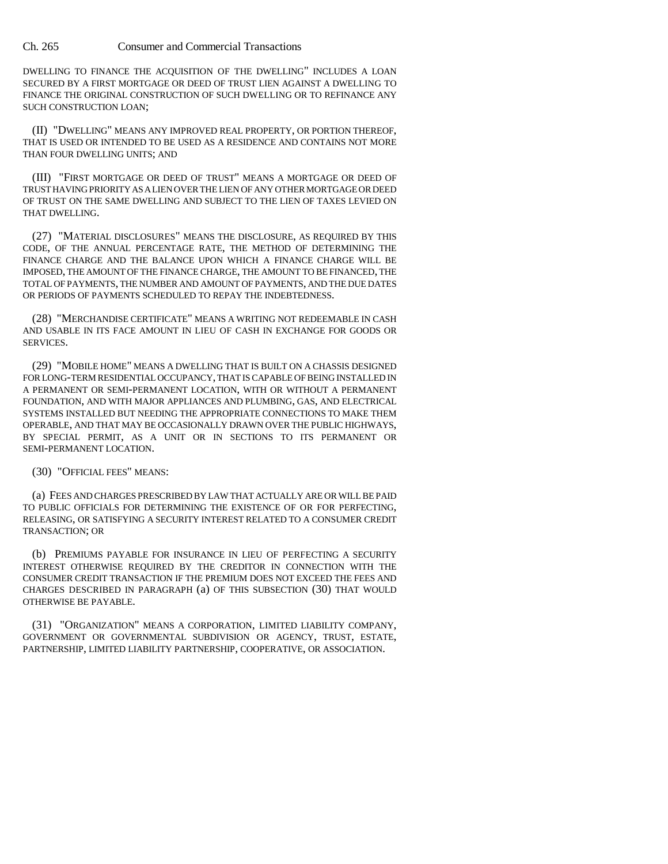DWELLING TO FINANCE THE ACQUISITION OF THE DWELLING" INCLUDES A LOAN SECURED BY A FIRST MORTGAGE OR DEED OF TRUST LIEN AGAINST A DWELLING TO FINANCE THE ORIGINAL CONSTRUCTION OF SUCH DWELLING OR TO REFINANCE ANY SUCH CONSTRUCTION LOAN;

(II) "DWELLING" MEANS ANY IMPROVED REAL PROPERTY, OR PORTION THEREOF, THAT IS USED OR INTENDED TO BE USED AS A RESIDENCE AND CONTAINS NOT MORE THAN FOUR DWELLING UNITS; AND

(III) "FIRST MORTGAGE OR DEED OF TRUST" MEANS A MORTGAGE OR DEED OF TRUST HAVING PRIORITY AS A LIEN OVER THE LIEN OF ANY OTHER MORTGAGE OR DEED OF TRUST ON THE SAME DWELLING AND SUBJECT TO THE LIEN OF TAXES LEVIED ON THAT DWELLING.

(27) "MATERIAL DISCLOSURES" MEANS THE DISCLOSURE, AS REQUIRED BY THIS CODE, OF THE ANNUAL PERCENTAGE RATE, THE METHOD OF DETERMINING THE FINANCE CHARGE AND THE BALANCE UPON WHICH A FINANCE CHARGE WILL BE IMPOSED, THE AMOUNT OF THE FINANCE CHARGE, THE AMOUNT TO BE FINANCED, THE TOTAL OF PAYMENTS, THE NUMBER AND AMOUNT OF PAYMENTS, AND THE DUE DATES OR PERIODS OF PAYMENTS SCHEDULED TO REPAY THE INDEBTEDNESS.

(28) "MERCHANDISE CERTIFICATE" MEANS A WRITING NOT REDEEMABLE IN CASH AND USABLE IN ITS FACE AMOUNT IN LIEU OF CASH IN EXCHANGE FOR GOODS OR SERVICES.

(29) "MOBILE HOME" MEANS A DWELLING THAT IS BUILT ON A CHASSIS DESIGNED FOR LONG-TERM RESIDENTIAL OCCUPANCY, THAT IS CAPABLE OF BEING INSTALLED IN A PERMANENT OR SEMI-PERMANENT LOCATION, WITH OR WITHOUT A PERMANENT FOUNDATION, AND WITH MAJOR APPLIANCES AND PLUMBING, GAS, AND ELECTRICAL SYSTEMS INSTALLED BUT NEEDING THE APPROPRIATE CONNECTIONS TO MAKE THEM OPERABLE, AND THAT MAY BE OCCASIONALLY DRAWN OVER THE PUBLIC HIGHWAYS, BY SPECIAL PERMIT, AS A UNIT OR IN SECTIONS TO ITS PERMANENT OR SEMI-PERMANENT LOCATION.

(30) "OFFICIAL FEES" MEANS:

(a) FEES AND CHARGES PRESCRIBED BY LAW THAT ACTUALLY ARE OR WILL BE PAID TO PUBLIC OFFICIALS FOR DETERMINING THE EXISTENCE OF OR FOR PERFECTING, RELEASING, OR SATISFYING A SECURITY INTEREST RELATED TO A CONSUMER CREDIT TRANSACTION; OR

(b) PREMIUMS PAYABLE FOR INSURANCE IN LIEU OF PERFECTING A SECURITY INTEREST OTHERWISE REQUIRED BY THE CREDITOR IN CONNECTION WITH THE CONSUMER CREDIT TRANSACTION IF THE PREMIUM DOES NOT EXCEED THE FEES AND CHARGES DESCRIBED IN PARAGRAPH (a) OF THIS SUBSECTION (30) THAT WOULD OTHERWISE BE PAYABLE.

(31) "ORGANIZATION" MEANS A CORPORATION, LIMITED LIABILITY COMPANY, GOVERNMENT OR GOVERNMENTAL SUBDIVISION OR AGENCY, TRUST, ESTATE, PARTNERSHIP, LIMITED LIABILITY PARTNERSHIP, COOPERATIVE, OR ASSOCIATION.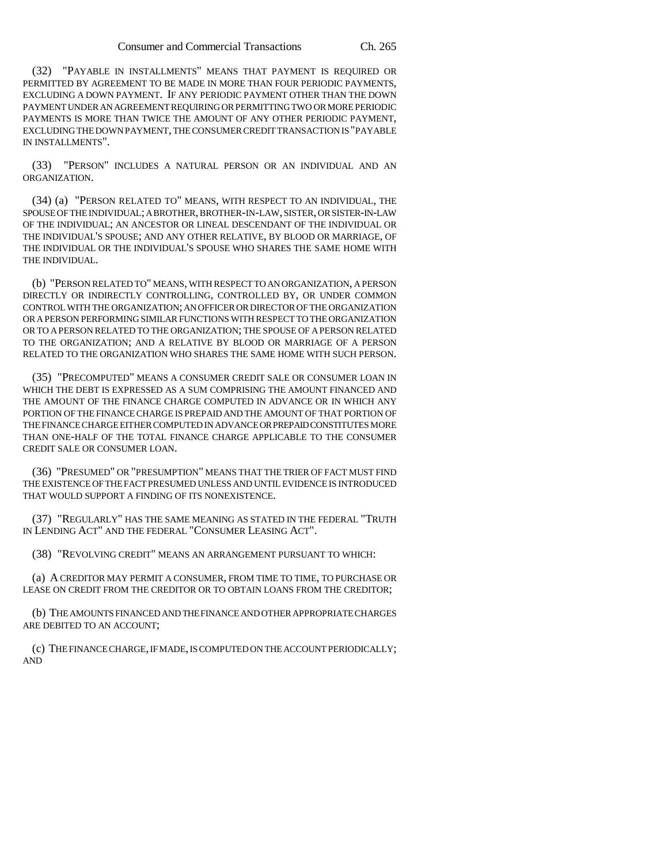(32) "PAYABLE IN INSTALLMENTS" MEANS THAT PAYMENT IS REQUIRED OR PERMITTED BY AGREEMENT TO BE MADE IN MORE THAN FOUR PERIODIC PAYMENTS, EXCLUDING A DOWN PAYMENT. IF ANY PERIODIC PAYMENT OTHER THAN THE DOWN PAYMENT UNDER AN AGREEMENT REQUIRING OR PERMITTING TWO OR MORE PERIODIC PAYMENTS IS MORE THAN TWICE THE AMOUNT OF ANY OTHER PERIODIC PAYMENT, EXCLUDING THE DOWN PAYMENT, THE CONSUMER CREDIT TRANSACTION IS "PAYABLE IN INSTALLMENTS".

(33) "PERSON" INCLUDES A NATURAL PERSON OR AN INDIVIDUAL AND AN ORGANIZATION.

(34) (a) "PERSON RELATED TO" MEANS, WITH RESPECT TO AN INDIVIDUAL, THE SPOUSE OF THE INDIVIDUAL; A BROTHER, BROTHER-IN-LAW, SISTER, OR SISTER-IN-LAW OF THE INDIVIDUAL; AN ANCESTOR OR LINEAL DESCENDANT OF THE INDIVIDUAL OR THE INDIVIDUAL'S SPOUSE; AND ANY OTHER RELATIVE, BY BLOOD OR MARRIAGE, OF THE INDIVIDUAL OR THE INDIVIDUAL'S SPOUSE WHO SHARES THE SAME HOME WITH THE INDIVIDUAL.

(b) "PERSON RELATED TO" MEANS, WITH RESPECT TO AN ORGANIZATION, A PERSON DIRECTLY OR INDIRECTLY CONTROLLING, CONTROLLED BY, OR UNDER COMMON CONTROL WITH THE ORGANIZATION; AN OFFICER OR DIRECTOR OF THE ORGANIZATION OR A PERSON PERFORMING SIMILAR FUNCTIONS WITH RESPECT TO THE ORGANIZATION OR TO A PERSON RELATED TO THE ORGANIZATION; THE SPOUSE OF A PERSON RELATED TO THE ORGANIZATION; AND A RELATIVE BY BLOOD OR MARRIAGE OF A PERSON RELATED TO THE ORGANIZATION WHO SHARES THE SAME HOME WITH SUCH PERSON.

(35) "PRECOMPUTED" MEANS A CONSUMER CREDIT SALE OR CONSUMER LOAN IN WHICH THE DEBT IS EXPRESSED AS A SUM COMPRISING THE AMOUNT FINANCED AND THE AMOUNT OF THE FINANCE CHARGE COMPUTED IN ADVANCE OR IN WHICH ANY PORTION OF THE FINANCE CHARGE IS PREPAID AND THE AMOUNT OF THAT PORTION OF THE FINANCE CHARGE EITHER COMPUTED IN ADVANCE OR PREPAID CONSTITUTES MORE THAN ONE-HALF OF THE TOTAL FINANCE CHARGE APPLICABLE TO THE CONSUMER CREDIT SALE OR CONSUMER LOAN.

(36) "PRESUMED" OR "PRESUMPTION" MEANS THAT THE TRIER OF FACT MUST FIND THE EXISTENCE OF THE FACT PRESUMED UNLESS AND UNTIL EVIDENCE IS INTRODUCED THAT WOULD SUPPORT A FINDING OF ITS NONEXISTENCE.

(37) "REGULARLY" HAS THE SAME MEANING AS STATED IN THE FEDERAL "TRUTH IN LENDING ACT" AND THE FEDERAL "CONSUMER LEASING ACT".

(38) "REVOLVING CREDIT" MEANS AN ARRANGEMENT PURSUANT TO WHICH:

(a) A CREDITOR MAY PERMIT A CONSUMER, FROM TIME TO TIME, TO PURCHASE OR LEASE ON CREDIT FROM THE CREDITOR OR TO OBTAIN LOANS FROM THE CREDITOR;

(b) THE AMOUNTS FINANCED AND THE FINANCE AND OTHER APPROPRIATE CHARGES ARE DEBITED TO AN ACCOUNT;

(c) THE FINANCE CHARGE, IF MADE, IS COMPUTED ON THE ACCOUNT PERIODICALLY; AND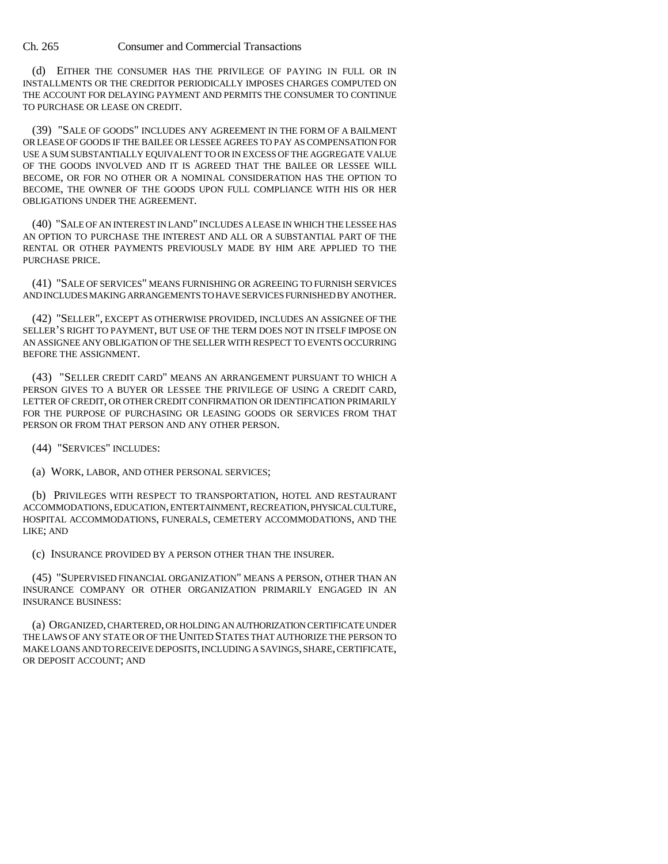(d) EITHER THE CONSUMER HAS THE PRIVILEGE OF PAYING IN FULL OR IN INSTALLMENTS OR THE CREDITOR PERIODICALLY IMPOSES CHARGES COMPUTED ON THE ACCOUNT FOR DELAYING PAYMENT AND PERMITS THE CONSUMER TO CONTINUE TO PURCHASE OR LEASE ON CREDIT.

(39) "SALE OF GOODS" INCLUDES ANY AGREEMENT IN THE FORM OF A BAILMENT OR LEASE OF GOODS IF THE BAILEE OR LESSEE AGREES TO PAY AS COMPENSATION FOR USE A SUM SUBSTANTIALLY EQUIVALENT TO OR IN EXCESS OF THE AGGREGATE VALUE OF THE GOODS INVOLVED AND IT IS AGREED THAT THE BAILEE OR LESSEE WILL BECOME, OR FOR NO OTHER OR A NOMINAL CONSIDERATION HAS THE OPTION TO BECOME, THE OWNER OF THE GOODS UPON FULL COMPLIANCE WITH HIS OR HER OBLIGATIONS UNDER THE AGREEMENT.

(40) "SALE OF AN INTEREST IN LAND" INCLUDES A LEASE IN WHICH THE LESSEE HAS AN OPTION TO PURCHASE THE INTEREST AND ALL OR A SUBSTANTIAL PART OF THE RENTAL OR OTHER PAYMENTS PREVIOUSLY MADE BY HIM ARE APPLIED TO THE PURCHASE PRICE.

(41) "SALE OF SERVICES" MEANS FURNISHING OR AGREEING TO FURNISH SERVICES AND INCLUDES MAKING ARRANGEMENTS TO HAVE SERVICES FURNISHED BY ANOTHER.

(42) "SELLER", EXCEPT AS OTHERWISE PROVIDED, INCLUDES AN ASSIGNEE OF THE SELLER'S RIGHT TO PAYMENT, BUT USE OF THE TERM DOES NOT IN ITSELF IMPOSE ON AN ASSIGNEE ANY OBLIGATION OF THE SELLER WITH RESPECT TO EVENTS OCCURRING BEFORE THE ASSIGNMENT.

(43) "SELLER CREDIT CARD" MEANS AN ARRANGEMENT PURSUANT TO WHICH A PERSON GIVES TO A BUYER OR LESSEE THE PRIVILEGE OF USING A CREDIT CARD, LETTER OF CREDIT, OR OTHER CREDIT CONFIRMATION OR IDENTIFICATION PRIMARILY FOR THE PURPOSE OF PURCHASING OR LEASING GOODS OR SERVICES FROM THAT PERSON OR FROM THAT PERSON AND ANY OTHER PERSON.

(44) "SERVICES" INCLUDES:

(a) WORK, LABOR, AND OTHER PERSONAL SERVICES;

(b) PRIVILEGES WITH RESPECT TO TRANSPORTATION, HOTEL AND RESTAURANT ACCOMMODATIONS, EDUCATION, ENTERTAINMENT, RECREATION, PHYSICAL CULTURE, HOSPITAL ACCOMMODATIONS, FUNERALS, CEMETERY ACCOMMODATIONS, AND THE LIKE; AND

(c) INSURANCE PROVIDED BY A PERSON OTHER THAN THE INSURER.

(45) "SUPERVISED FINANCIAL ORGANIZATION" MEANS A PERSON, OTHER THAN AN INSURANCE COMPANY OR OTHER ORGANIZATION PRIMARILY ENGAGED IN AN INSURANCE BUSINESS:

(a) ORGANIZED, CHARTERED, OR HOLDING AN AUTHORIZATION CERTIFICATE UNDER THE LAWS OF ANY STATE OR OF THE UNITED STATES THAT AUTHORIZE THE PERSON TO MAKE LOANS AND TO RECEIVE DEPOSITS, INCLUDING A SAVINGS, SHARE, CERTIFICATE, OR DEPOSIT ACCOUNT; AND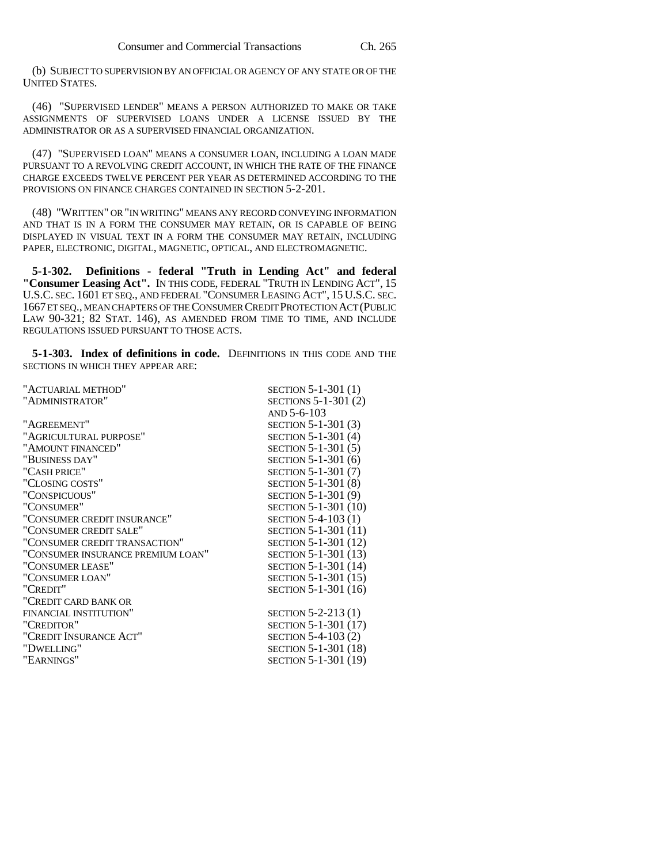(b) SUBJECT TO SUPERVISION BY AN OFFICIAL OR AGENCY OF ANY STATE OR OF THE UNITED STATES.

(46) "SUPERVISED LENDER" MEANS A PERSON AUTHORIZED TO MAKE OR TAKE ASSIGNMENTS OF SUPERVISED LOANS UNDER A LICENSE ISSUED BY THE ADMINISTRATOR OR AS A SUPERVISED FINANCIAL ORGANIZATION.

(47) "SUPERVISED LOAN" MEANS A CONSUMER LOAN, INCLUDING A LOAN MADE PURSUANT TO A REVOLVING CREDIT ACCOUNT, IN WHICH THE RATE OF THE FINANCE CHARGE EXCEEDS TWELVE PERCENT PER YEAR AS DETERMINED ACCORDING TO THE PROVISIONS ON FINANCE CHARGES CONTAINED IN SECTION 5-2-201.

(48) "WRITTEN" OR "IN WRITING" MEANS ANY RECORD CONVEYING INFORMATION AND THAT IS IN A FORM THE CONSUMER MAY RETAIN, OR IS CAPABLE OF BEING DISPLAYED IN VISUAL TEXT IN A FORM THE CONSUMER MAY RETAIN, INCLUDING PAPER, ELECTRONIC, DIGITAL, MAGNETIC, OPTICAL, AND ELECTROMAGNETIC.

**5-1-302. Definitions - federal "Truth in Lending Act" and federal "Consumer Leasing Act".** IN THIS CODE, FEDERAL "TRUTH IN LENDING ACT", 15 U.S.C. SEC. 1601 ET SEQ., AND FEDERAL "CONSUMER LEASING ACT", 15 U.S.C. SEC. 1667 ET SEQ., MEAN CHAPTERS OF THE CONSUMER CREDIT PROTECTION ACT (PUBLIC LAW 90-321; 82 STAT. 146), AS AMENDED FROM TIME TO TIME, AND INCLUDE REGULATIONS ISSUED PURSUANT TO THOSE ACTS.

**5-1-303. Index of definitions in code.** DEFINITIONS IN THIS CODE AND THE SECTIONS IN WHICH THEY APPEAR ARE:

| "ACTUARIAL METHOD"                | SECTION 5-1-301 (1)  |
|-----------------------------------|----------------------|
| "ADMINISTRATOR"                   | SECTIONS 5-1-301 (2) |
|                                   | AND 5-6-103          |
| "AGREEMENT"                       | SECTION 5-1-301 (3)  |
| "AGRICULTURAL PURPOSE"            | SECTION 5-1-301 (4)  |
| "AMOUNT FINANCED"                 | SECTION 5-1-301 (5)  |
| "BUSINESS DAY"                    | SECTION 5-1-301 (6)  |
| "CASH PRICE"                      | SECTION 5-1-301 (7)  |
| "CLOSING COSTS"                   | SECTION 5-1-301 (8)  |
| "CONSPICUOUS"                     | SECTION 5-1-301 (9)  |
| "CONSUMER"                        | SECTION 5-1-301 (10) |
| "CONSUMER CREDIT INSURANCE"       | SECTION 5-4-103 (1)  |
| "CONSUMER CREDIT SALE"            | SECTION 5-1-301 (11) |
| "CONSUMER CREDIT TRANSACTION"     | SECTION 5-1-301 (12) |
| "CONSUMER INSURANCE PREMIUM LOAN" | SECTION 5-1-301 (13) |
| "CONSUMER LEASE"                  | SECTION 5-1-301 (14) |
| "CONSUMER LOAN"                   | SECTION 5-1-301 (15) |
| "CREDIT"                          | SECTION 5-1-301 (16) |
| "CREDIT CARD BANK OR              |                      |
| FINANCIAL INSTITUTION"            | SECTION 5-2-213 (1)  |
| "CREDITOR"                        | SECTION 5-1-301 (17) |
| "CREDIT INSURANCE ACT"            | SECTION 5-4-103 (2)  |
| "DWELLING"                        | SECTION 5-1-301 (18) |
| "EARNINGS"                        | SECTION 5-1-301 (19) |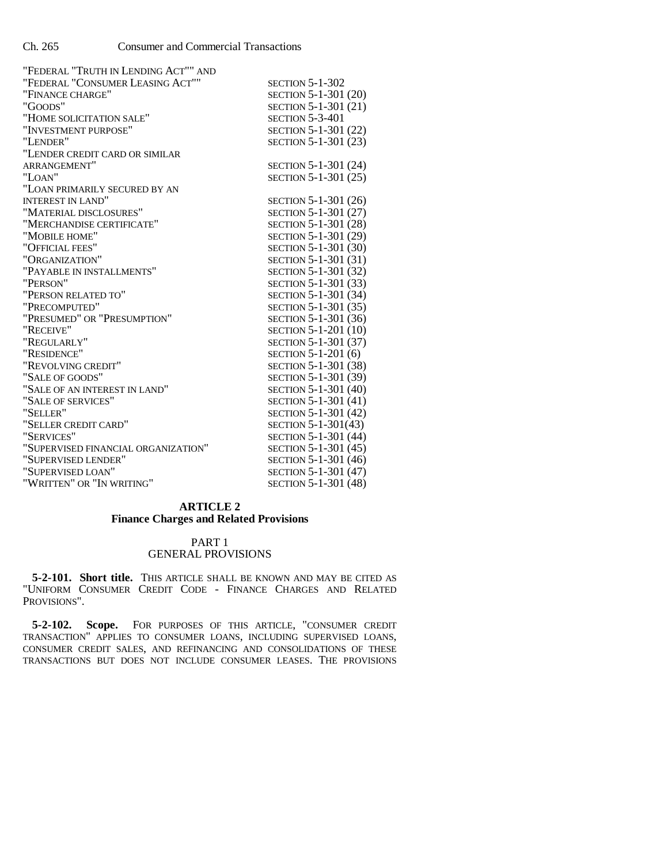| "FEDERAL "TRUTH IN LENDING ACT"" AND |                        |
|--------------------------------------|------------------------|
| "FEDERAL "CONSUMER LEASING ACT""     | <b>SECTION 5-1-302</b> |
| "FINANCE CHARGE"                     | SECTION 5-1-301 (20)   |
| "GOODS"                              | SECTION 5-1-301 (21)   |
| "HOME SOLICITATION SALE"             | <b>SECTION 5-3-401</b> |
| "INVESTMENT PURPOSE"                 | SECTION 5-1-301 (22)   |
| "LENDER"                             | SECTION 5-1-301 (23)   |
| "LENDER CREDIT CARD OR SIMILAR       |                        |
| ARRANGEMENT"                         | SECTION 5-1-301 (24)   |
| "LOAN"                               | SECTION 5-1-301 (25)   |
| "LOAN PRIMARILY SECURED BY AN        |                        |
| <b>INTEREST IN LAND"</b>             | SECTION 5-1-301 (26)   |
| "MATERIAL DISCLOSURES"               | SECTION 5-1-301 (27)   |
| "MERCHANDISE CERTIFICATE"            | SECTION 5-1-301 (28)   |
| "MOBILE HOME"                        | SECTION 5-1-301 (29)   |
| "OFFICIAL FEES"                      | SECTION 5-1-301 (30)   |
| "ORGANIZATION"                       | SECTION 5-1-301 (31)   |
| "PAYABLE IN INSTALLMENTS"            | SECTION 5-1-301 (32)   |
| "PERSON"                             | SECTION 5-1-301 (33)   |
| "PERSON RELATED TO"                  | SECTION 5-1-301 (34)   |
| "PRECOMPUTED"                        | SECTION 5-1-301 (35)   |
| "PRESUMED" OR "PRESUMPTION"          | SECTION 5-1-301 (36)   |
| "RECEIVE"                            | SECTION 5-1-201 (10)   |
| "REGULARLY"                          | SECTION 5-1-301 (37)   |
| "RESIDENCE"                          | SECTION 5-1-201 (6)    |
| "REVOLVING CREDIT"                   | SECTION 5-1-301 (38)   |
| "SALE OF GOODS"                      | SECTION 5-1-301 (39)   |
| "SALE OF AN INTEREST IN LAND"        | SECTION 5-1-301 (40)   |
| "SALE OF SERVICES"                   | SECTION 5-1-301 (41)   |
| "SELLER"                             | SECTION 5-1-301 (42)   |
| "SELLER CREDIT CARD"                 | SECTION 5-1-301(43)    |
| "SERVICES"                           | SECTION 5-1-301 (44)   |
| "SUPERVISED FINANCIAL ORGANIZATION"  | SECTION 5-1-301 (45)   |
| "SUPERVISED LENDER"                  | SECTION 5-1-301 (46)   |
| "SUPERVISED LOAN"                    | SECTION 5-1-301 (47)   |
| "WRITTEN" OR "IN WRITING"            | SECTION 5-1-301 (48)   |

### **ARTICLE 2 Finance Charges and Related Provisions**

## PART 1 GENERAL PROVISIONS

**5-2-101. Short title.** THIS ARTICLE SHALL BE KNOWN AND MAY BE CITED AS "UNIFORM CONSUMER CREDIT CODE - FINANCE CHARGES AND RELATED PROVISIONS".

**5-2-102. Scope.** FOR PURPOSES OF THIS ARTICLE, "CONSUMER CREDIT TRANSACTION" APPLIES TO CONSUMER LOANS, INCLUDING SUPERVISED LOANS, CONSUMER CREDIT SALES, AND REFINANCING AND CONSOLIDATIONS OF THESE TRANSACTIONS BUT DOES NOT INCLUDE CONSUMER LEASES. THE PROVISIONS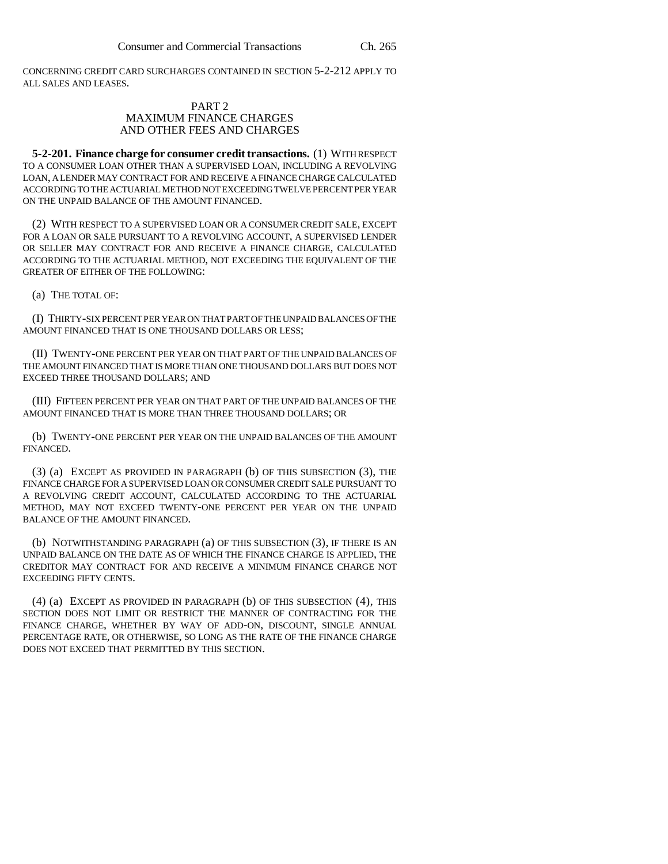CONCERNING CREDIT CARD SURCHARGES CONTAINED IN SECTION 5-2-212 APPLY TO ALL SALES AND LEASES.

### PART 2 MAXIMUM FINANCE CHARGES AND OTHER FEES AND CHARGES

**5-2-201. Finance charge for consumer credit transactions.** (1) WITH RESPECT TO A CONSUMER LOAN OTHER THAN A SUPERVISED LOAN, INCLUDING A REVOLVING LOAN, A LENDER MAY CONTRACT FOR AND RECEIVE A FINANCE CHARGE CALCULATED ACCORDING TO THE ACTUARIAL METHOD NOT EXCEEDING TWELVE PERCENT PER YEAR ON THE UNPAID BALANCE OF THE AMOUNT FINANCED.

(2) WITH RESPECT TO A SUPERVISED LOAN OR A CONSUMER CREDIT SALE, EXCEPT FOR A LOAN OR SALE PURSUANT TO A REVOLVING ACCOUNT, A SUPERVISED LENDER OR SELLER MAY CONTRACT FOR AND RECEIVE A FINANCE CHARGE, CALCULATED ACCORDING TO THE ACTUARIAL METHOD, NOT EXCEEDING THE EQUIVALENT OF THE GREATER OF EITHER OF THE FOLLOWING:

(a) THE TOTAL OF:

(I) THIRTY-SIX PERCENT PER YEAR ON THAT PART OF THE UNPAID BALANCES OF THE AMOUNT FINANCED THAT IS ONE THOUSAND DOLLARS OR LESS;

(II) TWENTY-ONE PERCENT PER YEAR ON THAT PART OF THE UNPAID BALANCES OF THE AMOUNT FINANCED THAT IS MORE THAN ONE THOUSAND DOLLARS BUT DOES NOT EXCEED THREE THOUSAND DOLLARS; AND

(III) FIFTEEN PERCENT PER YEAR ON THAT PART OF THE UNPAID BALANCES OF THE AMOUNT FINANCED THAT IS MORE THAN THREE THOUSAND DOLLARS; OR

(b) TWENTY-ONE PERCENT PER YEAR ON THE UNPAID BALANCES OF THE AMOUNT FINANCED.

(3) (a) EXCEPT AS PROVIDED IN PARAGRAPH (b) OF THIS SUBSECTION (3), THE FINANCE CHARGE FOR A SUPERVISED LOAN OR CONSUMER CREDIT SALE PURSUANT TO A REVOLVING CREDIT ACCOUNT, CALCULATED ACCORDING TO THE ACTUARIAL METHOD, MAY NOT EXCEED TWENTY-ONE PERCENT PER YEAR ON THE UNPAID BALANCE OF THE AMOUNT FINANCED.

(b) NOTWITHSTANDING PARAGRAPH (a) OF THIS SUBSECTION (3), IF THERE IS AN UNPAID BALANCE ON THE DATE AS OF WHICH THE FINANCE CHARGE IS APPLIED, THE CREDITOR MAY CONTRACT FOR AND RECEIVE A MINIMUM FINANCE CHARGE NOT EXCEEDING FIFTY CENTS.

(4) (a) EXCEPT AS PROVIDED IN PARAGRAPH (b) OF THIS SUBSECTION (4), THIS SECTION DOES NOT LIMIT OR RESTRICT THE MANNER OF CONTRACTING FOR THE FINANCE CHARGE, WHETHER BY WAY OF ADD-ON, DISCOUNT, SINGLE ANNUAL PERCENTAGE RATE, OR OTHERWISE, SO LONG AS THE RATE OF THE FINANCE CHARGE DOES NOT EXCEED THAT PERMITTED BY THIS SECTION.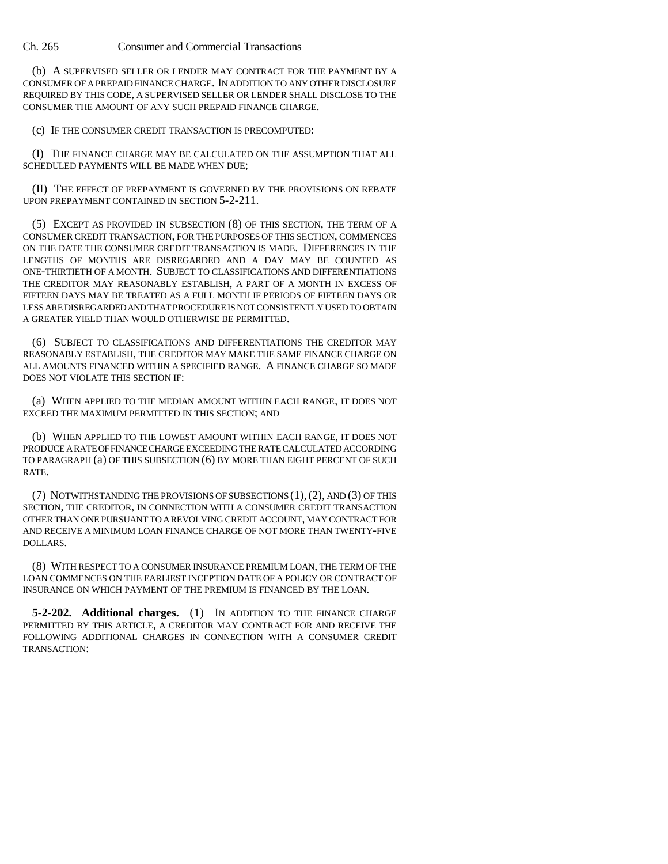(b) A SUPERVISED SELLER OR LENDER MAY CONTRACT FOR THE PAYMENT BY A CONSUMER OF A PREPAID FINANCE CHARGE. IN ADDITION TO ANY OTHER DISCLOSURE REQUIRED BY THIS CODE, A SUPERVISED SELLER OR LENDER SHALL DISCLOSE TO THE CONSUMER THE AMOUNT OF ANY SUCH PREPAID FINANCE CHARGE.

(c) IF THE CONSUMER CREDIT TRANSACTION IS PRECOMPUTED:

(I) THE FINANCE CHARGE MAY BE CALCULATED ON THE ASSUMPTION THAT ALL SCHEDULED PAYMENTS WILL BE MADE WHEN DUE;

(II) THE EFFECT OF PREPAYMENT IS GOVERNED BY THE PROVISIONS ON REBATE UPON PREPAYMENT CONTAINED IN SECTION 5-2-211.

(5) EXCEPT AS PROVIDED IN SUBSECTION (8) OF THIS SECTION, THE TERM OF A CONSUMER CREDIT TRANSACTION, FOR THE PURPOSES OF THIS SECTION, COMMENCES ON THE DATE THE CONSUMER CREDIT TRANSACTION IS MADE. DIFFERENCES IN THE LENGTHS OF MONTHS ARE DISREGARDED AND A DAY MAY BE COUNTED AS ONE-THIRTIETH OF A MONTH. SUBJECT TO CLASSIFICATIONS AND DIFFERENTIATIONS THE CREDITOR MAY REASONABLY ESTABLISH, A PART OF A MONTH IN EXCESS OF FIFTEEN DAYS MAY BE TREATED AS A FULL MONTH IF PERIODS OF FIFTEEN DAYS OR LESS ARE DISREGARDED AND THAT PROCEDURE IS NOT CONSISTENTLY USED TO OBTAIN A GREATER YIELD THAN WOULD OTHERWISE BE PERMITTED.

(6) SUBJECT TO CLASSIFICATIONS AND DIFFERENTIATIONS THE CREDITOR MAY REASONABLY ESTABLISH, THE CREDITOR MAY MAKE THE SAME FINANCE CHARGE ON ALL AMOUNTS FINANCED WITHIN A SPECIFIED RANGE. A FINANCE CHARGE SO MADE DOES NOT VIOLATE THIS SECTION IF:

(a) WHEN APPLIED TO THE MEDIAN AMOUNT WITHIN EACH RANGE, IT DOES NOT EXCEED THE MAXIMUM PERMITTED IN THIS SECTION; AND

(b) WHEN APPLIED TO THE LOWEST AMOUNT WITHIN EACH RANGE, IT DOES NOT PRODUCE A RATE OF FINANCE CHARGE EXCEEDING THE RATE CALCULATED ACCORDING TO PARAGRAPH (a) OF THIS SUBSECTION (6) BY MORE THAN EIGHT PERCENT OF SUCH RATE.

(7) NOTWITHSTANDING THE PROVISIONS OF SUBSECTIONS (1),(2), AND (3) OF THIS SECTION, THE CREDITOR, IN CONNECTION WITH A CONSUMER CREDIT TRANSACTION OTHER THAN ONE PURSUANT TO A REVOLVING CREDIT ACCOUNT, MAY CONTRACT FOR AND RECEIVE A MINIMUM LOAN FINANCE CHARGE OF NOT MORE THAN TWENTY-FIVE DOLLARS.

(8) WITH RESPECT TO A CONSUMER INSURANCE PREMIUM LOAN, THE TERM OF THE LOAN COMMENCES ON THE EARLIEST INCEPTION DATE OF A POLICY OR CONTRACT OF INSURANCE ON WHICH PAYMENT OF THE PREMIUM IS FINANCED BY THE LOAN.

**5-2-202. Additional charges.** (1) IN ADDITION TO THE FINANCE CHARGE PERMITTED BY THIS ARTICLE, A CREDITOR MAY CONTRACT FOR AND RECEIVE THE FOLLOWING ADDITIONAL CHARGES IN CONNECTION WITH A CONSUMER CREDIT TRANSACTION: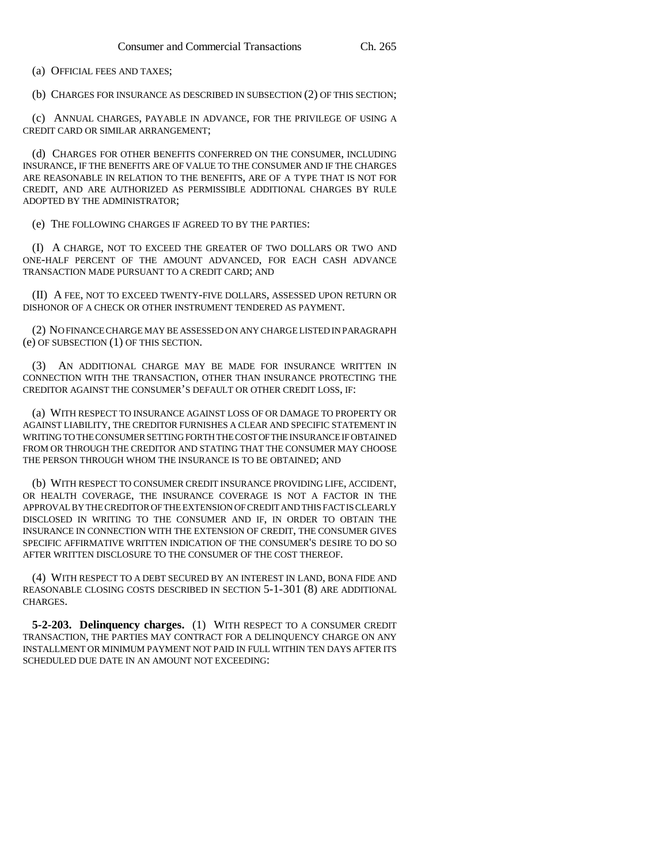(a) OFFICIAL FEES AND TAXES;

(b) CHARGES FOR INSURANCE AS DESCRIBED IN SUBSECTION (2) OF THIS SECTION;

(c) ANNUAL CHARGES, PAYABLE IN ADVANCE, FOR THE PRIVILEGE OF USING A CREDIT CARD OR SIMILAR ARRANGEMENT;

(d) CHARGES FOR OTHER BENEFITS CONFERRED ON THE CONSUMER, INCLUDING INSURANCE, IF THE BENEFITS ARE OF VALUE TO THE CONSUMER AND IF THE CHARGES ARE REASONABLE IN RELATION TO THE BENEFITS, ARE OF A TYPE THAT IS NOT FOR CREDIT, AND ARE AUTHORIZED AS PERMISSIBLE ADDITIONAL CHARGES BY RULE ADOPTED BY THE ADMINISTRATOR;

(e) THE FOLLOWING CHARGES IF AGREED TO BY THE PARTIES:

(I) A CHARGE, NOT TO EXCEED THE GREATER OF TWO DOLLARS OR TWO AND ONE-HALF PERCENT OF THE AMOUNT ADVANCED, FOR EACH CASH ADVANCE TRANSACTION MADE PURSUANT TO A CREDIT CARD; AND

(II) A FEE, NOT TO EXCEED TWENTY-FIVE DOLLARS, ASSESSED UPON RETURN OR DISHONOR OF A CHECK OR OTHER INSTRUMENT TENDERED AS PAYMENT.

(2) NO FINANCE CHARGE MAY BE ASSESSED ON ANY CHARGE LISTED IN PARAGRAPH (e) OF SUBSECTION (1) OF THIS SECTION.

(3) AN ADDITIONAL CHARGE MAY BE MADE FOR INSURANCE WRITTEN IN CONNECTION WITH THE TRANSACTION, OTHER THAN INSURANCE PROTECTING THE CREDITOR AGAINST THE CONSUMER'S DEFAULT OR OTHER CREDIT LOSS, IF:

(a) WITH RESPECT TO INSURANCE AGAINST LOSS OF OR DAMAGE TO PROPERTY OR AGAINST LIABILITY, THE CREDITOR FURNISHES A CLEAR AND SPECIFIC STATEMENT IN WRITING TO THE CONSUMER SETTING FORTH THE COST OF THE INSURANCE IF OBTAINED FROM OR THROUGH THE CREDITOR AND STATING THAT THE CONSUMER MAY CHOOSE THE PERSON THROUGH WHOM THE INSURANCE IS TO BE OBTAINED; AND

(b) WITH RESPECT TO CONSUMER CREDIT INSURANCE PROVIDING LIFE, ACCIDENT, OR HEALTH COVERAGE, THE INSURANCE COVERAGE IS NOT A FACTOR IN THE APPROVAL BY THE CREDITOR OF THE EXTENSION OF CREDIT AND THIS FACT IS CLEARLY DISCLOSED IN WRITING TO THE CONSUMER AND IF, IN ORDER TO OBTAIN THE INSURANCE IN CONNECTION WITH THE EXTENSION OF CREDIT, THE CONSUMER GIVES SPECIFIC AFFIRMATIVE WRITTEN INDICATION OF THE CONSUMER'S DESIRE TO DO SO AFTER WRITTEN DISCLOSURE TO THE CONSUMER OF THE COST THEREOF.

(4) WITH RESPECT TO A DEBT SECURED BY AN INTEREST IN LAND, BONA FIDE AND REASONABLE CLOSING COSTS DESCRIBED IN SECTION 5-1-301 (8) ARE ADDITIONAL CHARGES.

**5-2-203. Delinquency charges.** (1) WITH RESPECT TO A CONSUMER CREDIT TRANSACTION, THE PARTIES MAY CONTRACT FOR A DELINQUENCY CHARGE ON ANY INSTALLMENT OR MINIMUM PAYMENT NOT PAID IN FULL WITHIN TEN DAYS AFTER ITS SCHEDULED DUE DATE IN AN AMOUNT NOT EXCEEDING: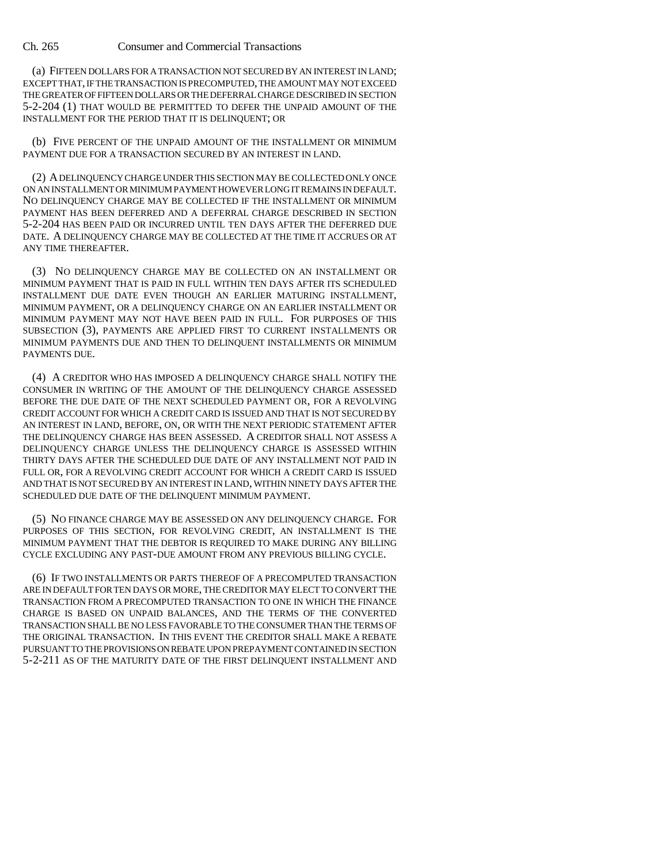(a) FIFTEEN DOLLARS FOR A TRANSACTION NOT SECURED BY AN INTEREST IN LAND; EXCEPT THAT, IF THE TRANSACTION IS PRECOMPUTED, THE AMOUNT MAY NOT EXCEED THE GREATER OF FIFTEEN DOLLARS OR THE DEFERRAL CHARGE DESCRIBED IN SECTION 5-2-204 (1) THAT WOULD BE PERMITTED TO DEFER THE UNPAID AMOUNT OF THE INSTALLMENT FOR THE PERIOD THAT IT IS DELINQUENT; OR

(b) FIVE PERCENT OF THE UNPAID AMOUNT OF THE INSTALLMENT OR MINIMUM PAYMENT DUE FOR A TRANSACTION SECURED BY AN INTEREST IN LAND.

(2) A DELINQUENCY CHARGE UNDER THIS SECTION MAY BE COLLECTED ONLY ONCE ON AN INSTALLMENT OR MINIMUM PAYMENT HOWEVER LONG IT REMAINS IN DEFAULT. NO DELINQUENCY CHARGE MAY BE COLLECTED IF THE INSTALLMENT OR MINIMUM PAYMENT HAS BEEN DEFERRED AND A DEFERRAL CHARGE DESCRIBED IN SECTION 5-2-204 HAS BEEN PAID OR INCURRED UNTIL TEN DAYS AFTER THE DEFERRED DUE DATE. A DELINQUENCY CHARGE MAY BE COLLECTED AT THE TIME IT ACCRUES OR AT ANY TIME THEREAFTER.

(3) NO DELINQUENCY CHARGE MAY BE COLLECTED ON AN INSTALLMENT OR MINIMUM PAYMENT THAT IS PAID IN FULL WITHIN TEN DAYS AFTER ITS SCHEDULED INSTALLMENT DUE DATE EVEN THOUGH AN EARLIER MATURING INSTALLMENT, MINIMUM PAYMENT, OR A DELINQUENCY CHARGE ON AN EARLIER INSTALLMENT OR MINIMUM PAYMENT MAY NOT HAVE BEEN PAID IN FULL. FOR PURPOSES OF THIS SUBSECTION (3), PAYMENTS ARE APPLIED FIRST TO CURRENT INSTALLMENTS OR MINIMUM PAYMENTS DUE AND THEN TO DELINQUENT INSTALLMENTS OR MINIMUM PAYMENTS DUE.

(4) A CREDITOR WHO HAS IMPOSED A DELINQUENCY CHARGE SHALL NOTIFY THE CONSUMER IN WRITING OF THE AMOUNT OF THE DELINQUENCY CHARGE ASSESSED BEFORE THE DUE DATE OF THE NEXT SCHEDULED PAYMENT OR, FOR A REVOLVING CREDIT ACCOUNT FOR WHICH A CREDIT CARD IS ISSUED AND THAT IS NOT SECURED BY AN INTEREST IN LAND, BEFORE, ON, OR WITH THE NEXT PERIODIC STATEMENT AFTER THE DELINQUENCY CHARGE HAS BEEN ASSESSED. A CREDITOR SHALL NOT ASSESS A DELINQUENCY CHARGE UNLESS THE DELINQUENCY CHARGE IS ASSESSED WITHIN THIRTY DAYS AFTER THE SCHEDULED DUE DATE OF ANY INSTALLMENT NOT PAID IN FULL OR, FOR A REVOLVING CREDIT ACCOUNT FOR WHICH A CREDIT CARD IS ISSUED AND THAT IS NOT SECURED BY AN INTEREST IN LAND, WITHIN NINETY DAYS AFTER THE SCHEDULED DUE DATE OF THE DELINQUENT MINIMUM PAYMENT.

(5) NO FINANCE CHARGE MAY BE ASSESSED ON ANY DELINQUENCY CHARGE. FOR PURPOSES OF THIS SECTION, FOR REVOLVING CREDIT, AN INSTALLMENT IS THE MINIMUM PAYMENT THAT THE DEBTOR IS REQUIRED TO MAKE DURING ANY BILLING CYCLE EXCLUDING ANY PAST-DUE AMOUNT FROM ANY PREVIOUS BILLING CYCLE.

(6) IF TWO INSTALLMENTS OR PARTS THEREOF OF A PRECOMPUTED TRANSACTION ARE IN DEFAULT FOR TEN DAYS OR MORE, THE CREDITOR MAY ELECT TO CONVERT THE TRANSACTION FROM A PRECOMPUTED TRANSACTION TO ONE IN WHICH THE FINANCE CHARGE IS BASED ON UNPAID BALANCES, AND THE TERMS OF THE CONVERTED TRANSACTION SHALL BE NO LESS FAVORABLE TO THE CONSUMER THAN THE TERMS OF THE ORIGINAL TRANSACTION. IN THIS EVENT THE CREDITOR SHALL MAKE A REBATE PURSUANT TO THE PROVISIONS ON REBATE UPON PREPAYMENT CONTAINED IN SECTION 5-2-211 AS OF THE MATURITY DATE OF THE FIRST DELINQUENT INSTALLMENT AND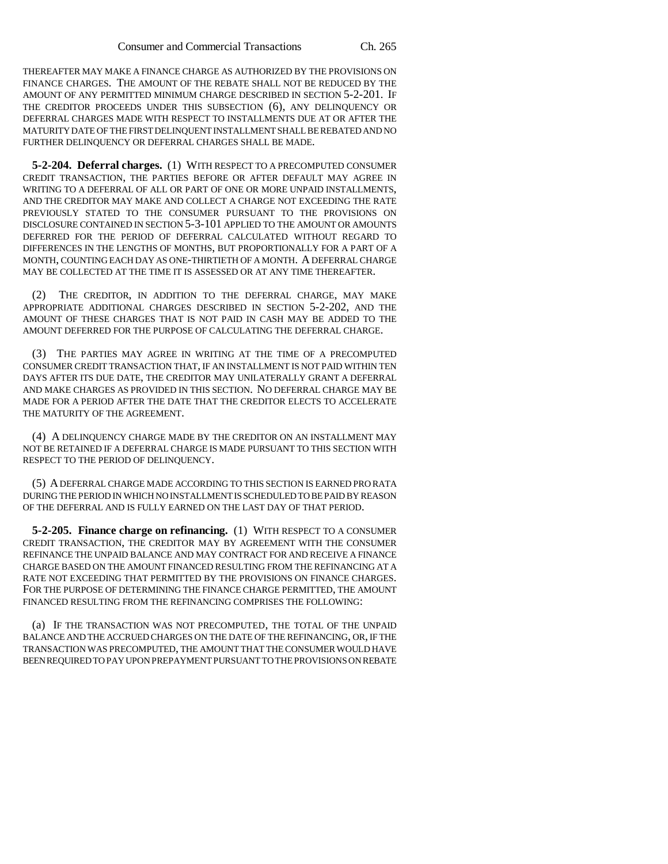THEREAFTER MAY MAKE A FINANCE CHARGE AS AUTHORIZED BY THE PROVISIONS ON FINANCE CHARGES. THE AMOUNT OF THE REBATE SHALL NOT BE REDUCED BY THE AMOUNT OF ANY PERMITTED MINIMUM CHARGE DESCRIBED IN SECTION 5-2-201. IF THE CREDITOR PROCEEDS UNDER THIS SUBSECTION (6), ANY DELINQUENCY OR DEFERRAL CHARGES MADE WITH RESPECT TO INSTALLMENTS DUE AT OR AFTER THE MATURITY DATE OF THE FIRST DELINQUENT INSTALLMENT SHALL BE REBATED AND NO FURTHER DELINQUENCY OR DEFERRAL CHARGES SHALL BE MADE.

**5-2-204. Deferral charges.** (1) WITH RESPECT TO A PRECOMPUTED CONSUMER CREDIT TRANSACTION, THE PARTIES BEFORE OR AFTER DEFAULT MAY AGREE IN WRITING TO A DEFERRAL OF ALL OR PART OF ONE OR MORE UNPAID INSTALLMENTS, AND THE CREDITOR MAY MAKE AND COLLECT A CHARGE NOT EXCEEDING THE RATE PREVIOUSLY STATED TO THE CONSUMER PURSUANT TO THE PROVISIONS ON DISCLOSURE CONTAINED IN SECTION 5-3-101 APPLIED TO THE AMOUNT OR AMOUNTS DEFERRED FOR THE PERIOD OF DEFERRAL CALCULATED WITHOUT REGARD TO DIFFERENCES IN THE LENGTHS OF MONTHS, BUT PROPORTIONALLY FOR A PART OF A MONTH, COUNTING EACH DAY AS ONE-THIRTIETH OF A MONTH. A DEFERRAL CHARGE MAY BE COLLECTED AT THE TIME IT IS ASSESSED OR AT ANY TIME THEREAFTER.

(2) THE CREDITOR, IN ADDITION TO THE DEFERRAL CHARGE, MAY MAKE APPROPRIATE ADDITIONAL CHARGES DESCRIBED IN SECTION 5-2-202, AND THE AMOUNT OF THESE CHARGES THAT IS NOT PAID IN CASH MAY BE ADDED TO THE AMOUNT DEFERRED FOR THE PURPOSE OF CALCULATING THE DEFERRAL CHARGE.

(3) THE PARTIES MAY AGREE IN WRITING AT THE TIME OF A PRECOMPUTED CONSUMER CREDIT TRANSACTION THAT, IF AN INSTALLMENT IS NOT PAID WITHIN TEN DAYS AFTER ITS DUE DATE, THE CREDITOR MAY UNILATERALLY GRANT A DEFERRAL AND MAKE CHARGES AS PROVIDED IN THIS SECTION. NO DEFERRAL CHARGE MAY BE MADE FOR A PERIOD AFTER THE DATE THAT THE CREDITOR ELECTS TO ACCELERATE THE MATURITY OF THE AGREEMENT.

(4) A DELINQUENCY CHARGE MADE BY THE CREDITOR ON AN INSTALLMENT MAY NOT BE RETAINED IF A DEFERRAL CHARGE IS MADE PURSUANT TO THIS SECTION WITH RESPECT TO THE PERIOD OF DELINQUENCY.

(5) A DEFERRAL CHARGE MADE ACCORDING TO THIS SECTION IS EARNED PRO RATA DURING THE PERIOD IN WHICH NO INSTALLMENT IS SCHEDULED TO BE PAID BY REASON OF THE DEFERRAL AND IS FULLY EARNED ON THE LAST DAY OF THAT PERIOD.

**5-2-205. Finance charge on refinancing.** (1) WITH RESPECT TO A CONSUMER CREDIT TRANSACTION, THE CREDITOR MAY BY AGREEMENT WITH THE CONSUMER REFINANCE THE UNPAID BALANCE AND MAY CONTRACT FOR AND RECEIVE A FINANCE CHARGE BASED ON THE AMOUNT FINANCED RESULTING FROM THE REFINANCING AT A RATE NOT EXCEEDING THAT PERMITTED BY THE PROVISIONS ON FINANCE CHARGES. FOR THE PURPOSE OF DETERMINING THE FINANCE CHARGE PERMITTED, THE AMOUNT FINANCED RESULTING FROM THE REFINANCING COMPRISES THE FOLLOWING:

(a) IF THE TRANSACTION WAS NOT PRECOMPUTED, THE TOTAL OF THE UNPAID BALANCE AND THE ACCRUED CHARGES ON THE DATE OF THE REFINANCING, OR, IF THE TRANSACTION WAS PRECOMPUTED, THE AMOUNT THAT THE CONSUMER WOULD HAVE BEEN REQUIRED TO PAY UPON PREPAYMENT PURSUANT TO THE PROVISIONS ON REBATE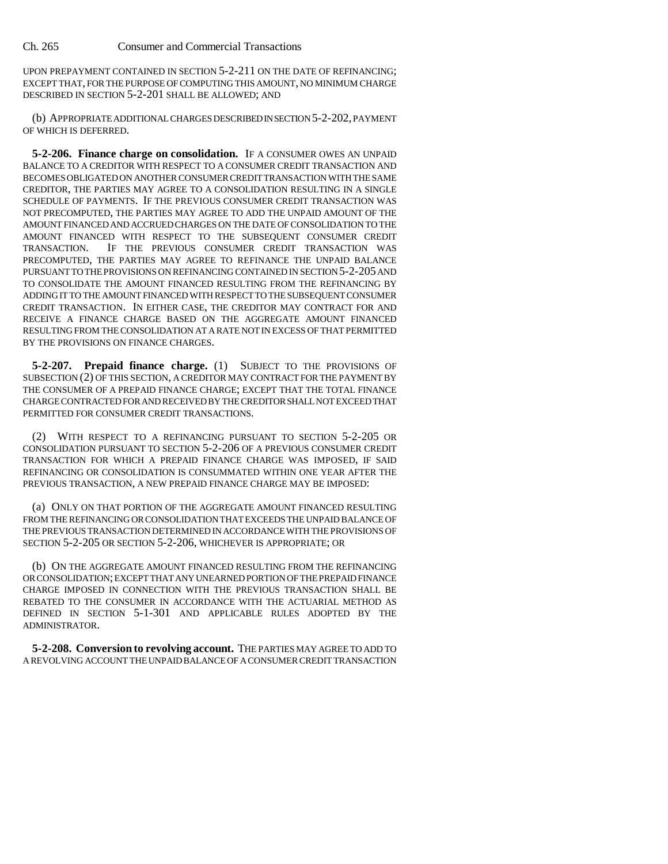UPON PREPAYMENT CONTAINED IN SECTION 5-2-211 ON THE DATE OF REFINANCING; EXCEPT THAT, FOR THE PURPOSE OF COMPUTING THIS AMOUNT, NO MINIMUM CHARGE DESCRIBED IN SECTION 5-2-201 SHALL BE ALLOWED; AND

(b) APPROPRIATE ADDITIONAL CHARGES DESCRIBED IN SECTION 5-2-202, PAYMENT OF WHICH IS DEFERRED.

**5-2-206. Finance charge on consolidation.** IF A CONSUMER OWES AN UNPAID BALANCE TO A CREDITOR WITH RESPECT TO A CONSUMER CREDIT TRANSACTION AND BECOMES OBLIGATED ON ANOTHER CONSUMER CREDIT TRANSACTION WITH THE SAME CREDITOR, THE PARTIES MAY AGREE TO A CONSOLIDATION RESULTING IN A SINGLE SCHEDULE OF PAYMENTS. IF THE PREVIOUS CONSUMER CREDIT TRANSACTION WAS NOT PRECOMPUTED, THE PARTIES MAY AGREE TO ADD THE UNPAID AMOUNT OF THE AMOUNT FINANCED AND ACCRUED CHARGES ON THE DATE OF CONSOLIDATION TO THE AMOUNT FINANCED WITH RESPECT TO THE SUBSEQUENT CONSUMER CREDIT TRANSACTION. IF THE PREVIOUS CONSUMER CREDIT TRANSACTION WAS PRECOMPUTED, THE PARTIES MAY AGREE TO REFINANCE THE UNPAID BALANCE PURSUANT TO THE PROVISIONS ON REFINANCING CONTAINED IN SECTION 5-2-205 AND TO CONSOLIDATE THE AMOUNT FINANCED RESULTING FROM THE REFINANCING BY ADDING IT TO THE AMOUNT FINANCED WITH RESPECT TO THE SUBSEQUENT CONSUMER CREDIT TRANSACTION. IN EITHER CASE, THE CREDITOR MAY CONTRACT FOR AND RECEIVE A FINANCE CHARGE BASED ON THE AGGREGATE AMOUNT FINANCED RESULTING FROM THE CONSOLIDATION AT A RATE NOT IN EXCESS OF THAT PERMITTED BY THE PROVISIONS ON FINANCE CHARGES.

**5-2-207. Prepaid finance charge.** (1) SUBJECT TO THE PROVISIONS OF SUBSECTION (2) OF THIS SECTION, A CREDITOR MAY CONTRACT FOR THE PAYMENT BY THE CONSUMER OF A PREPAID FINANCE CHARGE; EXCEPT THAT THE TOTAL FINANCE CHARGE CONTRACTED FOR AND RECEIVED BY THE CREDITOR SHALL NOT EXCEED THAT PERMITTED FOR CONSUMER CREDIT TRANSACTIONS.

(2) WITH RESPECT TO A REFINANCING PURSUANT TO SECTION 5-2-205 OR CONSOLIDATION PURSUANT TO SECTION 5-2-206 OF A PREVIOUS CONSUMER CREDIT TRANSACTION FOR WHICH A PREPAID FINANCE CHARGE WAS IMPOSED, IF SAID REFINANCING OR CONSOLIDATION IS CONSUMMATED WITHIN ONE YEAR AFTER THE PREVIOUS TRANSACTION, A NEW PREPAID FINANCE CHARGE MAY BE IMPOSED:

(a) ONLY ON THAT PORTION OF THE AGGREGATE AMOUNT FINANCED RESULTING FROM THE REFINANCING OR CONSOLIDATION THAT EXCEEDS THE UNPAID BALANCE OF THE PREVIOUS TRANSACTION DETERMINED IN ACCORDANCE WITH THE PROVISIONS OF SECTION 5-2-205 OR SECTION 5-2-206, WHICHEVER IS APPROPRIATE; OR

(b) ON THE AGGREGATE AMOUNT FINANCED RESULTING FROM THE REFINANCING OR CONSOLIDATION; EXCEPT THAT ANY UNEARNED PORTION OF THE PREPAID FINANCE CHARGE IMPOSED IN CONNECTION WITH THE PREVIOUS TRANSACTION SHALL BE REBATED TO THE CONSUMER IN ACCORDANCE WITH THE ACTUARIAL METHOD AS DEFINED IN SECTION 5-1-301 AND APPLICABLE RULES ADOPTED BY THE ADMINISTRATOR.

**5-2-208. Conversion to revolving account.** THE PARTIES MAY AGREE TO ADD TO A REVOLVING ACCOUNT THE UNPAID BALANCE OF A CONSUMER CREDIT TRANSACTION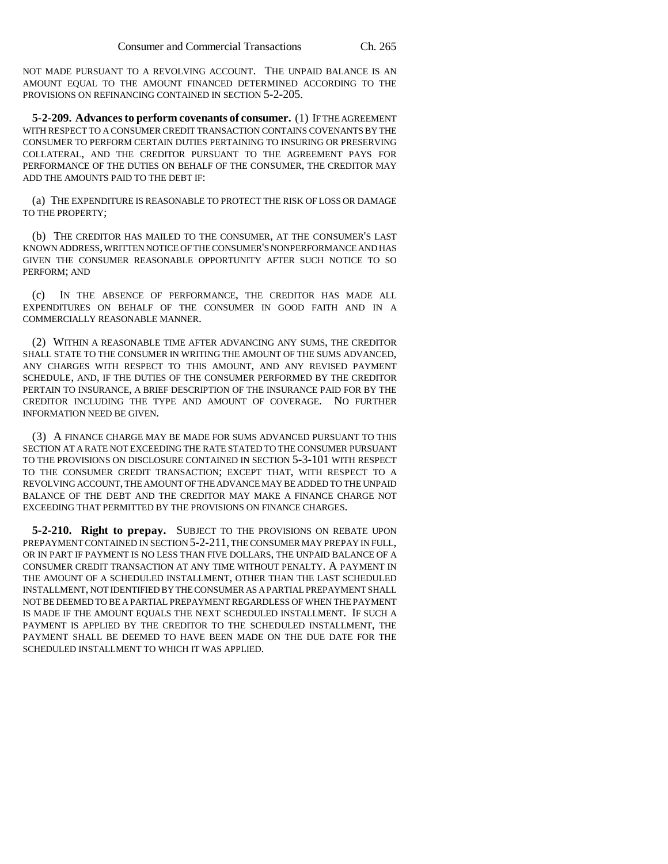NOT MADE PURSUANT TO A REVOLVING ACCOUNT. THE UNPAID BALANCE IS AN AMOUNT EQUAL TO THE AMOUNT FINANCED DETERMINED ACCORDING TO THE PROVISIONS ON REFINANCING CONTAINED IN SECTION 5-2-205.

**5-2-209. Advances to perform covenants of consumer.** (1) IF THE AGREEMENT WITH RESPECT TO A CONSUMER CREDIT TRANSACTION CONTAINS COVENANTS BY THE CONSUMER TO PERFORM CERTAIN DUTIES PERTAINING TO INSURING OR PRESERVING COLLATERAL, AND THE CREDITOR PURSUANT TO THE AGREEMENT PAYS FOR PERFORMANCE OF THE DUTIES ON BEHALF OF THE CONSUMER, THE CREDITOR MAY ADD THE AMOUNTS PAID TO THE DEBT IF:

(a) THE EXPENDITURE IS REASONABLE TO PROTECT THE RISK OF LOSS OR DAMAGE TO THE PROPERTY;

(b) THE CREDITOR HAS MAILED TO THE CONSUMER, AT THE CONSUMER'S LAST KNOWN ADDRESS, WRITTEN NOTICE OF THE CONSUMER'S NONPERFORMANCE AND HAS GIVEN THE CONSUMER REASONABLE OPPORTUNITY AFTER SUCH NOTICE TO SO PERFORM; AND

(c) IN THE ABSENCE OF PERFORMANCE, THE CREDITOR HAS MADE ALL EXPENDITURES ON BEHALF OF THE CONSUMER IN GOOD FAITH AND IN A COMMERCIALLY REASONABLE MANNER.

(2) WITHIN A REASONABLE TIME AFTER ADVANCING ANY SUMS, THE CREDITOR SHALL STATE TO THE CONSUMER IN WRITING THE AMOUNT OF THE SUMS ADVANCED, ANY CHARGES WITH RESPECT TO THIS AMOUNT, AND ANY REVISED PAYMENT SCHEDULE, AND, IF THE DUTIES OF THE CONSUMER PERFORMED BY THE CREDITOR PERTAIN TO INSURANCE, A BRIEF DESCRIPTION OF THE INSURANCE PAID FOR BY THE CREDITOR INCLUDING THE TYPE AND AMOUNT OF COVERAGE. NO FURTHER INFORMATION NEED BE GIVEN.

(3) A FINANCE CHARGE MAY BE MADE FOR SUMS ADVANCED PURSUANT TO THIS SECTION AT A RATE NOT EXCEEDING THE RATE STATED TO THE CONSUMER PURSUANT TO THE PROVISIONS ON DISCLOSURE CONTAINED IN SECTION 5-3-101 WITH RESPECT TO THE CONSUMER CREDIT TRANSACTION; EXCEPT THAT, WITH RESPECT TO A REVOLVING ACCOUNT, THE AMOUNT OF THE ADVANCE MAY BE ADDED TO THE UNPAID BALANCE OF THE DEBT AND THE CREDITOR MAY MAKE A FINANCE CHARGE NOT EXCEEDING THAT PERMITTED BY THE PROVISIONS ON FINANCE CHARGES.

**5-2-210. Right to prepay.** SUBJECT TO THE PROVISIONS ON REBATE UPON PREPAYMENT CONTAINED IN SECTION 5-2-211, THE CONSUMER MAY PREPAY IN FULL, OR IN PART IF PAYMENT IS NO LESS THAN FIVE DOLLARS, THE UNPAID BALANCE OF A CONSUMER CREDIT TRANSACTION AT ANY TIME WITHOUT PENALTY. A PAYMENT IN THE AMOUNT OF A SCHEDULED INSTALLMENT, OTHER THAN THE LAST SCHEDULED INSTALLMENT, NOT IDENTIFIED BY THE CONSUMER AS A PARTIAL PREPAYMENT SHALL NOT BE DEEMED TO BE A PARTIAL PREPAYMENT REGARDLESS OF WHEN THE PAYMENT IS MADE IF THE AMOUNT EQUALS THE NEXT SCHEDULED INSTALLMENT. IF SUCH A PAYMENT IS APPLIED BY THE CREDITOR TO THE SCHEDULED INSTALLMENT, THE PAYMENT SHALL BE DEEMED TO HAVE BEEN MADE ON THE DUE DATE FOR THE SCHEDULED INSTALLMENT TO WHICH IT WAS APPLIED.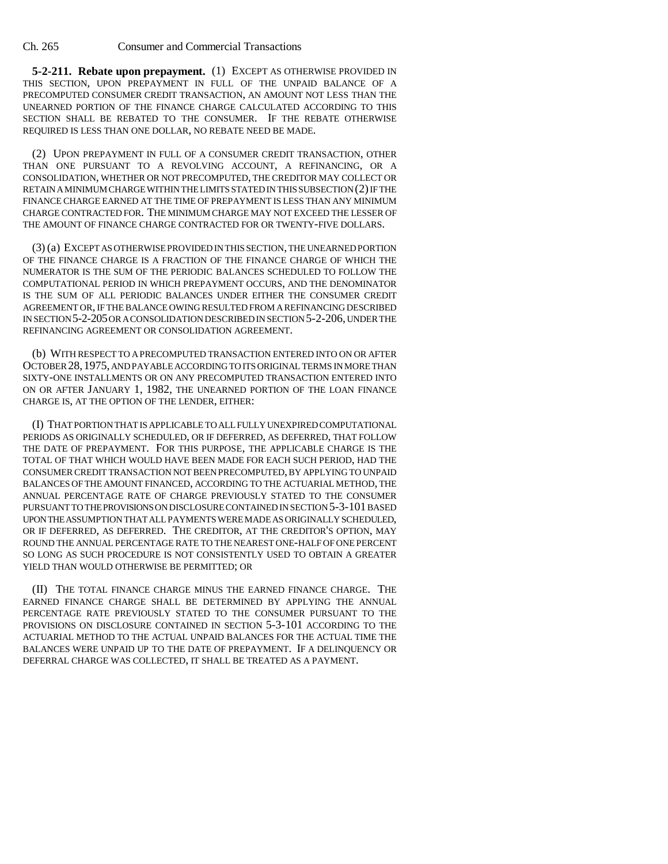**5-2-211. Rebate upon prepayment.** (1) EXCEPT AS OTHERWISE PROVIDED IN THIS SECTION, UPON PREPAYMENT IN FULL OF THE UNPAID BALANCE OF A PRECOMPUTED CONSUMER CREDIT TRANSACTION, AN AMOUNT NOT LESS THAN THE UNEARNED PORTION OF THE FINANCE CHARGE CALCULATED ACCORDING TO THIS SECTION SHALL BE REBATED TO THE CONSUMER. IF THE REBATE OTHERWISE REQUIRED IS LESS THAN ONE DOLLAR, NO REBATE NEED BE MADE.

(2) UPON PREPAYMENT IN FULL OF A CONSUMER CREDIT TRANSACTION, OTHER THAN ONE PURSUANT TO A REVOLVING ACCOUNT, A REFINANCING, OR A CONSOLIDATION, WHETHER OR NOT PRECOMPUTED, THE CREDITOR MAY COLLECT OR RETAIN A MINIMUM CHARGE WITHIN THE LIMITS STATED IN THIS SUBSECTION (2) IF THE FINANCE CHARGE EARNED AT THE TIME OF PREPAYMENT IS LESS THAN ANY MINIMUM CHARGE CONTRACTED FOR. THE MINIMUM CHARGE MAY NOT EXCEED THE LESSER OF THE AMOUNT OF FINANCE CHARGE CONTRACTED FOR OR TWENTY-FIVE DOLLARS.

(3) (a) EXCEPT AS OTHERWISE PROVIDED IN THIS SECTION, THE UNEARNED PORTION OF THE FINANCE CHARGE IS A FRACTION OF THE FINANCE CHARGE OF WHICH THE NUMERATOR IS THE SUM OF THE PERIODIC BALANCES SCHEDULED TO FOLLOW THE COMPUTATIONAL PERIOD IN WHICH PREPAYMENT OCCURS, AND THE DENOMINATOR IS THE SUM OF ALL PERIODIC BALANCES UNDER EITHER THE CONSUMER CREDIT AGREEMENT OR, IF THE BALANCE OWING RESULTED FROM A REFINANCING DESCRIBED IN SECTION 5-2-205 OR A CONSOLIDATION DESCRIBED IN SECTION 5-2-206, UNDER THE REFINANCING AGREEMENT OR CONSOLIDATION AGREEMENT.

(b) WITH RESPECT TO A PRECOMPUTED TRANSACTION ENTERED INTO ON OR AFTER OCTOBER 28,1975, AND PAYABLE ACCORDING TO ITS ORIGINAL TERMS IN MORE THAN SIXTY-ONE INSTALLMENTS OR ON ANY PRECOMPUTED TRANSACTION ENTERED INTO ON OR AFTER JANUARY 1, 1982, THE UNEARNED PORTION OF THE LOAN FINANCE CHARGE IS, AT THE OPTION OF THE LENDER, EITHER:

(I) THAT PORTION THAT IS APPLICABLE TO ALL FULLY UNEXPIRED COMPUTATIONAL PERIODS AS ORIGINALLY SCHEDULED, OR IF DEFERRED, AS DEFERRED, THAT FOLLOW THE DATE OF PREPAYMENT. FOR THIS PURPOSE, THE APPLICABLE CHARGE IS THE TOTAL OF THAT WHICH WOULD HAVE BEEN MADE FOR EACH SUCH PERIOD, HAD THE CONSUMER CREDIT TRANSACTION NOT BEEN PRECOMPUTED, BY APPLYING TO UNPAID BALANCES OF THE AMOUNT FINANCED, ACCORDING TO THE ACTUARIAL METHOD, THE ANNUAL PERCENTAGE RATE OF CHARGE PREVIOUSLY STATED TO THE CONSUMER PURSUANT TO THE PROVISIONS ON DISCLOSURE CONTAINED IN SECTION 5-3-101 BASED UPON THE ASSUMPTION THAT ALL PAYMENTS WERE MADE AS ORIGINALLY SCHEDULED, OR IF DEFERRED, AS DEFERRED. THE CREDITOR, AT THE CREDITOR'S OPTION, MAY ROUND THE ANNUAL PERCENTAGE RATE TO THE NEAREST ONE-HALF OF ONE PERCENT SO LONG AS SUCH PROCEDURE IS NOT CONSISTENTLY USED TO OBTAIN A GREATER YIELD THAN WOULD OTHERWISE BE PERMITTED; OR

(II) THE TOTAL FINANCE CHARGE MINUS THE EARNED FINANCE CHARGE. THE EARNED FINANCE CHARGE SHALL BE DETERMINED BY APPLYING THE ANNUAL PERCENTAGE RATE PREVIOUSLY STATED TO THE CONSUMER PURSUANT TO THE PROVISIONS ON DISCLOSURE CONTAINED IN SECTION 5-3-101 ACCORDING TO THE ACTUARIAL METHOD TO THE ACTUAL UNPAID BALANCES FOR THE ACTUAL TIME THE BALANCES WERE UNPAID UP TO THE DATE OF PREPAYMENT. IF A DELINQUENCY OR DEFERRAL CHARGE WAS COLLECTED, IT SHALL BE TREATED AS A PAYMENT.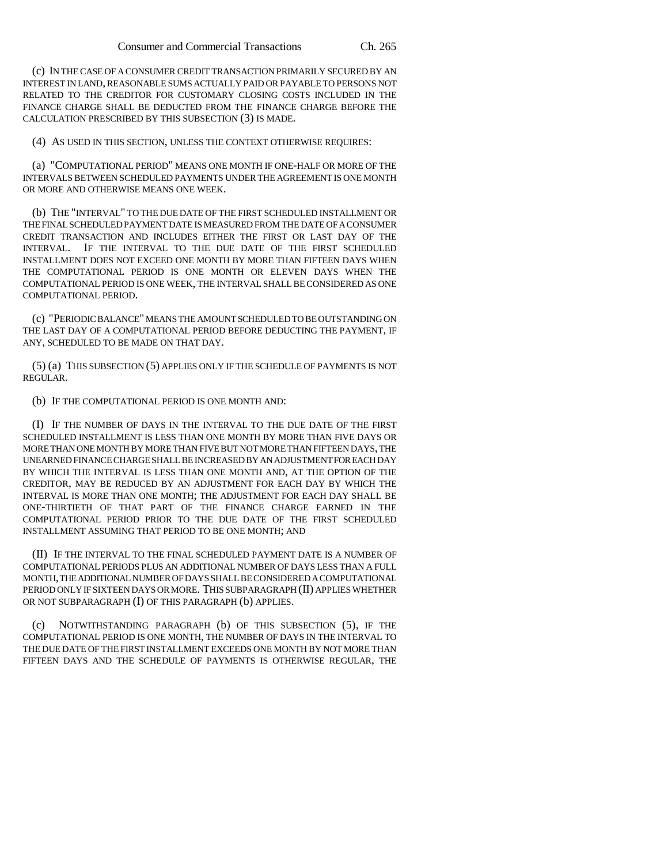(c) IN THE CASE OF A CONSUMER CREDIT TRANSACTION PRIMARILY SECURED BY AN INTEREST IN LAND, REASONABLE SUMS ACTUALLY PAID OR PAYABLE TO PERSONS NOT RELATED TO THE CREDITOR FOR CUSTOMARY CLOSING COSTS INCLUDED IN THE FINANCE CHARGE SHALL BE DEDUCTED FROM THE FINANCE CHARGE BEFORE THE CALCULATION PRESCRIBED BY THIS SUBSECTION (3) IS MADE.

(4) AS USED IN THIS SECTION, UNLESS THE CONTEXT OTHERWISE REQUIRES:

(a) "COMPUTATIONAL PERIOD" MEANS ONE MONTH IF ONE-HALF OR MORE OF THE INTERVALS BETWEEN SCHEDULED PAYMENTS UNDER THE AGREEMENT IS ONE MONTH OR MORE AND OTHERWISE MEANS ONE WEEK.

(b) THE "INTERVAL" TO THE DUE DATE OF THE FIRST SCHEDULED INSTALLMENT OR THE FINAL SCHEDULED PAYMENT DATE IS MEASURED FROM THE DATE OF A CONSUMER CREDIT TRANSACTION AND INCLUDES EITHER THE FIRST OR LAST DAY OF THE INTERVAL. IF THE INTERVAL TO THE DUE DATE OF THE FIRST SCHEDULED INSTALLMENT DOES NOT EXCEED ONE MONTH BY MORE THAN FIFTEEN DAYS WHEN THE COMPUTATIONAL PERIOD IS ONE MONTH OR ELEVEN DAYS WHEN THE COMPUTATIONAL PERIOD IS ONE WEEK, THE INTERVAL SHALL BE CONSIDERED AS ONE COMPUTATIONAL PERIOD.

(c) "PERIODIC BALANCE" MEANS THE AMOUNT SCHEDULED TO BE OUTSTANDING ON THE LAST DAY OF A COMPUTATIONAL PERIOD BEFORE DEDUCTING THE PAYMENT, IF ANY, SCHEDULED TO BE MADE ON THAT DAY.

(5) (a) THIS SUBSECTION (5) APPLIES ONLY IF THE SCHEDULE OF PAYMENTS IS NOT REGULAR.

(b) IF THE COMPUTATIONAL PERIOD IS ONE MONTH AND:

(I) IF THE NUMBER OF DAYS IN THE INTERVAL TO THE DUE DATE OF THE FIRST SCHEDULED INSTALLMENT IS LESS THAN ONE MONTH BY MORE THAN FIVE DAYS OR MORE THAN ONE MONTH BY MORE THAN FIVE BUT NOT MORE THAN FIFTEEN DAYS, THE UNEARNED FINANCE CHARGE SHALL BE INCREASED BY AN ADJUSTMENT FOR EACH DAY BY WHICH THE INTERVAL IS LESS THAN ONE MONTH AND, AT THE OPTION OF THE CREDITOR, MAY BE REDUCED BY AN ADJUSTMENT FOR EACH DAY BY WHICH THE INTERVAL IS MORE THAN ONE MONTH; THE ADJUSTMENT FOR EACH DAY SHALL BE ONE-THIRTIETH OF THAT PART OF THE FINANCE CHARGE EARNED IN THE COMPUTATIONAL PERIOD PRIOR TO THE DUE DATE OF THE FIRST SCHEDULED INSTALLMENT ASSUMING THAT PERIOD TO BE ONE MONTH; AND

(II) IF THE INTERVAL TO THE FINAL SCHEDULED PAYMENT DATE IS A NUMBER OF COMPUTATIONAL PERIODS PLUS AN ADDITIONAL NUMBER OF DAYS LESS THAN A FULL MONTH, THE ADDITIONAL NUMBER OF DAYS SHALL BE CONSIDERED A COMPUTATIONAL PERIOD ONLY IF SIXTEEN DAYS OR MORE. THIS SUBPARAGRAPH (II) APPLIES WHETHER OR NOT SUBPARAGRAPH (I) OF THIS PARAGRAPH (b) APPLIES.

(c) NOTWITHSTANDING PARAGRAPH (b) OF THIS SUBSECTION (5), IF THE COMPUTATIONAL PERIOD IS ONE MONTH, THE NUMBER OF DAYS IN THE INTERVAL TO THE DUE DATE OF THE FIRST INSTALLMENT EXCEEDS ONE MONTH BY NOT MORE THAN FIFTEEN DAYS AND THE SCHEDULE OF PAYMENTS IS OTHERWISE REGULAR, THE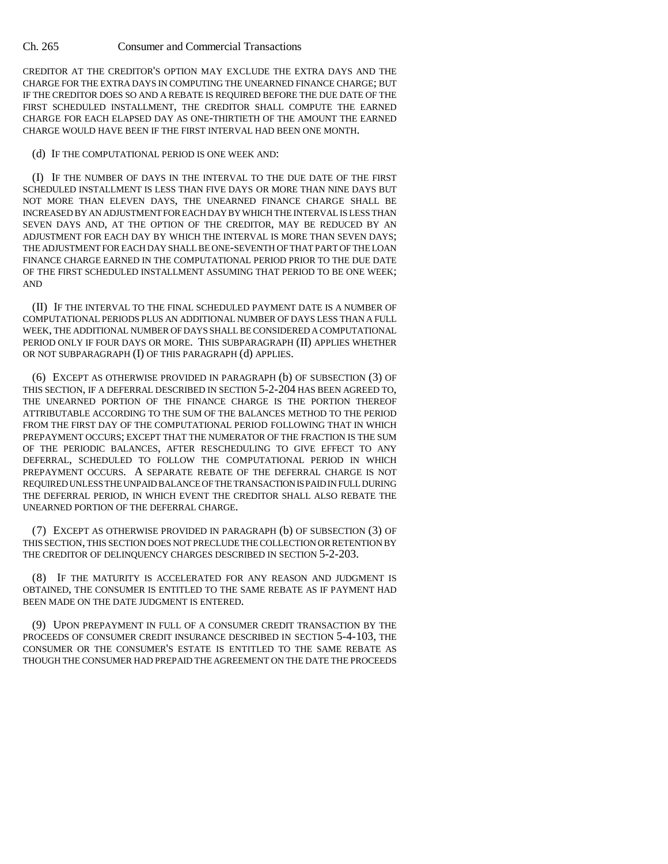CREDITOR AT THE CREDITOR'S OPTION MAY EXCLUDE THE EXTRA DAYS AND THE CHARGE FOR THE EXTRA DAYS IN COMPUTING THE UNEARNED FINANCE CHARGE; BUT IF THE CREDITOR DOES SO AND A REBATE IS REQUIRED BEFORE THE DUE DATE OF THE FIRST SCHEDULED INSTALLMENT, THE CREDITOR SHALL COMPUTE THE EARNED CHARGE FOR EACH ELAPSED DAY AS ONE-THIRTIETH OF THE AMOUNT THE EARNED CHARGE WOULD HAVE BEEN IF THE FIRST INTERVAL HAD BEEN ONE MONTH.

(d) IF THE COMPUTATIONAL PERIOD IS ONE WEEK AND:

(I) IF THE NUMBER OF DAYS IN THE INTERVAL TO THE DUE DATE OF THE FIRST SCHEDULED INSTALLMENT IS LESS THAN FIVE DAYS OR MORE THAN NINE DAYS BUT NOT MORE THAN ELEVEN DAYS, THE UNEARNED FINANCE CHARGE SHALL BE INCREASED BY AN ADJUSTMENT FOR EACH DAY BY WHICH THE INTERVAL IS LESS THAN SEVEN DAYS AND, AT THE OPTION OF THE CREDITOR, MAY BE REDUCED BY AN ADJUSTMENT FOR EACH DAY BY WHICH THE INTERVAL IS MORE THAN SEVEN DAYS; THE ADJUSTMENT FOR EACH DAY SHALL BE ONE-SEVENTH OF THAT PART OF THE LOAN FINANCE CHARGE EARNED IN THE COMPUTATIONAL PERIOD PRIOR TO THE DUE DATE OF THE FIRST SCHEDULED INSTALLMENT ASSUMING THAT PERIOD TO BE ONE WEEK; AND

(II) IF THE INTERVAL TO THE FINAL SCHEDULED PAYMENT DATE IS A NUMBER OF COMPUTATIONAL PERIODS PLUS AN ADDITIONAL NUMBER OF DAYS LESS THAN A FULL WEEK, THE ADDITIONAL NUMBER OF DAYS SHALL BE CONSIDERED A COMPUTATIONAL PERIOD ONLY IF FOUR DAYS OR MORE. THIS SUBPARAGRAPH (II) APPLIES WHETHER OR NOT SUBPARAGRAPH (I) OF THIS PARAGRAPH (d) APPLIES.

(6) EXCEPT AS OTHERWISE PROVIDED IN PARAGRAPH (b) OF SUBSECTION (3) OF THIS SECTION, IF A DEFERRAL DESCRIBED IN SECTION 5-2-204 HAS BEEN AGREED TO, THE UNEARNED PORTION OF THE FINANCE CHARGE IS THE PORTION THEREOF ATTRIBUTABLE ACCORDING TO THE SUM OF THE BALANCES METHOD TO THE PERIOD FROM THE FIRST DAY OF THE COMPUTATIONAL PERIOD FOLLOWING THAT IN WHICH PREPAYMENT OCCURS; EXCEPT THAT THE NUMERATOR OF THE FRACTION IS THE SUM OF THE PERIODIC BALANCES, AFTER RESCHEDULING TO GIVE EFFECT TO ANY DEFERRAL, SCHEDULED TO FOLLOW THE COMPUTATIONAL PERIOD IN WHICH PREPAYMENT OCCURS. A SEPARATE REBATE OF THE DEFERRAL CHARGE IS NOT REQUIRED UNLESS THE UNPAID BALANCE OF THE TRANSACTION IS PAID IN FULL DURING THE DEFERRAL PERIOD, IN WHICH EVENT THE CREDITOR SHALL ALSO REBATE THE UNEARNED PORTION OF THE DEFERRAL CHARGE.

(7) EXCEPT AS OTHERWISE PROVIDED IN PARAGRAPH (b) OF SUBSECTION (3) OF THIS SECTION, THIS SECTION DOES NOT PRECLUDE THE COLLECTION OR RETENTION BY THE CREDITOR OF DELINQUENCY CHARGES DESCRIBED IN SECTION 5-2-203.

(8) IF THE MATURITY IS ACCELERATED FOR ANY REASON AND JUDGMENT IS OBTAINED, THE CONSUMER IS ENTITLED TO THE SAME REBATE AS IF PAYMENT HAD BEEN MADE ON THE DATE JUDGMENT IS ENTERED.

(9) UPON PREPAYMENT IN FULL OF A CONSUMER CREDIT TRANSACTION BY THE PROCEEDS OF CONSUMER CREDIT INSURANCE DESCRIBED IN SECTION 5-4-103, THE CONSUMER OR THE CONSUMER'S ESTATE IS ENTITLED TO THE SAME REBATE AS THOUGH THE CONSUMER HAD PREPAID THE AGREEMENT ON THE DATE THE PROCEEDS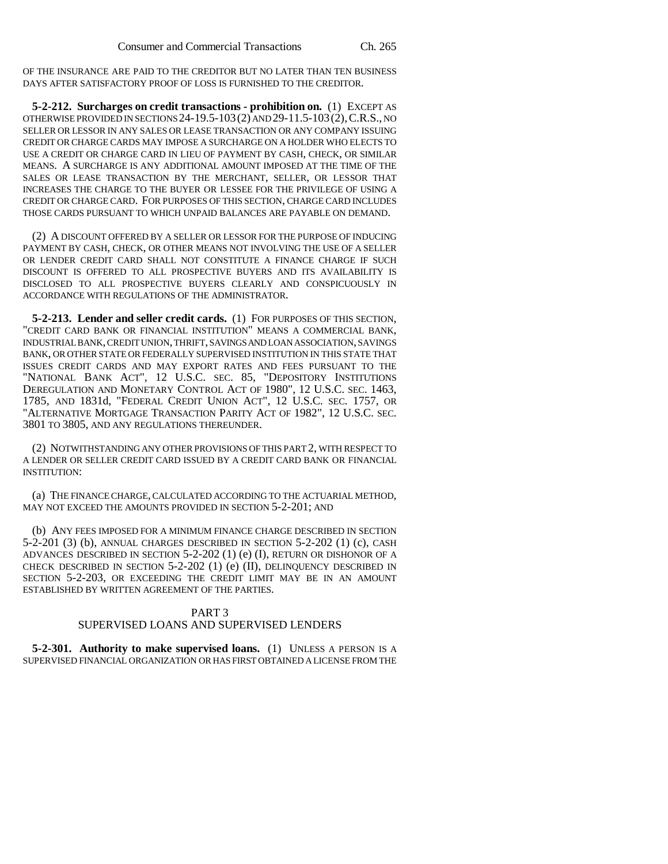OF THE INSURANCE ARE PAID TO THE CREDITOR BUT NO LATER THAN TEN BUSINESS DAYS AFTER SATISFACTORY PROOF OF LOSS IS FURNISHED TO THE CREDITOR.

**5-2-212. Surcharges on credit transactions - prohibition on.** (1) EXCEPT AS OTHERWISE PROVIDED IN SECTIONS 24-19.5-103(2) AND 29-11.5-103(2),C.R.S., NO SELLER OR LESSOR IN ANY SALES OR LEASE TRANSACTION OR ANY COMPANY ISSUING CREDIT OR CHARGE CARDS MAY IMPOSE A SURCHARGE ON A HOLDER WHO ELECTS TO USE A CREDIT OR CHARGE CARD IN LIEU OF PAYMENT BY CASH, CHECK, OR SIMILAR MEANS. A SURCHARGE IS ANY ADDITIONAL AMOUNT IMPOSED AT THE TIME OF THE SALES OR LEASE TRANSACTION BY THE MERCHANT, SELLER, OR LESSOR THAT INCREASES THE CHARGE TO THE BUYER OR LESSEE FOR THE PRIVILEGE OF USING A CREDIT OR CHARGE CARD. FOR PURPOSES OF THIS SECTION, CHARGE CARD INCLUDES THOSE CARDS PURSUANT TO WHICH UNPAID BALANCES ARE PAYABLE ON DEMAND.

(2) A DISCOUNT OFFERED BY A SELLER OR LESSOR FOR THE PURPOSE OF INDUCING PAYMENT BY CASH, CHECK, OR OTHER MEANS NOT INVOLVING THE USE OF A SELLER OR LENDER CREDIT CARD SHALL NOT CONSTITUTE A FINANCE CHARGE IF SUCH DISCOUNT IS OFFERED TO ALL PROSPECTIVE BUYERS AND ITS AVAILABILITY IS DISCLOSED TO ALL PROSPECTIVE BUYERS CLEARLY AND CONSPICUOUSLY IN ACCORDANCE WITH REGULATIONS OF THE ADMINISTRATOR.

**5-2-213. Lender and seller credit cards.** (1) FOR PURPOSES OF THIS SECTION, "CREDIT CARD BANK OR FINANCIAL INSTITUTION" MEANS A COMMERCIAL BANK, INDUSTRIAL BANK, CREDIT UNION, THRIFT, SAVINGS AND LOAN ASSOCIATION, SAVINGS BANK, OR OTHER STATE OR FEDERALLY SUPERVISED INSTITUTION IN THIS STATE THAT ISSUES CREDIT CARDS AND MAY EXPORT RATES AND FEES PURSUANT TO THE "NATIONAL BANK ACT", 12 U.S.C. SEC. 85, "DEPOSITORY INSTITUTIONS DEREGULATION AND MONETARY CONTROL ACT OF 1980", 12 U.S.C. SEC. 1463, 1785, AND 1831d, "FEDERAL CREDIT UNION ACT", 12 U.S.C. SEC. 1757, OR "ALTERNATIVE MORTGAGE TRANSACTION PARITY ACT OF 1982", 12 U.S.C. SEC. 3801 TO 3805, AND ANY REGULATIONS THEREUNDER.

(2) NOTWITHSTANDING ANY OTHER PROVISIONS OF THIS PART 2, WITH RESPECT TO A LENDER OR SELLER CREDIT CARD ISSUED BY A CREDIT CARD BANK OR FINANCIAL INSTITUTION:

(a) THE FINANCE CHARGE, CALCULATED ACCORDING TO THE ACTUARIAL METHOD, MAY NOT EXCEED THE AMOUNTS PROVIDED IN SECTION 5-2-201; AND

(b) ANY FEES IMPOSED FOR A MINIMUM FINANCE CHARGE DESCRIBED IN SECTION 5-2-201 (3) (b), ANNUAL CHARGES DESCRIBED IN SECTION 5-2-202 (1) (c), CASH ADVANCES DESCRIBED IN SECTION 5-2-202 (1) (e) (I), RETURN OR DISHONOR OF A CHECK DESCRIBED IN SECTION 5-2-202 (1) (e) (II), DELINQUENCY DESCRIBED IN SECTION 5-2-203, OR EXCEEDING THE CREDIT LIMIT MAY BE IN AN AMOUNT ESTABLISHED BY WRITTEN AGREEMENT OF THE PARTIES.

### PART 3 SUPERVISED LOANS AND SUPERVISED LENDERS

**5-2-301. Authority to make supervised loans.** (1) UNLESS A PERSON IS A SUPERVISED FINANCIAL ORGANIZATION OR HAS FIRST OBTAINED A LICENSE FROM THE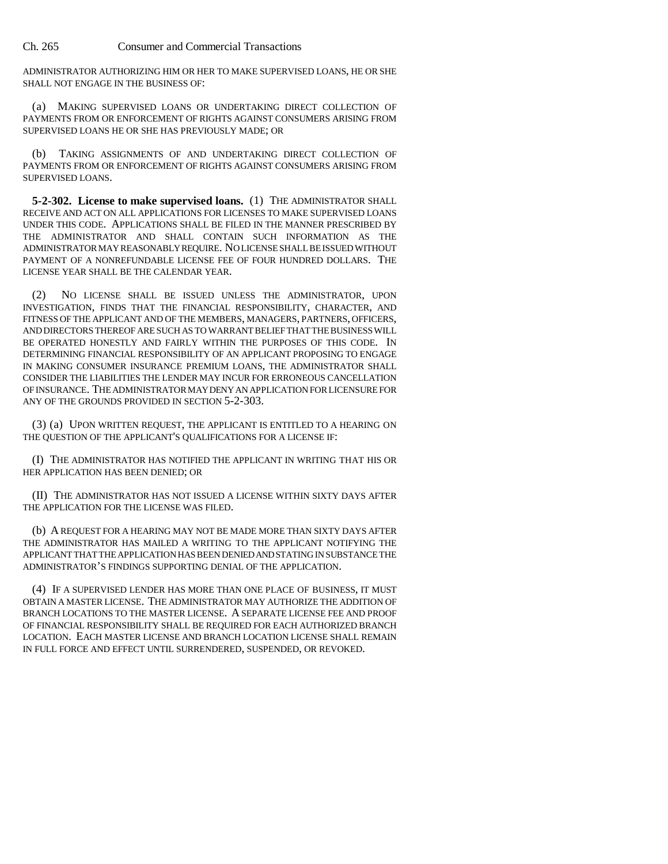ADMINISTRATOR AUTHORIZING HIM OR HER TO MAKE SUPERVISED LOANS, HE OR SHE SHALL NOT ENGAGE IN THE BUSINESS OF:

(a) MAKING SUPERVISED LOANS OR UNDERTAKING DIRECT COLLECTION OF PAYMENTS FROM OR ENFORCEMENT OF RIGHTS AGAINST CONSUMERS ARISING FROM SUPERVISED LOANS HE OR SHE HAS PREVIOUSLY MADE; OR

(b) TAKING ASSIGNMENTS OF AND UNDERTAKING DIRECT COLLECTION OF PAYMENTS FROM OR ENFORCEMENT OF RIGHTS AGAINST CONSUMERS ARISING FROM SUPERVISED LOANS.

**5-2-302. License to make supervised loans.** (1) THE ADMINISTRATOR SHALL RECEIVE AND ACT ON ALL APPLICATIONS FOR LICENSES TO MAKE SUPERVISED LOANS UNDER THIS CODE. APPLICATIONS SHALL BE FILED IN THE MANNER PRESCRIBED BY THE ADMINISTRATOR AND SHALL CONTAIN SUCH INFORMATION AS THE ADMINISTRATOR MAY REASONABLY REQUIRE. NO LICENSE SHALL BE ISSUED WITHOUT PAYMENT OF A NONREFUNDABLE LICENSE FEE OF FOUR HUNDRED DOLLARS. THE LICENSE YEAR SHALL BE THE CALENDAR YEAR.

(2) NO LICENSE SHALL BE ISSUED UNLESS THE ADMINISTRATOR, UPON INVESTIGATION, FINDS THAT THE FINANCIAL RESPONSIBILITY, CHARACTER, AND FITNESS OF THE APPLICANT AND OF THE MEMBERS, MANAGERS, PARTNERS, OFFICERS, AND DIRECTORS THEREOF ARE SUCH AS TO WARRANT BELIEF THAT THE BUSINESS WILL BE OPERATED HONESTLY AND FAIRLY WITHIN THE PURPOSES OF THIS CODE. IN DETERMINING FINANCIAL RESPONSIBILITY OF AN APPLICANT PROPOSING TO ENGAGE IN MAKING CONSUMER INSURANCE PREMIUM LOANS, THE ADMINISTRATOR SHALL CONSIDER THE LIABILITIES THE LENDER MAY INCUR FOR ERRONEOUS CANCELLATION OF INSURANCE. THE ADMINISTRATOR MAY DENY AN APPLICATION FOR LICENSURE FOR ANY OF THE GROUNDS PROVIDED IN SECTION 5-2-303.

(3) (a) UPON WRITTEN REQUEST, THE APPLICANT IS ENTITLED TO A HEARING ON THE QUESTION OF THE APPLICANT'S QUALIFICATIONS FOR A LICENSE IF:

(I) THE ADMINISTRATOR HAS NOTIFIED THE APPLICANT IN WRITING THAT HIS OR HER APPLICATION HAS BEEN DENIED; OR

(II) THE ADMINISTRATOR HAS NOT ISSUED A LICENSE WITHIN SIXTY DAYS AFTER THE APPLICATION FOR THE LICENSE WAS FILED.

(b) A REQUEST FOR A HEARING MAY NOT BE MADE MORE THAN SIXTY DAYS AFTER THE ADMINISTRATOR HAS MAILED A WRITING TO THE APPLICANT NOTIFYING THE APPLICANT THAT THE APPLICATION HAS BEEN DENIED AND STATING IN SUBSTANCE THE ADMINISTRATOR'S FINDINGS SUPPORTING DENIAL OF THE APPLICATION.

(4) IF A SUPERVISED LENDER HAS MORE THAN ONE PLACE OF BUSINESS, IT MUST OBTAIN A MASTER LICENSE. THE ADMINISTRATOR MAY AUTHORIZE THE ADDITION OF BRANCH LOCATIONS TO THE MASTER LICENSE. A SEPARATE LICENSE FEE AND PROOF OF FINANCIAL RESPONSIBILITY SHALL BE REQUIRED FOR EACH AUTHORIZED BRANCH LOCATION. EACH MASTER LICENSE AND BRANCH LOCATION LICENSE SHALL REMAIN IN FULL FORCE AND EFFECT UNTIL SURRENDERED, SUSPENDED, OR REVOKED.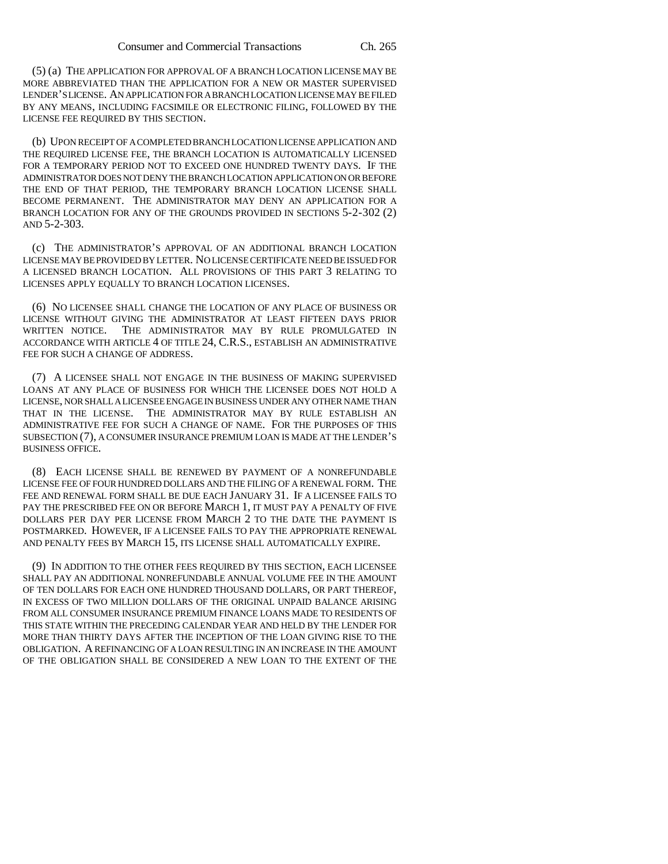(5) (a) THE APPLICATION FOR APPROVAL OF A BRANCH LOCATION LICENSE MAY BE MORE ABBREVIATED THAN THE APPLICATION FOR A NEW OR MASTER SUPERVISED LENDER'S LICENSE. AN APPLICATION FOR A BRANCH LOCATION LICENSE MAY BE FILED BY ANY MEANS, INCLUDING FACSIMILE OR ELECTRONIC FILING, FOLLOWED BY THE LICENSE FEE REQUIRED BY THIS SECTION.

(b) UPON RECEIPT OF A COMPLETED BRANCH LOCATION LICENSE APPLICATION AND THE REQUIRED LICENSE FEE, THE BRANCH LOCATION IS AUTOMATICALLY LICENSED FOR A TEMPORARY PERIOD NOT TO EXCEED ONE HUNDRED TWENTY DAYS. IF THE ADMINISTRATOR DOES NOT DENY THE BRANCH LOCATION APPLICATION ON OR BEFORE THE END OF THAT PERIOD, THE TEMPORARY BRANCH LOCATION LICENSE SHALL BECOME PERMANENT. THE ADMINISTRATOR MAY DENY AN APPLICATION FOR A BRANCH LOCATION FOR ANY OF THE GROUNDS PROVIDED IN SECTIONS 5-2-302 (2) AND 5-2-303.

(c) THE ADMINISTRATOR'S APPROVAL OF AN ADDITIONAL BRANCH LOCATION LICENSE MAY BE PROVIDED BY LETTER. NO LICENSE CERTIFICATE NEED BE ISSUED FOR A LICENSED BRANCH LOCATION. ALL PROVISIONS OF THIS PART 3 RELATING TO LICENSES APPLY EQUALLY TO BRANCH LOCATION LICENSES.

(6) NO LICENSEE SHALL CHANGE THE LOCATION OF ANY PLACE OF BUSINESS OR LICENSE WITHOUT GIVING THE ADMINISTRATOR AT LEAST FIFTEEN DAYS PRIOR WRITTEN NOTICE. THE ADMINISTRATOR MAY BY RULE PROMULGATED IN ACCORDANCE WITH ARTICLE 4 OF TITLE 24, C.R.S., ESTABLISH AN ADMINISTRATIVE FEE FOR SUCH A CHANGE OF ADDRESS.

(7) A LICENSEE SHALL NOT ENGAGE IN THE BUSINESS OF MAKING SUPERVISED LOANS AT ANY PLACE OF BUSINESS FOR WHICH THE LICENSEE DOES NOT HOLD A LICENSE, NOR SHALL A LICENSEE ENGAGE IN BUSINESS UNDER ANY OTHER NAME THAN THAT IN THE LICENSE. THE ADMINISTRATOR MAY BY RULE ESTABLISH AN ADMINISTRATIVE FEE FOR SUCH A CHANGE OF NAME. FOR THE PURPOSES OF THIS SUBSECTION (7), A CONSUMER INSURANCE PREMIUM LOAN IS MADE AT THE LENDER'S BUSINESS OFFICE.

(8) EACH LICENSE SHALL BE RENEWED BY PAYMENT OF A NONREFUNDABLE LICENSE FEE OF FOUR HUNDRED DOLLARS AND THE FILING OF A RENEWAL FORM. THE FEE AND RENEWAL FORM SHALL BE DUE EACH JANUARY 31. IF A LICENSEE FAILS TO PAY THE PRESCRIBED FEE ON OR BEFORE MARCH 1, IT MUST PAY A PENALTY OF FIVE DOLLARS PER DAY PER LICENSE FROM MARCH 2 TO THE DATE THE PAYMENT IS POSTMARKED. HOWEVER, IF A LICENSEE FAILS TO PAY THE APPROPRIATE RENEWAL AND PENALTY FEES BY MARCH 15, ITS LICENSE SHALL AUTOMATICALLY EXPIRE.

(9) IN ADDITION TO THE OTHER FEES REQUIRED BY THIS SECTION, EACH LICENSEE SHALL PAY AN ADDITIONAL NONREFUNDABLE ANNUAL VOLUME FEE IN THE AMOUNT OF TEN DOLLARS FOR EACH ONE HUNDRED THOUSAND DOLLARS, OR PART THEREOF, IN EXCESS OF TWO MILLION DOLLARS OF THE ORIGINAL UNPAID BALANCE ARISING FROM ALL CONSUMER INSURANCE PREMIUM FINANCE LOANS MADE TO RESIDENTS OF THIS STATE WITHIN THE PRECEDING CALENDAR YEAR AND HELD BY THE LENDER FOR MORE THAN THIRTY DAYS AFTER THE INCEPTION OF THE LOAN GIVING RISE TO THE OBLIGATION. A REFINANCING OF A LOAN RESULTING IN AN INCREASE IN THE AMOUNT OF THE OBLIGATION SHALL BE CONSIDERED A NEW LOAN TO THE EXTENT OF THE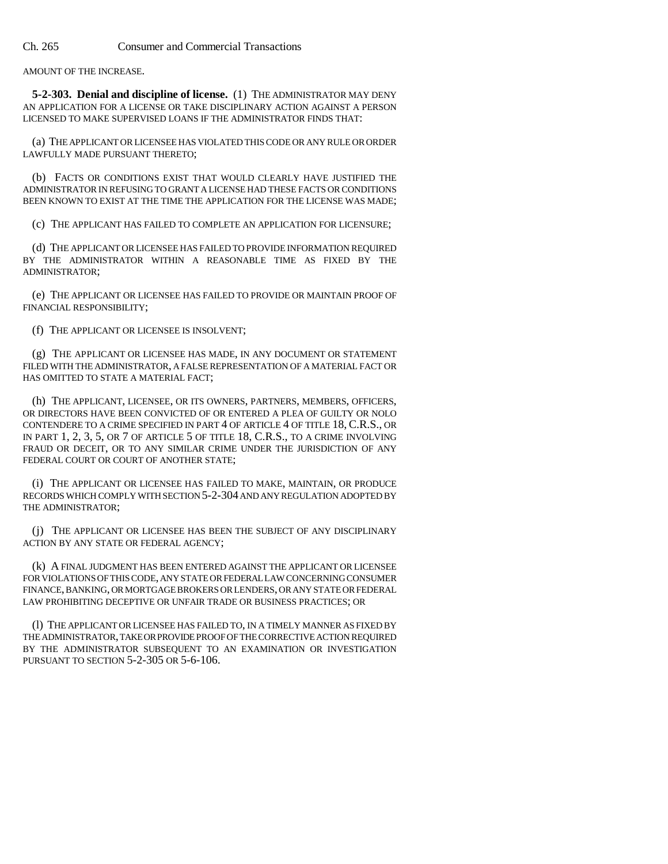AMOUNT OF THE INCREASE.

**5-2-303. Denial and discipline of license.** (1) THE ADMINISTRATOR MAY DENY AN APPLICATION FOR A LICENSE OR TAKE DISCIPLINARY ACTION AGAINST A PERSON LICENSED TO MAKE SUPERVISED LOANS IF THE ADMINISTRATOR FINDS THAT:

(a) THE APPLICANT OR LICENSEE HAS VIOLATED THIS CODE OR ANY RULE OR ORDER LAWFULLY MADE PURSUANT THERETO;

(b) FACTS OR CONDITIONS EXIST THAT WOULD CLEARLY HAVE JUSTIFIED THE ADMINISTRATOR IN REFUSING TO GRANT A LICENSE HAD THESE FACTS OR CONDITIONS BEEN KNOWN TO EXIST AT THE TIME THE APPLICATION FOR THE LICENSE WAS MADE;

(c) THE APPLICANT HAS FAILED TO COMPLETE AN APPLICATION FOR LICENSURE;

(d) THE APPLICANT OR LICENSEE HAS FAILED TO PROVIDE INFORMATION REQUIRED BY THE ADMINISTRATOR WITHIN A REASONABLE TIME AS FIXED BY THE ADMINISTRATOR;

(e) THE APPLICANT OR LICENSEE HAS FAILED TO PROVIDE OR MAINTAIN PROOF OF FINANCIAL RESPONSIBILITY;

(f) THE APPLICANT OR LICENSEE IS INSOLVENT;

(g) THE APPLICANT OR LICENSEE HAS MADE, IN ANY DOCUMENT OR STATEMENT FILED WITH THE ADMINISTRATOR, A FALSE REPRESENTATION OF A MATERIAL FACT OR HAS OMITTED TO STATE A MATERIAL FACT;

(h) THE APPLICANT, LICENSEE, OR ITS OWNERS, PARTNERS, MEMBERS, OFFICERS, OR DIRECTORS HAVE BEEN CONVICTED OF OR ENTERED A PLEA OF GUILTY OR NOLO CONTENDERE TO A CRIME SPECIFIED IN PART 4 OF ARTICLE 4 OF TITLE 18, C.R.S., OR IN PART 1, 2, 3, 5, OR 7 OF ARTICLE 5 OF TITLE 18, C.R.S., TO A CRIME INVOLVING FRAUD OR DECEIT, OR TO ANY SIMILAR CRIME UNDER THE JURISDICTION OF ANY FEDERAL COURT OR COURT OF ANOTHER STATE;

(i) THE APPLICANT OR LICENSEE HAS FAILED TO MAKE, MAINTAIN, OR PRODUCE RECORDS WHICH COMPLY WITH SECTION 5-2-304 AND ANY REGULATION ADOPTED BY THE ADMINISTRATOR;

(j) THE APPLICANT OR LICENSEE HAS BEEN THE SUBJECT OF ANY DISCIPLINARY ACTION BY ANY STATE OR FEDERAL AGENCY;

(k) A FINAL JUDGMENT HAS BEEN ENTERED AGAINST THE APPLICANT OR LICENSEE FOR VIOLATIONS OF THIS CODE, ANY STATE OR FEDERAL LAW CONCERNING CONSUMER FINANCE, BANKING, OR MORTGAGE BROKERS OR LENDERS, OR ANY STATE OR FEDERAL LAW PROHIBITING DECEPTIVE OR UNFAIR TRADE OR BUSINESS PRACTICES; OR

(l) THE APPLICANT OR LICENSEE HAS FAILED TO, IN A TIMELY MANNER AS FIXED BY THE ADMINISTRATOR, TAKE OR PROVIDE PROOF OF THE CORRECTIVE ACTION REQUIRED BY THE ADMINISTRATOR SUBSEQUENT TO AN EXAMINATION OR INVESTIGATION PURSUANT TO SECTION 5-2-305 OR 5-6-106.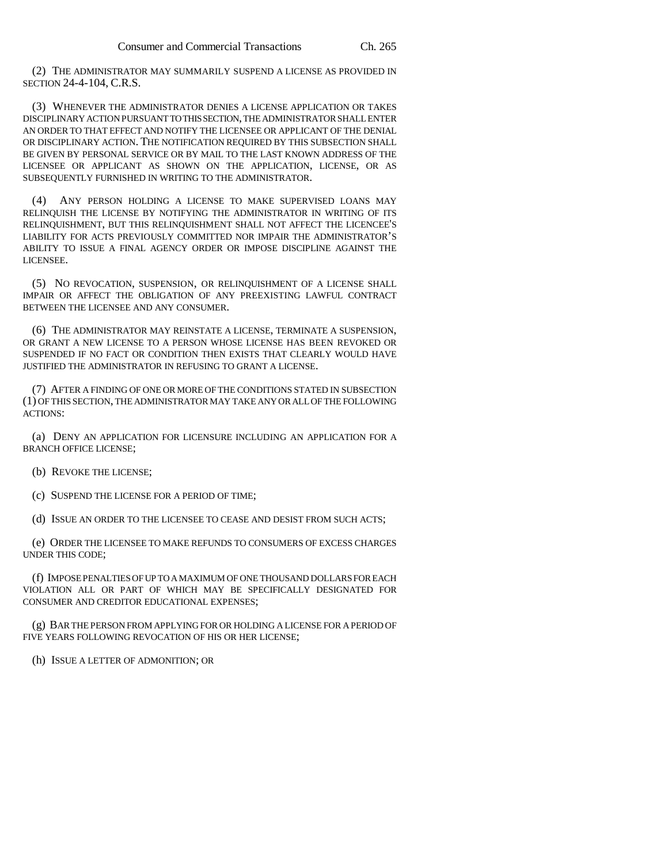(2) THE ADMINISTRATOR MAY SUMMARILY SUSPEND A LICENSE AS PROVIDED IN SECTION 24-4-104, C.R.S.

(3) WHENEVER THE ADMINISTRATOR DENIES A LICENSE APPLICATION OR TAKES DISCIPLINARY ACTION PURSUANT TO THIS SECTION, THE ADMINISTRATOR SHALL ENTER AN ORDER TO THAT EFFECT AND NOTIFY THE LICENSEE OR APPLICANT OF THE DENIAL OR DISCIPLINARY ACTION. THE NOTIFICATION REQUIRED BY THIS SUBSECTION SHALL BE GIVEN BY PERSONAL SERVICE OR BY MAIL TO THE LAST KNOWN ADDRESS OF THE LICENSEE OR APPLICANT AS SHOWN ON THE APPLICATION, LICENSE, OR AS SUBSEQUENTLY FURNISHED IN WRITING TO THE ADMINISTRATOR.

(4) ANY PERSON HOLDING A LICENSE TO MAKE SUPERVISED LOANS MAY RELINQUISH THE LICENSE BY NOTIFYING THE ADMINISTRATOR IN WRITING OF ITS RELINQUISHMENT, BUT THIS RELINQUISHMENT SHALL NOT AFFECT THE LICENCEE'S LIABILITY FOR ACTS PREVIOUSLY COMMITTED NOR IMPAIR THE ADMINISTRATOR'S ABILITY TO ISSUE A FINAL AGENCY ORDER OR IMPOSE DISCIPLINE AGAINST THE LICENSEE.

(5) NO REVOCATION, SUSPENSION, OR RELINQUISHMENT OF A LICENSE SHALL IMPAIR OR AFFECT THE OBLIGATION OF ANY PREEXISTING LAWFUL CONTRACT BETWEEN THE LICENSEE AND ANY CONSUMER.

(6) THE ADMINISTRATOR MAY REINSTATE A LICENSE, TERMINATE A SUSPENSION, OR GRANT A NEW LICENSE TO A PERSON WHOSE LICENSE HAS BEEN REVOKED OR SUSPENDED IF NO FACT OR CONDITION THEN EXISTS THAT CLEARLY WOULD HAVE JUSTIFIED THE ADMINISTRATOR IN REFUSING TO GRANT A LICENSE.

(7) AFTER A FINDING OF ONE OR MORE OF THE CONDITIONS STATED IN SUBSECTION (1) OF THIS SECTION, THE ADMINISTRATOR MAY TAKE ANY OR ALL OF THE FOLLOWING ACTIONS:

(a) DENY AN APPLICATION FOR LICENSURE INCLUDING AN APPLICATION FOR A BRANCH OFFICE LICENSE;

(b) REVOKE THE LICENSE;

(c) SUSPEND THE LICENSE FOR A PERIOD OF TIME;

(d) ISSUE AN ORDER TO THE LICENSEE TO CEASE AND DESIST FROM SUCH ACTS;

(e) ORDER THE LICENSEE TO MAKE REFUNDS TO CONSUMERS OF EXCESS CHARGES UNDER THIS CODE;

(f) IMPOSE PENALTIES OF UP TO A MAXIMUM OF ONE THOUSAND DOLLARS FOR EACH VIOLATION ALL OR PART OF WHICH MAY BE SPECIFICALLY DESIGNATED FOR CONSUMER AND CREDITOR EDUCATIONAL EXPENSES;

(g) BAR THE PERSON FROM APPLYING FOR OR HOLDING A LICENSE FOR A PERIOD OF FIVE YEARS FOLLOWING REVOCATION OF HIS OR HER LICENSE;

(h) ISSUE A LETTER OF ADMONITION; OR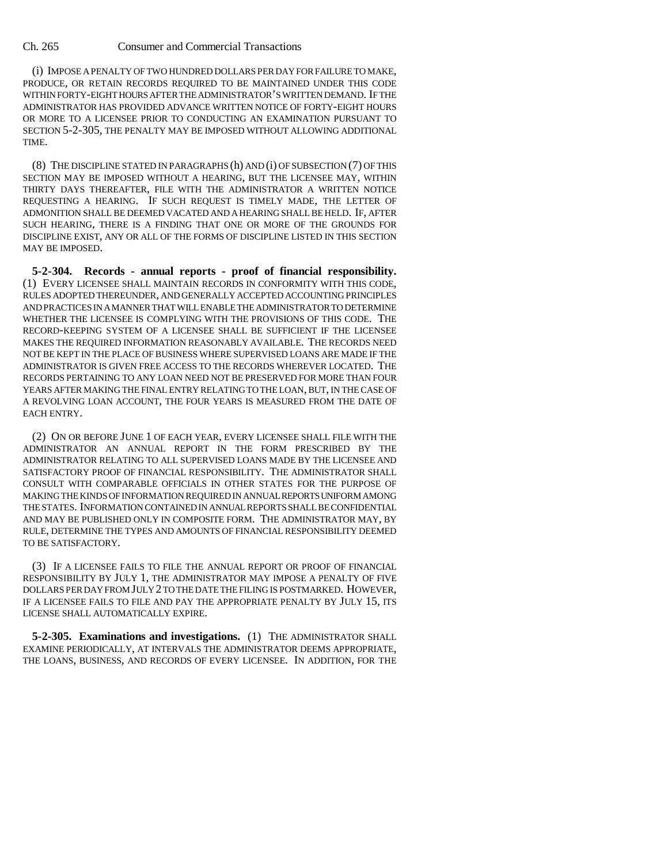(i) IMPOSE A PENALTY OF TWO HUNDRED DOLLARS PER DAY FOR FAILURE TO MAKE, PRODUCE, OR RETAIN RECORDS REQUIRED TO BE MAINTAINED UNDER THIS CODE WITHIN FORTY-EIGHT HOURS AFTER THE ADMINISTRATOR'S WRITTEN DEMAND. IF THE ADMINISTRATOR HAS PROVIDED ADVANCE WRITTEN NOTICE OF FORTY-EIGHT HOURS OR MORE TO A LICENSEE PRIOR TO CONDUCTING AN EXAMINATION PURSUANT TO SECTION 5-2-305, THE PENALTY MAY BE IMPOSED WITHOUT ALLOWING ADDITIONAL TIME.

(8) THE DISCIPLINE STATED IN PARAGRAPHS (h) AND (i) OF SUBSECTION (7) OF THIS SECTION MAY BE IMPOSED WITHOUT A HEARING, BUT THE LICENSEE MAY, WITHIN THIRTY DAYS THEREAFTER, FILE WITH THE ADMINISTRATOR A WRITTEN NOTICE REQUESTING A HEARING. IF SUCH REQUEST IS TIMELY MADE, THE LETTER OF ADMONITION SHALL BE DEEMED VACATED AND A HEARING SHALL BE HELD. IF, AFTER SUCH HEARING, THERE IS A FINDING THAT ONE OR MORE OF THE GROUNDS FOR DISCIPLINE EXIST, ANY OR ALL OF THE FORMS OF DISCIPLINE LISTED IN THIS SECTION MAY BE IMPOSED.

**5-2-304. Records - annual reports - proof of financial responsibility.** (1) EVERY LICENSEE SHALL MAINTAIN RECORDS IN CONFORMITY WITH THIS CODE, RULES ADOPTED THEREUNDER, AND GENERALLY ACCEPTED ACCOUNTING PRINCIPLES AND PRACTICES IN A MANNER THAT WILL ENABLE THE ADMINISTRATOR TO DETERMINE WHETHER THE LICENSEE IS COMPLYING WITH THE PROVISIONS OF THIS CODE. THE RECORD-KEEPING SYSTEM OF A LICENSEE SHALL BE SUFFICIENT IF THE LICENSEE MAKES THE REQUIRED INFORMATION REASONABLY AVAILABLE. THE RECORDS NEED NOT BE KEPT IN THE PLACE OF BUSINESS WHERE SUPERVISED LOANS ARE MADE IF THE ADMINISTRATOR IS GIVEN FREE ACCESS TO THE RECORDS WHEREVER LOCATED. THE RECORDS PERTAINING TO ANY LOAN NEED NOT BE PRESERVED FOR MORE THAN FOUR YEARS AFTER MAKING THE FINAL ENTRY RELATING TO THE LOAN, BUT, IN THE CASE OF A REVOLVING LOAN ACCOUNT, THE FOUR YEARS IS MEASURED FROM THE DATE OF EACH ENTRY.

(2) ON OR BEFORE JUNE 1 OF EACH YEAR, EVERY LICENSEE SHALL FILE WITH THE ADMINISTRATOR AN ANNUAL REPORT IN THE FORM PRESCRIBED BY THE ADMINISTRATOR RELATING TO ALL SUPERVISED LOANS MADE BY THE LICENSEE AND SATISFACTORY PROOF OF FINANCIAL RESPONSIBILITY. THE ADMINISTRATOR SHALL CONSULT WITH COMPARABLE OFFICIALS IN OTHER STATES FOR THE PURPOSE OF MAKING THE KINDS OF INFORMATION REQUIRED IN ANNUAL REPORTS UNIFORM AMONG THE STATES. INFORMATION CONTAINED IN ANNUAL REPORTS SHALL BE CONFIDENTIAL AND MAY BE PUBLISHED ONLY IN COMPOSITE FORM. THE ADMINISTRATOR MAY, BY RULE, DETERMINE THE TYPES AND AMOUNTS OF FINANCIAL RESPONSIBILITY DEEMED TO BE SATISFACTORY.

(3) IF A LICENSEE FAILS TO FILE THE ANNUAL REPORT OR PROOF OF FINANCIAL RESPONSIBILITY BY JULY 1, THE ADMINISTRATOR MAY IMPOSE A PENALTY OF FIVE DOLLARS PER DAY FROM JULY 2 TO THE DATE THE FILING IS POSTMARKED. HOWEVER, IF A LICENSEE FAILS TO FILE AND PAY THE APPROPRIATE PENALTY BY JULY 15, ITS LICENSE SHALL AUTOMATICALLY EXPIRE.

**5-2-305. Examinations and investigations.** (1) THE ADMINISTRATOR SHALL EXAMINE PERIODICALLY, AT INTERVALS THE ADMINISTRATOR DEEMS APPROPRIATE, THE LOANS, BUSINESS, AND RECORDS OF EVERY LICENSEE. IN ADDITION, FOR THE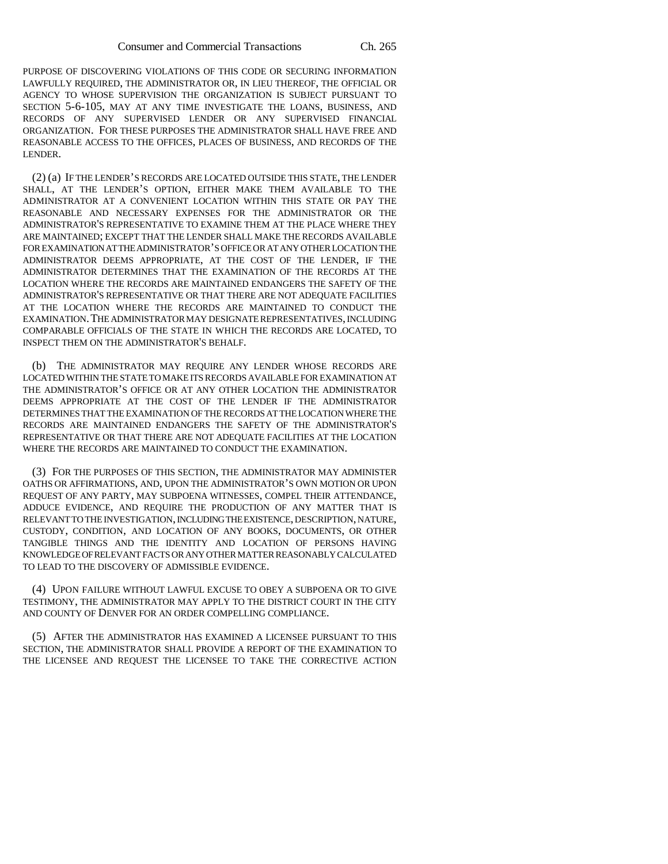PURPOSE OF DISCOVERING VIOLATIONS OF THIS CODE OR SECURING INFORMATION LAWFULLY REQUIRED, THE ADMINISTRATOR OR, IN LIEU THEREOF, THE OFFICIAL OR AGENCY TO WHOSE SUPERVISION THE ORGANIZATION IS SUBJECT PURSUANT TO SECTION 5-6-105, MAY AT ANY TIME INVESTIGATE THE LOANS, BUSINESS, AND RECORDS OF ANY SUPERVISED LENDER OR ANY SUPERVISED FINANCIAL ORGANIZATION. FOR THESE PURPOSES THE ADMINISTRATOR SHALL HAVE FREE AND REASONABLE ACCESS TO THE OFFICES, PLACES OF BUSINESS, AND RECORDS OF THE LENDER.

(2) (a) IF THE LENDER'S RECORDS ARE LOCATED OUTSIDE THIS STATE, THE LENDER SHALL, AT THE LENDER'S OPTION, EITHER MAKE THEM AVAILABLE TO THE ADMINISTRATOR AT A CONVENIENT LOCATION WITHIN THIS STATE OR PAY THE REASONABLE AND NECESSARY EXPENSES FOR THE ADMINISTRATOR OR THE ADMINISTRATOR'S REPRESENTATIVE TO EXAMINE THEM AT THE PLACE WHERE THEY ARE MAINTAINED; EXCEPT THAT THE LENDER SHALL MAKE THE RECORDS AVAILABLE FOR EXAMINATION AT THE ADMINISTRATOR'S OFFICE OR AT ANY OTHER LOCATION THE ADMINISTRATOR DEEMS APPROPRIATE, AT THE COST OF THE LENDER, IF THE ADMINISTRATOR DETERMINES THAT THE EXAMINATION OF THE RECORDS AT THE LOCATION WHERE THE RECORDS ARE MAINTAINED ENDANGERS THE SAFETY OF THE ADMINISTRATOR'S REPRESENTATIVE OR THAT THERE ARE NOT ADEQUATE FACILITIES AT THE LOCATION WHERE THE RECORDS ARE MAINTAINED TO CONDUCT THE EXAMINATION.THE ADMINISTRATOR MAY DESIGNATE REPRESENTATIVES, INCLUDING COMPARABLE OFFICIALS OF THE STATE IN WHICH THE RECORDS ARE LOCATED, TO INSPECT THEM ON THE ADMINISTRATOR'S BEHALF.

(b) THE ADMINISTRATOR MAY REQUIRE ANY LENDER WHOSE RECORDS ARE LOCATED WITHIN THE STATE TO MAKE ITS RECORDS AVAILABLE FOR EXAMINATION AT THE ADMINISTRATOR'S OFFICE OR AT ANY OTHER LOCATION THE ADMINISTRATOR DEEMS APPROPRIATE AT THE COST OF THE LENDER IF THE ADMINISTRATOR DETERMINES THAT THE EXAMINATION OF THE RECORDS AT THE LOCATION WHERE THE RECORDS ARE MAINTAINED ENDANGERS THE SAFETY OF THE ADMINISTRATOR'S REPRESENTATIVE OR THAT THERE ARE NOT ADEQUATE FACILITIES AT THE LOCATION WHERE THE RECORDS ARE MAINTAINED TO CONDUCT THE EXAMINATION.

(3) FOR THE PURPOSES OF THIS SECTION, THE ADMINISTRATOR MAY ADMINISTER OATHS OR AFFIRMATIONS, AND, UPON THE ADMINISTRATOR'S OWN MOTION OR UPON REQUEST OF ANY PARTY, MAY SUBPOENA WITNESSES, COMPEL THEIR ATTENDANCE, ADDUCE EVIDENCE, AND REQUIRE THE PRODUCTION OF ANY MATTER THAT IS RELEVANT TO THE INVESTIGATION, INCLUDING THE EXISTENCE, DESCRIPTION, NATURE, CUSTODY, CONDITION, AND LOCATION OF ANY BOOKS, DOCUMENTS, OR OTHER TANGIBLE THINGS AND THE IDENTITY AND LOCATION OF PERSONS HAVING KNOWLEDGE OF RELEVANT FACTS OR ANY OTHER MATTER REASONABLY CALCULATED TO LEAD TO THE DISCOVERY OF ADMISSIBLE EVIDENCE.

(4) UPON FAILURE WITHOUT LAWFUL EXCUSE TO OBEY A SUBPOENA OR TO GIVE TESTIMONY, THE ADMINISTRATOR MAY APPLY TO THE DISTRICT COURT IN THE CITY AND COUNTY OF DENVER FOR AN ORDER COMPELLING COMPLIANCE.

(5) AFTER THE ADMINISTRATOR HAS EXAMINED A LICENSEE PURSUANT TO THIS SECTION, THE ADMINISTRATOR SHALL PROVIDE A REPORT OF THE EXAMINATION TO THE LICENSEE AND REQUEST THE LICENSEE TO TAKE THE CORRECTIVE ACTION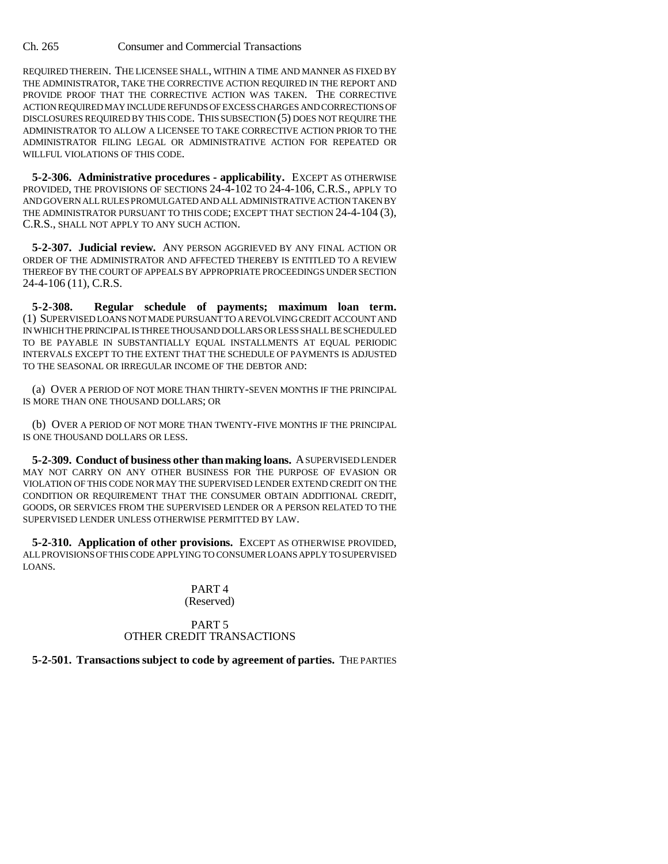REQUIRED THEREIN. THE LICENSEE SHALL, WITHIN A TIME AND MANNER AS FIXED BY THE ADMINISTRATOR, TAKE THE CORRECTIVE ACTION REQUIRED IN THE REPORT AND PROVIDE PROOF THAT THE CORRECTIVE ACTION WAS TAKEN. THE CORRECTIVE ACTION REQUIRED MAY INCLUDE REFUNDS OF EXCESS CHARGES AND CORRECTIONS OF DISCLOSURES REQUIRED BY THIS CODE. THIS SUBSECTION (5) DOES NOT REQUIRE THE ADMINISTRATOR TO ALLOW A LICENSEE TO TAKE CORRECTIVE ACTION PRIOR TO THE ADMINISTRATOR FILING LEGAL OR ADMINISTRATIVE ACTION FOR REPEATED OR WILLFUL VIOLATIONS OF THIS CODE.

**5-2-306. Administrative procedures - applicability.** EXCEPT AS OTHERWISE PROVIDED, THE PROVISIONS OF SECTIONS 24-4-102 TO 24-4-106, C.R.S., APPLY TO AND GOVERN ALL RULES PROMULGATED AND ALL ADMINISTRATIVE ACTION TAKEN BY THE ADMINISTRATOR PURSUANT TO THIS CODE; EXCEPT THAT SECTION 24-4-104 (3), C.R.S., SHALL NOT APPLY TO ANY SUCH ACTION.

**5-2-307. Judicial review.** ANY PERSON AGGRIEVED BY ANY FINAL ACTION OR ORDER OF THE ADMINISTRATOR AND AFFECTED THEREBY IS ENTITLED TO A REVIEW THEREOF BY THE COURT OF APPEALS BY APPROPRIATE PROCEEDINGS UNDER SECTION 24-4-106 (11), C.R.S.

**5-2-308. Regular schedule of payments; maximum loan term.** (1) SUPERVISED LOANS NOT MADE PURSUANT TO A REVOLVING CREDIT ACCOUNT AND IN WHICH THE PRINCIPAL IS THREE THOUSAND DOLLARS OR LESS SHALL BE SCHEDULED TO BE PAYABLE IN SUBSTANTIALLY EQUAL INSTALLMENTS AT EQUAL PERIODIC INTERVALS EXCEPT TO THE EXTENT THAT THE SCHEDULE OF PAYMENTS IS ADJUSTED TO THE SEASONAL OR IRREGULAR INCOME OF THE DEBTOR AND:

(a) OVER A PERIOD OF NOT MORE THAN THIRTY-SEVEN MONTHS IF THE PRINCIPAL IS MORE THAN ONE THOUSAND DOLLARS; OR

(b) OVER A PERIOD OF NOT MORE THAN TWENTY-FIVE MONTHS IF THE PRINCIPAL IS ONE THOUSAND DOLLARS OR LESS.

**5-2-309. Conduct of business other than making loans.** A SUPERVISED LENDER MAY NOT CARRY ON ANY OTHER BUSINESS FOR THE PURPOSE OF EVASION OR VIOLATION OF THIS CODE NOR MAY THE SUPERVISED LENDER EXTEND CREDIT ON THE CONDITION OR REQUIREMENT THAT THE CONSUMER OBTAIN ADDITIONAL CREDIT, GOODS, OR SERVICES FROM THE SUPERVISED LENDER OR A PERSON RELATED TO THE SUPERVISED LENDER UNLESS OTHERWISE PERMITTED BY LAW.

**5-2-310. Application of other provisions.** EXCEPT AS OTHERWISE PROVIDED, ALL PROVISIONS OF THIS CODE APPLYING TO CONSUMER LOANS APPLY TO SUPERVISED LOANS.

# PART 4 (Reserved)

## PART 5 OTHER CREDIT TRANSACTIONS

# **5-2-501. Transactions subject to code by agreement of parties.** THE PARTIES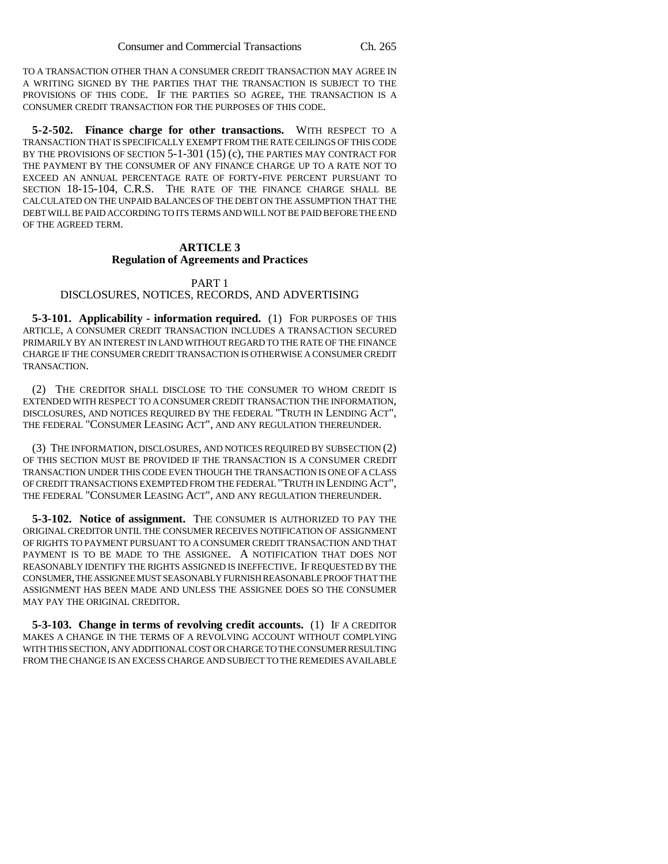TO A TRANSACTION OTHER THAN A CONSUMER CREDIT TRANSACTION MAY AGREE IN A WRITING SIGNED BY THE PARTIES THAT THE TRANSACTION IS SUBJECT TO THE PROVISIONS OF THIS CODE. IF THE PARTIES SO AGREE, THE TRANSACTION IS A CONSUMER CREDIT TRANSACTION FOR THE PURPOSES OF THIS CODE.

**5-2-502. Finance charge for other transactions.** WITH RESPECT TO A TRANSACTION THAT IS SPECIFICALLY EXEMPT FROM THE RATE CEILINGS OF THIS CODE BY THE PROVISIONS OF SECTION 5-1-301 (15) (c), THE PARTIES MAY CONTRACT FOR THE PAYMENT BY THE CONSUMER OF ANY FINANCE CHARGE UP TO A RATE NOT TO EXCEED AN ANNUAL PERCENTAGE RATE OF FORTY-FIVE PERCENT PURSUANT TO SECTION 18-15-104, C.R.S. THE RATE OF THE FINANCE CHARGE SHALL BE CALCULATED ON THE UNPAID BALANCES OF THE DEBT ON THE ASSUMPTION THAT THE DEBT WILL BE PAID ACCORDING TO ITS TERMS AND WILL NOT BE PAID BEFORE THE END OF THE AGREED TERM.

### **ARTICLE 3**

#### **Regulation of Agreements and Practices**

#### PART 1

# DISCLOSURES, NOTICES, RECORDS, AND ADVERTISING

**5-3-101. Applicability - information required.** (1) FOR PURPOSES OF THIS ARTICLE, A CONSUMER CREDIT TRANSACTION INCLUDES A TRANSACTION SECURED PRIMARILY BY AN INTEREST IN LAND WITHOUT REGARD TO THE RATE OF THE FINANCE CHARGE IF THE CONSUMER CREDIT TRANSACTION IS OTHERWISE A CONSUMER CREDIT TRANSACTION.

(2) THE CREDITOR SHALL DISCLOSE TO THE CONSUMER TO WHOM CREDIT IS EXTENDED WITH RESPECT TO A CONSUMER CREDIT TRANSACTION THE INFORMATION, DISCLOSURES, AND NOTICES REQUIRED BY THE FEDERAL "TRUTH IN LENDING ACT", THE FEDERAL "CONSUMER LEASING ACT", AND ANY REGULATION THEREUNDER.

(3) THE INFORMATION, DISCLOSURES, AND NOTICES REQUIRED BY SUBSECTION (2) OF THIS SECTION MUST BE PROVIDED IF THE TRANSACTION IS A CONSUMER CREDIT TRANSACTION UNDER THIS CODE EVEN THOUGH THE TRANSACTION IS ONE OF A CLASS OF CREDIT TRANSACTIONS EXEMPTED FROM THE FEDERAL "TRUTH IN LENDING ACT", THE FEDERAL "CONSUMER LEASING ACT", AND ANY REGULATION THEREUNDER.

**5-3-102. Notice of assignment.** THE CONSUMER IS AUTHORIZED TO PAY THE ORIGINAL CREDITOR UNTIL THE CONSUMER RECEIVES NOTIFICATION OF ASSIGNMENT OF RIGHTS TO PAYMENT PURSUANT TO A CONSUMER CREDIT TRANSACTION AND THAT PAYMENT IS TO BE MADE TO THE ASSIGNEE. A NOTIFICATION THAT DOES NOT REASONABLY IDENTIFY THE RIGHTS ASSIGNED IS INEFFECTIVE. IF REQUESTED BY THE CONSUMER, THE ASSIGNEE MUST SEASONABLY FURNISH REASONABLE PROOF THAT THE ASSIGNMENT HAS BEEN MADE AND UNLESS THE ASSIGNEE DOES SO THE CONSUMER MAY PAY THE ORIGINAL CREDITOR.

**5-3-103. Change in terms of revolving credit accounts.** (1) IF A CREDITOR MAKES A CHANGE IN THE TERMS OF A REVOLVING ACCOUNT WITHOUT COMPLYING WITH THIS SECTION, ANY ADDITIONAL COST OR CHARGE TO THE CONSUMER RESULTING FROM THE CHANGE IS AN EXCESS CHARGE AND SUBJECT TO THE REMEDIES AVAILABLE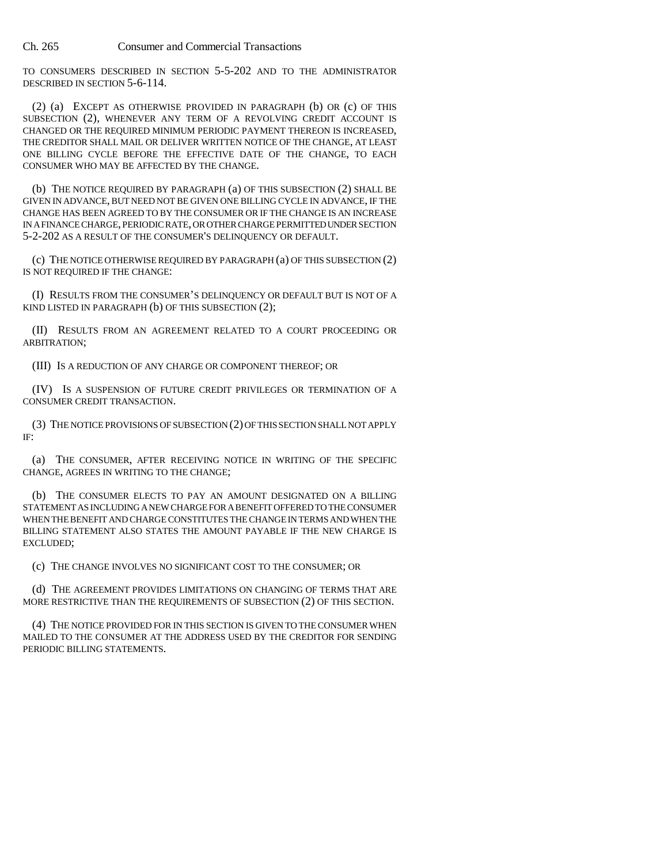TO CONSUMERS DESCRIBED IN SECTION 5-5-202 AND TO THE ADMINISTRATOR DESCRIBED IN SECTION 5-6-114.

(2) (a) EXCEPT AS OTHERWISE PROVIDED IN PARAGRAPH (b) OR (c) OF THIS SUBSECTION (2), WHENEVER ANY TERM OF A REVOLVING CREDIT ACCOUNT IS CHANGED OR THE REQUIRED MINIMUM PERIODIC PAYMENT THEREON IS INCREASED, THE CREDITOR SHALL MAIL OR DELIVER WRITTEN NOTICE OF THE CHANGE, AT LEAST ONE BILLING CYCLE BEFORE THE EFFECTIVE DATE OF THE CHANGE, TO EACH CONSUMER WHO MAY BE AFFECTED BY THE CHANGE.

(b) THE NOTICE REQUIRED BY PARAGRAPH (a) OF THIS SUBSECTION (2) SHALL BE GIVEN IN ADVANCE, BUT NEED NOT BE GIVEN ONE BILLING CYCLE IN ADVANCE, IF THE CHANGE HAS BEEN AGREED TO BY THE CONSUMER OR IF THE CHANGE IS AN INCREASE IN A FINANCE CHARGE, PERIODIC RATE, OR OTHER CHARGE PERMITTED UNDER SECTION 5-2-202 AS A RESULT OF THE CONSUMER'S DELINQUENCY OR DEFAULT.

(c) THE NOTICE OTHERWISE REQUIRED BY PARAGRAPH (a) OF THIS SUBSECTION (2) IS NOT REQUIRED IF THE CHANGE:

(I) RESULTS FROM THE CONSUMER'S DELINQUENCY OR DEFAULT BUT IS NOT OF A KIND LISTED IN PARAGRAPH (b) OF THIS SUBSECTION (2);

(II) RESULTS FROM AN AGREEMENT RELATED TO A COURT PROCEEDING OR ARBITRATION;

(III) IS A REDUCTION OF ANY CHARGE OR COMPONENT THEREOF; OR

(IV) IS A SUSPENSION OF FUTURE CREDIT PRIVILEGES OR TERMINATION OF A CONSUMER CREDIT TRANSACTION.

(3) THE NOTICE PROVISIONS OF SUBSECTION (2) OF THIS SECTION SHALL NOT APPLY IF:

(a) THE CONSUMER, AFTER RECEIVING NOTICE IN WRITING OF THE SPECIFIC CHANGE, AGREES IN WRITING TO THE CHANGE;

(b) THE CONSUMER ELECTS TO PAY AN AMOUNT DESIGNATED ON A BILLING STATEMENT AS INCLUDING A NEW CHARGE FOR A BENEFIT OFFERED TO THE CONSUMER WHEN THE BENEFIT AND CHARGE CONSTITUTES THE CHANGE IN TERMS AND WHEN THE BILLING STATEMENT ALSO STATES THE AMOUNT PAYABLE IF THE NEW CHARGE IS EXCLUDED;

(c) THE CHANGE INVOLVES NO SIGNIFICANT COST TO THE CONSUMER; OR

(d) THE AGREEMENT PROVIDES LIMITATIONS ON CHANGING OF TERMS THAT ARE MORE RESTRICTIVE THAN THE REQUIREMENTS OF SUBSECTION (2) OF THIS SECTION.

(4) THE NOTICE PROVIDED FOR IN THIS SECTION IS GIVEN TO THE CONSUMER WHEN MAILED TO THE CONSUMER AT THE ADDRESS USED BY THE CREDITOR FOR SENDING PERIODIC BILLING STATEMENTS.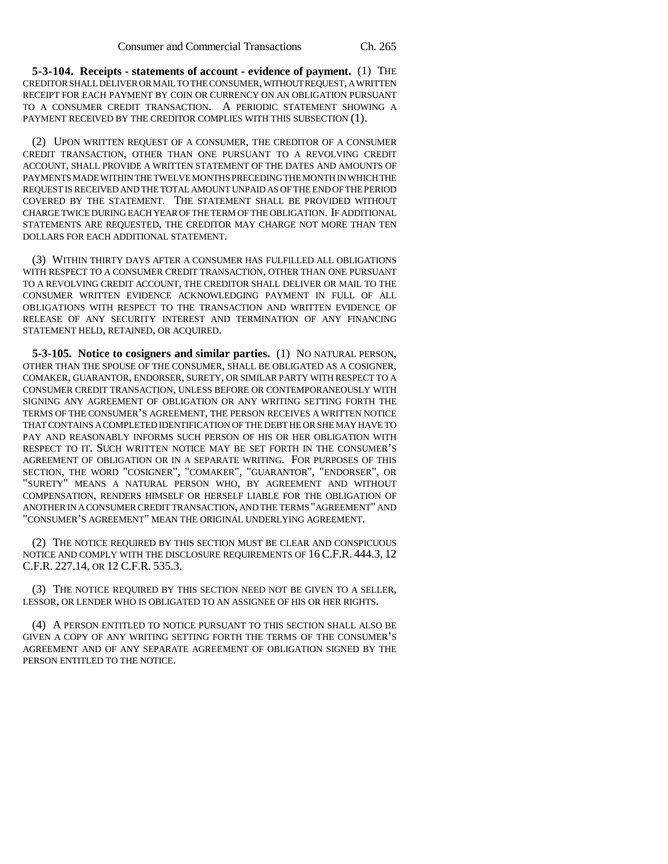**5-3-104. Receipts - statements of account - evidence of payment.** (1) THE CREDITOR SHALL DELIVER OR MAIL TO THE CONSUMER, WITHOUT REQUEST, A WRITTEN RECEIPT FOR EACH PAYMENT BY COIN OR CURRENCY ON AN OBLIGATION PURSUANT TO A CONSUMER CREDIT TRANSACTION. A PERIODIC STATEMENT SHOWING A PAYMENT RECEIVED BY THE CREDITOR COMPLIES WITH THIS SUBSECTION (1).

(2) UPON WRITTEN REQUEST OF A CONSUMER, THE CREDITOR OF A CONSUMER CREDIT TRANSACTION, OTHER THAN ONE PURSUANT TO A REVOLVING CREDIT ACCOUNT, SHALL PROVIDE A WRITTEN STATEMENT OF THE DATES AND AMOUNTS OF PAYMENTS MADE WITHIN THE TWELVE MONTHS PRECEDING THE MONTH IN WHICH THE REQUEST IS RECEIVED AND THE TOTAL AMOUNT UNPAID AS OF THE END OF THE PERIOD COVERED BY THE STATEMENT. THE STATEMENT SHALL BE PROVIDED WITHOUT CHARGE TWICE DURING EACH YEAR OF THE TERM OF THE OBLIGATION. IF ADDITIONAL STATEMENTS ARE REQUESTED, THE CREDITOR MAY CHARGE NOT MORE THAN TEN DOLLARS FOR EACH ADDITIONAL STATEMENT.

(3) WITHIN THIRTY DAYS AFTER A CONSUMER HAS FULFILLED ALL OBLIGATIONS WITH RESPECT TO A CONSUMER CREDIT TRANSACTION, OTHER THAN ONE PURSUANT TO A REVOLVING CREDIT ACCOUNT, THE CREDITOR SHALL DELIVER OR MAIL TO THE CONSUMER WRITTEN EVIDENCE ACKNOWLEDGING PAYMENT IN FULL OF ALL OBLIGATIONS WITH RESPECT TO THE TRANSACTION AND WRITTEN EVIDENCE OF RELEASE OF ANY SECURITY INTEREST AND TERMINATION OF ANY FINANCING STATEMENT HELD, RETAINED, OR ACQUIRED.

**5-3-105. Notice to cosigners and similar parties.** (1) NO NATURAL PERSON, OTHER THAN THE SPOUSE OF THE CONSUMER, SHALL BE OBLIGATED AS A COSIGNER, COMAKER, GUARANTOR, ENDORSER, SURETY, OR SIMILAR PARTY WITH RESPECT TO A CONSUMER CREDIT TRANSACTION, UNLESS BEFORE OR CONTEMPORANEOUSLY WITH SIGNING ANY AGREEMENT OF OBLIGATION OR ANY WRITING SETTING FORTH THE TERMS OF THE CONSUMER'S AGREEMENT, THE PERSON RECEIVES A WRITTEN NOTICE THAT CONTAINS A COMPLETED IDENTIFICATION OF THE DEBT HE OR SHE MAY HAVE TO PAY AND REASONABLY INFORMS SUCH PERSON OF HIS OR HER OBLIGATION WITH RESPECT TO IT. SUCH WRITTEN NOTICE MAY BE SET FORTH IN THE CONSUMER'S AGREEMENT OF OBLIGATION OR IN A SEPARATE WRITING. FOR PURPOSES OF THIS SECTION, THE WORD "COSIGNER", "COMAKER", "GUARANTOR", "ENDORSER", OR "SURETY" MEANS A NATURAL PERSON WHO, BY AGREEMENT AND WITHOUT COMPENSATION, RENDERS HIMSELF OR HERSELF LIABLE FOR THE OBLIGATION OF ANOTHER IN A CONSUMER CREDIT TRANSACTION, AND THE TERMS "AGREEMENT" AND "CONSUMER'S AGREEMENT" MEAN THE ORIGINAL UNDERLYING AGREEMENT.

(2) THE NOTICE REQUIRED BY THIS SECTION MUST BE CLEAR AND CONSPICUOUS NOTICE AND COMPLY WITH THE DISCLOSURE REQUIREMENTS OF 16 C.F.R. 444.3, 12 C.F.R. 227.14, OR 12 C.F.R. 535.3.

(3) THE NOTICE REQUIRED BY THIS SECTION NEED NOT BE GIVEN TO A SELLER, LESSOR, OR LENDER WHO IS OBLIGATED TO AN ASSIGNEE OF HIS OR HER RIGHTS.

(4) A PERSON ENTITLED TO NOTICE PURSUANT TO THIS SECTION SHALL ALSO BE GIVEN A COPY OF ANY WRITING SETTING FORTH THE TERMS OF THE CONSUMER'S AGREEMENT AND OF ANY SEPARATE AGREEMENT OF OBLIGATION SIGNED BY THE PERSON ENTITLED TO THE NOTICE.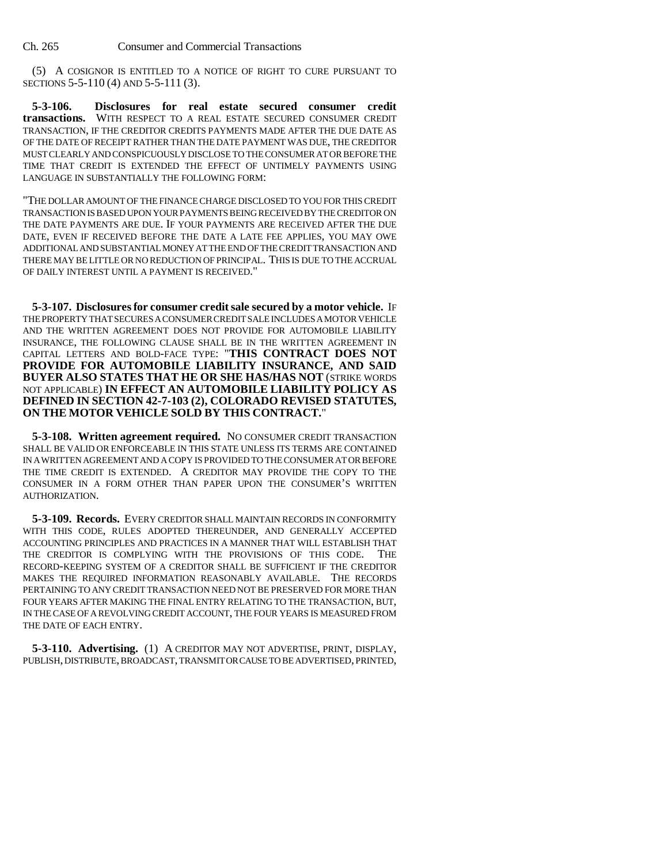(5) A COSIGNOR IS ENTITLED TO A NOTICE OF RIGHT TO CURE PURSUANT TO SECTIONS 5-5-110 (4) AND 5-5-111 (3).

**5-3-106. Disclosures for real estate secured consumer credit transactions.** WITH RESPECT TO A REAL ESTATE SECURED CONSUMER CREDIT TRANSACTION, IF THE CREDITOR CREDITS PAYMENTS MADE AFTER THE DUE DATE AS OF THE DATE OF RECEIPT RATHER THAN THE DATE PAYMENT WAS DUE, THE CREDITOR MUST CLEARLY AND CONSPICUOUSLY DISCLOSE TO THE CONSUMER AT OR BEFORE THE TIME THAT CREDIT IS EXTENDED THE EFFECT OF UNTIMELY PAYMENTS USING LANGUAGE IN SUBSTANTIALLY THE FOLLOWING FORM:

"THE DOLLAR AMOUNT OF THE FINANCE CHARGE DISCLOSED TO YOU FOR THIS CREDIT TRANSACTION IS BASED UPON YOUR PAYMENTS BEING RECEIVED BY THE CREDITOR ON THE DATE PAYMENTS ARE DUE. IF YOUR PAYMENTS ARE RECEIVED AFTER THE DUE DATE, EVEN IF RECEIVED BEFORE THE DATE A LATE FEE APPLIES, YOU MAY OWE ADDITIONAL AND SUBSTANTIAL MONEY AT THE END OF THE CREDIT TRANSACTION AND THERE MAY BE LITTLE OR NO REDUCTION OF PRINCIPAL. THIS IS DUE TO THE ACCRUAL OF DAILY INTEREST UNTIL A PAYMENT IS RECEIVED."

**5-3-107. Disclosures for consumer credit sale secured by a motor vehicle.** IF THE PROPERTY THAT SECURES A CONSUMER CREDIT SALE INCLUDES A MOTOR VEHICLE AND THE WRITTEN AGREEMENT DOES NOT PROVIDE FOR AUTOMOBILE LIABILITY INSURANCE, THE FOLLOWING CLAUSE SHALL BE IN THE WRITTEN AGREEMENT IN CAPITAL LETTERS AND BOLD-FACE TYPE: "**THIS CONTRACT DOES NOT PROVIDE FOR AUTOMOBILE LIABILITY INSURANCE, AND SAID BUYER ALSO STATES THAT HE OR SHE HAS/HAS NOT** (STRIKE WORDS NOT APPLICABLE) **IN EFFECT AN AUTOMOBILE LIABILITY POLICY AS DEFINED IN SECTION 42-7-103 (2), COLORADO REVISED STATUTES, ON THE MOTOR VEHICLE SOLD BY THIS CONTRACT.**"

**5-3-108. Written agreement required.** NO CONSUMER CREDIT TRANSACTION SHALL BE VALID OR ENFORCEABLE IN THIS STATE UNLESS ITS TERMS ARE CONTAINED IN A WRITTEN AGREEMENT AND A COPY IS PROVIDED TO THE CONSUMER AT OR BEFORE THE TIME CREDIT IS EXTENDED. A CREDITOR MAY PROVIDE THE COPY TO THE CONSUMER IN A FORM OTHER THAN PAPER UPON THE CONSUMER'S WRITTEN AUTHORIZATION.

**5-3-109. Records.** EVERY CREDITOR SHALL MAINTAIN RECORDS IN CONFORMITY WITH THIS CODE, RULES ADOPTED THEREUNDER, AND GENERALLY ACCEPTED ACCOUNTING PRINCIPLES AND PRACTICES IN A MANNER THAT WILL ESTABLISH THAT THE CREDITOR IS COMPLYING WITH THE PROVISIONS OF THIS CODE. THE RECORD-KEEPING SYSTEM OF A CREDITOR SHALL BE SUFFICIENT IF THE CREDITOR MAKES THE REQUIRED INFORMATION REASONABLY AVAILABLE. THE RECORDS PERTAINING TO ANY CREDIT TRANSACTION NEED NOT BE PRESERVED FOR MORE THAN FOUR YEARS AFTER MAKING THE FINAL ENTRY RELATING TO THE TRANSACTION, BUT, IN THE CASE OF A REVOLVING CREDIT ACCOUNT, THE FOUR YEARS IS MEASURED FROM THE DATE OF EACH ENTRY.

**5-3-110. Advertising.** (1) A CREDITOR MAY NOT ADVERTISE, PRINT, DISPLAY, PUBLISH, DISTRIBUTE, BROADCAST, TRANSMIT OR CAUSE TO BE ADVERTISED, PRINTED,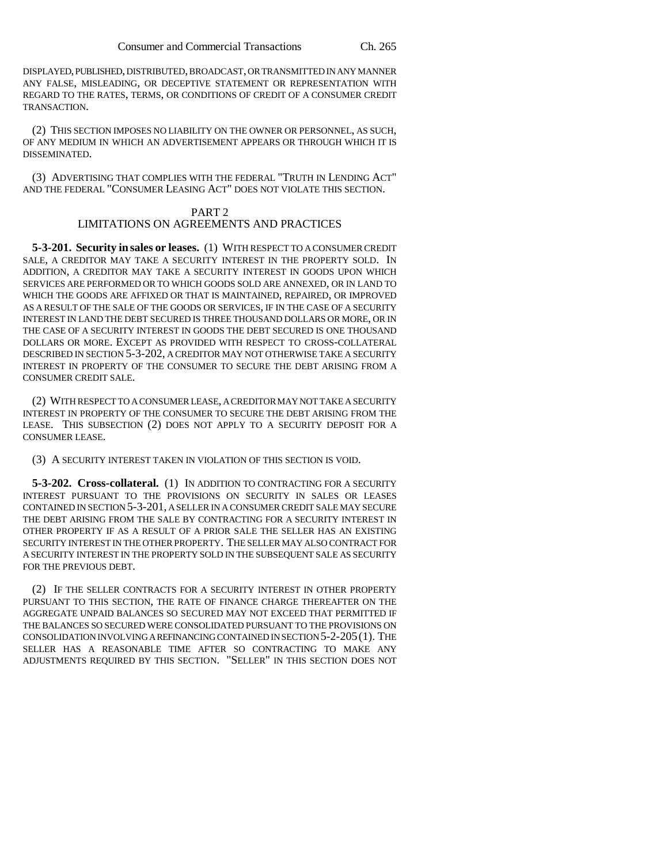DISPLAYED, PUBLISHED, DISTRIBUTED, BROADCAST, OR TRANSMITTED IN ANY MANNER ANY FALSE, MISLEADING, OR DECEPTIVE STATEMENT OR REPRESENTATION WITH REGARD TO THE RATES, TERMS, OR CONDITIONS OF CREDIT OF A CONSUMER CREDIT TRANSACTION.

(2) THIS SECTION IMPOSES NO LIABILITY ON THE OWNER OR PERSONNEL, AS SUCH, OF ANY MEDIUM IN WHICH AN ADVERTISEMENT APPEARS OR THROUGH WHICH IT IS DISSEMINATED.

(3) ADVERTISING THAT COMPLIES WITH THE FEDERAL "TRUTH IN LENDING ACT" AND THE FEDERAL "CONSUMER LEASING ACT" DOES NOT VIOLATE THIS SECTION.

# PART 2

# LIMITATIONS ON AGREEMENTS AND PRACTICES

**5-3-201. Security in sales or leases.** (1) WITH RESPECT TO A CONSUMER CREDIT SALE, A CREDITOR MAY TAKE A SECURITY INTEREST IN THE PROPERTY SOLD. IN ADDITION, A CREDITOR MAY TAKE A SECURITY INTEREST IN GOODS UPON WHICH SERVICES ARE PERFORMED OR TO WHICH GOODS SOLD ARE ANNEXED, OR IN LAND TO WHICH THE GOODS ARE AFFIXED OR THAT IS MAINTAINED, REPAIRED, OR IMPROVED AS A RESULT OF THE SALE OF THE GOODS OR SERVICES, IF IN THE CASE OF A SECURITY INTEREST IN LAND THE DEBT SECURED IS THREE THOUSAND DOLLARS OR MORE, OR IN THE CASE OF A SECURITY INTEREST IN GOODS THE DEBT SECURED IS ONE THOUSAND DOLLARS OR MORE. EXCEPT AS PROVIDED WITH RESPECT TO CROSS-COLLATERAL DESCRIBED IN SECTION 5-3-202, A CREDITOR MAY NOT OTHERWISE TAKE A SECURITY INTEREST IN PROPERTY OF THE CONSUMER TO SECURE THE DEBT ARISING FROM A CONSUMER CREDIT SALE.

(2) WITH RESPECT TO A CONSUMER LEASE, A CREDITOR MAY NOT TAKE A SECURITY INTEREST IN PROPERTY OF THE CONSUMER TO SECURE THE DEBT ARISING FROM THE LEASE. THIS SUBSECTION (2) DOES NOT APPLY TO A SECURITY DEPOSIT FOR A CONSUMER LEASE.

(3) A SECURITY INTEREST TAKEN IN VIOLATION OF THIS SECTION IS VOID.

**5-3-202. Cross-collateral.** (1) IN ADDITION TO CONTRACTING FOR A SECURITY INTEREST PURSUANT TO THE PROVISIONS ON SECURITY IN SALES OR LEASES CONTAINED IN SECTION 5-3-201, A SELLER IN A CONSUMER CREDIT SALE MAY SECURE THE DEBT ARISING FROM THE SALE BY CONTRACTING FOR A SECURITY INTEREST IN OTHER PROPERTY IF AS A RESULT OF A PRIOR SALE THE SELLER HAS AN EXISTING SECURITY INTEREST IN THE OTHER PROPERTY. THE SELLER MAY ALSO CONTRACT FOR A SECURITY INTEREST IN THE PROPERTY SOLD IN THE SUBSEQUENT SALE AS SECURITY FOR THE PREVIOUS DEBT.

(2) IF THE SELLER CONTRACTS FOR A SECURITY INTEREST IN OTHER PROPERTY PURSUANT TO THIS SECTION, THE RATE OF FINANCE CHARGE THEREAFTER ON THE AGGREGATE UNPAID BALANCES SO SECURED MAY NOT EXCEED THAT PERMITTED IF THE BALANCES SO SECURED WERE CONSOLIDATED PURSUANT TO THE PROVISIONS ON CONSOLIDATION INVOLVING A REFINANCING CONTAINED IN SECTION 5-2-205(1). THE SELLER HAS A REASONABLE TIME AFTER SO CONTRACTING TO MAKE ANY ADJUSTMENTS REQUIRED BY THIS SECTION. "SELLER" IN THIS SECTION DOES NOT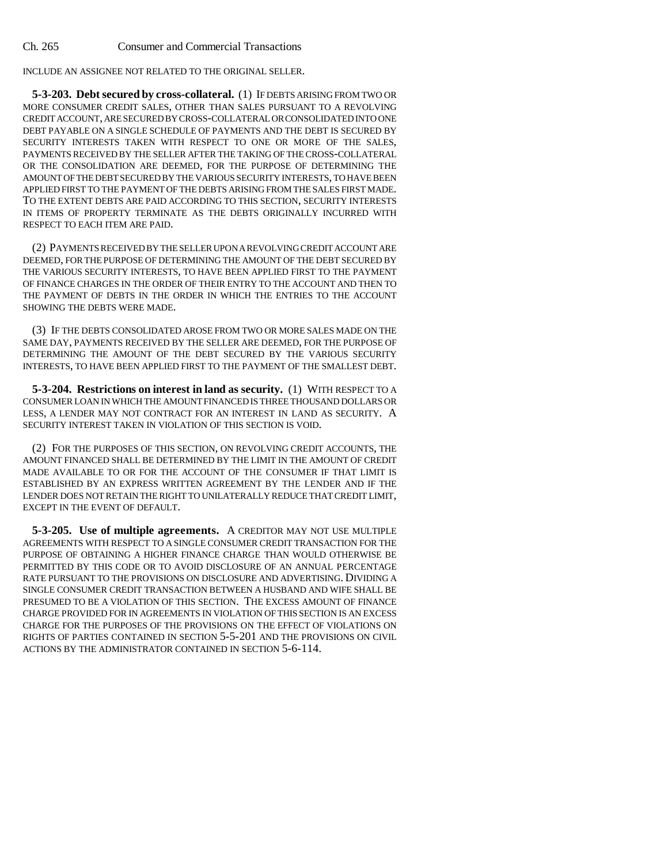INCLUDE AN ASSIGNEE NOT RELATED TO THE ORIGINAL SELLER.

**5-3-203. Debt secured by cross-collateral.** (1) IF DEBTS ARISING FROM TWO OR MORE CONSUMER CREDIT SALES, OTHER THAN SALES PURSUANT TO A REVOLVING CREDIT ACCOUNT, ARE SECURED BY CROSS-COLLATERAL OR CONSOLIDATED INTO ONE DEBT PAYABLE ON A SINGLE SCHEDULE OF PAYMENTS AND THE DEBT IS SECURED BY SECURITY INTERESTS TAKEN WITH RESPECT TO ONE OR MORE OF THE SALES, PAYMENTS RECEIVED BY THE SELLER AFTER THE TAKING OF THE CROSS-COLLATERAL OR THE CONSOLIDATION ARE DEEMED, FOR THE PURPOSE OF DETERMINING THE AMOUNT OF THE DEBT SECURED BY THE VARIOUS SECURITY INTERESTS, TO HAVE BEEN APPLIED FIRST TO THE PAYMENT OF THE DEBTS ARISING FROM THE SALES FIRST MADE. TO THE EXTENT DEBTS ARE PAID ACCORDING TO THIS SECTION, SECURITY INTERESTS IN ITEMS OF PROPERTY TERMINATE AS THE DEBTS ORIGINALLY INCURRED WITH RESPECT TO EACH ITEM ARE PAID.

(2) PAYMENTS RECEIVED BY THE SELLER UPON A REVOLVING CREDIT ACCOUNT ARE DEEMED, FOR THE PURPOSE OF DETERMINING THE AMOUNT OF THE DEBT SECURED BY THE VARIOUS SECURITY INTERESTS, TO HAVE BEEN APPLIED FIRST TO THE PAYMENT OF FINANCE CHARGES IN THE ORDER OF THEIR ENTRY TO THE ACCOUNT AND THEN TO THE PAYMENT OF DEBTS IN THE ORDER IN WHICH THE ENTRIES TO THE ACCOUNT SHOWING THE DEBTS WERE MADE.

(3) IF THE DEBTS CONSOLIDATED AROSE FROM TWO OR MORE SALES MADE ON THE SAME DAY, PAYMENTS RECEIVED BY THE SELLER ARE DEEMED, FOR THE PURPOSE OF DETERMINING THE AMOUNT OF THE DEBT SECURED BY THE VARIOUS SECURITY INTERESTS, TO HAVE BEEN APPLIED FIRST TO THE PAYMENT OF THE SMALLEST DEBT.

**5-3-204. Restrictions on interest in land as security.** (1) WITH RESPECT TO A CONSUMER LOAN IN WHICH THE AMOUNT FINANCED IS THREE THOUSAND DOLLARS OR LESS, A LENDER MAY NOT CONTRACT FOR AN INTEREST IN LAND AS SECURITY. A SECURITY INTEREST TAKEN IN VIOLATION OF THIS SECTION IS VOID.

(2) FOR THE PURPOSES OF THIS SECTION, ON REVOLVING CREDIT ACCOUNTS, THE AMOUNT FINANCED SHALL BE DETERMINED BY THE LIMIT IN THE AMOUNT OF CREDIT MADE AVAILABLE TO OR FOR THE ACCOUNT OF THE CONSUMER IF THAT LIMIT IS ESTABLISHED BY AN EXPRESS WRITTEN AGREEMENT BY THE LENDER AND IF THE LENDER DOES NOT RETAIN THE RIGHT TO UNILATERALLY REDUCE THAT CREDIT LIMIT, EXCEPT IN THE EVENT OF DEFAULT.

**5-3-205. Use of multiple agreements.** A CREDITOR MAY NOT USE MULTIPLE AGREEMENTS WITH RESPECT TO A SINGLE CONSUMER CREDIT TRANSACTION FOR THE PURPOSE OF OBTAINING A HIGHER FINANCE CHARGE THAN WOULD OTHERWISE BE PERMITTED BY THIS CODE OR TO AVOID DISCLOSURE OF AN ANNUAL PERCENTAGE RATE PURSUANT TO THE PROVISIONS ON DISCLOSURE AND ADVERTISING. DIVIDING A SINGLE CONSUMER CREDIT TRANSACTION BETWEEN A HUSBAND AND WIFE SHALL BE PRESUMED TO BE A VIOLATION OF THIS SECTION. THE EXCESS AMOUNT OF FINANCE CHARGE PROVIDED FOR IN AGREEMENTS IN VIOLATION OF THIS SECTION IS AN EXCESS CHARGE FOR THE PURPOSES OF THE PROVISIONS ON THE EFFECT OF VIOLATIONS ON RIGHTS OF PARTIES CONTAINED IN SECTION 5-5-201 AND THE PROVISIONS ON CIVIL ACTIONS BY THE ADMINISTRATOR CONTAINED IN SECTION 5-6-114.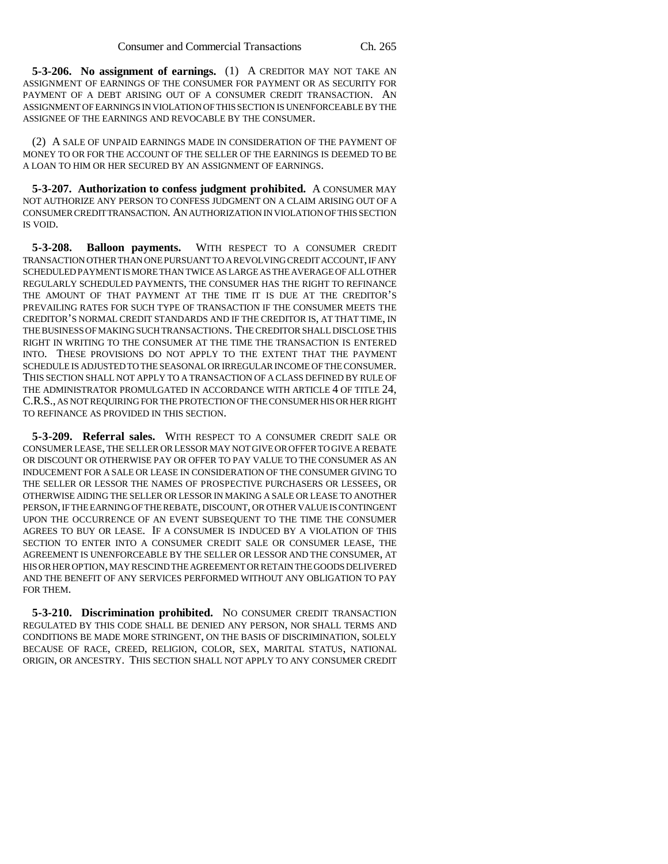**5-3-206. No assignment of earnings.** (1) A CREDITOR MAY NOT TAKE AN ASSIGNMENT OF EARNINGS OF THE CONSUMER FOR PAYMENT OR AS SECURITY FOR PAYMENT OF A DEBT ARISING OUT OF A CONSUMER CREDIT TRANSACTION. AN ASSIGNMENT OF EARNINGS IN VIOLATION OF THIS SECTION IS UNENFORCEABLE BY THE ASSIGNEE OF THE EARNINGS AND REVOCABLE BY THE CONSUMER.

(2) A SALE OF UNPAID EARNINGS MADE IN CONSIDERATION OF THE PAYMENT OF MONEY TO OR FOR THE ACCOUNT OF THE SELLER OF THE EARNINGS IS DEEMED TO BE A LOAN TO HIM OR HER SECURED BY AN ASSIGNMENT OF EARNINGS.

**5-3-207. Authorization to confess judgment prohibited.** A CONSUMER MAY NOT AUTHORIZE ANY PERSON TO CONFESS JUDGMENT ON A CLAIM ARISING OUT OF A CONSUMER CREDIT TRANSACTION. AN AUTHORIZATION IN VIOLATION OF THIS SECTION IS VOID.

**5-3-208. Balloon payments.** WITH RESPECT TO A CONSUMER CREDIT TRANSACTION OTHER THAN ONE PURSUANT TO A REVOLVING CREDIT ACCOUNT, IF ANY SCHEDULED PAYMENT IS MORE THAN TWICE AS LARGE AS THE AVERAGE OF ALL OTHER REGULARLY SCHEDULED PAYMENTS, THE CONSUMER HAS THE RIGHT TO REFINANCE THE AMOUNT OF THAT PAYMENT AT THE TIME IT IS DUE AT THE CREDITOR'S PREVAILING RATES FOR SUCH TYPE OF TRANSACTION IF THE CONSUMER MEETS THE CREDITOR'S NORMAL CREDIT STANDARDS AND IF THE CREDITOR IS, AT THAT TIME, IN THE BUSINESS OF MAKING SUCH TRANSACTIONS. THE CREDITOR SHALL DISCLOSE THIS RIGHT IN WRITING TO THE CONSUMER AT THE TIME THE TRANSACTION IS ENTERED INTO. THESE PROVISIONS DO NOT APPLY TO THE EXTENT THAT THE PAYMENT SCHEDULE IS ADJUSTED TO THE SEASONAL OR IRREGULAR INCOME OF THE CONSUMER. THIS SECTION SHALL NOT APPLY TO A TRANSACTION OF A CLASS DEFINED BY RULE OF THE ADMINISTRATOR PROMULGATED IN ACCORDANCE WITH ARTICLE 4 OF TITLE 24, C.R.S., AS NOT REQUIRING FOR THE PROTECTION OF THE CONSUMER HIS OR HER RIGHT TO REFINANCE AS PROVIDED IN THIS SECTION.

**5-3-209. Referral sales.** WITH RESPECT TO A CONSUMER CREDIT SALE OR CONSUMER LEASE, THE SELLER OR LESSOR MAY NOT GIVE OR OFFER TO GIVE A REBATE OR DISCOUNT OR OTHERWISE PAY OR OFFER TO PAY VALUE TO THE CONSUMER AS AN INDUCEMENT FOR A SALE OR LEASE IN CONSIDERATION OF THE CONSUMER GIVING TO THE SELLER OR LESSOR THE NAMES OF PROSPECTIVE PURCHASERS OR LESSEES, OR OTHERWISE AIDING THE SELLER OR LESSOR IN MAKING A SALE OR LEASE TO ANOTHER PERSON, IF THE EARNING OF THE REBATE, DISCOUNT, OR OTHER VALUE IS CONTINGENT UPON THE OCCURRENCE OF AN EVENT SUBSEQUENT TO THE TIME THE CONSUMER AGREES TO BUY OR LEASE. IF A CONSUMER IS INDUCED BY A VIOLATION OF THIS SECTION TO ENTER INTO A CONSUMER CREDIT SALE OR CONSUMER LEASE, THE AGREEMENT IS UNENFORCEABLE BY THE SELLER OR LESSOR AND THE CONSUMER, AT HIS OR HER OPTION, MAY RESCIND THE AGREEMENT OR RETAIN THE GOODS DELIVERED AND THE BENEFIT OF ANY SERVICES PERFORMED WITHOUT ANY OBLIGATION TO PAY FOR THEM.

**5-3-210. Discrimination prohibited.** NO CONSUMER CREDIT TRANSACTION REGULATED BY THIS CODE SHALL BE DENIED ANY PERSON, NOR SHALL TERMS AND CONDITIONS BE MADE MORE STRINGENT, ON THE BASIS OF DISCRIMINATION, SOLELY BECAUSE OF RACE, CREED, RELIGION, COLOR, SEX, MARITAL STATUS, NATIONAL ORIGIN, OR ANCESTRY. THIS SECTION SHALL NOT APPLY TO ANY CONSUMER CREDIT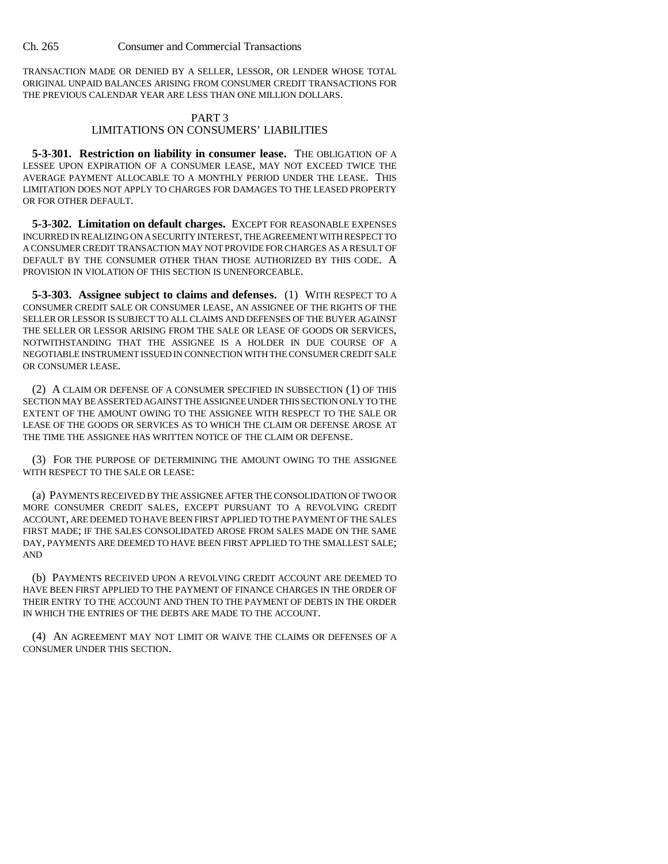TRANSACTION MADE OR DENIED BY A SELLER, LESSOR, OR LENDER WHOSE TOTAL ORIGINAL UNPAID BALANCES ARISING FROM CONSUMER CREDIT TRANSACTIONS FOR THE PREVIOUS CALENDAR YEAR ARE LESS THAN ONE MILLION DOLLARS.

#### PART 3 LIMITATIONS ON CONSUMERS' LIABILITIES

**5-3-301. Restriction on liability in consumer lease.** THE OBLIGATION OF A LESSEE UPON EXPIRATION OF A CONSUMER LEASE, MAY NOT EXCEED TWICE THE AVERAGE PAYMENT ALLOCABLE TO A MONTHLY PERIOD UNDER THE LEASE. THIS LIMITATION DOES NOT APPLY TO CHARGES FOR DAMAGES TO THE LEASED PROPERTY OR FOR OTHER DEFAULT.

**5-3-302. Limitation on default charges.** EXCEPT FOR REASONABLE EXPENSES INCURRED IN REALIZING ON A SECURITY INTEREST, THE AGREEMENT WITH RESPECT TO A CONSUMER CREDIT TRANSACTION MAY NOT PROVIDE FOR CHARGES AS A RESULT OF DEFAULT BY THE CONSUMER OTHER THAN THOSE AUTHORIZED BY THIS CODE. A PROVISION IN VIOLATION OF THIS SECTION IS UNENFORCEABLE.

**5-3-303. Assignee subject to claims and defenses.** (1) WITH RESPECT TO A CONSUMER CREDIT SALE OR CONSUMER LEASE, AN ASSIGNEE OF THE RIGHTS OF THE SELLER OR LESSOR IS SUBJECT TO ALL CLAIMS AND DEFENSES OF THE BUYER AGAINST THE SELLER OR LESSOR ARISING FROM THE SALE OR LEASE OF GOODS OR SERVICES, NOTWITHSTANDING THAT THE ASSIGNEE IS A HOLDER IN DUE COURSE OF A NEGOTIABLE INSTRUMENT ISSUED IN CONNECTION WITH THE CONSUMER CREDIT SALE OR CONSUMER LEASE.

(2) A CLAIM OR DEFENSE OF A CONSUMER SPECIFIED IN SUBSECTION (1) OF THIS SECTION MAY BE ASSERTED AGAINST THE ASSIGNEE UNDER THIS SECTION ONLY TO THE EXTENT OF THE AMOUNT OWING TO THE ASSIGNEE WITH RESPECT TO THE SALE OR LEASE OF THE GOODS OR SERVICES AS TO WHICH THE CLAIM OR DEFENSE AROSE AT THE TIME THE ASSIGNEE HAS WRITTEN NOTICE OF THE CLAIM OR DEFENSE.

(3) FOR THE PURPOSE OF DETERMINING THE AMOUNT OWING TO THE ASSIGNEE WITH RESPECT TO THE SALE OR LEASE:

(a) PAYMENTS RECEIVED BY THE ASSIGNEE AFTER THE CONSOLIDATION OF TWO OR MORE CONSUMER CREDIT SALES, EXCEPT PURSUANT TO A REVOLVING CREDIT ACCOUNT, ARE DEEMED TO HAVE BEEN FIRST APPLIED TO THE PAYMENT OF THE SALES FIRST MADE; IF THE SALES CONSOLIDATED AROSE FROM SALES MADE ON THE SAME DAY, PAYMENTS ARE DEEMED TO HAVE BEEN FIRST APPLIED TO THE SMALLEST SALE; AND

(b) PAYMENTS RECEIVED UPON A REVOLVING CREDIT ACCOUNT ARE DEEMED TO HAVE BEEN FIRST APPLIED TO THE PAYMENT OF FINANCE CHARGES IN THE ORDER OF THEIR ENTRY TO THE ACCOUNT AND THEN TO THE PAYMENT OF DEBTS IN THE ORDER IN WHICH THE ENTRIES OF THE DEBTS ARE MADE TO THE ACCOUNT.

(4) AN AGREEMENT MAY NOT LIMIT OR WAIVE THE CLAIMS OR DEFENSES OF A CONSUMER UNDER THIS SECTION.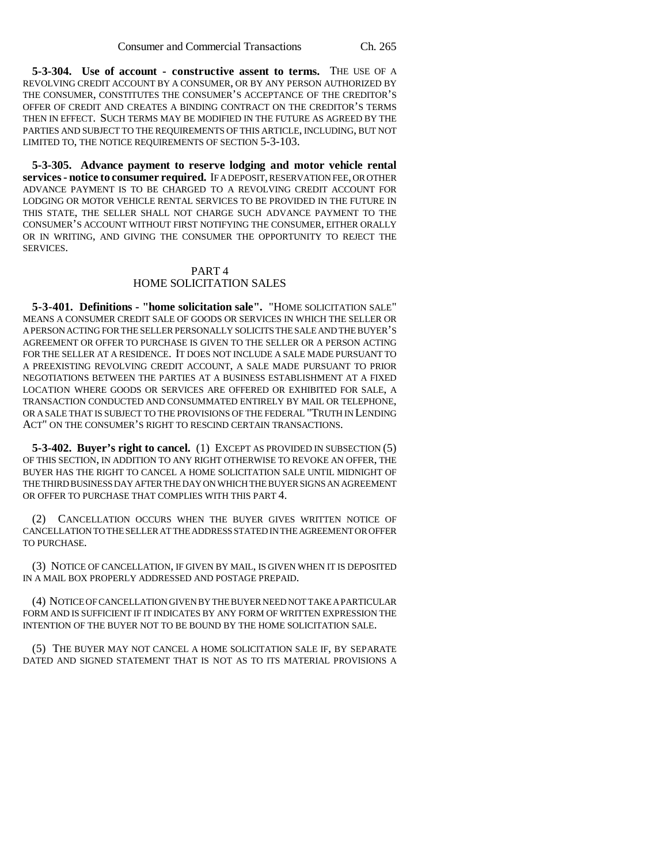**5-3-304. Use of account - constructive assent to terms.** THE USE OF A REVOLVING CREDIT ACCOUNT BY A CONSUMER, OR BY ANY PERSON AUTHORIZED BY THE CONSUMER, CONSTITUTES THE CONSUMER'S ACCEPTANCE OF THE CREDITOR'S OFFER OF CREDIT AND CREATES A BINDING CONTRACT ON THE CREDITOR'S TERMS THEN IN EFFECT. SUCH TERMS MAY BE MODIFIED IN THE FUTURE AS AGREED BY THE PARTIES AND SUBJECT TO THE REQUIREMENTS OF THIS ARTICLE, INCLUDING, BUT NOT LIMITED TO, THE NOTICE REQUIREMENTS OF SECTION 5-3-103.

**5-3-305. Advance payment to reserve lodging and motor vehicle rental services - notice to consumer required.** IF A DEPOSIT, RESERVATION FEE, OR OTHER ADVANCE PAYMENT IS TO BE CHARGED TO A REVOLVING CREDIT ACCOUNT FOR LODGING OR MOTOR VEHICLE RENTAL SERVICES TO BE PROVIDED IN THE FUTURE IN THIS STATE, THE SELLER SHALL NOT CHARGE SUCH ADVANCE PAYMENT TO THE CONSUMER'S ACCOUNT WITHOUT FIRST NOTIFYING THE CONSUMER, EITHER ORALLY OR IN WRITING, AND GIVING THE CONSUMER THE OPPORTUNITY TO REJECT THE SERVICES.

### PART 4 HOME SOLICITATION SALES

**5-3-401. Definitions - "home solicitation sale".** "HOME SOLICITATION SALE" MEANS A CONSUMER CREDIT SALE OF GOODS OR SERVICES IN WHICH THE SELLER OR A PERSON ACTING FOR THE SELLER PERSONALLY SOLICITS THE SALE AND THE BUYER'S AGREEMENT OR OFFER TO PURCHASE IS GIVEN TO THE SELLER OR A PERSON ACTING FOR THE SELLER AT A RESIDENCE. IT DOES NOT INCLUDE A SALE MADE PURSUANT TO A PREEXISTING REVOLVING CREDIT ACCOUNT, A SALE MADE PURSUANT TO PRIOR NEGOTIATIONS BETWEEN THE PARTIES AT A BUSINESS ESTABLISHMENT AT A FIXED LOCATION WHERE GOODS OR SERVICES ARE OFFERED OR EXHIBITED FOR SALE, A TRANSACTION CONDUCTED AND CONSUMMATED ENTIRELY BY MAIL OR TELEPHONE, OR A SALE THAT IS SUBJECT TO THE PROVISIONS OF THE FEDERAL "TRUTH IN LENDING ACT" ON THE CONSUMER'S RIGHT TO RESCIND CERTAIN TRANSACTIONS.

**5-3-402. Buyer's right to cancel.** (1) EXCEPT AS PROVIDED IN SUBSECTION (5) OF THIS SECTION, IN ADDITION TO ANY RIGHT OTHERWISE TO REVOKE AN OFFER, THE BUYER HAS THE RIGHT TO CANCEL A HOME SOLICITATION SALE UNTIL MIDNIGHT OF THE THIRD BUSINESS DAY AFTER THE DAY ON WHICH THE BUYER SIGNS AN AGREEMENT OR OFFER TO PURCHASE THAT COMPLIES WITH THIS PART 4.

(2) CANCELLATION OCCURS WHEN THE BUYER GIVES WRITTEN NOTICE OF CANCELLATION TO THE SELLER AT THE ADDRESS STATED IN THE AGREEMENT OR OFFER TO PURCHASE.

(3) NOTICE OF CANCELLATION, IF GIVEN BY MAIL, IS GIVEN WHEN IT IS DEPOSITED IN A MAIL BOX PROPERLY ADDRESSED AND POSTAGE PREPAID.

(4) NOTICE OF CANCELLATION GIVEN BY THE BUYER NEED NOT TAKE A PARTICULAR FORM AND IS SUFFICIENT IF IT INDICATES BY ANY FORM OF WRITTEN EXPRESSION THE INTENTION OF THE BUYER NOT TO BE BOUND BY THE HOME SOLICITATION SALE.

(5) THE BUYER MAY NOT CANCEL A HOME SOLICITATION SALE IF, BY SEPARATE DATED AND SIGNED STATEMENT THAT IS NOT AS TO ITS MATERIAL PROVISIONS A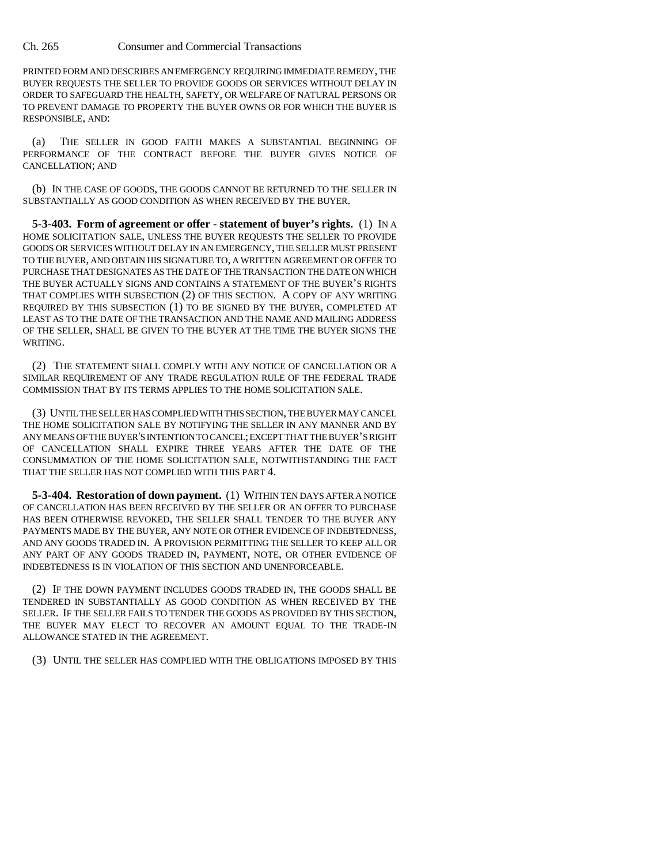PRINTED FORM AND DESCRIBES AN EMERGENCY REQUIRING IMMEDIATE REMEDY, THE BUYER REQUESTS THE SELLER TO PROVIDE GOODS OR SERVICES WITHOUT DELAY IN ORDER TO SAFEGUARD THE HEALTH, SAFETY, OR WELFARE OF NATURAL PERSONS OR TO PREVENT DAMAGE TO PROPERTY THE BUYER OWNS OR FOR WHICH THE BUYER IS RESPONSIBLE, AND:

(a) THE SELLER IN GOOD FAITH MAKES A SUBSTANTIAL BEGINNING OF PERFORMANCE OF THE CONTRACT BEFORE THE BUYER GIVES NOTICE OF CANCELLATION; AND

(b) IN THE CASE OF GOODS, THE GOODS CANNOT BE RETURNED TO THE SELLER IN SUBSTANTIALLY AS GOOD CONDITION AS WHEN RECEIVED BY THE BUYER.

**5-3-403. Form of agreement or offer - statement of buyer's rights.** (1) IN A HOME SOLICITATION SALE, UNLESS THE BUYER REQUESTS THE SELLER TO PROVIDE GOODS OR SERVICES WITHOUT DELAY IN AN EMERGENCY, THE SELLER MUST PRESENT TO THE BUYER, AND OBTAIN HIS SIGNATURE TO, A WRITTEN AGREEMENT OR OFFER TO PURCHASE THAT DESIGNATES AS THE DATE OF THE TRANSACTION THE DATE ON WHICH THE BUYER ACTUALLY SIGNS AND CONTAINS A STATEMENT OF THE BUYER'S RIGHTS THAT COMPLIES WITH SUBSECTION (2) OF THIS SECTION. A COPY OF ANY WRITING REQUIRED BY THIS SUBSECTION (1) TO BE SIGNED BY THE BUYER, COMPLETED AT LEAST AS TO THE DATE OF THE TRANSACTION AND THE NAME AND MAILING ADDRESS OF THE SELLER, SHALL BE GIVEN TO THE BUYER AT THE TIME THE BUYER SIGNS THE WRITING.

(2) THE STATEMENT SHALL COMPLY WITH ANY NOTICE OF CANCELLATION OR A SIMILAR REQUIREMENT OF ANY TRADE REGULATION RULE OF THE FEDERAL TRADE COMMISSION THAT BY ITS TERMS APPLIES TO THE HOME SOLICITATION SALE.

(3) UNTIL THE SELLER HAS COMPLIED WITH THIS SECTION, THE BUYER MAY CANCEL THE HOME SOLICITATION SALE BY NOTIFYING THE SELLER IN ANY MANNER AND BY ANY MEANS OF THE BUYER'S INTENTION TO CANCEL; EXCEPT THAT THE BUYER'S RIGHT OF CANCELLATION SHALL EXPIRE THREE YEARS AFTER THE DATE OF THE CONSUMMATION OF THE HOME SOLICITATION SALE, NOTWITHSTANDING THE FACT THAT THE SELLER HAS NOT COMPLIED WITH THIS PART 4.

**5-3-404. Restoration of down payment.** (1) WITHIN TEN DAYS AFTER A NOTICE OF CANCELLATION HAS BEEN RECEIVED BY THE SELLER OR AN OFFER TO PURCHASE HAS BEEN OTHERWISE REVOKED, THE SELLER SHALL TENDER TO THE BUYER ANY PAYMENTS MADE BY THE BUYER, ANY NOTE OR OTHER EVIDENCE OF INDEBTEDNESS, AND ANY GOODS TRADED IN. A PROVISION PERMITTING THE SELLER TO KEEP ALL OR ANY PART OF ANY GOODS TRADED IN, PAYMENT, NOTE, OR OTHER EVIDENCE OF INDEBTEDNESS IS IN VIOLATION OF THIS SECTION AND UNENFORCEABLE.

(2) IF THE DOWN PAYMENT INCLUDES GOODS TRADED IN, THE GOODS SHALL BE TENDERED IN SUBSTANTIALLY AS GOOD CONDITION AS WHEN RECEIVED BY THE SELLER. IF THE SELLER FAILS TO TENDER THE GOODS AS PROVIDED BY THIS SECTION, THE BUYER MAY ELECT TO RECOVER AN AMOUNT EQUAL TO THE TRADE-IN ALLOWANCE STATED IN THE AGREEMENT.

(3) UNTIL THE SELLER HAS COMPLIED WITH THE OBLIGATIONS IMPOSED BY THIS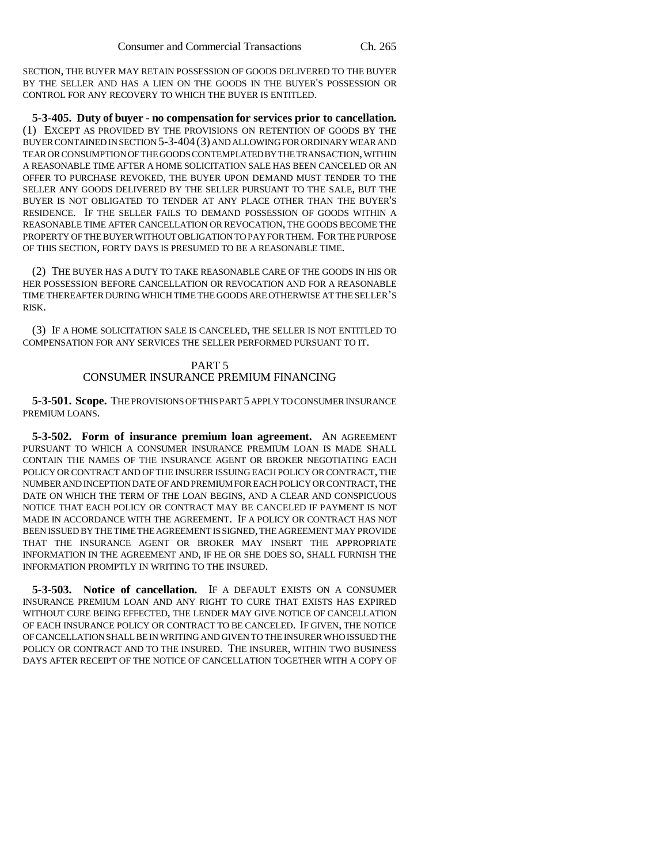SECTION, THE BUYER MAY RETAIN POSSESSION OF GOODS DELIVERED TO THE BUYER BY THE SELLER AND HAS A LIEN ON THE GOODS IN THE BUYER'S POSSESSION OR CONTROL FOR ANY RECOVERY TO WHICH THE BUYER IS ENTITLED.

**5-3-405. Duty of buyer - no compensation for services prior to cancellation.** (1) EXCEPT AS PROVIDED BY THE PROVISIONS ON RETENTION OF GOODS BY THE BUYER CONTAINED IN SECTION 5-3-404 (3) AND ALLOWING FOR ORDINARY WEAR AND TEAR OR CONSUMPTION OF THE GOODS CONTEMPLATED BY THE TRANSACTION, WITHIN A REASONABLE TIME AFTER A HOME SOLICITATION SALE HAS BEEN CANCELED OR AN OFFER TO PURCHASE REVOKED, THE BUYER UPON DEMAND MUST TENDER TO THE SELLER ANY GOODS DELIVERED BY THE SELLER PURSUANT TO THE SALE, BUT THE BUYER IS NOT OBLIGATED TO TENDER AT ANY PLACE OTHER THAN THE BUYER'S RESIDENCE. IF THE SELLER FAILS TO DEMAND POSSESSION OF GOODS WITHIN A REASONABLE TIME AFTER CANCELLATION OR REVOCATION, THE GOODS BECOME THE PROPERTY OF THE BUYER WITHOUT OBLIGATION TO PAY FOR THEM. FOR THE PURPOSE OF THIS SECTION, FORTY DAYS IS PRESUMED TO BE A REASONABLE TIME.

(2) THE BUYER HAS A DUTY TO TAKE REASONABLE CARE OF THE GOODS IN HIS OR HER POSSESSION BEFORE CANCELLATION OR REVOCATION AND FOR A REASONABLE TIME THEREAFTER DURING WHICH TIME THE GOODS ARE OTHERWISE AT THE SELLER'S RISK.

(3) IF A HOME SOLICITATION SALE IS CANCELED, THE SELLER IS NOT ENTITLED TO COMPENSATION FOR ANY SERVICES THE SELLER PERFORMED PURSUANT TO IT.

## PART 5 CONSUMER INSURANCE PREMIUM FINANCING

**5-3-501. Scope.** THE PROVISIONS OF THIS PART 5 APPLY TO CONSUMER INSURANCE PREMIUM LOANS.

**5-3-502. Form of insurance premium loan agreement.** AN AGREEMENT PURSUANT TO WHICH A CONSUMER INSURANCE PREMIUM LOAN IS MADE SHALL CONTAIN THE NAMES OF THE INSURANCE AGENT OR BROKER NEGOTIATING EACH POLICY OR CONTRACT AND OF THE INSURER ISSUING EACH POLICY OR CONTRACT, THE NUMBER AND INCEPTION DATE OF AND PREMIUM FOR EACH POLICY OR CONTRACT, THE DATE ON WHICH THE TERM OF THE LOAN BEGINS, AND A CLEAR AND CONSPICUOUS NOTICE THAT EACH POLICY OR CONTRACT MAY BE CANCELED IF PAYMENT IS NOT MADE IN ACCORDANCE WITH THE AGREEMENT. IF A POLICY OR CONTRACT HAS NOT BEEN ISSUED BY THE TIME THE AGREEMENT IS SIGNED, THE AGREEMENT MAY PROVIDE THAT THE INSURANCE AGENT OR BROKER MAY INSERT THE APPROPRIATE INFORMATION IN THE AGREEMENT AND, IF HE OR SHE DOES SO, SHALL FURNISH THE INFORMATION PROMPTLY IN WRITING TO THE INSURED.

**5-3-503. Notice of cancellation.** IF A DEFAULT EXISTS ON A CONSUMER INSURANCE PREMIUM LOAN AND ANY RIGHT TO CURE THAT EXISTS HAS EXPIRED WITHOUT CURE BEING EFFECTED, THE LENDER MAY GIVE NOTICE OF CANCELLATION OF EACH INSURANCE POLICY OR CONTRACT TO BE CANCELED. IF GIVEN, THE NOTICE OF CANCELLATION SHALL BE IN WRITING AND GIVEN TO THE INSURER WHO ISSUED THE POLICY OR CONTRACT AND TO THE INSURED. THE INSURER, WITHIN TWO BUSINESS DAYS AFTER RECEIPT OF THE NOTICE OF CANCELLATION TOGETHER WITH A COPY OF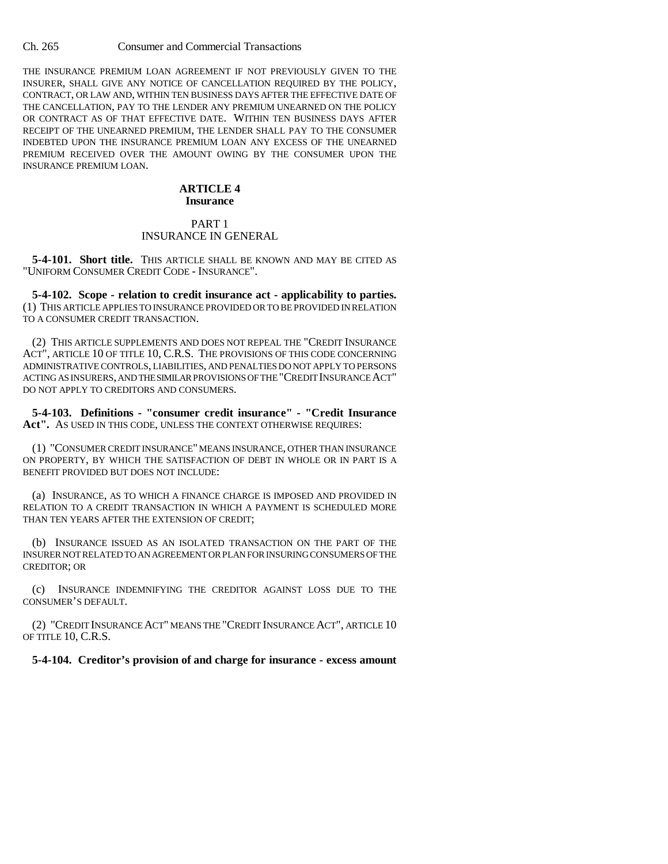THE INSURANCE PREMIUM LOAN AGREEMENT IF NOT PREVIOUSLY GIVEN TO THE INSURER, SHALL GIVE ANY NOTICE OF CANCELLATION REQUIRED BY THE POLICY, CONTRACT, OR LAW AND, WITHIN TEN BUSINESS DAYS AFTER THE EFFECTIVE DATE OF THE CANCELLATION, PAY TO THE LENDER ANY PREMIUM UNEARNED ON THE POLICY OR CONTRACT AS OF THAT EFFECTIVE DATE. WITHIN TEN BUSINESS DAYS AFTER RECEIPT OF THE UNEARNED PREMIUM, THE LENDER SHALL PAY TO THE CONSUMER INDEBTED UPON THE INSURANCE PREMIUM LOAN ANY EXCESS OF THE UNEARNED PREMIUM RECEIVED OVER THE AMOUNT OWING BY THE CONSUMER UPON THE INSURANCE PREMIUM LOAN.

### **ARTICLE 4 Insurance**

## PART 1 INSURANCE IN GENERAL

**5-4-101. Short title.** THIS ARTICLE SHALL BE KNOWN AND MAY BE CITED AS "UNIFORM CONSUMER CREDIT CODE - INSURANCE".

**5-4-102. Scope - relation to credit insurance act - applicability to parties.** (1) THIS ARTICLE APPLIES TO INSURANCE PROVIDED OR TO BE PROVIDED IN RELATION TO A CONSUMER CREDIT TRANSACTION.

(2) THIS ARTICLE SUPPLEMENTS AND DOES NOT REPEAL THE "CREDIT INSURANCE ACT", ARTICLE 10 OF TITLE 10, C.R.S. THE PROVISIONS OF THIS CODE CONCERNING ADMINISTRATIVE CONTROLS, LIABILITIES, AND PENALTIES DO NOT APPLY TO PERSONS ACTING AS INSURERS, AND THE SIMILAR PROVISIONS OF THE "CREDIT INSURANCE ACT" DO NOT APPLY TO CREDITORS AND CONSUMERS.

**5-4-103. Definitions - "consumer credit insurance" - "Credit Insurance Act".** AS USED IN THIS CODE, UNLESS THE CONTEXT OTHERWISE REQUIRES:

(1) "CONSUMER CREDIT INSURANCE" MEANS INSURANCE, OTHER THAN INSURANCE ON PROPERTY, BY WHICH THE SATISFACTION OF DEBT IN WHOLE OR IN PART IS A BENEFIT PROVIDED BUT DOES NOT INCLUDE:

(a) INSURANCE, AS TO WHICH A FINANCE CHARGE IS IMPOSED AND PROVIDED IN RELATION TO A CREDIT TRANSACTION IN WHICH A PAYMENT IS SCHEDULED MORE THAN TEN YEARS AFTER THE EXTENSION OF CREDIT;

(b) INSURANCE ISSUED AS AN ISOLATED TRANSACTION ON THE PART OF THE INSURER NOT RELATED TO AN AGREEMENT OR PLAN FOR INSURING CONSUMERS OF THE CREDITOR; OR

(c) INSURANCE INDEMNIFYING THE CREDITOR AGAINST LOSS DUE TO THE CONSUMER'S DEFAULT.

(2) "CREDIT INSURANCE ACT" MEANS THE "CREDIT INSURANCE ACT", ARTICLE 10 OF TITLE 10, C.R.S.

**5-4-104. Creditor's provision of and charge for insurance - excess amount**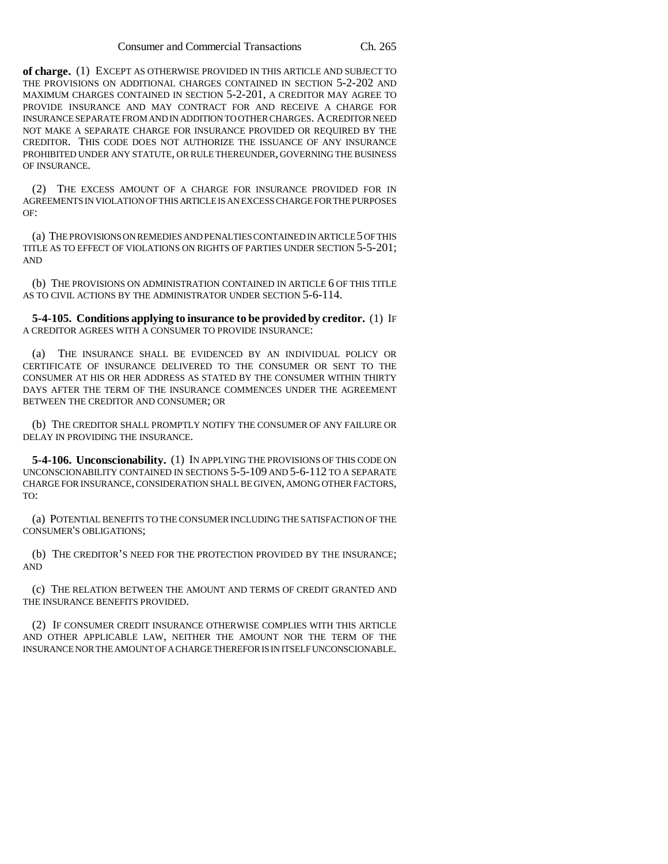**of charge.** (1) EXCEPT AS OTHERWISE PROVIDED IN THIS ARTICLE AND SUBJECT TO THE PROVISIONS ON ADDITIONAL CHARGES CONTAINED IN SECTION 5-2-202 AND MAXIMUM CHARGES CONTAINED IN SECTION 5-2-201, A CREDITOR MAY AGREE TO PROVIDE INSURANCE AND MAY CONTRACT FOR AND RECEIVE A CHARGE FOR INSURANCE SEPARATE FROM AND IN ADDITION TO OTHER CHARGES. A CREDITOR NEED NOT MAKE A SEPARATE CHARGE FOR INSURANCE PROVIDED OR REQUIRED BY THE CREDITOR. THIS CODE DOES NOT AUTHORIZE THE ISSUANCE OF ANY INSURANCE PROHIBITED UNDER ANY STATUTE, OR RULE THEREUNDER, GOVERNING THE BUSINESS OF INSURANCE.

(2) THE EXCESS AMOUNT OF A CHARGE FOR INSURANCE PROVIDED FOR IN AGREEMENTS IN VIOLATION OF THIS ARTICLE IS AN EXCESS CHARGE FOR THE PURPOSES OF:

(a) THE PROVISIONS ON REMEDIES AND PENALTIES CONTAINED IN ARTICLE 5 OF THIS TITLE AS TO EFFECT OF VIOLATIONS ON RIGHTS OF PARTIES UNDER SECTION 5-5-201; AND

(b) THE PROVISIONS ON ADMINISTRATION CONTAINED IN ARTICLE 6 OF THIS TITLE AS TO CIVIL ACTIONS BY THE ADMINISTRATOR UNDER SECTION 5-6-114.

**5-4-105. Conditions applying to insurance to be provided by creditor.** (1) IF A CREDITOR AGREES WITH A CONSUMER TO PROVIDE INSURANCE:

(a) THE INSURANCE SHALL BE EVIDENCED BY AN INDIVIDUAL POLICY OR CERTIFICATE OF INSURANCE DELIVERED TO THE CONSUMER OR SENT TO THE CONSUMER AT HIS OR HER ADDRESS AS STATED BY THE CONSUMER WITHIN THIRTY DAYS AFTER THE TERM OF THE INSURANCE COMMENCES UNDER THE AGREEMENT BETWEEN THE CREDITOR AND CONSUMER; OR

(b) THE CREDITOR SHALL PROMPTLY NOTIFY THE CONSUMER OF ANY FAILURE OR DELAY IN PROVIDING THE INSURANCE.

**5-4-106. Unconscionability.** (1) IN APPLYING THE PROVISIONS OF THIS CODE ON UNCONSCIONABILITY CONTAINED IN SECTIONS 5-5-109 AND 5-6-112 TO A SEPARATE CHARGE FOR INSURANCE, CONSIDERATION SHALL BE GIVEN, AMONG OTHER FACTORS, TO:

(a) POTENTIAL BENEFITS TO THE CONSUMER INCLUDING THE SATISFACTION OF THE CONSUMER'S OBLIGATIONS;

(b) THE CREDITOR'S NEED FOR THE PROTECTION PROVIDED BY THE INSURANCE; AND

(c) THE RELATION BETWEEN THE AMOUNT AND TERMS OF CREDIT GRANTED AND THE INSURANCE BENEFITS PROVIDED.

(2) IF CONSUMER CREDIT INSURANCE OTHERWISE COMPLIES WITH THIS ARTICLE AND OTHER APPLICABLE LAW, NEITHER THE AMOUNT NOR THE TERM OF THE INSURANCE NOR THE AMOUNT OF A CHARGE THEREFOR IS IN ITSELF UNCONSCIONABLE.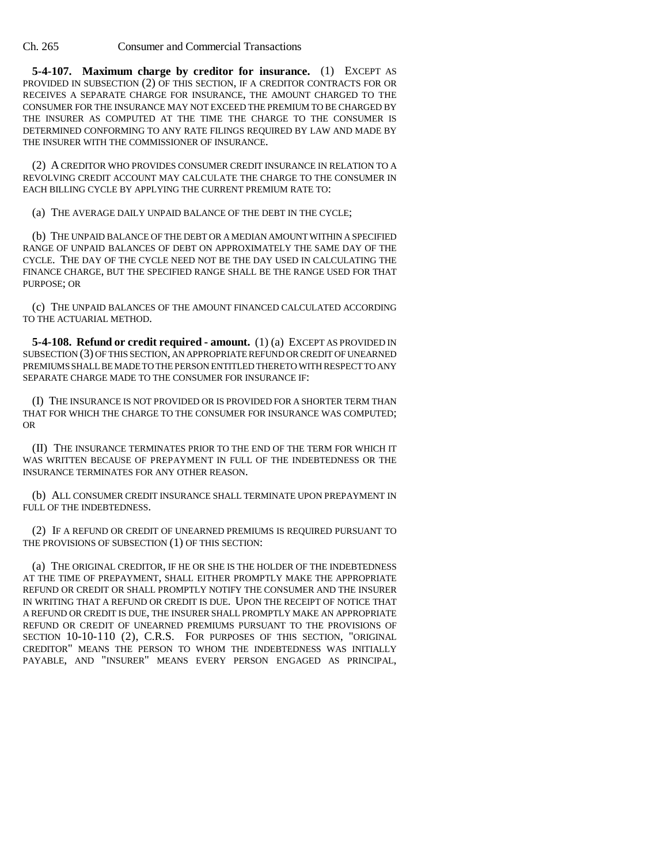**5-4-107. Maximum charge by creditor for insurance.** (1) EXCEPT AS PROVIDED IN SUBSECTION (2) OF THIS SECTION, IF A CREDITOR CONTRACTS FOR OR RECEIVES A SEPARATE CHARGE FOR INSURANCE, THE AMOUNT CHARGED TO THE CONSUMER FOR THE INSURANCE MAY NOT EXCEED THE PREMIUM TO BE CHARGED BY THE INSURER AS COMPUTED AT THE TIME THE CHARGE TO THE CONSUMER IS DETERMINED CONFORMING TO ANY RATE FILINGS REQUIRED BY LAW AND MADE BY THE INSURER WITH THE COMMISSIONER OF INSURANCE.

(2) A CREDITOR WHO PROVIDES CONSUMER CREDIT INSURANCE IN RELATION TO A REVOLVING CREDIT ACCOUNT MAY CALCULATE THE CHARGE TO THE CONSUMER IN EACH BILLING CYCLE BY APPLYING THE CURRENT PREMIUM RATE TO:

(a) THE AVERAGE DAILY UNPAID BALANCE OF THE DEBT IN THE CYCLE;

(b) THE UNPAID BALANCE OF THE DEBT OR A MEDIAN AMOUNT WITHIN A SPECIFIED RANGE OF UNPAID BALANCES OF DEBT ON APPROXIMATELY THE SAME DAY OF THE CYCLE. THE DAY OF THE CYCLE NEED NOT BE THE DAY USED IN CALCULATING THE FINANCE CHARGE, BUT THE SPECIFIED RANGE SHALL BE THE RANGE USED FOR THAT PURPOSE; OR

(c) THE UNPAID BALANCES OF THE AMOUNT FINANCED CALCULATED ACCORDING TO THE ACTUARIAL METHOD.

**5-4-108. Refund or credit required - amount.** (1) (a) EXCEPT AS PROVIDED IN SUBSECTION (3) OF THIS SECTION, AN APPROPRIATE REFUND OR CREDIT OF UNEARNED PREMIUMS SHALL BE MADE TO THE PERSON ENTITLED THERETO WITH RESPECT TO ANY SEPARATE CHARGE MADE TO THE CONSUMER FOR INSURANCE IF:

(I) THE INSURANCE IS NOT PROVIDED OR IS PROVIDED FOR A SHORTER TERM THAN THAT FOR WHICH THE CHARGE TO THE CONSUMER FOR INSURANCE WAS COMPUTED; OR

(II) THE INSURANCE TERMINATES PRIOR TO THE END OF THE TERM FOR WHICH IT WAS WRITTEN BECAUSE OF PREPAYMENT IN FULL OF THE INDEBTEDNESS OR THE INSURANCE TERMINATES FOR ANY OTHER REASON.

(b) ALL CONSUMER CREDIT INSURANCE SHALL TERMINATE UPON PREPAYMENT IN FULL OF THE INDEBTEDNESS.

(2) IF A REFUND OR CREDIT OF UNEARNED PREMIUMS IS REQUIRED PURSUANT TO THE PROVISIONS OF SUBSECTION (1) OF THIS SECTION:

(a) THE ORIGINAL CREDITOR, IF HE OR SHE IS THE HOLDER OF THE INDEBTEDNESS AT THE TIME OF PREPAYMENT, SHALL EITHER PROMPTLY MAKE THE APPROPRIATE REFUND OR CREDIT OR SHALL PROMPTLY NOTIFY THE CONSUMER AND THE INSURER IN WRITING THAT A REFUND OR CREDIT IS DUE. UPON THE RECEIPT OF NOTICE THAT A REFUND OR CREDIT IS DUE, THE INSURER SHALL PROMPTLY MAKE AN APPROPRIATE REFUND OR CREDIT OF UNEARNED PREMIUMS PURSUANT TO THE PROVISIONS OF SECTION 10-10-110 (2), C.R.S. FOR PURPOSES OF THIS SECTION, "ORIGINAL CREDITOR" MEANS THE PERSON TO WHOM THE INDEBTEDNESS WAS INITIALLY PAYABLE, AND "INSURER" MEANS EVERY PERSON ENGAGED AS PRINCIPAL,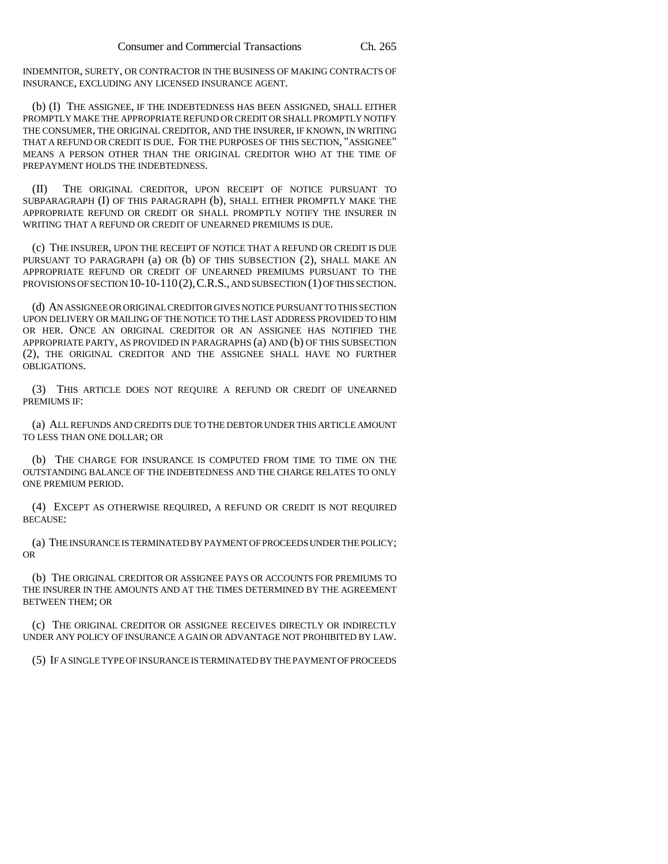INDEMNITOR, SURETY, OR CONTRACTOR IN THE BUSINESS OF MAKING CONTRACTS OF INSURANCE, EXCLUDING ANY LICENSED INSURANCE AGENT.

(b) (I) THE ASSIGNEE, IF THE INDEBTEDNESS HAS BEEN ASSIGNED, SHALL EITHER PROMPTLY MAKE THE APPROPRIATE REFUND OR CREDIT OR SHALL PROMPTLY NOTIFY THE CONSUMER, THE ORIGINAL CREDITOR, AND THE INSURER, IF KNOWN, IN WRITING THAT A REFUND OR CREDIT IS DUE. FOR THE PURPOSES OF THIS SECTION, "ASSIGNEE" MEANS A PERSON OTHER THAN THE ORIGINAL CREDITOR WHO AT THE TIME OF PREPAYMENT HOLDS THE INDEBTEDNESS.

(II) THE ORIGINAL CREDITOR, UPON RECEIPT OF NOTICE PURSUANT TO SUBPARAGRAPH (I) OF THIS PARAGRAPH (b), SHALL EITHER PROMPTLY MAKE THE APPROPRIATE REFUND OR CREDIT OR SHALL PROMPTLY NOTIFY THE INSURER IN WRITING THAT A REFUND OR CREDIT OF UNEARNED PREMIUMS IS DUE.

(c) THE INSURER, UPON THE RECEIPT OF NOTICE THAT A REFUND OR CREDIT IS DUE PURSUANT TO PARAGRAPH (a) OR (b) OF THIS SUBSECTION (2), SHALL MAKE AN APPROPRIATE REFUND OR CREDIT OF UNEARNED PREMIUMS PURSUANT TO THE PROVISIONS OF SECTION 10-10-110(2), C.R.S., AND SUBSECTION (1) OF THIS SECTION.

(d) AN ASSIGNEE OR ORIGINAL CREDITOR GIVES NOTICE PURSUANT TO THIS SECTION UPON DELIVERY OR MAILING OF THE NOTICE TO THE LAST ADDRESS PROVIDED TO HIM OR HER. ONCE AN ORIGINAL CREDITOR OR AN ASSIGNEE HAS NOTIFIED THE APPROPRIATE PARTY, AS PROVIDED IN PARAGRAPHS (a) AND (b) OF THIS SUBSECTION (2), THE ORIGINAL CREDITOR AND THE ASSIGNEE SHALL HAVE NO FURTHER OBLIGATIONS.

(3) THIS ARTICLE DOES NOT REQUIRE A REFUND OR CREDIT OF UNEARNED PREMIUMS IF:

(a) ALL REFUNDS AND CREDITS DUE TO THE DEBTOR UNDER THIS ARTICLE AMOUNT TO LESS THAN ONE DOLLAR; OR

(b) THE CHARGE FOR INSURANCE IS COMPUTED FROM TIME TO TIME ON THE OUTSTANDING BALANCE OF THE INDEBTEDNESS AND THE CHARGE RELATES TO ONLY ONE PREMIUM PERIOD.

(4) EXCEPT AS OTHERWISE REQUIRED, A REFUND OR CREDIT IS NOT REQUIRED BECAUSE:

(a) THE INSURANCE IS TERMINATED BY PAYMENT OF PROCEEDS UNDER THE POLICY; OR

(b) THE ORIGINAL CREDITOR OR ASSIGNEE PAYS OR ACCOUNTS FOR PREMIUMS TO THE INSURER IN THE AMOUNTS AND AT THE TIMES DETERMINED BY THE AGREEMENT BETWEEN THEM; OR

(c) THE ORIGINAL CREDITOR OR ASSIGNEE RECEIVES DIRECTLY OR INDIRECTLY UNDER ANY POLICY OF INSURANCE A GAIN OR ADVANTAGE NOT PROHIBITED BY LAW.

(5) IF A SINGLE TYPE OF INSURANCE IS TERMINATED BY THE PAYMENT OF PROCEEDS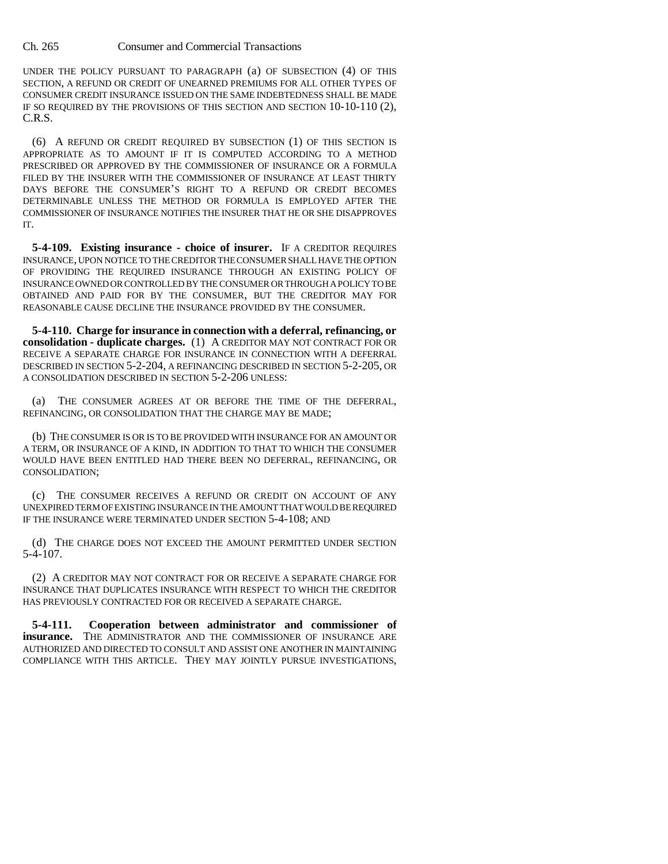UNDER THE POLICY PURSUANT TO PARAGRAPH (a) OF SUBSECTION (4) OF THIS SECTION, A REFUND OR CREDIT OF UNEARNED PREMIUMS FOR ALL OTHER TYPES OF CONSUMER CREDIT INSURANCE ISSUED ON THE SAME INDEBTEDNESS SHALL BE MADE IF SO REQUIRED BY THE PROVISIONS OF THIS SECTION AND SECTION 10-10-110 (2), C.R.S.

(6) A REFUND OR CREDIT REQUIRED BY SUBSECTION (1) OF THIS SECTION IS APPROPRIATE AS TO AMOUNT IF IT IS COMPUTED ACCORDING TO A METHOD PRESCRIBED OR APPROVED BY THE COMMISSIONER OF INSURANCE OR A FORMULA FILED BY THE INSURER WITH THE COMMISSIONER OF INSURANCE AT LEAST THIRTY DAYS BEFORE THE CONSUMER'S RIGHT TO A REFUND OR CREDIT BECOMES DETERMINABLE UNLESS THE METHOD OR FORMULA IS EMPLOYED AFTER THE COMMISSIONER OF INSURANCE NOTIFIES THE INSURER THAT HE OR SHE DISAPPROVES IT.

**5-4-109. Existing insurance - choice of insurer.** IF A CREDITOR REQUIRES INSURANCE, UPON NOTICE TO THE CREDITOR THE CONSUMER SHALL HAVE THE OPTION OF PROVIDING THE REQUIRED INSURANCE THROUGH AN EXISTING POLICY OF INSURANCE OWNED OR CONTROLLED BY THE CONSUMER OR THROUGH A POLICY TO BE OBTAINED AND PAID FOR BY THE CONSUMER, BUT THE CREDITOR MAY FOR REASONABLE CAUSE DECLINE THE INSURANCE PROVIDED BY THE CONSUMER.

**5-4-110. Charge for insurance in connection with a deferral, refinancing, or consolidation - duplicate charges.** (1) A CREDITOR MAY NOT CONTRACT FOR OR RECEIVE A SEPARATE CHARGE FOR INSURANCE IN CONNECTION WITH A DEFERRAL DESCRIBED IN SECTION 5-2-204, A REFINANCING DESCRIBED IN SECTION 5-2-205, OR A CONSOLIDATION DESCRIBED IN SECTION 5-2-206 UNLESS:

(a) THE CONSUMER AGREES AT OR BEFORE THE TIME OF THE DEFERRAL, REFINANCING, OR CONSOLIDATION THAT THE CHARGE MAY BE MADE;

(b) THE CONSUMER IS OR IS TO BE PROVIDED WITH INSURANCE FOR AN AMOUNT OR A TERM, OR INSURANCE OF A KIND, IN ADDITION TO THAT TO WHICH THE CONSUMER WOULD HAVE BEEN ENTITLED HAD THERE BEEN NO DEFERRAL, REFINANCING, OR CONSOLIDATION;

(c) THE CONSUMER RECEIVES A REFUND OR CREDIT ON ACCOUNT OF ANY UNEXPIRED TERM OF EXISTING INSURANCE IN THE AMOUNT THAT WOULD BE REQUIRED IF THE INSURANCE WERE TERMINATED UNDER SECTION 5-4-108; AND

(d) THE CHARGE DOES NOT EXCEED THE AMOUNT PERMITTED UNDER SECTION 5-4-107.

(2) A CREDITOR MAY NOT CONTRACT FOR OR RECEIVE A SEPARATE CHARGE FOR INSURANCE THAT DUPLICATES INSURANCE WITH RESPECT TO WHICH THE CREDITOR HAS PREVIOUSLY CONTRACTED FOR OR RECEIVED A SEPARATE CHARGE.

**5-4-111. Cooperation between administrator and commissioner of insurance.** THE ADMINISTRATOR AND THE COMMISSIONER OF INSURANCE ARE AUTHORIZED AND DIRECTED TO CONSULT AND ASSIST ONE ANOTHER IN MAINTAINING COMPLIANCE WITH THIS ARTICLE. THEY MAY JOINTLY PURSUE INVESTIGATIONS,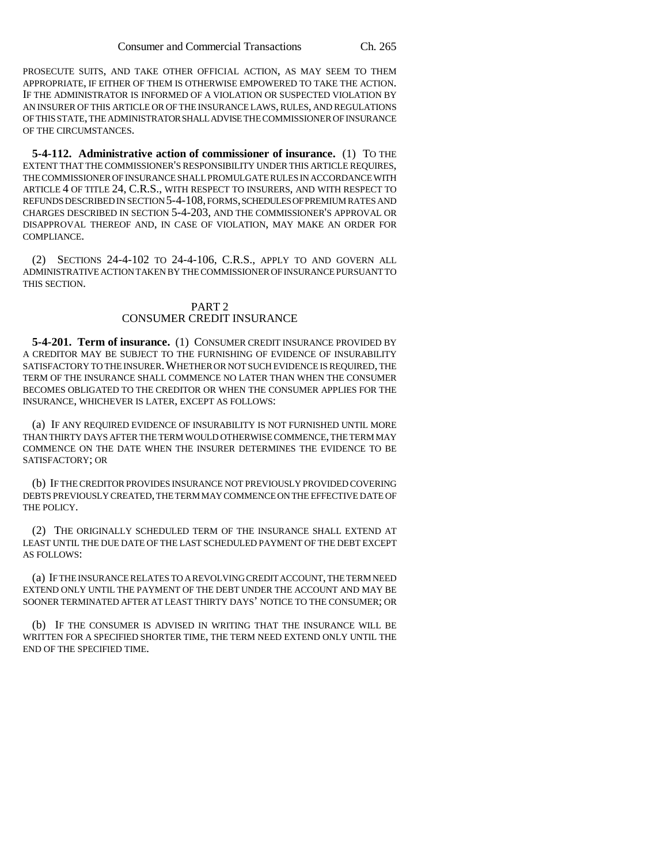PROSECUTE SUITS, AND TAKE OTHER OFFICIAL ACTION, AS MAY SEEM TO THEM APPROPRIATE, IF EITHER OF THEM IS OTHERWISE EMPOWERED TO TAKE THE ACTION. IF THE ADMINISTRATOR IS INFORMED OF A VIOLATION OR SUSPECTED VIOLATION BY AN INSURER OF THIS ARTICLE OR OF THE INSURANCE LAWS, RULES, AND REGULATIONS OF THIS STATE, THE ADMINISTRATOR SHALL ADVISE THE COMMISSIONER OF INSURANCE OF THE CIRCUMSTANCES.

**5-4-112. Administrative action of commissioner of insurance.** (1) TO THE EXTENT THAT THE COMMISSIONER'S RESPONSIBILITY UNDER THIS ARTICLE REQUIRES, THE COMMISSIONER OF INSURANCE SHALL PROMULGATE RULES IN ACCORDANCE WITH ARTICLE 4 OF TITLE 24, C.R.S., WITH RESPECT TO INSURERS, AND WITH RESPECT TO REFUNDS DESCRIBED IN SECTION 5-4-108, FORMS, SCHEDULES OF PREMIUM RATES AND CHARGES DESCRIBED IN SECTION 5-4-203, AND THE COMMISSIONER'S APPROVAL OR DISAPPROVAL THEREOF AND, IN CASE OF VIOLATION, MAY MAKE AN ORDER FOR COMPLIANCE.

(2) SECTIONS 24-4-102 TO 24-4-106, C.R.S., APPLY TO AND GOVERN ALL ADMINISTRATIVE ACTION TAKEN BY THE COMMISSIONER OF INSURANCE PURSUANT TO THIS SECTION.

# PART 2 CONSUMER CREDIT INSURANCE

**5-4-201. Term of insurance.** (1) CONSUMER CREDIT INSURANCE PROVIDED BY A CREDITOR MAY BE SUBJECT TO THE FURNISHING OF EVIDENCE OF INSURABILITY SATISFACTORY TO THE INSURER.WHETHER OR NOT SUCH EVIDENCE IS REQUIRED, THE TERM OF THE INSURANCE SHALL COMMENCE NO LATER THAN WHEN THE CONSUMER BECOMES OBLIGATED TO THE CREDITOR OR WHEN THE CONSUMER APPLIES FOR THE INSURANCE, WHICHEVER IS LATER, EXCEPT AS FOLLOWS:

(a) IF ANY REQUIRED EVIDENCE OF INSURABILITY IS NOT FURNISHED UNTIL MORE THAN THIRTY DAYS AFTER THE TERM WOULD OTHERWISE COMMENCE, THE TERM MAY COMMENCE ON THE DATE WHEN THE INSURER DETERMINES THE EVIDENCE TO BE SATISFACTORY; OR

(b) IF THE CREDITOR PROVIDES INSURANCE NOT PREVIOUSLY PROVIDED COVERING DEBTS PREVIOUSLY CREATED, THE TERM MAY COMMENCE ON THE EFFECTIVE DATE OF THE POLICY.

(2) THE ORIGINALLY SCHEDULED TERM OF THE INSURANCE SHALL EXTEND AT LEAST UNTIL THE DUE DATE OF THE LAST SCHEDULED PAYMENT OF THE DEBT EXCEPT AS FOLLOWS:

(a) IF THE INSURANCE RELATES TO A REVOLVING CREDIT ACCOUNT, THE TERM NEED EXTEND ONLY UNTIL THE PAYMENT OF THE DEBT UNDER THE ACCOUNT AND MAY BE SOONER TERMINATED AFTER AT LEAST THIRTY DAYS' NOTICE TO THE CONSUMER; OR

(b) IF THE CONSUMER IS ADVISED IN WRITING THAT THE INSURANCE WILL BE WRITTEN FOR A SPECIFIED SHORTER TIME, THE TERM NEED EXTEND ONLY UNTIL THE END OF THE SPECIFIED TIME.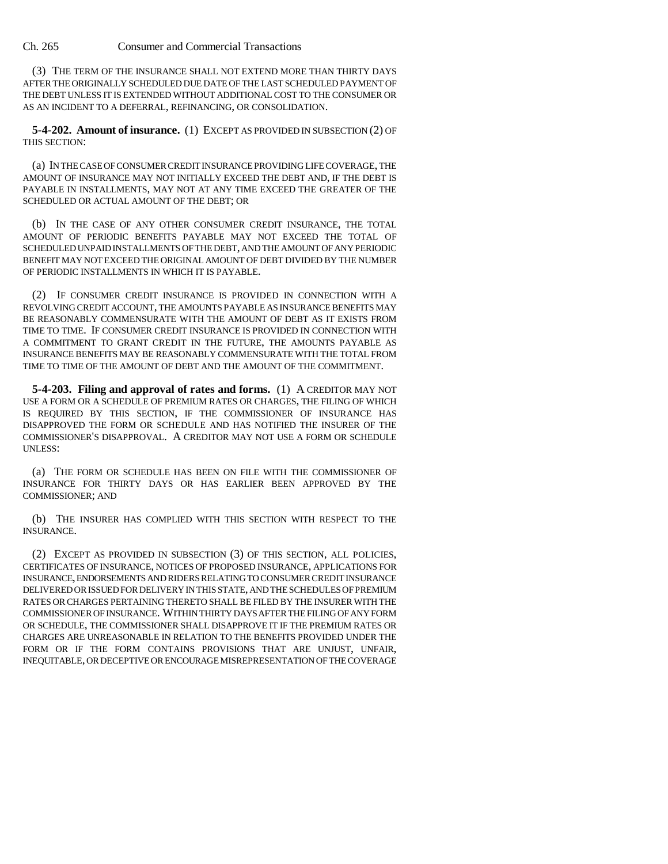(3) THE TERM OF THE INSURANCE SHALL NOT EXTEND MORE THAN THIRTY DAYS AFTER THE ORIGINALLY SCHEDULED DUE DATE OF THE LAST SCHEDULED PAYMENT OF THE DEBT UNLESS IT IS EXTENDED WITHOUT ADDITIONAL COST TO THE CONSUMER OR AS AN INCIDENT TO A DEFERRAL, REFINANCING, OR CONSOLIDATION.

**5-4-202. Amount of insurance.** (1) EXCEPT AS PROVIDED IN SUBSECTION (2) OF THIS SECTION:

(a) IN THE CASE OF CONSUMER CREDIT INSURANCE PROVIDING LIFE COVERAGE, THE AMOUNT OF INSURANCE MAY NOT INITIALLY EXCEED THE DEBT AND, IF THE DEBT IS PAYABLE IN INSTALLMENTS, MAY NOT AT ANY TIME EXCEED THE GREATER OF THE SCHEDULED OR ACTUAL AMOUNT OF THE DEBT; OR

(b) IN THE CASE OF ANY OTHER CONSUMER CREDIT INSURANCE, THE TOTAL AMOUNT OF PERIODIC BENEFITS PAYABLE MAY NOT EXCEED THE TOTAL OF SCHEDULED UNPAID INSTALLMENTS OF THE DEBT, AND THE AMOUNT OF ANY PERIODIC BENEFIT MAY NOT EXCEED THE ORIGINAL AMOUNT OF DEBT DIVIDED BY THE NUMBER OF PERIODIC INSTALLMENTS IN WHICH IT IS PAYABLE.

(2) IF CONSUMER CREDIT INSURANCE IS PROVIDED IN CONNECTION WITH A REVOLVING CREDIT ACCOUNT, THE AMOUNTS PAYABLE AS INSURANCE BENEFITS MAY BE REASONABLY COMMENSURATE WITH THE AMOUNT OF DEBT AS IT EXISTS FROM TIME TO TIME. IF CONSUMER CREDIT INSURANCE IS PROVIDED IN CONNECTION WITH A COMMITMENT TO GRANT CREDIT IN THE FUTURE, THE AMOUNTS PAYABLE AS INSURANCE BENEFITS MAY BE REASONABLY COMMENSURATE WITH THE TOTAL FROM TIME TO TIME OF THE AMOUNT OF DEBT AND THE AMOUNT OF THE COMMITMENT.

**5-4-203. Filing and approval of rates and forms.** (1) A CREDITOR MAY NOT USE A FORM OR A SCHEDULE OF PREMIUM RATES OR CHARGES, THE FILING OF WHICH IS REQUIRED BY THIS SECTION, IF THE COMMISSIONER OF INSURANCE HAS DISAPPROVED THE FORM OR SCHEDULE AND HAS NOTIFIED THE INSURER OF THE COMMISSIONER'S DISAPPROVAL. A CREDITOR MAY NOT USE A FORM OR SCHEDULE UNLESS:

(a) THE FORM OR SCHEDULE HAS BEEN ON FILE WITH THE COMMISSIONER OF INSURANCE FOR THIRTY DAYS OR HAS EARLIER BEEN APPROVED BY THE COMMISSIONER; AND

(b) THE INSURER HAS COMPLIED WITH THIS SECTION WITH RESPECT TO THE INSURANCE.

(2) EXCEPT AS PROVIDED IN SUBSECTION (3) OF THIS SECTION, ALL POLICIES, CERTIFICATES OF INSURANCE, NOTICES OF PROPOSED INSURANCE, APPLICATIONS FOR INSURANCE, ENDORSEMENTS AND RIDERS RELATING TO CONSUMER CREDIT INSURANCE DELIVERED OR ISSUED FOR DELIVERY IN THIS STATE, AND THE SCHEDULES OF PREMIUM RATES OR CHARGES PERTAINING THERETO SHALL BE FILED BY THE INSURER WITH THE COMMISSIONER OF INSURANCE. WITHIN THIRTY DAYS AFTER THE FILING OF ANY FORM OR SCHEDULE, THE COMMISSIONER SHALL DISAPPROVE IT IF THE PREMIUM RATES OR CHARGES ARE UNREASONABLE IN RELATION TO THE BENEFITS PROVIDED UNDER THE FORM OR IF THE FORM CONTAINS PROVISIONS THAT ARE UNJUST, UNFAIR, INEQUITABLE, OR DECEPTIVE OR ENCOURAGE MISREPRESENTATION OF THE COVERAGE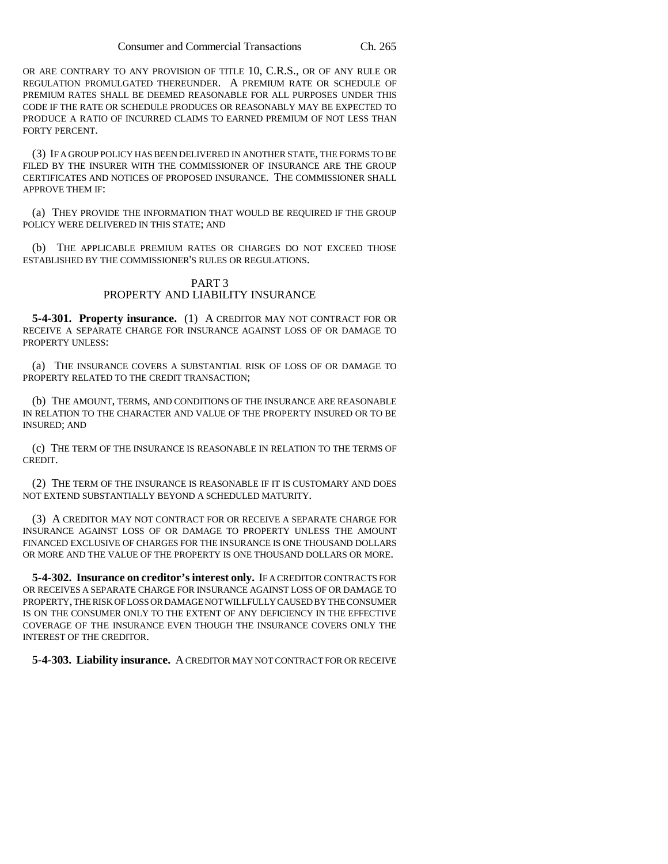OR ARE CONTRARY TO ANY PROVISION OF TITLE 10, C.R.S., OR OF ANY RULE OR REGULATION PROMULGATED THEREUNDER. A PREMIUM RATE OR SCHEDULE OF PREMIUM RATES SHALL BE DEEMED REASONABLE FOR ALL PURPOSES UNDER THIS CODE IF THE RATE OR SCHEDULE PRODUCES OR REASONABLY MAY BE EXPECTED TO PRODUCE A RATIO OF INCURRED CLAIMS TO EARNED PREMIUM OF NOT LESS THAN FORTY PERCENT.

(3) IF A GROUP POLICY HAS BEEN DELIVERED IN ANOTHER STATE, THE FORMS TO BE FILED BY THE INSURER WITH THE COMMISSIONER OF INSURANCE ARE THE GROUP CERTIFICATES AND NOTICES OF PROPOSED INSURANCE. THE COMMISSIONER SHALL APPROVE THEM IF:

(a) THEY PROVIDE THE INFORMATION THAT WOULD BE REQUIRED IF THE GROUP POLICY WERE DELIVERED IN THIS STATE; AND

(b) THE APPLICABLE PREMIUM RATES OR CHARGES DO NOT EXCEED THOSE ESTABLISHED BY THE COMMISSIONER'S RULES OR REGULATIONS.

## PART 3 PROPERTY AND LIABILITY INSURANCE

**5-4-301. Property insurance.** (1) A CREDITOR MAY NOT CONTRACT FOR OR RECEIVE A SEPARATE CHARGE FOR INSURANCE AGAINST LOSS OF OR DAMAGE TO PROPERTY UNLESS:

(a) THE INSURANCE COVERS A SUBSTANTIAL RISK OF LOSS OF OR DAMAGE TO PROPERTY RELATED TO THE CREDIT TRANSACTION;

(b) THE AMOUNT, TERMS, AND CONDITIONS OF THE INSURANCE ARE REASONABLE IN RELATION TO THE CHARACTER AND VALUE OF THE PROPERTY INSURED OR TO BE INSURED; AND

(c) THE TERM OF THE INSURANCE IS REASONABLE IN RELATION TO THE TERMS OF CREDIT.

(2) THE TERM OF THE INSURANCE IS REASONABLE IF IT IS CUSTOMARY AND DOES NOT EXTEND SUBSTANTIALLY BEYOND A SCHEDULED MATURITY.

(3) A CREDITOR MAY NOT CONTRACT FOR OR RECEIVE A SEPARATE CHARGE FOR INSURANCE AGAINST LOSS OF OR DAMAGE TO PROPERTY UNLESS THE AMOUNT FINANCED EXCLUSIVE OF CHARGES FOR THE INSURANCE IS ONE THOUSAND DOLLARS OR MORE AND THE VALUE OF THE PROPERTY IS ONE THOUSAND DOLLARS OR MORE.

**5-4-302. Insurance on creditor's interest only.** IF A CREDITOR CONTRACTS FOR OR RECEIVES A SEPARATE CHARGE FOR INSURANCE AGAINST LOSS OF OR DAMAGE TO PROPERTY, THE RISK OF LOSS OR DAMAGE NOT WILLFULLY CAUSED BY THE CONSUMER IS ON THE CONSUMER ONLY TO THE EXTENT OF ANY DEFICIENCY IN THE EFFECTIVE COVERAGE OF THE INSURANCE EVEN THOUGH THE INSURANCE COVERS ONLY THE INTEREST OF THE CREDITOR.

**5-4-303. Liability insurance.** A CREDITOR MAY NOT CONTRACT FOR OR RECEIVE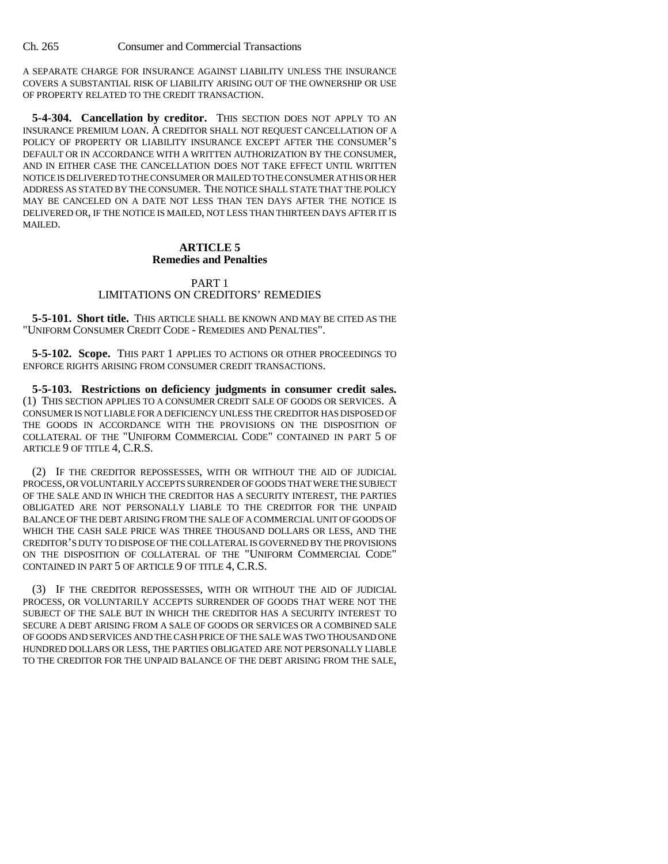A SEPARATE CHARGE FOR INSURANCE AGAINST LIABILITY UNLESS THE INSURANCE COVERS A SUBSTANTIAL RISK OF LIABILITY ARISING OUT OF THE OWNERSHIP OR USE OF PROPERTY RELATED TO THE CREDIT TRANSACTION.

**5-4-304. Cancellation by creditor.** THIS SECTION DOES NOT APPLY TO AN INSURANCE PREMIUM LOAN. A CREDITOR SHALL NOT REQUEST CANCELLATION OF A POLICY OF PROPERTY OR LIABILITY INSURANCE EXCEPT AFTER THE CONSUMER'S DEFAULT OR IN ACCORDANCE WITH A WRITTEN AUTHORIZATION BY THE CONSUMER, AND IN EITHER CASE THE CANCELLATION DOES NOT TAKE EFFECT UNTIL WRITTEN NOTICE IS DELIVERED TO THE CONSUMER OR MAILED TO THE CONSUMER AT HIS OR HER ADDRESS AS STATED BY THE CONSUMER. THE NOTICE SHALL STATE THAT THE POLICY MAY BE CANCELED ON A DATE NOT LESS THAN TEN DAYS AFTER THE NOTICE IS DELIVERED OR, IF THE NOTICE IS MAILED, NOT LESS THAN THIRTEEN DAYS AFTER IT IS MAILED.

### **ARTICLE 5 Remedies and Penalties**

### PART 1 LIMITATIONS ON CREDITORS' REMEDIES

**5-5-101. Short title.** THIS ARTICLE SHALL BE KNOWN AND MAY BE CITED AS THE "UNIFORM CONSUMER CREDIT CODE - REMEDIES AND PENALTIES".

**5-5-102. Scope.** THIS PART 1 APPLIES TO ACTIONS OR OTHER PROCEEDINGS TO ENFORCE RIGHTS ARISING FROM CONSUMER CREDIT TRANSACTIONS.

**5-5-103. Restrictions on deficiency judgments in consumer credit sales.** (1) THIS SECTION APPLIES TO A CONSUMER CREDIT SALE OF GOODS OR SERVICES. A CONSUMER IS NOT LIABLE FOR A DEFICIENCY UNLESS THE CREDITOR HAS DISPOSED OF THE GOODS IN ACCORDANCE WITH THE PROVISIONS ON THE DISPOSITION OF COLLATERAL OF THE "UNIFORM COMMERCIAL CODE" CONTAINED IN PART 5 OF ARTICLE 9 OF TITLE 4, C.R.S.

(2) IF THE CREDITOR REPOSSESSES, WITH OR WITHOUT THE AID OF JUDICIAL PROCESS, OR VOLUNTARILY ACCEPTS SURRENDER OF GOODS THAT WERE THE SUBJECT OF THE SALE AND IN WHICH THE CREDITOR HAS A SECURITY INTEREST, THE PARTIES OBLIGATED ARE NOT PERSONALLY LIABLE TO THE CREDITOR FOR THE UNPAID BALANCE OF THE DEBT ARISING FROM THE SALE OF A COMMERCIAL UNIT OF GOODS OF WHICH THE CASH SALE PRICE WAS THREE THOUSAND DOLLARS OR LESS, AND THE CREDITOR'S DUTY TO DISPOSE OF THE COLLATERAL IS GOVERNED BY THE PROVISIONS ON THE DISPOSITION OF COLLATERAL OF THE "UNIFORM COMMERCIAL CODE" CONTAINED IN PART 5 OF ARTICLE 9 OF TITLE 4, C.R.S.

(3) IF THE CREDITOR REPOSSESSES, WITH OR WITHOUT THE AID OF JUDICIAL PROCESS, OR VOLUNTARILY ACCEPTS SURRENDER OF GOODS THAT WERE NOT THE SUBJECT OF THE SALE BUT IN WHICH THE CREDITOR HAS A SECURITY INTEREST TO SECURE A DEBT ARISING FROM A SALE OF GOODS OR SERVICES OR A COMBINED SALE OF GOODS AND SERVICES AND THE CASH PRICE OF THE SALE WAS TWO THOUSAND ONE HUNDRED DOLLARS OR LESS, THE PARTIES OBLIGATED ARE NOT PERSONALLY LIABLE TO THE CREDITOR FOR THE UNPAID BALANCE OF THE DEBT ARISING FROM THE SALE,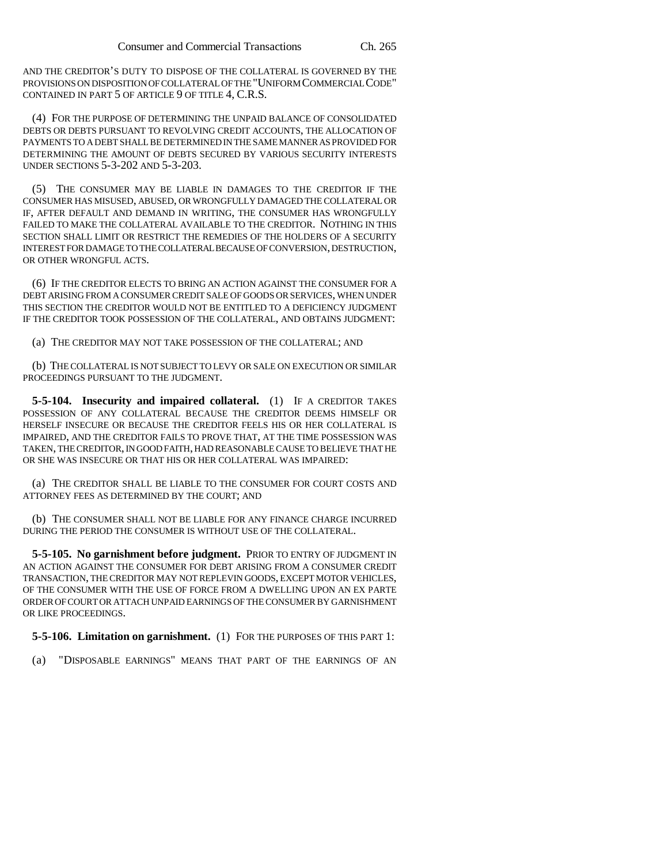AND THE CREDITOR'S DUTY TO DISPOSE OF THE COLLATERAL IS GOVERNED BY THE PROVISIONS ON DISPOSITION OF COLLATERAL OF THE "UNIFORM COMMERCIAL CODE" CONTAINED IN PART 5 OF ARTICLE 9 OF TITLE 4, C.R.S.

(4) FOR THE PURPOSE OF DETERMINING THE UNPAID BALANCE OF CONSOLIDATED DEBTS OR DEBTS PURSUANT TO REVOLVING CREDIT ACCOUNTS, THE ALLOCATION OF PAYMENTS TO A DEBT SHALL BE DETERMINED IN THE SAME MANNER AS PROVIDED FOR DETERMINING THE AMOUNT OF DEBTS SECURED BY VARIOUS SECURITY INTERESTS UNDER SECTIONS 5-3-202 AND 5-3-203.

(5) THE CONSUMER MAY BE LIABLE IN DAMAGES TO THE CREDITOR IF THE CONSUMER HAS MISUSED, ABUSED, OR WRONGFULLY DAMAGED THE COLLATERAL OR IF, AFTER DEFAULT AND DEMAND IN WRITING, THE CONSUMER HAS WRONGFULLY FAILED TO MAKE THE COLLATERAL AVAILABLE TO THE CREDITOR. NOTHING IN THIS SECTION SHALL LIMIT OR RESTRICT THE REMEDIES OF THE HOLDERS OF A SECURITY INTEREST FOR DAMAGE TO THE COLLATERAL BECAUSE OF CONVERSION, DESTRUCTION, OR OTHER WRONGFUL ACTS.

(6) IF THE CREDITOR ELECTS TO BRING AN ACTION AGAINST THE CONSUMER FOR A DEBT ARISING FROM A CONSUMER CREDIT SALE OF GOODS OR SERVICES, WHEN UNDER THIS SECTION THE CREDITOR WOULD NOT BE ENTITLED TO A DEFICIENCY JUDGMENT IF THE CREDITOR TOOK POSSESSION OF THE COLLATERAL, AND OBTAINS JUDGMENT:

(a) THE CREDITOR MAY NOT TAKE POSSESSION OF THE COLLATERAL; AND

(b) THE COLLATERAL IS NOT SUBJECT TO LEVY OR SALE ON EXECUTION OR SIMILAR PROCEEDINGS PURSUANT TO THE JUDGMENT.

**5-5-104. Insecurity and impaired collateral.** (1) IF A CREDITOR TAKES POSSESSION OF ANY COLLATERAL BECAUSE THE CREDITOR DEEMS HIMSELF OR HERSELF INSECURE OR BECAUSE THE CREDITOR FEELS HIS OR HER COLLATERAL IS IMPAIRED, AND THE CREDITOR FAILS TO PROVE THAT, AT THE TIME POSSESSION WAS TAKEN, THE CREDITOR, IN GOOD FAITH, HAD REASONABLE CAUSE TO BELIEVE THAT HE OR SHE WAS INSECURE OR THAT HIS OR HER COLLATERAL WAS IMPAIRED:

(a) THE CREDITOR SHALL BE LIABLE TO THE CONSUMER FOR COURT COSTS AND ATTORNEY FEES AS DETERMINED BY THE COURT; AND

(b) THE CONSUMER SHALL NOT BE LIABLE FOR ANY FINANCE CHARGE INCURRED DURING THE PERIOD THE CONSUMER IS WITHOUT USE OF THE COLLATERAL.

**5-5-105. No garnishment before judgment.** PRIOR TO ENTRY OF JUDGMENT IN AN ACTION AGAINST THE CONSUMER FOR DEBT ARISING FROM A CONSUMER CREDIT TRANSACTION, THE CREDITOR MAY NOT REPLEVIN GOODS, EXCEPT MOTOR VEHICLES, OF THE CONSUMER WITH THE USE OF FORCE FROM A DWELLING UPON AN EX PARTE ORDER OF COURT OR ATTACH UNPAID EARNINGS OF THE CONSUMER BY GARNISHMENT OR LIKE PROCEEDINGS.

**5-5-106. Limitation on garnishment.** (1) FOR THE PURPOSES OF THIS PART 1:

(a) "DISPOSABLE EARNINGS" MEANS THAT PART OF THE EARNINGS OF AN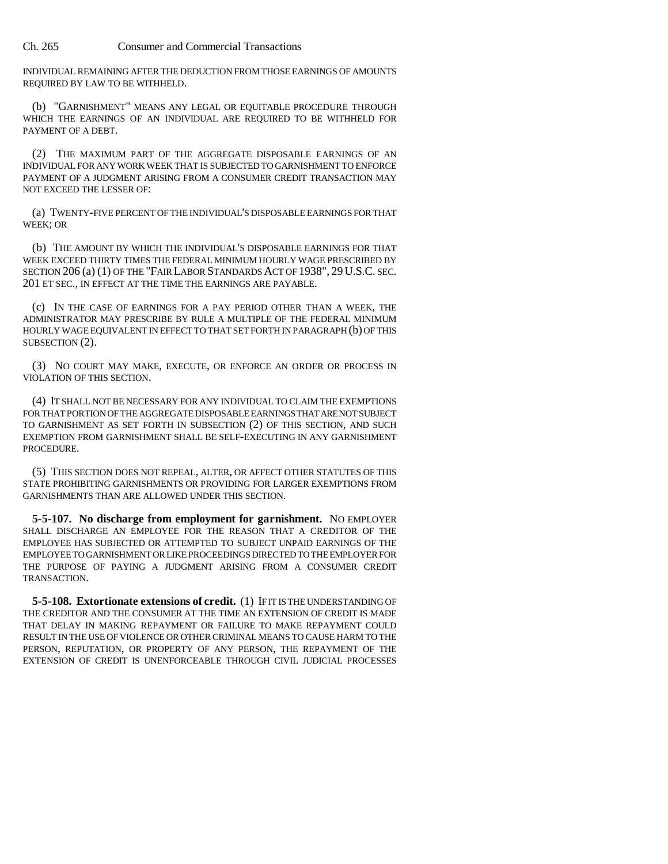INDIVIDUAL REMAINING AFTER THE DEDUCTION FROM THOSE EARNINGS OF AMOUNTS REQUIRED BY LAW TO BE WITHHELD.

(b) "GARNISHMENT" MEANS ANY LEGAL OR EQUITABLE PROCEDURE THROUGH WHICH THE EARNINGS OF AN INDIVIDUAL ARE REQUIRED TO BE WITHHELD FOR PAYMENT OF A DEBT.

(2) THE MAXIMUM PART OF THE AGGREGATE DISPOSABLE EARNINGS OF AN INDIVIDUAL FOR ANY WORK WEEK THAT IS SUBJECTED TO GARNISHMENT TO ENFORCE PAYMENT OF A JUDGMENT ARISING FROM A CONSUMER CREDIT TRANSACTION MAY NOT EXCEED THE LESSER OF:

(a) TWENTY-FIVE PERCENT OF THE INDIVIDUAL'S DISPOSABLE EARNINGS FOR THAT WEEK; OR

(b) THE AMOUNT BY WHICH THE INDIVIDUAL'S DISPOSABLE EARNINGS FOR THAT WEEK EXCEED THIRTY TIMES THE FEDERAL MINIMUM HOURLY WAGE PRESCRIBED BY SECTION 206 (a) (1) OF THE "FAIR LABOR STANDARDS ACT OF 1938", 29 U.S.C. SEC. 201 ET SEC., IN EFFECT AT THE TIME THE EARNINGS ARE PAYABLE.

(c) IN THE CASE OF EARNINGS FOR A PAY PERIOD OTHER THAN A WEEK, THE ADMINISTRATOR MAY PRESCRIBE BY RULE A MULTIPLE OF THE FEDERAL MINIMUM HOURLY WAGE EQUIVALENT IN EFFECT TO THAT SET FORTH IN PARAGRAPH (b) OF THIS SUBSECTION (2).

(3) NO COURT MAY MAKE, EXECUTE, OR ENFORCE AN ORDER OR PROCESS IN VIOLATION OF THIS SECTION.

(4) IT SHALL NOT BE NECESSARY FOR ANY INDIVIDUAL TO CLAIM THE EXEMPTIONS FOR THAT PORTION OF THE AGGREGATE DISPOSABLE EARNINGS THAT ARE NOT SUBJECT TO GARNISHMENT AS SET FORTH IN SUBSECTION (2) OF THIS SECTION, AND SUCH EXEMPTION FROM GARNISHMENT SHALL BE SELF-EXECUTING IN ANY GARNISHMENT PROCEDURE.

(5) THIS SECTION DOES NOT REPEAL, ALTER, OR AFFECT OTHER STATUTES OF THIS STATE PROHIBITING GARNISHMENTS OR PROVIDING FOR LARGER EXEMPTIONS FROM GARNISHMENTS THAN ARE ALLOWED UNDER THIS SECTION.

**5-5-107. No discharge from employment for garnishment.** NO EMPLOYER SHALL DISCHARGE AN EMPLOYEE FOR THE REASON THAT A CREDITOR OF THE EMPLOYEE HAS SUBJECTED OR ATTEMPTED TO SUBJECT UNPAID EARNINGS OF THE EMPLOYEE TO GARNISHMENT OR LIKE PROCEEDINGS DIRECTED TO THE EMPLOYER FOR THE PURPOSE OF PAYING A JUDGMENT ARISING FROM A CONSUMER CREDIT TRANSACTION.

**5-5-108. Extortionate extensions of credit.** (1) IF IT IS THE UNDERSTANDING OF THE CREDITOR AND THE CONSUMER AT THE TIME AN EXTENSION OF CREDIT IS MADE THAT DELAY IN MAKING REPAYMENT OR FAILURE TO MAKE REPAYMENT COULD RESULT IN THE USE OF VIOLENCE OR OTHER CRIMINAL MEANS TO CAUSE HARM TO THE PERSON, REPUTATION, OR PROPERTY OF ANY PERSON, THE REPAYMENT OF THE EXTENSION OF CREDIT IS UNENFORCEABLE THROUGH CIVIL JUDICIAL PROCESSES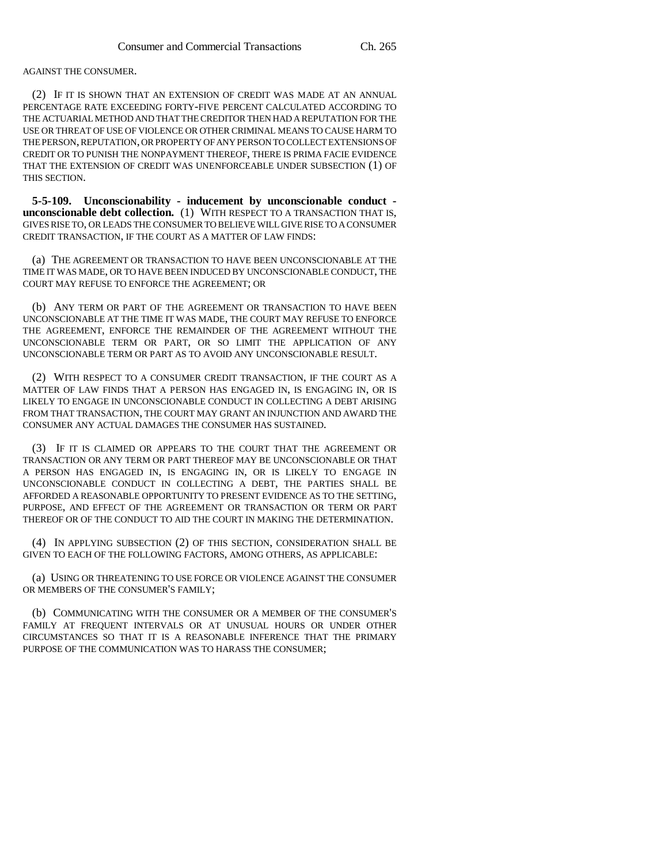AGAINST THE CONSUMER.

(2) IF IT IS SHOWN THAT AN EXTENSION OF CREDIT WAS MADE AT AN ANNUAL PERCENTAGE RATE EXCEEDING FORTY-FIVE PERCENT CALCULATED ACCORDING TO THE ACTUARIAL METHOD AND THAT THE CREDITOR THEN HAD A REPUTATION FOR THE USE OR THREAT OF USE OF VIOLENCE OR OTHER CRIMINAL MEANS TO CAUSE HARM TO THE PERSON, REPUTATION, OR PROPERTY OF ANY PERSON TO COLLECT EXTENSIONS OF CREDIT OR TO PUNISH THE NONPAYMENT THEREOF, THERE IS PRIMA FACIE EVIDENCE THAT THE EXTENSION OF CREDIT WAS UNENFORCEABLE UNDER SUBSECTION (1) OF THIS SECTION.

**5-5-109. Unconscionability - inducement by unconscionable conduct unconscionable debt collection.** (1) WITH RESPECT TO A TRANSACTION THAT IS, GIVES RISE TO, OR LEADS THE CONSUMER TO BELIEVE WILL GIVE RISE TO A CONSUMER CREDIT TRANSACTION, IF THE COURT AS A MATTER OF LAW FINDS:

(a) THE AGREEMENT OR TRANSACTION TO HAVE BEEN UNCONSCIONABLE AT THE TIME IT WAS MADE, OR TO HAVE BEEN INDUCED BY UNCONSCIONABLE CONDUCT, THE COURT MAY REFUSE TO ENFORCE THE AGREEMENT; OR

(b) ANY TERM OR PART OF THE AGREEMENT OR TRANSACTION TO HAVE BEEN UNCONSCIONABLE AT THE TIME IT WAS MADE, THE COURT MAY REFUSE TO ENFORCE THE AGREEMENT, ENFORCE THE REMAINDER OF THE AGREEMENT WITHOUT THE UNCONSCIONABLE TERM OR PART, OR SO LIMIT THE APPLICATION OF ANY UNCONSCIONABLE TERM OR PART AS TO AVOID ANY UNCONSCIONABLE RESULT.

(2) WITH RESPECT TO A CONSUMER CREDIT TRANSACTION, IF THE COURT AS A MATTER OF LAW FINDS THAT A PERSON HAS ENGAGED IN, IS ENGAGING IN, OR IS LIKELY TO ENGAGE IN UNCONSCIONABLE CONDUCT IN COLLECTING A DEBT ARISING FROM THAT TRANSACTION, THE COURT MAY GRANT AN INJUNCTION AND AWARD THE CONSUMER ANY ACTUAL DAMAGES THE CONSUMER HAS SUSTAINED.

(3) IF IT IS CLAIMED OR APPEARS TO THE COURT THAT THE AGREEMENT OR TRANSACTION OR ANY TERM OR PART THEREOF MAY BE UNCONSCIONABLE OR THAT A PERSON HAS ENGAGED IN, IS ENGAGING IN, OR IS LIKELY TO ENGAGE IN UNCONSCIONABLE CONDUCT IN COLLECTING A DEBT, THE PARTIES SHALL BE AFFORDED A REASONABLE OPPORTUNITY TO PRESENT EVIDENCE AS TO THE SETTING, PURPOSE, AND EFFECT OF THE AGREEMENT OR TRANSACTION OR TERM OR PART THEREOF OR OF THE CONDUCT TO AID THE COURT IN MAKING THE DETERMINATION.

(4) IN APPLYING SUBSECTION (2) OF THIS SECTION, CONSIDERATION SHALL BE GIVEN TO EACH OF THE FOLLOWING FACTORS, AMONG OTHERS, AS APPLICABLE:

(a) USING OR THREATENING TO USE FORCE OR VIOLENCE AGAINST THE CONSUMER OR MEMBERS OF THE CONSUMER'S FAMILY;

(b) COMMUNICATING WITH THE CONSUMER OR A MEMBER OF THE CONSUMER'S FAMILY AT FREQUENT INTERVALS OR AT UNUSUAL HOURS OR UNDER OTHER CIRCUMSTANCES SO THAT IT IS A REASONABLE INFERENCE THAT THE PRIMARY PURPOSE OF THE COMMUNICATION WAS TO HARASS THE CONSUMER;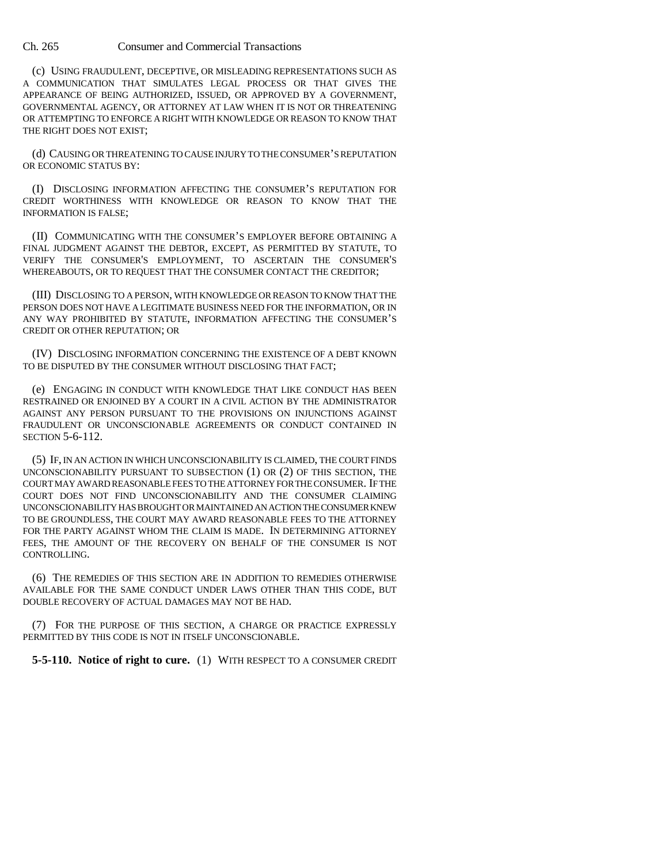(c) USING FRAUDULENT, DECEPTIVE, OR MISLEADING REPRESENTATIONS SUCH AS A COMMUNICATION THAT SIMULATES LEGAL PROCESS OR THAT GIVES THE APPEARANCE OF BEING AUTHORIZED, ISSUED, OR APPROVED BY A GOVERNMENT, GOVERNMENTAL AGENCY, OR ATTORNEY AT LAW WHEN IT IS NOT OR THREATENING OR ATTEMPTING TO ENFORCE A RIGHT WITH KNOWLEDGE OR REASON TO KNOW THAT THE RIGHT DOES NOT EXIST;

(d) CAUSING OR THREATENING TO CAUSE INJURY TO THE CONSUMER'S REPUTATION OR ECONOMIC STATUS BY:

(I) DISCLOSING INFORMATION AFFECTING THE CONSUMER'S REPUTATION FOR CREDIT WORTHINESS WITH KNOWLEDGE OR REASON TO KNOW THAT THE INFORMATION IS FALSE;

(II) COMMUNICATING WITH THE CONSUMER'S EMPLOYER BEFORE OBTAINING A FINAL JUDGMENT AGAINST THE DEBTOR, EXCEPT, AS PERMITTED BY STATUTE, TO VERIFY THE CONSUMER'S EMPLOYMENT, TO ASCERTAIN THE CONSUMER'S WHEREABOUTS, OR TO REQUEST THAT THE CONSUMER CONTACT THE CREDITOR;

(III) DISCLOSING TO A PERSON, WITH KNOWLEDGE OR REASON TO KNOW THAT THE PERSON DOES NOT HAVE A LEGITIMATE BUSINESS NEED FOR THE INFORMATION, OR IN ANY WAY PROHIBITED BY STATUTE, INFORMATION AFFECTING THE CONSUMER'S CREDIT OR OTHER REPUTATION; OR

(IV) DISCLOSING INFORMATION CONCERNING THE EXISTENCE OF A DEBT KNOWN TO BE DISPUTED BY THE CONSUMER WITHOUT DISCLOSING THAT FACT;

(e) ENGAGING IN CONDUCT WITH KNOWLEDGE THAT LIKE CONDUCT HAS BEEN RESTRAINED OR ENJOINED BY A COURT IN A CIVIL ACTION BY THE ADMINISTRATOR AGAINST ANY PERSON PURSUANT TO THE PROVISIONS ON INJUNCTIONS AGAINST FRAUDULENT OR UNCONSCIONABLE AGREEMENTS OR CONDUCT CONTAINED IN SECTION 5-6-112.

(5) IF, IN AN ACTION IN WHICH UNCONSCIONABILITY IS CLAIMED, THE COURT FINDS UNCONSCIONABILITY PURSUANT TO SUBSECTION (1) OR (2) OF THIS SECTION, THE COURT MAY AWARD REASONABLE FEES TO THE ATTORNEY FOR THE CONSUMER. IF THE COURT DOES NOT FIND UNCONSCIONABILITY AND THE CONSUMER CLAIMING UNCONSCIONABILITY HAS BROUGHT OR MAINTAINED AN ACTION THE CONSUMER KNEW TO BE GROUNDLESS, THE COURT MAY AWARD REASONABLE FEES TO THE ATTORNEY FOR THE PARTY AGAINST WHOM THE CLAIM IS MADE. IN DETERMINING ATTORNEY FEES, THE AMOUNT OF THE RECOVERY ON BEHALF OF THE CONSUMER IS NOT CONTROLLING.

(6) THE REMEDIES OF THIS SECTION ARE IN ADDITION TO REMEDIES OTHERWISE AVAILABLE FOR THE SAME CONDUCT UNDER LAWS OTHER THAN THIS CODE, BUT DOUBLE RECOVERY OF ACTUAL DAMAGES MAY NOT BE HAD.

(7) FOR THE PURPOSE OF THIS SECTION, A CHARGE OR PRACTICE EXPRESSLY PERMITTED BY THIS CODE IS NOT IN ITSELF UNCONSCIONABLE.

**5-5-110. Notice of right to cure.** (1) WITH RESPECT TO A CONSUMER CREDIT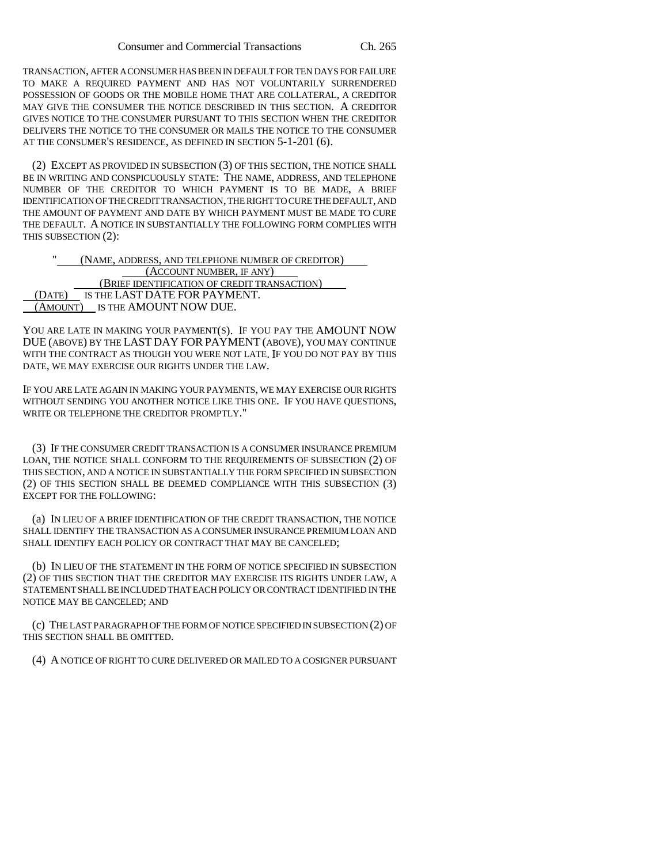TRANSACTION, AFTER A CONSUMER HAS BEEN IN DEFAULT FOR TEN DAYS FOR FAILURE TO MAKE A REQUIRED PAYMENT AND HAS NOT VOLUNTARILY SURRENDERED POSSESSION OF GOODS OR THE MOBILE HOME THAT ARE COLLATERAL, A CREDITOR MAY GIVE THE CONSUMER THE NOTICE DESCRIBED IN THIS SECTION. A CREDITOR GIVES NOTICE TO THE CONSUMER PURSUANT TO THIS SECTION WHEN THE CREDITOR DELIVERS THE NOTICE TO THE CONSUMER OR MAILS THE NOTICE TO THE CONSUMER AT THE CONSUMER'S RESIDENCE, AS DEFINED IN SECTION 5-1-201 (6).

(2) EXCEPT AS PROVIDED IN SUBSECTION (3) OF THIS SECTION, THE NOTICE SHALL BE IN WRITING AND CONSPICUOUSLY STATE: THE NAME, ADDRESS, AND TELEPHONE NUMBER OF THE CREDITOR TO WHICH PAYMENT IS TO BE MADE, A BRIEF IDENTIFICATION OF THE CREDIT TRANSACTION, THE RIGHT TO CURE THE DEFAULT, AND THE AMOUNT OF PAYMENT AND DATE BY WHICH PAYMENT MUST BE MADE TO CURE THE DEFAULT. A NOTICE IN SUBSTANTIALLY THE FOLLOWING FORM COMPLIES WITH THIS SUBSECTION (2):

(NAME, ADDRESS, AND TELEPHONE NUMBER OF CREDITOR) (ACCOUNT NUMBER, IF ANY) (BRIEF IDENTIFICATION OF CREDIT TRANSACTION) (DATE) IS THE LAST DATE FOR PAYMENT. (AMOUNT) IS THE AMOUNT NOW DUE.

YOU ARE LATE IN MAKING YOUR PAYMENT(S). IF YOU PAY THE AMOUNT NOW DUE (ABOVE) BY THE LAST DAY FOR PAYMENT (ABOVE), YOU MAY CONTINUE WITH THE CONTRACT AS THOUGH YOU WERE NOT LATE. IF YOU DO NOT PAY BY THIS DATE, WE MAY EXERCISE OUR RIGHTS UNDER THE LAW.

IF YOU ARE LATE AGAIN IN MAKING YOUR PAYMENTS, WE MAY EXERCISE OUR RIGHTS WITHOUT SENDING YOU ANOTHER NOTICE LIKE THIS ONE. IF YOU HAVE QUESTIONS, WRITE OR TELEPHONE THE CREDITOR PROMPTLY."

(3) IF THE CONSUMER CREDIT TRANSACTION IS A CONSUMER INSURANCE PREMIUM LOAN, THE NOTICE SHALL CONFORM TO THE REQUIREMENTS OF SUBSECTION (2) OF THIS SECTION, AND A NOTICE IN SUBSTANTIALLY THE FORM SPECIFIED IN SUBSECTION (2) OF THIS SECTION SHALL BE DEEMED COMPLIANCE WITH THIS SUBSECTION (3) EXCEPT FOR THE FOLLOWING:

(a) IN LIEU OF A BRIEF IDENTIFICATION OF THE CREDIT TRANSACTION, THE NOTICE SHALL IDENTIFY THE TRANSACTION AS A CONSUMER INSURANCE PREMIUM LOAN AND SHALL IDENTIFY EACH POLICY OR CONTRACT THAT MAY BE CANCELED;

(b) IN LIEU OF THE STATEMENT IN THE FORM OF NOTICE SPECIFIED IN SUBSECTION (2) OF THIS SECTION THAT THE CREDITOR MAY EXERCISE ITS RIGHTS UNDER LAW, A STATEMENT SHALL BE INCLUDED THAT EACH POLICY OR CONTRACT IDENTIFIED IN THE NOTICE MAY BE CANCELED; AND

(c) THE LAST PARAGRAPH OF THE FORM OF NOTICE SPECIFIED IN SUBSECTION (2) OF THIS SECTION SHALL BE OMITTED.

(4) A NOTICE OF RIGHT TO CURE DELIVERED OR MAILED TO A COSIGNER PURSUANT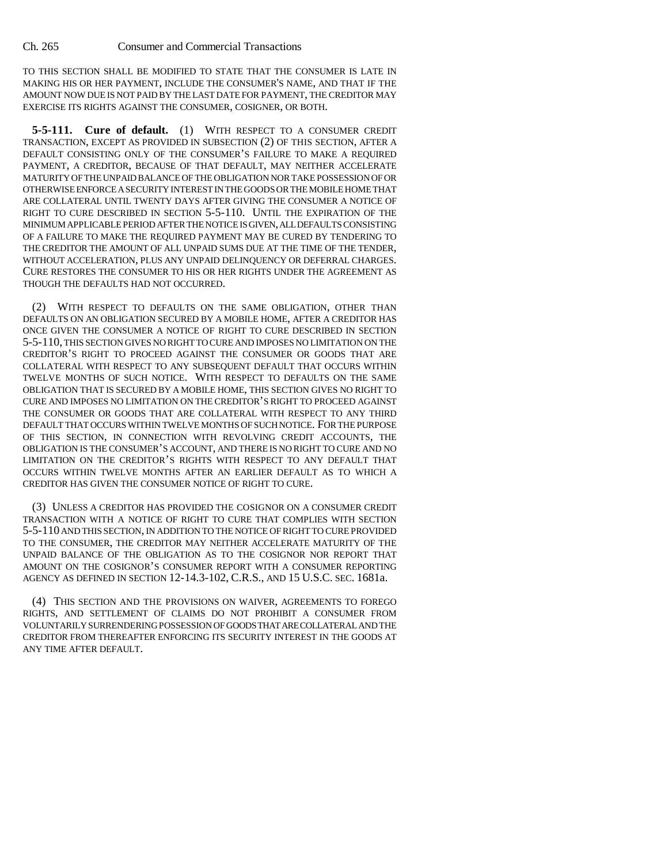TO THIS SECTION SHALL BE MODIFIED TO STATE THAT THE CONSUMER IS LATE IN MAKING HIS OR HER PAYMENT, INCLUDE THE CONSUMER'S NAME, AND THAT IF THE AMOUNT NOW DUE IS NOT PAID BY THE LAST DATE FOR PAYMENT, THE CREDITOR MAY EXERCISE ITS RIGHTS AGAINST THE CONSUMER, COSIGNER, OR BOTH.

**5-5-111. Cure of default.** (1) WITH RESPECT TO A CONSUMER CREDIT TRANSACTION, EXCEPT AS PROVIDED IN SUBSECTION (2) OF THIS SECTION, AFTER A DEFAULT CONSISTING ONLY OF THE CONSUMER'S FAILURE TO MAKE A REQUIRED PAYMENT, A CREDITOR, BECAUSE OF THAT DEFAULT, MAY NEITHER ACCELERATE MATURITY OF THE UNPAID BALANCE OF THE OBLIGATION NOR TAKE POSSESSION OF OR OTHERWISE ENFORCE A SECURITY INTEREST IN THE GOODS OR THE MOBILE HOME THAT ARE COLLATERAL UNTIL TWENTY DAYS AFTER GIVING THE CONSUMER A NOTICE OF RIGHT TO CURE DESCRIBED IN SECTION 5-5-110. UNTIL THE EXPIRATION OF THE MINIMUM APPLICABLE PERIOD AFTER THE NOTICE IS GIVEN, ALL DEFAULTS CONSISTING OF A FAILURE TO MAKE THE REQUIRED PAYMENT MAY BE CURED BY TENDERING TO THE CREDITOR THE AMOUNT OF ALL UNPAID SUMS DUE AT THE TIME OF THE TENDER, WITHOUT ACCELERATION, PLUS ANY UNPAID DELINQUENCY OR DEFERRAL CHARGES. CURE RESTORES THE CONSUMER TO HIS OR HER RIGHTS UNDER THE AGREEMENT AS THOUGH THE DEFAULTS HAD NOT OCCURRED.

(2) WITH RESPECT TO DEFAULTS ON THE SAME OBLIGATION, OTHER THAN DEFAULTS ON AN OBLIGATION SECURED BY A MOBILE HOME, AFTER A CREDITOR HAS ONCE GIVEN THE CONSUMER A NOTICE OF RIGHT TO CURE DESCRIBED IN SECTION 5-5-110, THIS SECTION GIVES NO RIGHT TO CURE AND IMPOSES NO LIMITATION ON THE CREDITOR'S RIGHT TO PROCEED AGAINST THE CONSUMER OR GOODS THAT ARE COLLATERAL WITH RESPECT TO ANY SUBSEQUENT DEFAULT THAT OCCURS WITHIN TWELVE MONTHS OF SUCH NOTICE. WITH RESPECT TO DEFAULTS ON THE SAME OBLIGATION THAT IS SECURED BY A MOBILE HOME, THIS SECTION GIVES NO RIGHT TO CURE AND IMPOSES NO LIMITATION ON THE CREDITOR'S RIGHT TO PROCEED AGAINST THE CONSUMER OR GOODS THAT ARE COLLATERAL WITH RESPECT TO ANY THIRD DEFAULT THAT OCCURS WITHIN TWELVE MONTHS OF SUCH NOTICE. FOR THE PURPOSE OF THIS SECTION, IN CONNECTION WITH REVOLVING CREDIT ACCOUNTS, THE OBLIGATION IS THE CONSUMER'S ACCOUNT, AND THERE IS NO RIGHT TO CURE AND NO LIMITATION ON THE CREDITOR'S RIGHTS WITH RESPECT TO ANY DEFAULT THAT OCCURS WITHIN TWELVE MONTHS AFTER AN EARLIER DEFAULT AS TO WHICH A CREDITOR HAS GIVEN THE CONSUMER NOTICE OF RIGHT TO CURE.

(3) UNLESS A CREDITOR HAS PROVIDED THE COSIGNOR ON A CONSUMER CREDIT TRANSACTION WITH A NOTICE OF RIGHT TO CURE THAT COMPLIES WITH SECTION 5-5-110 AND THIS SECTION, IN ADDITION TO THE NOTICE OF RIGHT TO CURE PROVIDED TO THE CONSUMER, THE CREDITOR MAY NEITHER ACCELERATE MATURITY OF THE UNPAID BALANCE OF THE OBLIGATION AS TO THE COSIGNOR NOR REPORT THAT AMOUNT ON THE COSIGNOR'S CONSUMER REPORT WITH A CONSUMER REPORTING AGENCY AS DEFINED IN SECTION 12-14.3-102, C.R.S., AND 15 U.S.C. SEC. 1681a.

(4) THIS SECTION AND THE PROVISIONS ON WAIVER, AGREEMENTS TO FOREGO RIGHTS, AND SETTLEMENT OF CLAIMS DO NOT PROHIBIT A CONSUMER FROM VOLUNTARILY SURRENDERING POSSESSION OF GOODS THAT ARE COLLATERAL AND THE CREDITOR FROM THEREAFTER ENFORCING ITS SECURITY INTEREST IN THE GOODS AT ANY TIME AFTER DEFAULT.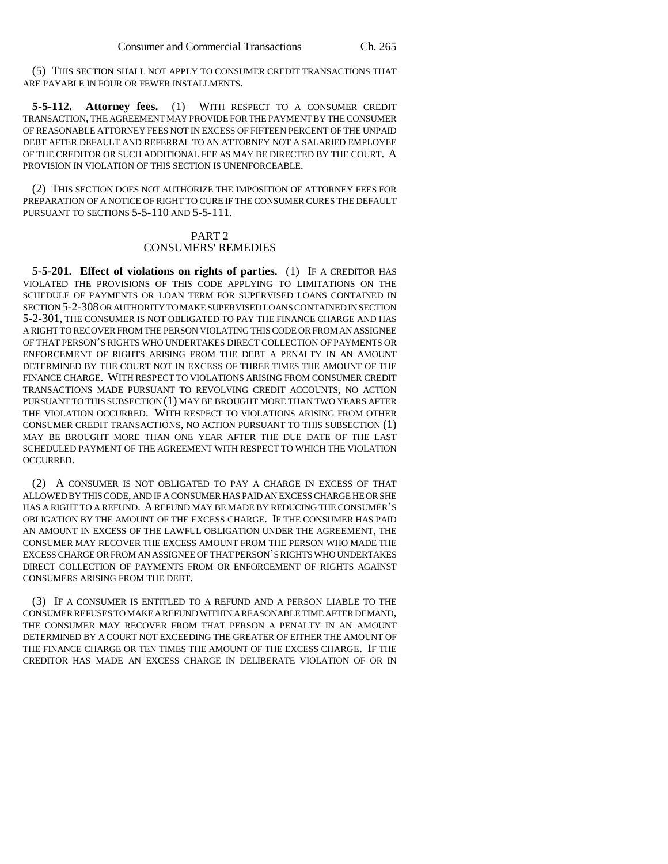(5) THIS SECTION SHALL NOT APPLY TO CONSUMER CREDIT TRANSACTIONS THAT ARE PAYABLE IN FOUR OR FEWER INSTALLMENTS.

**5-5-112. Attorney fees.** (1) WITH RESPECT TO A CONSUMER CREDIT TRANSACTION, THE AGREEMENT MAY PROVIDE FOR THE PAYMENT BY THE CONSUMER OF REASONABLE ATTORNEY FEES NOT IN EXCESS OF FIFTEEN PERCENT OF THE UNPAID DEBT AFTER DEFAULT AND REFERRAL TO AN ATTORNEY NOT A SALARIED EMPLOYEE OF THE CREDITOR OR SUCH ADDITIONAL FEE AS MAY BE DIRECTED BY THE COURT. A PROVISION IN VIOLATION OF THIS SECTION IS UNENFORCEABLE.

(2) THIS SECTION DOES NOT AUTHORIZE THE IMPOSITION OF ATTORNEY FEES FOR PREPARATION OF A NOTICE OF RIGHT TO CURE IF THE CONSUMER CURES THE DEFAULT PURSUANT TO SECTIONS 5-5-110 AND 5-5-111.

## PART 2 CONSUMERS' REMEDIES

**5-5-201. Effect of violations on rights of parties.** (1) IF A CREDITOR HAS VIOLATED THE PROVISIONS OF THIS CODE APPLYING TO LIMITATIONS ON THE SCHEDULE OF PAYMENTS OR LOAN TERM FOR SUPERVISED LOANS CONTAINED IN SECTION 5-2-308 OR AUTHORITY TO MAKE SUPERVISED LOANS CONTAINED IN SECTION 5-2-301, THE CONSUMER IS NOT OBLIGATED TO PAY THE FINANCE CHARGE AND HAS A RIGHT TO RECOVER FROM THE PERSON VIOLATING THIS CODE OR FROM AN ASSIGNEE OF THAT PERSON'S RIGHTS WHO UNDERTAKES DIRECT COLLECTION OF PAYMENTS OR ENFORCEMENT OF RIGHTS ARISING FROM THE DEBT A PENALTY IN AN AMOUNT DETERMINED BY THE COURT NOT IN EXCESS OF THREE TIMES THE AMOUNT OF THE FINANCE CHARGE. WITH RESPECT TO VIOLATIONS ARISING FROM CONSUMER CREDIT TRANSACTIONS MADE PURSUANT TO REVOLVING CREDIT ACCOUNTS, NO ACTION PURSUANT TO THIS SUBSECTION (1) MAY BE BROUGHT MORE THAN TWO YEARS AFTER THE VIOLATION OCCURRED. WITH RESPECT TO VIOLATIONS ARISING FROM OTHER CONSUMER CREDIT TRANSACTIONS, NO ACTION PURSUANT TO THIS SUBSECTION (1) MAY BE BROUGHT MORE THAN ONE YEAR AFTER THE DUE DATE OF THE LAST SCHEDULED PAYMENT OF THE AGREEMENT WITH RESPECT TO WHICH THE VIOLATION OCCURRED.

(2) A CONSUMER IS NOT OBLIGATED TO PAY A CHARGE IN EXCESS OF THAT ALLOWED BY THIS CODE, AND IF A CONSUMER HAS PAID AN EXCESS CHARGE HE OR SHE HAS A RIGHT TO A REFUND. A REFUND MAY BE MADE BY REDUCING THE CONSUMER'S OBLIGATION BY THE AMOUNT OF THE EXCESS CHARGE. IF THE CONSUMER HAS PAID AN AMOUNT IN EXCESS OF THE LAWFUL OBLIGATION UNDER THE AGREEMENT, THE CONSUMER MAY RECOVER THE EXCESS AMOUNT FROM THE PERSON WHO MADE THE EXCESS CHARGE OR FROM AN ASSIGNEE OF THAT PERSON'S RIGHTS WHO UNDERTAKES DIRECT COLLECTION OF PAYMENTS FROM OR ENFORCEMENT OF RIGHTS AGAINST CONSUMERS ARISING FROM THE DEBT.

(3) IF A CONSUMER IS ENTITLED TO A REFUND AND A PERSON LIABLE TO THE CONSUMER REFUSES TO MAKE A REFUND WITHIN A REASONABLE TIME AFTER DEMAND, THE CONSUMER MAY RECOVER FROM THAT PERSON A PENALTY IN AN AMOUNT DETERMINED BY A COURT NOT EXCEEDING THE GREATER OF EITHER THE AMOUNT OF THE FINANCE CHARGE OR TEN TIMES THE AMOUNT OF THE EXCESS CHARGE. IF THE CREDITOR HAS MADE AN EXCESS CHARGE IN DELIBERATE VIOLATION OF OR IN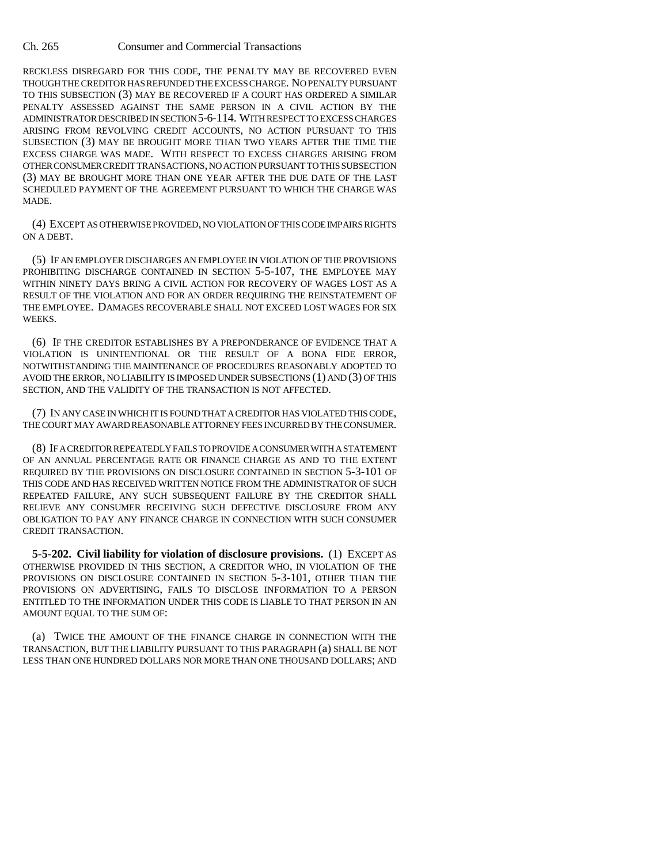RECKLESS DISREGARD FOR THIS CODE, THE PENALTY MAY BE RECOVERED EVEN THOUGH THE CREDITOR HAS REFUNDED THE EXCESS CHARGE. NO PENALTY PURSUANT TO THIS SUBSECTION (3) MAY BE RECOVERED IF A COURT HAS ORDERED A SIMILAR PENALTY ASSESSED AGAINST THE SAME PERSON IN A CIVIL ACTION BY THE ADMINISTRATOR DESCRIBED IN SECTION 5-6-114. WITH RESPECT TO EXCESS CHARGES ARISING FROM REVOLVING CREDIT ACCOUNTS, NO ACTION PURSUANT TO THIS SUBSECTION (3) MAY BE BROUGHT MORE THAN TWO YEARS AFTER THE TIME THE EXCESS CHARGE WAS MADE. WITH RESPECT TO EXCESS CHARGES ARISING FROM OTHER CONSUMER CREDIT TRANSACTIONS, NO ACTION PURSUANT TO THIS SUBSECTION (3) MAY BE BROUGHT MORE THAN ONE YEAR AFTER THE DUE DATE OF THE LAST SCHEDULED PAYMENT OF THE AGREEMENT PURSUANT TO WHICH THE CHARGE WAS MADE.

(4) EXCEPT AS OTHERWISE PROVIDED, NO VIOLATION OF THIS CODE IMPAIRS RIGHTS ON A DEBT.

(5) IF AN EMPLOYER DISCHARGES AN EMPLOYEE IN VIOLATION OF THE PROVISIONS PROHIBITING DISCHARGE CONTAINED IN SECTION 5-5-107, THE EMPLOYEE MAY WITHIN NINETY DAYS BRING A CIVIL ACTION FOR RECOVERY OF WAGES LOST AS A RESULT OF THE VIOLATION AND FOR AN ORDER REQUIRING THE REINSTATEMENT OF THE EMPLOYEE. DAMAGES RECOVERABLE SHALL NOT EXCEED LOST WAGES FOR SIX WEEKS.

(6) IF THE CREDITOR ESTABLISHES BY A PREPONDERANCE OF EVIDENCE THAT A VIOLATION IS UNINTENTIONAL OR THE RESULT OF A BONA FIDE ERROR, NOTWITHSTANDING THE MAINTENANCE OF PROCEDURES REASONABLY ADOPTED TO AVOID THE ERROR, NO LIABILITY IS IMPOSED UNDER SUBSECTIONS (1) AND (3) OF THIS SECTION, AND THE VALIDITY OF THE TRANSACTION IS NOT AFFECTED.

(7) IN ANY CASE IN WHICH IT IS FOUND THAT A CREDITOR HAS VIOLATED THIS CODE, THE COURT MAY AWARD REASONABLE ATTORNEY FEES INCURRED BY THE CONSUMER.

(8) IF A CREDITOR REPEATEDLY FAILS TO PROVIDE A CONSUMER WITH A STATEMENT OF AN ANNUAL PERCENTAGE RATE OR FINANCE CHARGE AS AND TO THE EXTENT REQUIRED BY THE PROVISIONS ON DISCLOSURE CONTAINED IN SECTION 5-3-101 OF THIS CODE AND HAS RECEIVED WRITTEN NOTICE FROM THE ADMINISTRATOR OF SUCH REPEATED FAILURE, ANY SUCH SUBSEQUENT FAILURE BY THE CREDITOR SHALL RELIEVE ANY CONSUMER RECEIVING SUCH DEFECTIVE DISCLOSURE FROM ANY OBLIGATION TO PAY ANY FINANCE CHARGE IN CONNECTION WITH SUCH CONSUMER CREDIT TRANSACTION.

**5-5-202. Civil liability for violation of disclosure provisions.** (1) EXCEPT AS OTHERWISE PROVIDED IN THIS SECTION, A CREDITOR WHO, IN VIOLATION OF THE PROVISIONS ON DISCLOSURE CONTAINED IN SECTION 5-3-101, OTHER THAN THE PROVISIONS ON ADVERTISING, FAILS TO DISCLOSE INFORMATION TO A PERSON ENTITLED TO THE INFORMATION UNDER THIS CODE IS LIABLE TO THAT PERSON IN AN AMOUNT EQUAL TO THE SUM OF:

(a) TWICE THE AMOUNT OF THE FINANCE CHARGE IN CONNECTION WITH THE TRANSACTION, BUT THE LIABILITY PURSUANT TO THIS PARAGRAPH (a) SHALL BE NOT LESS THAN ONE HUNDRED DOLLARS NOR MORE THAN ONE THOUSAND DOLLARS; AND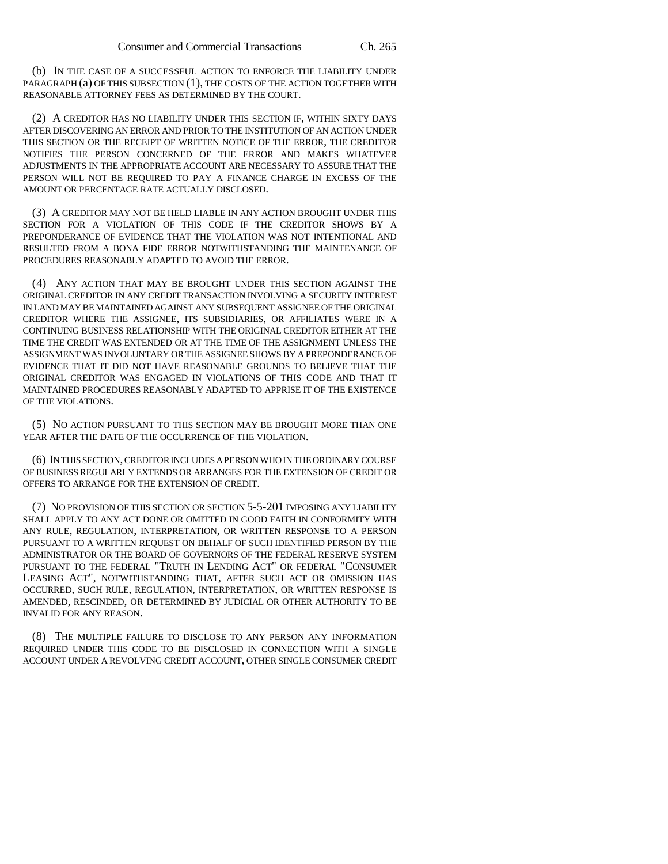(b) IN THE CASE OF A SUCCESSFUL ACTION TO ENFORCE THE LIABILITY UNDER PARAGRAPH (a) OF THIS SUBSECTION (1), THE COSTS OF THE ACTION TOGETHER WITH REASONABLE ATTORNEY FEES AS DETERMINED BY THE COURT.

(2) A CREDITOR HAS NO LIABILITY UNDER THIS SECTION IF, WITHIN SIXTY DAYS AFTER DISCOVERING AN ERROR AND PRIOR TO THE INSTITUTION OF AN ACTION UNDER THIS SECTION OR THE RECEIPT OF WRITTEN NOTICE OF THE ERROR, THE CREDITOR NOTIFIES THE PERSON CONCERNED OF THE ERROR AND MAKES WHATEVER ADJUSTMENTS IN THE APPROPRIATE ACCOUNT ARE NECESSARY TO ASSURE THAT THE PERSON WILL NOT BE REQUIRED TO PAY A FINANCE CHARGE IN EXCESS OF THE AMOUNT OR PERCENTAGE RATE ACTUALLY DISCLOSED.

(3) A CREDITOR MAY NOT BE HELD LIABLE IN ANY ACTION BROUGHT UNDER THIS SECTION FOR A VIOLATION OF THIS CODE IF THE CREDITOR SHOWS BY A PREPONDERANCE OF EVIDENCE THAT THE VIOLATION WAS NOT INTENTIONAL AND RESULTED FROM A BONA FIDE ERROR NOTWITHSTANDING THE MAINTENANCE OF PROCEDURES REASONABLY ADAPTED TO AVOID THE ERROR.

(4) ANY ACTION THAT MAY BE BROUGHT UNDER THIS SECTION AGAINST THE ORIGINAL CREDITOR IN ANY CREDIT TRANSACTION INVOLVING A SECURITY INTEREST IN LAND MAY BE MAINTAINED AGAINST ANY SUBSEQUENT ASSIGNEE OF THE ORIGINAL CREDITOR WHERE THE ASSIGNEE, ITS SUBSIDIARIES, OR AFFILIATES WERE IN A CONTINUING BUSINESS RELATIONSHIP WITH THE ORIGINAL CREDITOR EITHER AT THE TIME THE CREDIT WAS EXTENDED OR AT THE TIME OF THE ASSIGNMENT UNLESS THE ASSIGNMENT WAS INVOLUNTARY OR THE ASSIGNEE SHOWS BY A PREPONDERANCE OF EVIDENCE THAT IT DID NOT HAVE REASONABLE GROUNDS TO BELIEVE THAT THE ORIGINAL CREDITOR WAS ENGAGED IN VIOLATIONS OF THIS CODE AND THAT IT MAINTAINED PROCEDURES REASONABLY ADAPTED TO APPRISE IT OF THE EXISTENCE OF THE VIOLATIONS.

(5) NO ACTION PURSUANT TO THIS SECTION MAY BE BROUGHT MORE THAN ONE YEAR AFTER THE DATE OF THE OCCURRENCE OF THE VIOLATION.

(6) IN THIS SECTION, CREDITOR INCLUDES A PERSON WHO IN THE ORDINARY COURSE OF BUSINESS REGULARLY EXTENDS OR ARRANGES FOR THE EXTENSION OF CREDIT OR OFFERS TO ARRANGE FOR THE EXTENSION OF CREDIT.

(7) NO PROVISION OF THIS SECTION OR SECTION 5-5-201 IMPOSING ANY LIABILITY SHALL APPLY TO ANY ACT DONE OR OMITTED IN GOOD FAITH IN CONFORMITY WITH ANY RULE, REGULATION, INTERPRETATION, OR WRITTEN RESPONSE TO A PERSON PURSUANT TO A WRITTEN REQUEST ON BEHALF OF SUCH IDENTIFIED PERSON BY THE ADMINISTRATOR OR THE BOARD OF GOVERNORS OF THE FEDERAL RESERVE SYSTEM PURSUANT TO THE FEDERAL "TRUTH IN LENDING ACT" OR FEDERAL "CONSUMER LEASING ACT", NOTWITHSTANDING THAT, AFTER SUCH ACT OR OMISSION HAS OCCURRED, SUCH RULE, REGULATION, INTERPRETATION, OR WRITTEN RESPONSE IS AMENDED, RESCINDED, OR DETERMINED BY JUDICIAL OR OTHER AUTHORITY TO BE INVALID FOR ANY REASON.

(8) THE MULTIPLE FAILURE TO DISCLOSE TO ANY PERSON ANY INFORMATION REQUIRED UNDER THIS CODE TO BE DISCLOSED IN CONNECTION WITH A SINGLE ACCOUNT UNDER A REVOLVING CREDIT ACCOUNT, OTHER SINGLE CONSUMER CREDIT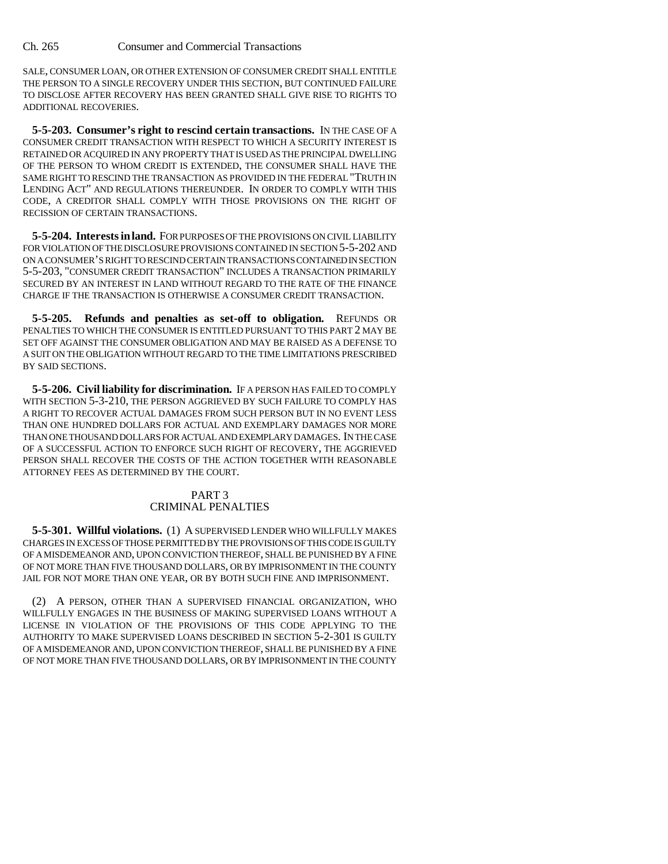SALE, CONSUMER LOAN, OR OTHER EXTENSION OF CONSUMER CREDIT SHALL ENTITLE THE PERSON TO A SINGLE RECOVERY UNDER THIS SECTION, BUT CONTINUED FAILURE TO DISCLOSE AFTER RECOVERY HAS BEEN GRANTED SHALL GIVE RISE TO RIGHTS TO ADDITIONAL RECOVERIES.

**5-5-203. Consumer's right to rescind certain transactions.** IN THE CASE OF A CONSUMER CREDIT TRANSACTION WITH RESPECT TO WHICH A SECURITY INTEREST IS RETAINED OR ACQUIRED IN ANY PROPERTY THAT IS USED AS THE PRINCIPAL DWELLING OF THE PERSON TO WHOM CREDIT IS EXTENDED, THE CONSUMER SHALL HAVE THE SAME RIGHT TO RESCIND THE TRANSACTION AS PROVIDED IN THE FEDERAL "TRUTH IN LENDING ACT" AND REGULATIONS THEREUNDER. IN ORDER TO COMPLY WITH THIS CODE, A CREDITOR SHALL COMPLY WITH THOSE PROVISIONS ON THE RIGHT OF RECISSION OF CERTAIN TRANSACTIONS.

**5-5-204. Interests in land.** FOR PURPOSES OF THE PROVISIONS ON CIVIL LIABILITY FOR VIOLATION OF THE DISCLOSURE PROVISIONS CONTAINED IN SECTION 5-5-202 AND ON A CONSUMER'S RIGHT TO RESCIND CERTAIN TRANSACTIONS CONTAINED IN SECTION 5-5-203, "CONSUMER CREDIT TRANSACTION" INCLUDES A TRANSACTION PRIMARILY SECURED BY AN INTEREST IN LAND WITHOUT REGARD TO THE RATE OF THE FINANCE CHARGE IF THE TRANSACTION IS OTHERWISE A CONSUMER CREDIT TRANSACTION.

**5-5-205. Refunds and penalties as set-off to obligation.** REFUNDS OR PENALTIES TO WHICH THE CONSUMER IS ENTITLED PURSUANT TO THIS PART 2 MAY BE SET OFF AGAINST THE CONSUMER OBLIGATION AND MAY BE RAISED AS A DEFENSE TO A SUIT ON THE OBLIGATION WITHOUT REGARD TO THE TIME LIMITATIONS PRESCRIBED BY SAID SECTIONS.

**5-5-206. Civil liability for discrimination.** IF A PERSON HAS FAILED TO COMPLY WITH SECTION 5-3-210, THE PERSON AGGRIEVED BY SUCH FAILURE TO COMPLY HAS A RIGHT TO RECOVER ACTUAL DAMAGES FROM SUCH PERSON BUT IN NO EVENT LESS THAN ONE HUNDRED DOLLARS FOR ACTUAL AND EXEMPLARY DAMAGES NOR MORE THAN ONE THOUSAND DOLLARS FOR ACTUAL AND EXEMPLARY DAMAGES. IN THE CASE OF A SUCCESSFUL ACTION TO ENFORCE SUCH RIGHT OF RECOVERY, THE AGGRIEVED PERSON SHALL RECOVER THE COSTS OF THE ACTION TOGETHER WITH REASONABLE ATTORNEY FEES AS DETERMINED BY THE COURT.

# PART 3 CRIMINAL PENALTIES

**5-5-301. Willful violations.** (1) A SUPERVISED LENDER WHO WILLFULLY MAKES CHARGES IN EXCESS OF THOSE PERMITTED BY THE PROVISIONS OF THIS CODE IS GUILTY OF A MISDEMEANOR AND, UPON CONVICTION THEREOF, SHALL BE PUNISHED BY A FINE OF NOT MORE THAN FIVE THOUSAND DOLLARS, OR BY IMPRISONMENT IN THE COUNTY JAIL FOR NOT MORE THAN ONE YEAR, OR BY BOTH SUCH FINE AND IMPRISONMENT.

(2) A PERSON, OTHER THAN A SUPERVISED FINANCIAL ORGANIZATION, WHO WILLFULLY ENGAGES IN THE BUSINESS OF MAKING SUPERVISED LOANS WITHOUT A LICENSE IN VIOLATION OF THE PROVISIONS OF THIS CODE APPLYING TO THE AUTHORITY TO MAKE SUPERVISED LOANS DESCRIBED IN SECTION 5-2-301 IS GUILTY OF A MISDEMEANOR AND, UPON CONVICTION THEREOF, SHALL BE PUNISHED BY A FINE OF NOT MORE THAN FIVE THOUSAND DOLLARS, OR BY IMPRISONMENT IN THE COUNTY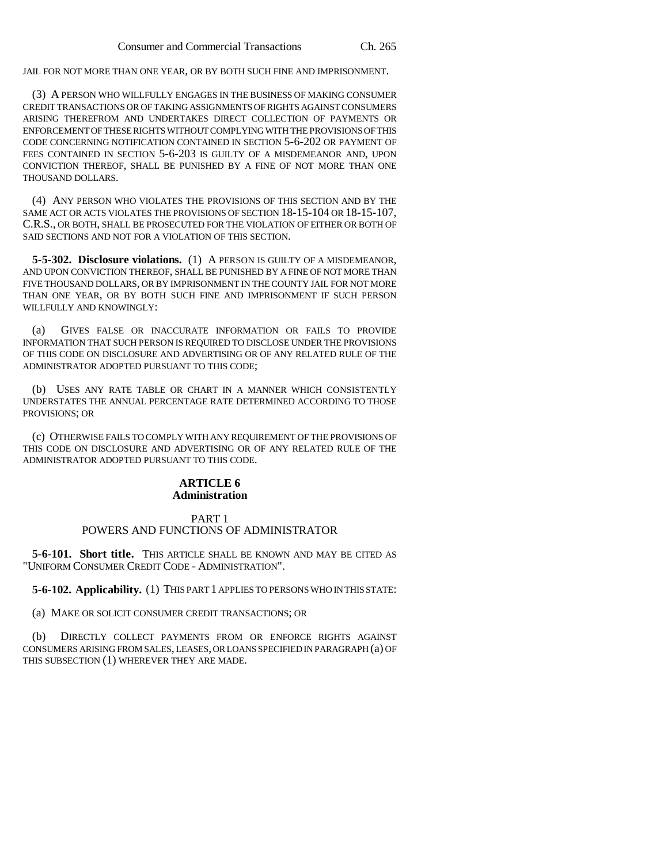JAIL FOR NOT MORE THAN ONE YEAR, OR BY BOTH SUCH FINE AND IMPRISONMENT.

(3) A PERSON WHO WILLFULLY ENGAGES IN THE BUSINESS OF MAKING CONSUMER CREDIT TRANSACTIONS OR OF TAKING ASSIGNMENTS OF RIGHTS AGAINST CONSUMERS ARISING THEREFROM AND UNDERTAKES DIRECT COLLECTION OF PAYMENTS OR ENFORCEMENT OF THESE RIGHTS WITHOUT COMPLYING WITH THE PROVISIONS OF THIS CODE CONCERNING NOTIFICATION CONTAINED IN SECTION 5-6-202 OR PAYMENT OF FEES CONTAINED IN SECTION 5-6-203 IS GUILTY OF A MISDEMEANOR AND, UPON CONVICTION THEREOF, SHALL BE PUNISHED BY A FINE OF NOT MORE THAN ONE THOUSAND DOLLARS.

(4) ANY PERSON WHO VIOLATES THE PROVISIONS OF THIS SECTION AND BY THE SAME ACT OR ACTS VIOLATES THE PROVISIONS OF SECTION 18-15-104 OR 18-15-107, C.R.S., OR BOTH, SHALL BE PROSECUTED FOR THE VIOLATION OF EITHER OR BOTH OF SAID SECTIONS AND NOT FOR A VIOLATION OF THIS SECTION.

**5-5-302. Disclosure violations.** (1) A PERSON IS GUILTY OF A MISDEMEANOR, AND UPON CONVICTION THEREOF, SHALL BE PUNISHED BY A FINE OF NOT MORE THAN FIVE THOUSAND DOLLARS, OR BY IMPRISONMENT IN THE COUNTY JAIL FOR NOT MORE THAN ONE YEAR, OR BY BOTH SUCH FINE AND IMPRISONMENT IF SUCH PERSON WILLFULLY AND KNOWINGLY:

(a) GIVES FALSE OR INACCURATE INFORMATION OR FAILS TO PROVIDE INFORMATION THAT SUCH PERSON IS REQUIRED TO DISCLOSE UNDER THE PROVISIONS OF THIS CODE ON DISCLOSURE AND ADVERTISING OR OF ANY RELATED RULE OF THE ADMINISTRATOR ADOPTED PURSUANT TO THIS CODE;

(b) USES ANY RATE TABLE OR CHART IN A MANNER WHICH CONSISTENTLY UNDERSTATES THE ANNUAL PERCENTAGE RATE DETERMINED ACCORDING TO THOSE PROVISIONS; OR

(c) OTHERWISE FAILS TO COMPLY WITH ANY REQUIREMENT OF THE PROVISIONS OF THIS CODE ON DISCLOSURE AND ADVERTISING OR OF ANY RELATED RULE OF THE ADMINISTRATOR ADOPTED PURSUANT TO THIS CODE.

#### **ARTICLE 6 Administration**

#### PART 1 POWERS AND FUNCTIONS OF ADMINISTRATOR

**5-6-101. Short title.** THIS ARTICLE SHALL BE KNOWN AND MAY BE CITED AS "UNIFORM CONSUMER CREDIT CODE - ADMINISTRATION".

**5-6-102. Applicability.** (1) THIS PART 1 APPLIES TO PERSONS WHO IN THIS STATE:

(a) MAKE OR SOLICIT CONSUMER CREDIT TRANSACTIONS; OR

(b) DIRECTLY COLLECT PAYMENTS FROM OR ENFORCE RIGHTS AGAINST CONSUMERS ARISING FROM SALES, LEASES, OR LOANS SPECIFIED IN PARAGRAPH (a) OF THIS SUBSECTION (1) WHEREVER THEY ARE MADE.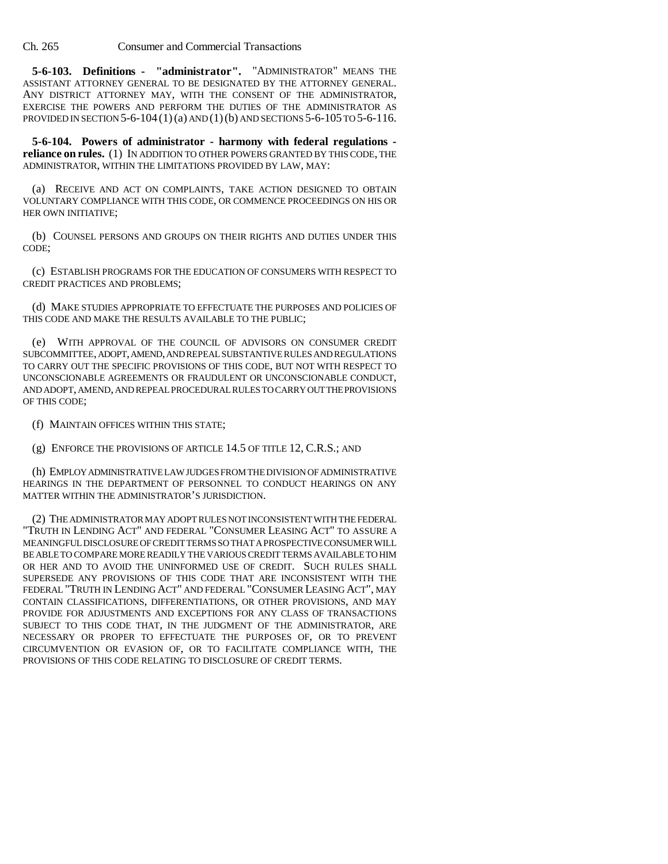**5-6-103. Definitions - "administrator".** "ADMINISTRATOR" MEANS THE ASSISTANT ATTORNEY GENERAL TO BE DESIGNATED BY THE ATTORNEY GENERAL. ANY DISTRICT ATTORNEY MAY, WITH THE CONSENT OF THE ADMINISTRATOR, EXERCISE THE POWERS AND PERFORM THE DUTIES OF THE ADMINISTRATOR AS PROVIDED IN SECTION  $5-6-104(1)(a)$  AND  $(1)(b)$  AND SECTIONS  $5-6-105$  TO  $5-6-116$ .

**5-6-104. Powers of administrator - harmony with federal regulations reliance on rules.** (1) IN ADDITION TO OTHER POWERS GRANTED BY THIS CODE, THE ADMINISTRATOR, WITHIN THE LIMITATIONS PROVIDED BY LAW, MAY:

(a) RECEIVE AND ACT ON COMPLAINTS, TAKE ACTION DESIGNED TO OBTAIN VOLUNTARY COMPLIANCE WITH THIS CODE, OR COMMENCE PROCEEDINGS ON HIS OR HER OWN INITIATIVE;

(b) COUNSEL PERSONS AND GROUPS ON THEIR RIGHTS AND DUTIES UNDER THIS CODE;

(c) ESTABLISH PROGRAMS FOR THE EDUCATION OF CONSUMERS WITH RESPECT TO CREDIT PRACTICES AND PROBLEMS;

(d) MAKE STUDIES APPROPRIATE TO EFFECTUATE THE PURPOSES AND POLICIES OF THIS CODE AND MAKE THE RESULTS AVAILABLE TO THE PUBLIC;

(e) WITH APPROVAL OF THE COUNCIL OF ADVISORS ON CONSUMER CREDIT SUBCOMMITTEE, ADOPT, AMEND, AND REPEAL SUBSTANTIVE RULES AND REGULATIONS TO CARRY OUT THE SPECIFIC PROVISIONS OF THIS CODE, BUT NOT WITH RESPECT TO UNCONSCIONABLE AGREEMENTS OR FRAUDULENT OR UNCONSCIONABLE CONDUCT, AND ADOPT, AMEND, AND REPEAL PROCEDURAL RULES TO CARRY OUT THE PROVISIONS OF THIS CODE;

(f) MAINTAIN OFFICES WITHIN THIS STATE;

(g) ENFORCE THE PROVISIONS OF ARTICLE 14.5 OF TITLE 12, C.R.S.; AND

(h) EMPLOY ADMINISTRATIVE LAW JUDGES FROM THE DIVISION OF ADMINISTRATIVE HEARINGS IN THE DEPARTMENT OF PERSONNEL TO CONDUCT HEARINGS ON ANY MATTER WITHIN THE ADMINISTRATOR'S JURISDICTION.

(2) THE ADMINISTRATOR MAY ADOPT RULES NOT INCONSISTENT WITH THE FEDERAL "TRUTH IN LENDING ACT" AND FEDERAL "CONSUMER LEASING ACT" TO ASSURE A MEANINGFUL DISCLOSURE OF CREDIT TERMS SO THAT A PROSPECTIVE CONSUMER WILL BE ABLE TO COMPARE MORE READILY THE VARIOUS CREDIT TERMS AVAILABLE TO HIM OR HER AND TO AVOID THE UNINFORMED USE OF CREDIT. SUCH RULES SHALL SUPERSEDE ANY PROVISIONS OF THIS CODE THAT ARE INCONSISTENT WITH THE FEDERAL "TRUTH IN LENDING ACT" AND FEDERAL "CONSUMER LEASING ACT", MAY CONTAIN CLASSIFICATIONS, DIFFERENTIATIONS, OR OTHER PROVISIONS, AND MAY PROVIDE FOR ADJUSTMENTS AND EXCEPTIONS FOR ANY CLASS OF TRANSACTIONS SUBJECT TO THIS CODE THAT, IN THE JUDGMENT OF THE ADMINISTRATOR, ARE NECESSARY OR PROPER TO EFFECTUATE THE PURPOSES OF, OR TO PREVENT CIRCUMVENTION OR EVASION OF, OR TO FACILITATE COMPLIANCE WITH, THE PROVISIONS OF THIS CODE RELATING TO DISCLOSURE OF CREDIT TERMS.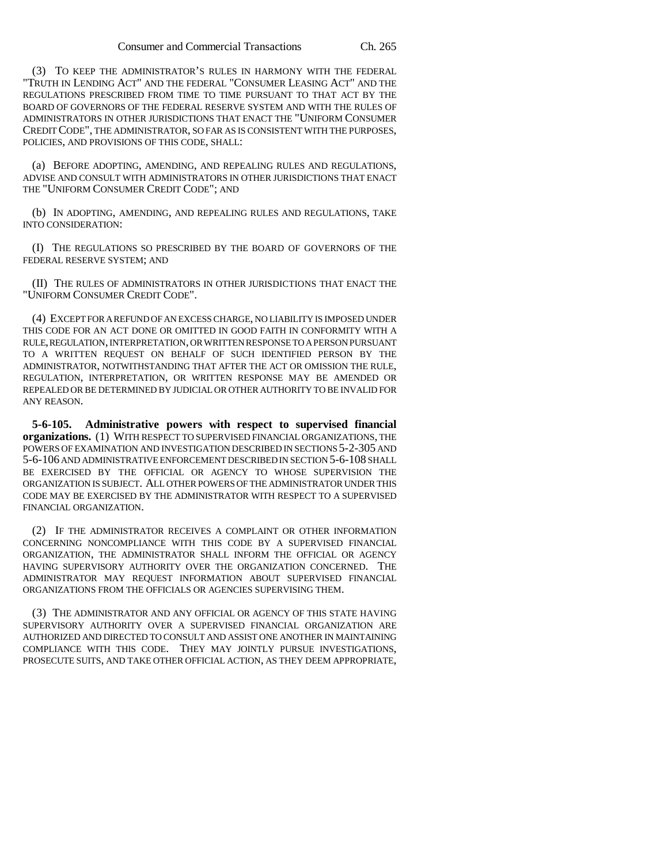(3) TO KEEP THE ADMINISTRATOR'S RULES IN HARMONY WITH THE FEDERAL "TRUTH IN LENDING ACT" AND THE FEDERAL "CONSUMER LEASING ACT" AND THE REGULATIONS PRESCRIBED FROM TIME TO TIME PURSUANT TO THAT ACT BY THE BOARD OF GOVERNORS OF THE FEDERAL RESERVE SYSTEM AND WITH THE RULES OF ADMINISTRATORS IN OTHER JURISDICTIONS THAT ENACT THE "UNIFORM CONSUMER CREDIT CODE", THE ADMINISTRATOR, SO FAR AS IS CONSISTENT WITH THE PURPOSES, POLICIES, AND PROVISIONS OF THIS CODE, SHALL:

(a) BEFORE ADOPTING, AMENDING, AND REPEALING RULES AND REGULATIONS, ADVISE AND CONSULT WITH ADMINISTRATORS IN OTHER JURISDICTIONS THAT ENACT THE "UNIFORM CONSUMER CREDIT CODE"; AND

(b) IN ADOPTING, AMENDING, AND REPEALING RULES AND REGULATIONS, TAKE INTO CONSIDERATION:

(I) THE REGULATIONS SO PRESCRIBED BY THE BOARD OF GOVERNORS OF THE FEDERAL RESERVE SYSTEM; AND

(II) THE RULES OF ADMINISTRATORS IN OTHER JURISDICTIONS THAT ENACT THE "UNIFORM CONSUMER CREDIT CODE".

(4) EXCEPT FOR A REFUND OF AN EXCESS CHARGE, NO LIABILITY IS IMPOSED UNDER THIS CODE FOR AN ACT DONE OR OMITTED IN GOOD FAITH IN CONFORMITY WITH A RULE, REGULATION, INTERPRETATION, OR WRITTEN RESPONSE TO A PERSON PURSUANT TO A WRITTEN REQUEST ON BEHALF OF SUCH IDENTIFIED PERSON BY THE ADMINISTRATOR, NOTWITHSTANDING THAT AFTER THE ACT OR OMISSION THE RULE, REGULATION, INTERPRETATION, OR WRITTEN RESPONSE MAY BE AMENDED OR REPEALED OR BE DETERMINED BY JUDICIAL OR OTHER AUTHORITY TO BE INVALID FOR ANY REASON.

**5-6-105. Administrative powers with respect to supervised financial organizations.** (1) WITH RESPECT TO SUPERVISED FINANCIAL ORGANIZATIONS, THE POWERS OF EXAMINATION AND INVESTIGATION DESCRIBED IN SECTIONS 5-2-305 AND 5-6-106 AND ADMINISTRATIVE ENFORCEMENT DESCRIBED IN SECTION 5-6-108 SHALL BE EXERCISED BY THE OFFICIAL OR AGENCY TO WHOSE SUPERVISION THE ORGANIZATION IS SUBJECT. ALL OTHER POWERS OF THE ADMINISTRATOR UNDER THIS CODE MAY BE EXERCISED BY THE ADMINISTRATOR WITH RESPECT TO A SUPERVISED FINANCIAL ORGANIZATION.

(2) IF THE ADMINISTRATOR RECEIVES A COMPLAINT OR OTHER INFORMATION CONCERNING NONCOMPLIANCE WITH THIS CODE BY A SUPERVISED FINANCIAL ORGANIZATION, THE ADMINISTRATOR SHALL INFORM THE OFFICIAL OR AGENCY HAVING SUPERVISORY AUTHORITY OVER THE ORGANIZATION CONCERNED. THE ADMINISTRATOR MAY REQUEST INFORMATION ABOUT SUPERVISED FINANCIAL ORGANIZATIONS FROM THE OFFICIALS OR AGENCIES SUPERVISING THEM.

(3) THE ADMINISTRATOR AND ANY OFFICIAL OR AGENCY OF THIS STATE HAVING SUPERVISORY AUTHORITY OVER A SUPERVISED FINANCIAL ORGANIZATION ARE AUTHORIZED AND DIRECTED TO CONSULT AND ASSIST ONE ANOTHER IN MAINTAINING COMPLIANCE WITH THIS CODE. THEY MAY JOINTLY PURSUE INVESTIGATIONS, PROSECUTE SUITS, AND TAKE OTHER OFFICIAL ACTION, AS THEY DEEM APPROPRIATE,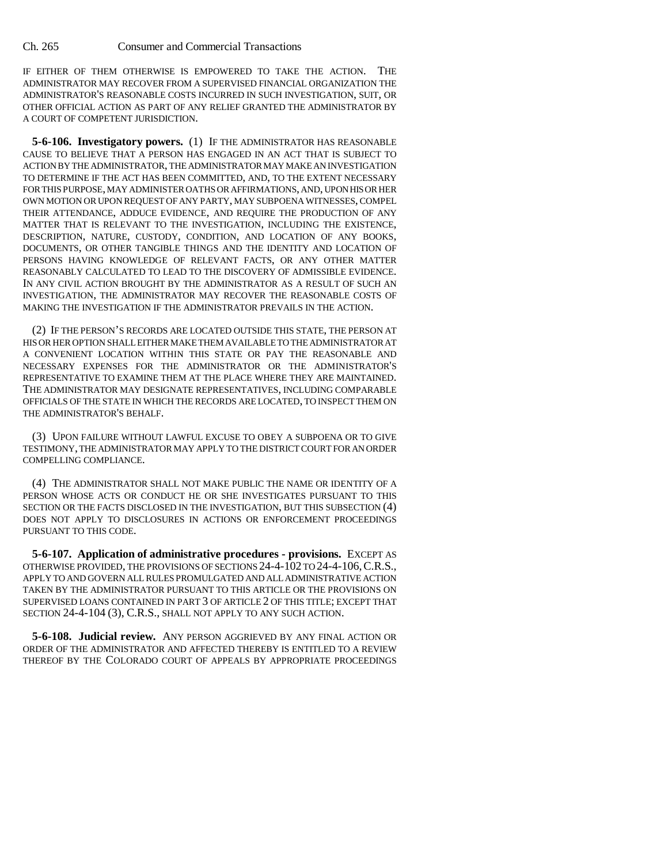IF EITHER OF THEM OTHERWISE IS EMPOWERED TO TAKE THE ACTION. THE ADMINISTRATOR MAY RECOVER FROM A SUPERVISED FINANCIAL ORGANIZATION THE ADMINISTRATOR'S REASONABLE COSTS INCURRED IN SUCH INVESTIGATION, SUIT, OR OTHER OFFICIAL ACTION AS PART OF ANY RELIEF GRANTED THE ADMINISTRATOR BY A COURT OF COMPETENT JURISDICTION.

**5-6-106. Investigatory powers.** (1) IF THE ADMINISTRATOR HAS REASONABLE CAUSE TO BELIEVE THAT A PERSON HAS ENGAGED IN AN ACT THAT IS SUBJECT TO ACTION BY THE ADMINISTRATOR, THE ADMINISTRATOR MAY MAKE AN INVESTIGATION TO DETERMINE IF THE ACT HAS BEEN COMMITTED, AND, TO THE EXTENT NECESSARY FOR THIS PURPOSE, MAY ADMINISTER OATHS OR AFFIRMATIONS, AND, UPON HIS OR HER OWN MOTION OR UPON REQUEST OF ANY PARTY, MAY SUBPOENA WITNESSES, COMPEL THEIR ATTENDANCE, ADDUCE EVIDENCE, AND REQUIRE THE PRODUCTION OF ANY MATTER THAT IS RELEVANT TO THE INVESTIGATION, INCLUDING THE EXISTENCE, DESCRIPTION, NATURE, CUSTODY, CONDITION, AND LOCATION OF ANY BOOKS, DOCUMENTS, OR OTHER TANGIBLE THINGS AND THE IDENTITY AND LOCATION OF PERSONS HAVING KNOWLEDGE OF RELEVANT FACTS, OR ANY OTHER MATTER REASONABLY CALCULATED TO LEAD TO THE DISCOVERY OF ADMISSIBLE EVIDENCE. IN ANY CIVIL ACTION BROUGHT BY THE ADMINISTRATOR AS A RESULT OF SUCH AN INVESTIGATION, THE ADMINISTRATOR MAY RECOVER THE REASONABLE COSTS OF MAKING THE INVESTIGATION IF THE ADMINISTRATOR PREVAILS IN THE ACTION.

(2) IF THE PERSON'S RECORDS ARE LOCATED OUTSIDE THIS STATE, THE PERSON AT HIS OR HER OPTION SHALL EITHER MAKE THEM AVAILABLE TO THE ADMINISTRATOR AT A CONVENIENT LOCATION WITHIN THIS STATE OR PAY THE REASONABLE AND NECESSARY EXPENSES FOR THE ADMINISTRATOR OR THE ADMINISTRATOR'S REPRESENTATIVE TO EXAMINE THEM AT THE PLACE WHERE THEY ARE MAINTAINED. THE ADMINISTRATOR MAY DESIGNATE REPRESENTATIVES, INCLUDING COMPARABLE OFFICIALS OF THE STATE IN WHICH THE RECORDS ARE LOCATED, TO INSPECT THEM ON THE ADMINISTRATOR'S BEHALF.

(3) UPON FAILURE WITHOUT LAWFUL EXCUSE TO OBEY A SUBPOENA OR TO GIVE TESTIMONY, THE ADMINISTRATOR MAY APPLY TO THE DISTRICT COURT FOR AN ORDER COMPELLING COMPLIANCE.

(4) THE ADMINISTRATOR SHALL NOT MAKE PUBLIC THE NAME OR IDENTITY OF A PERSON WHOSE ACTS OR CONDUCT HE OR SHE INVESTIGATES PURSUANT TO THIS SECTION OR THE FACTS DISCLOSED IN THE INVESTIGATION, BUT THIS SUBSECTION (4) DOES NOT APPLY TO DISCLOSURES IN ACTIONS OR ENFORCEMENT PROCEEDINGS PURSUANT TO THIS CODE.

**5-6-107. Application of administrative procedures - provisions.** EXCEPT AS OTHERWISE PROVIDED, THE PROVISIONS OF SECTIONS 24-4-102 TO 24-4-106,C.R.S., APPLY TO AND GOVERN ALL RULES PROMULGATED AND ALL ADMINISTRATIVE ACTION TAKEN BY THE ADMINISTRATOR PURSUANT TO THIS ARTICLE OR THE PROVISIONS ON SUPERVISED LOANS CONTAINED IN PART 3 OF ARTICLE 2 OF THIS TITLE; EXCEPT THAT SECTION 24-4-104 (3), C.R.S., SHALL NOT APPLY TO ANY SUCH ACTION.

**5-6-108. Judicial review.** ANY PERSON AGGRIEVED BY ANY FINAL ACTION OR ORDER OF THE ADMINISTRATOR AND AFFECTED THEREBY IS ENTITLED TO A REVIEW THEREOF BY THE COLORADO COURT OF APPEALS BY APPROPRIATE PROCEEDINGS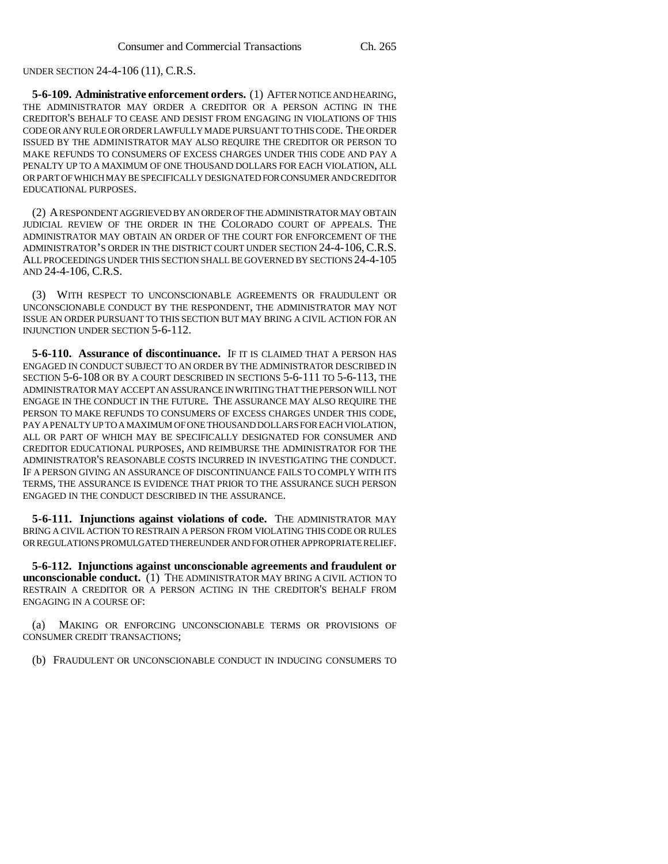UNDER SECTION 24-4-106 (11), C.R.S.

**5-6-109. Administrative enforcement orders.** (1) AFTER NOTICE AND HEARING, THE ADMINISTRATOR MAY ORDER A CREDITOR OR A PERSON ACTING IN THE CREDITOR'S BEHALF TO CEASE AND DESIST FROM ENGAGING IN VIOLATIONS OF THIS CODE OR ANY RULE OR ORDER LAWFULLY MADE PURSUANT TO THIS CODE. THE ORDER ISSUED BY THE ADMINISTRATOR MAY ALSO REQUIRE THE CREDITOR OR PERSON TO MAKE REFUNDS TO CONSUMERS OF EXCESS CHARGES UNDER THIS CODE AND PAY A PENALTY UP TO A MAXIMUM OF ONE THOUSAND DOLLARS FOR EACH VIOLATION, ALL OR PART OF WHICH MAY BE SPECIFICALLY DESIGNATED FOR CONSUMER AND CREDITOR EDUCATIONAL PURPOSES.

(2) A RESPONDENT AGGRIEVED BY AN ORDER OF THE ADMINISTRATOR MAY OBTAIN JUDICIAL REVIEW OF THE ORDER IN THE COLORADO COURT OF APPEALS. THE ADMINISTRATOR MAY OBTAIN AN ORDER OF THE COURT FOR ENFORCEMENT OF THE ADMINISTRATOR'S ORDER IN THE DISTRICT COURT UNDER SECTION 24-4-106, C.R.S. ALL PROCEEDINGS UNDER THIS SECTION SHALL BE GOVERNED BY SECTIONS 24-4-105 AND 24-4-106, C.R.S.

(3) WITH RESPECT TO UNCONSCIONABLE AGREEMENTS OR FRAUDULENT OR UNCONSCIONABLE CONDUCT BY THE RESPONDENT, THE ADMINISTRATOR MAY NOT ISSUE AN ORDER PURSUANT TO THIS SECTION BUT MAY BRING A CIVIL ACTION FOR AN INJUNCTION UNDER SECTION 5-6-112.

**5-6-110. Assurance of discontinuance.** IF IT IS CLAIMED THAT A PERSON HAS ENGAGED IN CONDUCT SUBJECT TO AN ORDER BY THE ADMINISTRATOR DESCRIBED IN SECTION 5-6-108 OR BY A COURT DESCRIBED IN SECTIONS 5-6-111 TO 5-6-113, THE ADMINISTRATOR MAY ACCEPT AN ASSURANCE IN WRITING THAT THE PERSON WILL NOT ENGAGE IN THE CONDUCT IN THE FUTURE. THE ASSURANCE MAY ALSO REQUIRE THE PERSON TO MAKE REFUNDS TO CONSUMERS OF EXCESS CHARGES UNDER THIS CODE, PAY A PENALTY UP TO A MAXIMUM OF ONE THOUSAND DOLLARS FOR EACH VIOLATION, ALL OR PART OF WHICH MAY BE SPECIFICALLY DESIGNATED FOR CONSUMER AND CREDITOR EDUCATIONAL PURPOSES, AND REIMBURSE THE ADMINISTRATOR FOR THE ADMINISTRATOR'S REASONABLE COSTS INCURRED IN INVESTIGATING THE CONDUCT. IF A PERSON GIVING AN ASSURANCE OF DISCONTINUANCE FAILS TO COMPLY WITH ITS TERMS, THE ASSURANCE IS EVIDENCE THAT PRIOR TO THE ASSURANCE SUCH PERSON ENGAGED IN THE CONDUCT DESCRIBED IN THE ASSURANCE.

**5-6-111. Injunctions against violations of code.** THE ADMINISTRATOR MAY BRING A CIVIL ACTION TO RESTRAIN A PERSON FROM VIOLATING THIS CODE OR RULES OR REGULATIONS PROMULGATED THEREUNDER AND FOR OTHER APPROPRIATE RELIEF.

**5-6-112. Injunctions against unconscionable agreements and fraudulent or unconscionable conduct.** (1) THE ADMINISTRATOR MAY BRING A CIVIL ACTION TO RESTRAIN A CREDITOR OR A PERSON ACTING IN THE CREDITOR'S BEHALF FROM ENGAGING IN A COURSE OF:

(a) MAKING OR ENFORCING UNCONSCIONABLE TERMS OR PROVISIONS OF CONSUMER CREDIT TRANSACTIONS;

(b) FRAUDULENT OR UNCONSCIONABLE CONDUCT IN INDUCING CONSUMERS TO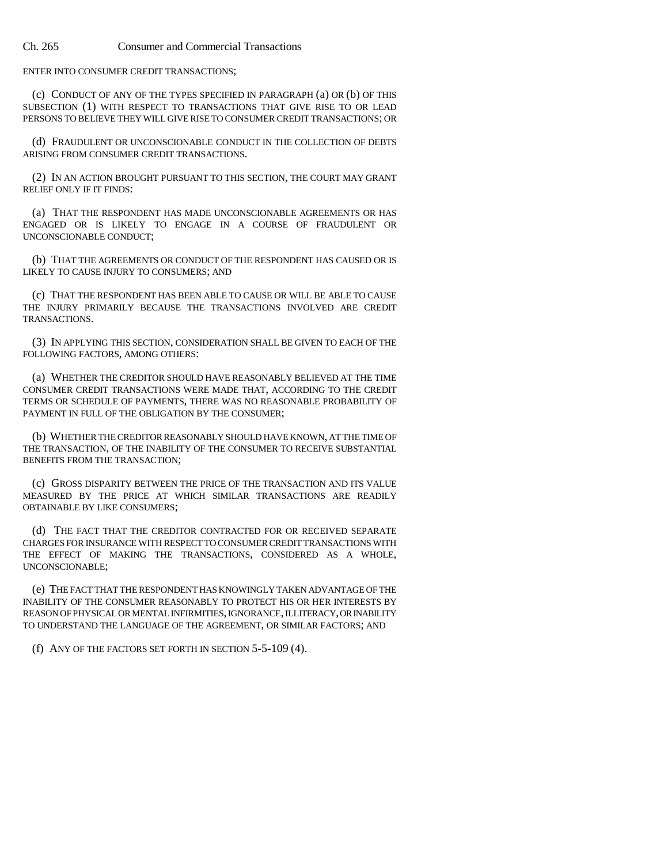ENTER INTO CONSUMER CREDIT TRANSACTIONS;

(c) CONDUCT OF ANY OF THE TYPES SPECIFIED IN PARAGRAPH (a) OR (b) OF THIS SUBSECTION (1) WITH RESPECT TO TRANSACTIONS THAT GIVE RISE TO OR LEAD PERSONS TO BELIEVE THEY WILL GIVE RISE TO CONSUMER CREDIT TRANSACTIONS; OR

(d) FRAUDULENT OR UNCONSCIONABLE CONDUCT IN THE COLLECTION OF DEBTS ARISING FROM CONSUMER CREDIT TRANSACTIONS.

(2) IN AN ACTION BROUGHT PURSUANT TO THIS SECTION, THE COURT MAY GRANT RELIEF ONLY IF IT FINDS:

(a) THAT THE RESPONDENT HAS MADE UNCONSCIONABLE AGREEMENTS OR HAS ENGAGED OR IS LIKELY TO ENGAGE IN A COURSE OF FRAUDULENT OR UNCONSCIONABLE CONDUCT;

(b) THAT THE AGREEMENTS OR CONDUCT OF THE RESPONDENT HAS CAUSED OR IS LIKELY TO CAUSE INJURY TO CONSUMERS; AND

(c) THAT THE RESPONDENT HAS BEEN ABLE TO CAUSE OR WILL BE ABLE TO CAUSE THE INJURY PRIMARILY BECAUSE THE TRANSACTIONS INVOLVED ARE CREDIT TRANSACTIONS.

(3) IN APPLYING THIS SECTION, CONSIDERATION SHALL BE GIVEN TO EACH OF THE FOLLOWING FACTORS, AMONG OTHERS:

(a) WHETHER THE CREDITOR SHOULD HAVE REASONABLY BELIEVED AT THE TIME CONSUMER CREDIT TRANSACTIONS WERE MADE THAT, ACCORDING TO THE CREDIT TERMS OR SCHEDULE OF PAYMENTS, THERE WAS NO REASONABLE PROBABILITY OF PAYMENT IN FULL OF THE OBLIGATION BY THE CONSUMER;

(b) WHETHER THE CREDITOR REASONABLY SHOULD HAVE KNOWN, AT THE TIME OF THE TRANSACTION, OF THE INABILITY OF THE CONSUMER TO RECEIVE SUBSTANTIAL BENEFITS FROM THE TRANSACTION;

(c) GROSS DISPARITY BETWEEN THE PRICE OF THE TRANSACTION AND ITS VALUE MEASURED BY THE PRICE AT WHICH SIMILAR TRANSACTIONS ARE READILY OBTAINABLE BY LIKE CONSUMERS;

(d) THE FACT THAT THE CREDITOR CONTRACTED FOR OR RECEIVED SEPARATE CHARGES FOR INSURANCE WITH RESPECT TO CONSUMER CREDIT TRANSACTIONS WITH THE EFFECT OF MAKING THE TRANSACTIONS, CONSIDERED AS A WHOLE, UNCONSCIONABLE;

(e) THE FACT THAT THE RESPONDENT HAS KNOWINGLY TAKEN ADVANTAGE OF THE INABILITY OF THE CONSUMER REASONABLY TO PROTECT HIS OR HER INTERESTS BY REASON OF PHYSICAL OR MENTAL INFIRMITIES, IGNORANCE, ILLITERACY, OR INABILITY TO UNDERSTAND THE LANGUAGE OF THE AGREEMENT, OR SIMILAR FACTORS; AND

(f) ANY OF THE FACTORS SET FORTH IN SECTION 5-5-109 (4).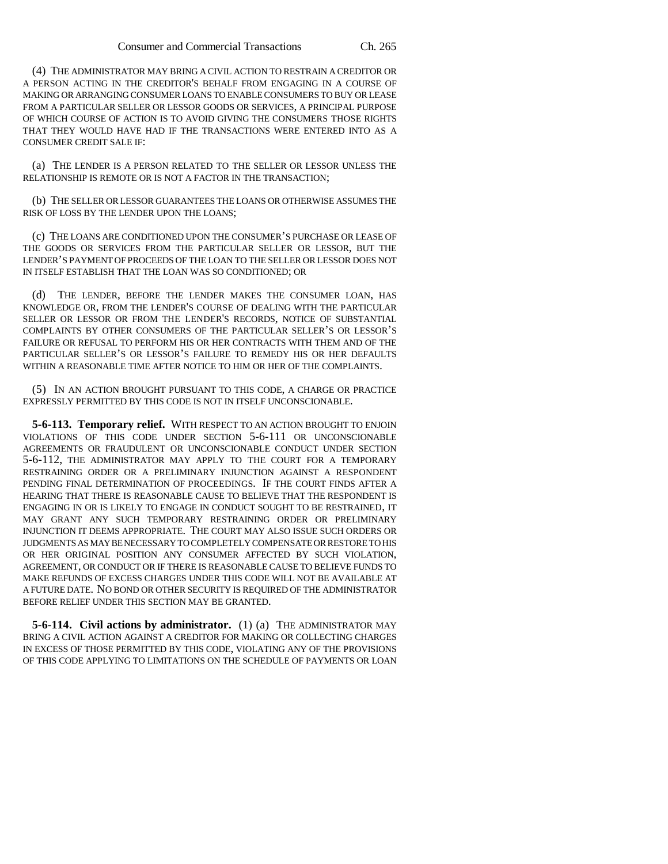(4) THE ADMINISTRATOR MAY BRING A CIVIL ACTION TO RESTRAIN A CREDITOR OR A PERSON ACTING IN THE CREDITOR'S BEHALF FROM ENGAGING IN A COURSE OF MAKING OR ARRANGING CONSUMER LOANS TO ENABLE CONSUMERS TO BUY OR LEASE FROM A PARTICULAR SELLER OR LESSOR GOODS OR SERVICES, A PRINCIPAL PURPOSE OF WHICH COURSE OF ACTION IS TO AVOID GIVING THE CONSUMERS THOSE RIGHTS THAT THEY WOULD HAVE HAD IF THE TRANSACTIONS WERE ENTERED INTO AS A CONSUMER CREDIT SALE IF:

(a) THE LENDER IS A PERSON RELATED TO THE SELLER OR LESSOR UNLESS THE RELATIONSHIP IS REMOTE OR IS NOT A FACTOR IN THE TRANSACTION;

(b) THE SELLER OR LESSOR GUARANTEES THE LOANS OR OTHERWISE ASSUMES THE RISK OF LOSS BY THE LENDER UPON THE LOANS;

(c) THE LOANS ARE CONDITIONED UPON THE CONSUMER'S PURCHASE OR LEASE OF THE GOODS OR SERVICES FROM THE PARTICULAR SELLER OR LESSOR, BUT THE LENDER'S PAYMENT OF PROCEEDS OF THE LOAN TO THE SELLER OR LESSOR DOES NOT IN ITSELF ESTABLISH THAT THE LOAN WAS SO CONDITIONED; OR

(d) THE LENDER, BEFORE THE LENDER MAKES THE CONSUMER LOAN, HAS KNOWLEDGE OR, FROM THE LENDER'S COURSE OF DEALING WITH THE PARTICULAR SELLER OR LESSOR OR FROM THE LENDER'S RECORDS, NOTICE OF SUBSTANTIAL COMPLAINTS BY OTHER CONSUMERS OF THE PARTICULAR SELLER'S OR LESSOR'S FAILURE OR REFUSAL TO PERFORM HIS OR HER CONTRACTS WITH THEM AND OF THE PARTICULAR SELLER'S OR LESSOR'S FAILURE TO REMEDY HIS OR HER DEFAULTS WITHIN A REASONABLE TIME AFTER NOTICE TO HIM OR HER OF THE COMPLAINTS.

(5) IN AN ACTION BROUGHT PURSUANT TO THIS CODE, A CHARGE OR PRACTICE EXPRESSLY PERMITTED BY THIS CODE IS NOT IN ITSELF UNCONSCIONABLE.

**5-6-113. Temporary relief.** WITH RESPECT TO AN ACTION BROUGHT TO ENJOIN VIOLATIONS OF THIS CODE UNDER SECTION 5-6-111 OR UNCONSCIONABLE AGREEMENTS OR FRAUDULENT OR UNCONSCIONABLE CONDUCT UNDER SECTION 5-6-112, THE ADMINISTRATOR MAY APPLY TO THE COURT FOR A TEMPORARY RESTRAINING ORDER OR A PRELIMINARY INJUNCTION AGAINST A RESPONDENT PENDING FINAL DETERMINATION OF PROCEEDINGS. IF THE COURT FINDS AFTER A HEARING THAT THERE IS REASONABLE CAUSE TO BELIEVE THAT THE RESPONDENT IS ENGAGING IN OR IS LIKELY TO ENGAGE IN CONDUCT SOUGHT TO BE RESTRAINED, IT MAY GRANT ANY SUCH TEMPORARY RESTRAINING ORDER OR PRELIMINARY INJUNCTION IT DEEMS APPROPRIATE. THE COURT MAY ALSO ISSUE SUCH ORDERS OR JUDGMENTS AS MAY BE NECESSARY TO COMPLETELY COMPENSATE OR RESTORE TO HIS OR HER ORIGINAL POSITION ANY CONSUMER AFFECTED BY SUCH VIOLATION, AGREEMENT, OR CONDUCT OR IF THERE IS REASONABLE CAUSE TO BELIEVE FUNDS TO MAKE REFUNDS OF EXCESS CHARGES UNDER THIS CODE WILL NOT BE AVAILABLE AT A FUTURE DATE. NO BOND OR OTHER SECURITY IS REQUIRED OF THE ADMINISTRATOR BEFORE RELIEF UNDER THIS SECTION MAY BE GRANTED.

**5-6-114. Civil actions by administrator.** (1) (a) THE ADMINISTRATOR MAY BRING A CIVIL ACTION AGAINST A CREDITOR FOR MAKING OR COLLECTING CHARGES IN EXCESS OF THOSE PERMITTED BY THIS CODE, VIOLATING ANY OF THE PROVISIONS OF THIS CODE APPLYING TO LIMITATIONS ON THE SCHEDULE OF PAYMENTS OR LOAN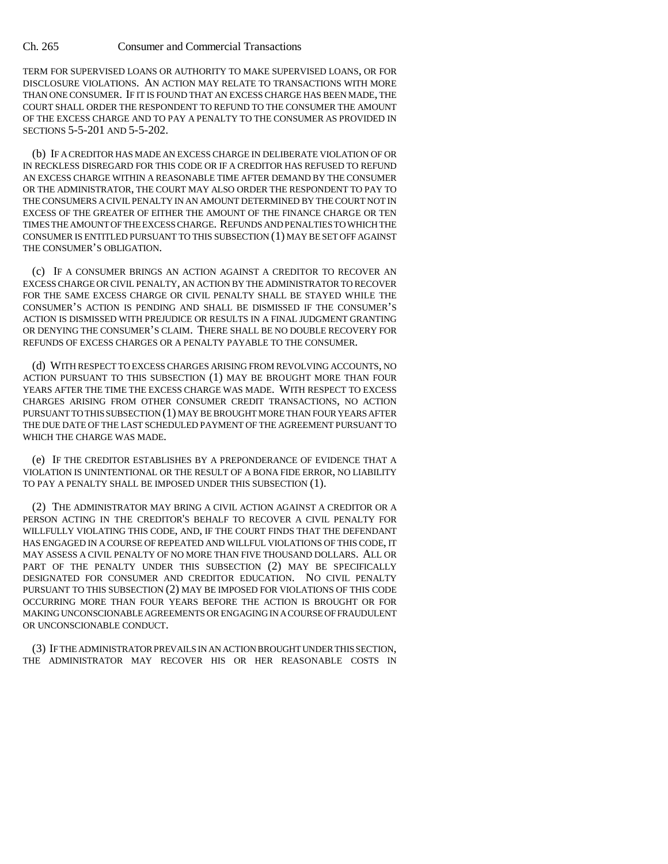TERM FOR SUPERVISED LOANS OR AUTHORITY TO MAKE SUPERVISED LOANS, OR FOR DISCLOSURE VIOLATIONS. AN ACTION MAY RELATE TO TRANSACTIONS WITH MORE THAN ONE CONSUMER. IF IT IS FOUND THAT AN EXCESS CHARGE HAS BEEN MADE, THE COURT SHALL ORDER THE RESPONDENT TO REFUND TO THE CONSUMER THE AMOUNT OF THE EXCESS CHARGE AND TO PAY A PENALTY TO THE CONSUMER AS PROVIDED IN SECTIONS 5-5-201 AND 5-5-202.

(b) IF A CREDITOR HAS MADE AN EXCESS CHARGE IN DELIBERATE VIOLATION OF OR IN RECKLESS DISREGARD FOR THIS CODE OR IF A CREDITOR HAS REFUSED TO REFUND AN EXCESS CHARGE WITHIN A REASONABLE TIME AFTER DEMAND BY THE CONSUMER OR THE ADMINISTRATOR, THE COURT MAY ALSO ORDER THE RESPONDENT TO PAY TO THE CONSUMERS A CIVIL PENALTY IN AN AMOUNT DETERMINED BY THE COURT NOT IN EXCESS OF THE GREATER OF EITHER THE AMOUNT OF THE FINANCE CHARGE OR TEN TIMES THE AMOUNT OF THE EXCESS CHARGE. REFUNDS AND PENALTIES TO WHICH THE CONSUMER IS ENTITLED PURSUANT TO THIS SUBSECTION (1) MAY BE SET OFF AGAINST THE CONSUMER'S OBLIGATION.

(c) IF A CONSUMER BRINGS AN ACTION AGAINST A CREDITOR TO RECOVER AN EXCESS CHARGE OR CIVIL PENALTY, AN ACTION BY THE ADMINISTRATOR TO RECOVER FOR THE SAME EXCESS CHARGE OR CIVIL PENALTY SHALL BE STAYED WHILE THE CONSUMER'S ACTION IS PENDING AND SHALL BE DISMISSED IF THE CONSUMER'S ACTION IS DISMISSED WITH PREJUDICE OR RESULTS IN A FINAL JUDGMENT GRANTING OR DENYING THE CONSUMER'S CLAIM. THERE SHALL BE NO DOUBLE RECOVERY FOR REFUNDS OF EXCESS CHARGES OR A PENALTY PAYABLE TO THE CONSUMER.

(d) WITH RESPECT TO EXCESS CHARGES ARISING FROM REVOLVING ACCOUNTS, NO ACTION PURSUANT TO THIS SUBSECTION (1) MAY BE BROUGHT MORE THAN FOUR YEARS AFTER THE TIME THE EXCESS CHARGE WAS MADE. WITH RESPECT TO EXCESS CHARGES ARISING FROM OTHER CONSUMER CREDIT TRANSACTIONS, NO ACTION PURSUANT TO THIS SUBSECTION (1) MAY BE BROUGHT MORE THAN FOUR YEARS AFTER THE DUE DATE OF THE LAST SCHEDULED PAYMENT OF THE AGREEMENT PURSUANT TO WHICH THE CHARGE WAS MADE.

(e) IF THE CREDITOR ESTABLISHES BY A PREPONDERANCE OF EVIDENCE THAT A VIOLATION IS UNINTENTIONAL OR THE RESULT OF A BONA FIDE ERROR, NO LIABILITY TO PAY A PENALTY SHALL BE IMPOSED UNDER THIS SUBSECTION (1).

(2) THE ADMINISTRATOR MAY BRING A CIVIL ACTION AGAINST A CREDITOR OR A PERSON ACTING IN THE CREDITOR'S BEHALF TO RECOVER A CIVIL PENALTY FOR WILLFULLY VIOLATING THIS CODE, AND, IF THE COURT FINDS THAT THE DEFENDANT HAS ENGAGED IN A COURSE OF REPEATED AND WILLFUL VIOLATIONS OF THIS CODE, IT MAY ASSESS A CIVIL PENALTY OF NO MORE THAN FIVE THOUSAND DOLLARS. ALL OR PART OF THE PENALTY UNDER THIS SUBSECTION (2) MAY BE SPECIFICALLY DESIGNATED FOR CONSUMER AND CREDITOR EDUCATION. NO CIVIL PENALTY PURSUANT TO THIS SUBSECTION (2) MAY BE IMPOSED FOR VIOLATIONS OF THIS CODE OCCURRING MORE THAN FOUR YEARS BEFORE THE ACTION IS BROUGHT OR FOR MAKING UNCONSCIONABLE AGREEMENTS OR ENGAGING IN A COURSE OF FRAUDULENT OR UNCONSCIONABLE CONDUCT.

(3) IF THE ADMINISTRATOR PREVAILS IN AN ACTION BROUGHT UNDER THIS SECTION, THE ADMINISTRATOR MAY RECOVER HIS OR HER REASONABLE COSTS IN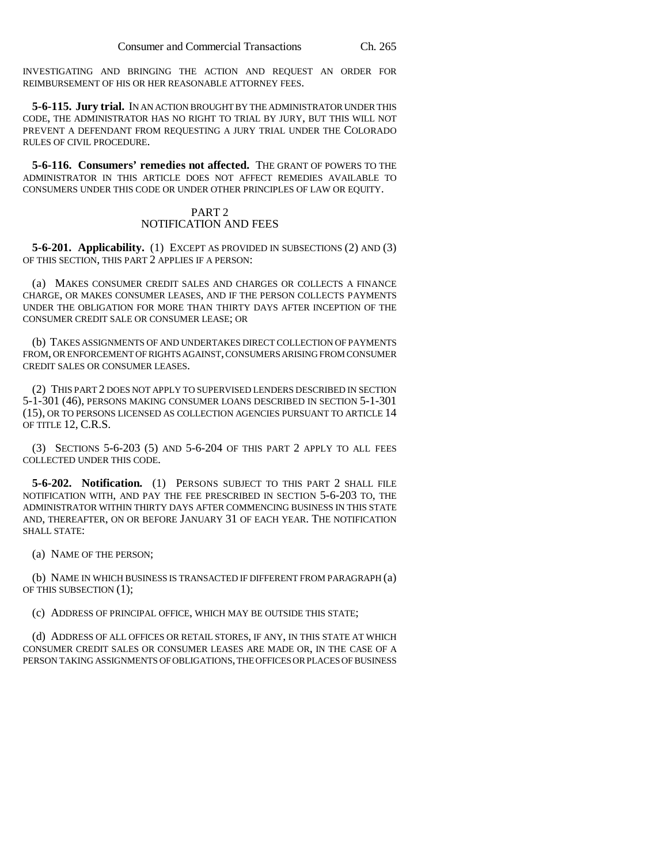INVESTIGATING AND BRINGING THE ACTION AND REQUEST AN ORDER FOR REIMBURSEMENT OF HIS OR HER REASONABLE ATTORNEY FEES.

**5-6-115. Jury trial.** IN AN ACTION BROUGHT BY THE ADMINISTRATOR UNDER THIS CODE, THE ADMINISTRATOR HAS NO RIGHT TO TRIAL BY JURY, BUT THIS WILL NOT PREVENT A DEFENDANT FROM REQUESTING A JURY TRIAL UNDER THE COLORADO RULES OF CIVIL PROCEDURE.

**5-6-116. Consumers' remedies not affected.** THE GRANT OF POWERS TO THE ADMINISTRATOR IN THIS ARTICLE DOES NOT AFFECT REMEDIES AVAILABLE TO CONSUMERS UNDER THIS CODE OR UNDER OTHER PRINCIPLES OF LAW OR EQUITY.

# PART 2 NOTIFICATION AND FEES

**5-6-201. Applicability.** (1) EXCEPT AS PROVIDED IN SUBSECTIONS (2) AND (3) OF THIS SECTION, THIS PART 2 APPLIES IF A PERSON:

(a) MAKES CONSUMER CREDIT SALES AND CHARGES OR COLLECTS A FINANCE CHARGE, OR MAKES CONSUMER LEASES, AND IF THE PERSON COLLECTS PAYMENTS UNDER THE OBLIGATION FOR MORE THAN THIRTY DAYS AFTER INCEPTION OF THE CONSUMER CREDIT SALE OR CONSUMER LEASE; OR

(b) TAKES ASSIGNMENTS OF AND UNDERTAKES DIRECT COLLECTION OF PAYMENTS FROM, OR ENFORCEMENT OF RIGHTS AGAINST, CONSUMERS ARISING FROM CONSUMER CREDIT SALES OR CONSUMER LEASES.

(2) THIS PART 2 DOES NOT APPLY TO SUPERVISED LENDERS DESCRIBED IN SECTION 5-1-301 (46), PERSONS MAKING CONSUMER LOANS DESCRIBED IN SECTION 5-1-301 (15), OR TO PERSONS LICENSED AS COLLECTION AGENCIES PURSUANT TO ARTICLE 14 OF TITLE 12, C.R.S.

(3) SECTIONS 5-6-203 (5) AND 5-6-204 OF THIS PART 2 APPLY TO ALL FEES COLLECTED UNDER THIS CODE.

**5-6-202. Notification.** (1) PERSONS SUBJECT TO THIS PART 2 SHALL FILE NOTIFICATION WITH, AND PAY THE FEE PRESCRIBED IN SECTION 5-6-203 TO, THE ADMINISTRATOR WITHIN THIRTY DAYS AFTER COMMENCING BUSINESS IN THIS STATE AND, THEREAFTER, ON OR BEFORE JANUARY 31 OF EACH YEAR. THE NOTIFICATION SHALL STATE:

(a) NAME OF THE PERSON;

(b) NAME IN WHICH BUSINESS IS TRANSACTED IF DIFFERENT FROM PARAGRAPH (a) OF THIS SUBSECTION (1);

(c) ADDRESS OF PRINCIPAL OFFICE, WHICH MAY BE OUTSIDE THIS STATE;

(d) ADDRESS OF ALL OFFICES OR RETAIL STORES, IF ANY, IN THIS STATE AT WHICH CONSUMER CREDIT SALES OR CONSUMER LEASES ARE MADE OR, IN THE CASE OF A PERSON TAKING ASSIGNMENTS OF OBLIGATIONS, THE OFFICES OR PLACES OF BUSINESS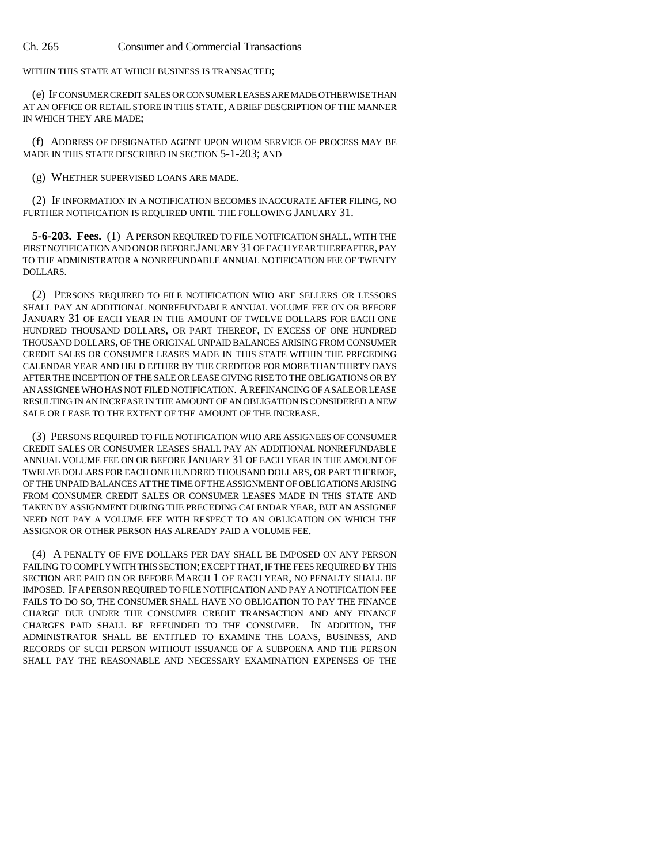#### Ch. 265 Consumer and Commercial Transactions

WITHIN THIS STATE AT WHICH BUSINESS IS TRANSACTED;

(e) IF CONSUMER CREDIT SALES OR CONSUMER LEASES ARE MADE OTHERWISE THAN AT AN OFFICE OR RETAIL STORE IN THIS STATE, A BRIEF DESCRIPTION OF THE MANNER IN WHICH THEY ARE MADE;

(f) ADDRESS OF DESIGNATED AGENT UPON WHOM SERVICE OF PROCESS MAY BE MADE IN THIS STATE DESCRIBED IN SECTION 5-1-203; AND

(g) WHETHER SUPERVISED LOANS ARE MADE.

(2) IF INFORMATION IN A NOTIFICATION BECOMES INACCURATE AFTER FILING, NO FURTHER NOTIFICATION IS REQUIRED UNTIL THE FOLLOWING JANUARY 31.

**5-6-203. Fees.** (1) A PERSON REQUIRED TO FILE NOTIFICATION SHALL, WITH THE FIRST NOTIFICATION AND ON OR BEFORE JANUARY 31 OF EACH YEAR THEREAFTER, PAY TO THE ADMINISTRATOR A NONREFUNDABLE ANNUAL NOTIFICATION FEE OF TWENTY DOLLARS.

(2) PERSONS REQUIRED TO FILE NOTIFICATION WHO ARE SELLERS OR LESSORS SHALL PAY AN ADDITIONAL NONREFUNDABLE ANNUAL VOLUME FEE ON OR BEFORE JANUARY 31 OF EACH YEAR IN THE AMOUNT OF TWELVE DOLLARS FOR EACH ONE HUNDRED THOUSAND DOLLARS, OR PART THEREOF, IN EXCESS OF ONE HUNDRED THOUSAND DOLLARS, OF THE ORIGINAL UNPAID BALANCES ARISING FROM CONSUMER CREDIT SALES OR CONSUMER LEASES MADE IN THIS STATE WITHIN THE PRECEDING CALENDAR YEAR AND HELD EITHER BY THE CREDITOR FOR MORE THAN THIRTY DAYS AFTER THE INCEPTION OF THE SALE OR LEASE GIVING RISE TO THE OBLIGATIONS OR BY AN ASSIGNEE WHO HAS NOT FILED NOTIFICATION. A REFINANCING OF A SALE OR LEASE RESULTING IN AN INCREASE IN THE AMOUNT OF AN OBLIGATION IS CONSIDERED A NEW SALE OR LEASE TO THE EXTENT OF THE AMOUNT OF THE INCREASE.

(3) PERSONS REQUIRED TO FILE NOTIFICATION WHO ARE ASSIGNEES OF CONSUMER CREDIT SALES OR CONSUMER LEASES SHALL PAY AN ADDITIONAL NONREFUNDABLE ANNUAL VOLUME FEE ON OR BEFORE JANUARY 31 OF EACH YEAR IN THE AMOUNT OF TWELVE DOLLARS FOR EACH ONE HUNDRED THOUSAND DOLLARS, OR PART THEREOF, OF THE UNPAID BALANCES AT THE TIME OF THE ASSIGNMENT OF OBLIGATIONS ARISING FROM CONSUMER CREDIT SALES OR CONSUMER LEASES MADE IN THIS STATE AND TAKEN BY ASSIGNMENT DURING THE PRECEDING CALENDAR YEAR, BUT AN ASSIGNEE NEED NOT PAY A VOLUME FEE WITH RESPECT TO AN OBLIGATION ON WHICH THE ASSIGNOR OR OTHER PERSON HAS ALREADY PAID A VOLUME FEE.

(4) A PENALTY OF FIVE DOLLARS PER DAY SHALL BE IMPOSED ON ANY PERSON FAILING TO COMPLY WITH THIS SECTION; EXCEPT THAT, IF THE FEES REQUIRED BY THIS SECTION ARE PAID ON OR BEFORE MARCH 1 OF EACH YEAR, NO PENALTY SHALL BE IMPOSED. IF A PERSON REQUIRED TO FILE NOTIFICATION AND PAY A NOTIFICATION FEE FAILS TO DO SO, THE CONSUMER SHALL HAVE NO OBLIGATION TO PAY THE FINANCE CHARGE DUE UNDER THE CONSUMER CREDIT TRANSACTION AND ANY FINANCE CHARGES PAID SHALL BE REFUNDED TO THE CONSUMER. IN ADDITION, THE ADMINISTRATOR SHALL BE ENTITLED TO EXAMINE THE LOANS, BUSINESS, AND RECORDS OF SUCH PERSON WITHOUT ISSUANCE OF A SUBPOENA AND THE PERSON SHALL PAY THE REASONABLE AND NECESSARY EXAMINATION EXPENSES OF THE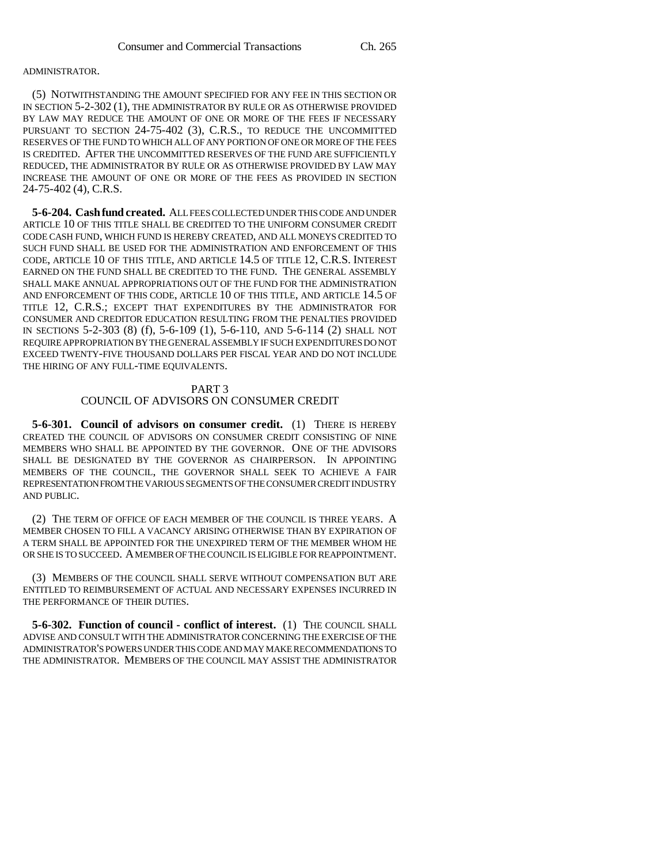### ADMINISTRATOR.

(5) NOTWITHSTANDING THE AMOUNT SPECIFIED FOR ANY FEE IN THIS SECTION OR IN SECTION 5-2-302 (1), THE ADMINISTRATOR BY RULE OR AS OTHERWISE PROVIDED BY LAW MAY REDUCE THE AMOUNT OF ONE OR MORE OF THE FEES IF NECESSARY PURSUANT TO SECTION 24-75-402 (3), C.R.S., TO REDUCE THE UNCOMMITTED RESERVES OF THE FUND TO WHICH ALL OF ANY PORTION OF ONE OR MORE OF THE FEES IS CREDITED. AFTER THE UNCOMMITTED RESERVES OF THE FUND ARE SUFFICIENTLY REDUCED, THE ADMINISTRATOR BY RULE OR AS OTHERWISE PROVIDED BY LAW MAY INCREASE THE AMOUNT OF ONE OR MORE OF THE FEES AS PROVIDED IN SECTION 24-75-402 (4), C.R.S.

**5-6-204. Cash fund created.** ALL FEES COLLECTED UNDER THIS CODE AND UNDER ARTICLE 10 OF THIS TITLE SHALL BE CREDITED TO THE UNIFORM CONSUMER CREDIT CODE CASH FUND, WHICH FUND IS HEREBY CREATED, AND ALL MONEYS CREDITED TO SUCH FUND SHALL BE USED FOR THE ADMINISTRATION AND ENFORCEMENT OF THIS CODE, ARTICLE 10 OF THIS TITLE, AND ARTICLE 14.5 OF TITLE 12, C.R.S. INTEREST EARNED ON THE FUND SHALL BE CREDITED TO THE FUND. THE GENERAL ASSEMBLY SHALL MAKE ANNUAL APPROPRIATIONS OUT OF THE FUND FOR THE ADMINISTRATION AND ENFORCEMENT OF THIS CODE, ARTICLE 10 OF THIS TITLE, AND ARTICLE 14.5 OF TITLE 12, C.R.S.; EXCEPT THAT EXPENDITURES BY THE ADMINISTRATOR FOR CONSUMER AND CREDITOR EDUCATION RESULTING FROM THE PENALTIES PROVIDED IN SECTIONS 5-2-303 (8) (f), 5-6-109 (1), 5-6-110, AND 5-6-114 (2) SHALL NOT REQUIRE APPROPRIATION BY THE GENERAL ASSEMBLY IF SUCH EXPENDITURES DO NOT EXCEED TWENTY-FIVE THOUSAND DOLLARS PER FISCAL YEAR AND DO NOT INCLUDE THE HIRING OF ANY FULL-TIME EQUIVALENTS.

## PART 3

## COUNCIL OF ADVISORS ON CONSUMER CREDIT

**5-6-301. Council of advisors on consumer credit.** (1) THERE IS HEREBY CREATED THE COUNCIL OF ADVISORS ON CONSUMER CREDIT CONSISTING OF NINE MEMBERS WHO SHALL BE APPOINTED BY THE GOVERNOR. ONE OF THE ADVISORS SHALL BE DESIGNATED BY THE GOVERNOR AS CHAIRPERSON. IN APPOINTING MEMBERS OF THE COUNCIL, THE GOVERNOR SHALL SEEK TO ACHIEVE A FAIR REPRESENTATION FROM THE VARIOUS SEGMENTS OF THE CONSUMER CREDIT INDUSTRY AND PUBLIC.

(2) THE TERM OF OFFICE OF EACH MEMBER OF THE COUNCIL IS THREE YEARS. A MEMBER CHOSEN TO FILL A VACANCY ARISING OTHERWISE THAN BY EXPIRATION OF A TERM SHALL BE APPOINTED FOR THE UNEXPIRED TERM OF THE MEMBER WHOM HE OR SHE IS TO SUCCEED. A MEMBER OF THE COUNCIL IS ELIGIBLE FOR REAPPOINTMENT.

(3) MEMBERS OF THE COUNCIL SHALL SERVE WITHOUT COMPENSATION BUT ARE ENTITLED TO REIMBURSEMENT OF ACTUAL AND NECESSARY EXPENSES INCURRED IN THE PERFORMANCE OF THEIR DUTIES.

**5-6-302. Function of council - conflict of interest.** (1) THE COUNCIL SHALL ADVISE AND CONSULT WITH THE ADMINISTRATOR CONCERNING THE EXERCISE OF THE ADMINISTRATOR'S POWERS UNDER THIS CODE AND MAY MAKE RECOMMENDATIONS TO THE ADMINISTRATOR. MEMBERS OF THE COUNCIL MAY ASSIST THE ADMINISTRATOR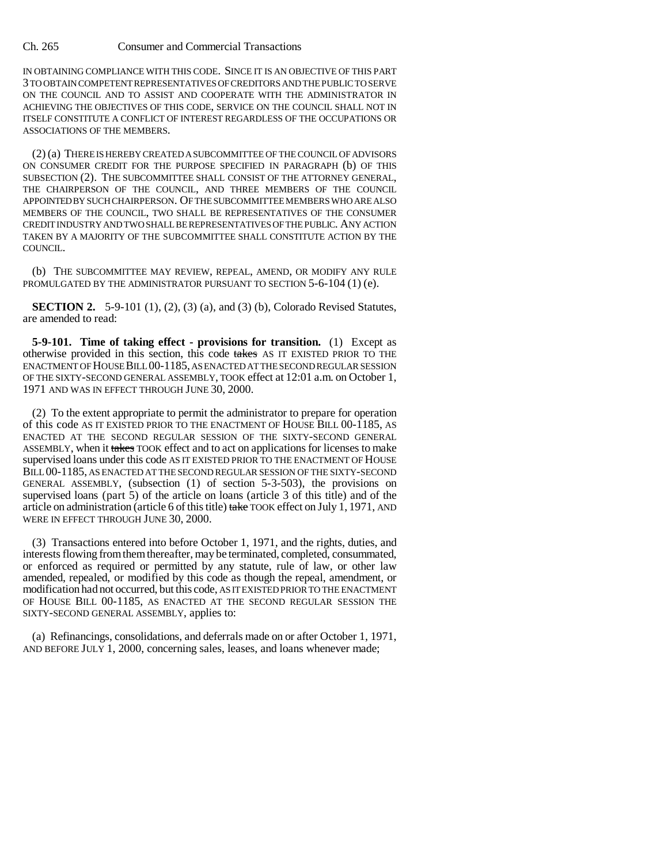Ch. 265 Consumer and Commercial Transactions

IN OBTAINING COMPLIANCE WITH THIS CODE. SINCE IT IS AN OBJECTIVE OF THIS PART 3 TO OBTAIN COMPETENT REPRESENTATIVES OF CREDITORS AND THE PUBLIC TO SERVE ON THE COUNCIL AND TO ASSIST AND COOPERATE WITH THE ADMINISTRATOR IN ACHIEVING THE OBJECTIVES OF THIS CODE, SERVICE ON THE COUNCIL SHALL NOT IN ITSELF CONSTITUTE A CONFLICT OF INTEREST REGARDLESS OF THE OCCUPATIONS OR ASSOCIATIONS OF THE MEMBERS.

(2) (a) THERE IS HEREBY CREATED A SUBCOMMITTEE OF THE COUNCIL OF ADVISORS ON CONSUMER CREDIT FOR THE PURPOSE SPECIFIED IN PARAGRAPH (b) OF THIS SUBSECTION (2). THE SUBCOMMITTEE SHALL CONSIST OF THE ATTORNEY GENERAL, THE CHAIRPERSON OF THE COUNCIL, AND THREE MEMBERS OF THE COUNCIL APPOINTED BY SUCH CHAIRPERSON. OF THE SUBCOMMITTEE MEMBERS WHO ARE ALSO MEMBERS OF THE COUNCIL, TWO SHALL BE REPRESENTATIVES OF THE CONSUMER CREDIT INDUSTRY AND TWO SHALL BE REPRESENTATIVES OF THE PUBLIC. ANY ACTION TAKEN BY A MAJORITY OF THE SUBCOMMITTEE SHALL CONSTITUTE ACTION BY THE COUNCIL.

(b) THE SUBCOMMITTEE MAY REVIEW, REPEAL, AMEND, OR MODIFY ANY RULE PROMULGATED BY THE ADMINISTRATOR PURSUANT TO SECTION 5-6-104 (1) (e).

**SECTION 2.** 5-9-101 (1), (2), (3) (a), and (3) (b), Colorado Revised Statutes, are amended to read:

**5-9-101. Time of taking effect - provisions for transition.** (1) Except as otherwise provided in this section, this code takes AS IT EXISTED PRIOR TO THE ENACTMENT OF HOUSE BILL 00-1185, AS ENACTED AT THE SECOND REGULAR SESSION OF THE SIXTY-SECOND GENERAL ASSEMBLY, TOOK effect at 12:01 a.m. on October 1, 1971 AND WAS IN EFFECT THROUGH JUNE 30, 2000.

(2) To the extent appropriate to permit the administrator to prepare for operation of this code AS IT EXISTED PRIOR TO THE ENACTMENT OF HOUSE BILL 00-1185, AS ENACTED AT THE SECOND REGULAR SESSION OF THE SIXTY-SECOND GENERAL ASSEMBLY, when it takes TOOK effect and to act on applications for licenses to make supervised loans under this code AS IT EXISTED PRIOR TO THE ENACTMENT OF HOUSE BILL 00-1185, AS ENACTED AT THE SECOND REGULAR SESSION OF THE SIXTY-SECOND GENERAL ASSEMBLY, (subsection (1) of section 5-3-503), the provisions on supervised loans (part 5) of the article on loans (article 3 of this title) and of the article on administration (article 6 of this title) take TOOK effect on July 1, 1971, AND WERE IN EFFECT THROUGH JUNE 30, 2000.

(3) Transactions entered into before October 1, 1971, and the rights, duties, and interests flowing from them thereafter, may be terminated, completed, consummated, or enforced as required or permitted by any statute, rule of law, or other law amended, repealed, or modified by this code as though the repeal, amendment, or modification had not occurred, but this code, AS IT EXISTED PRIOR TO THE ENACTMENT OF HOUSE BILL 00-1185, AS ENACTED AT THE SECOND REGULAR SESSION THE SIXTY-SECOND GENERAL ASSEMBLY, applies to:

(a) Refinancings, consolidations, and deferrals made on or after October 1, 1971, AND BEFORE JULY 1, 2000, concerning sales, leases, and loans whenever made;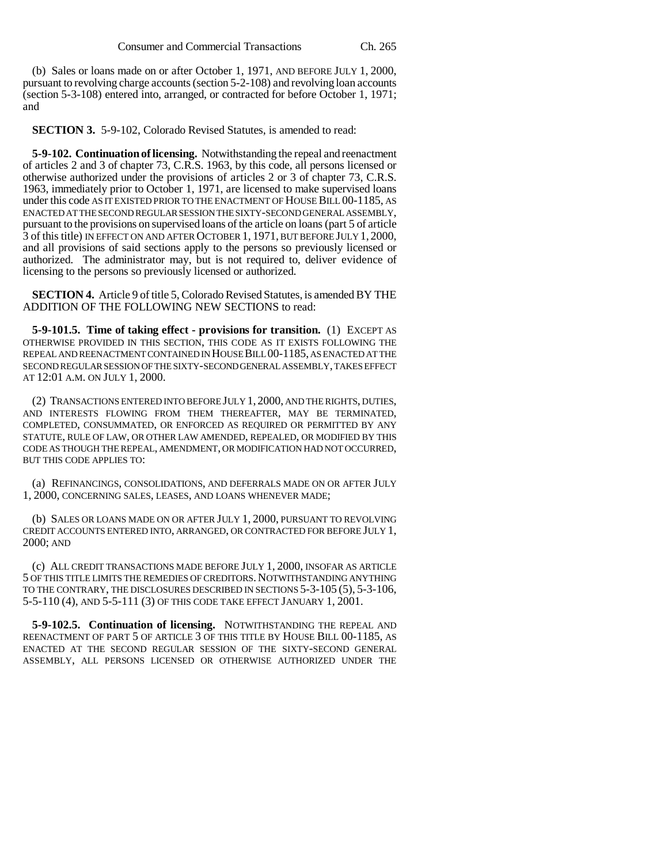(b) Sales or loans made on or after October 1, 1971, AND BEFORE JULY 1, 2000, pursuant to revolving charge accounts (section 5-2-108) and revolving loan accounts (section 5-3-108) entered into, arranged, or contracted for before October 1, 1971; and

**SECTION 3.** 5-9-102, Colorado Revised Statutes, is amended to read:

**5-9-102. Continuation of licensing.** Notwithstanding the repeal and reenactment of articles 2 and 3 of chapter 73, C.R.S. 1963, by this code, all persons licensed or otherwise authorized under the provisions of articles 2 or 3 of chapter 73, C.R.S. 1963, immediately prior to October 1, 1971, are licensed to make supervised loans under this code AS IT EXISTED PRIOR TO THE ENACTMENT OF HOUSE BILL 00-1185, AS ENACTED AT THE SECOND REGULAR SESSION THE SIXTY-SECOND GENERAL ASSEMBLY, pursuant to the provisions on supervised loans of the article on loans (part 5 of article 3 of this title) IN EFFECT ON AND AFTER OCTOBER 1, 1971, BUT BEFORE JULY 1, 2000, and all provisions of said sections apply to the persons so previously licensed or authorized. The administrator may, but is not required to, deliver evidence of licensing to the persons so previously licensed or authorized.

**SECTION 4.** Article 9 of title 5, Colorado Revised Statutes, is amended BY THE ADDITION OF THE FOLLOWING NEW SECTIONS to read:

**5-9-101.5. Time of taking effect - provisions for transition.** (1) EXCEPT AS OTHERWISE PROVIDED IN THIS SECTION, THIS CODE AS IT EXISTS FOLLOWING THE REPEAL AND REENACTMENT CONTAINED IN HOUSE BILL 00-1185, AS ENACTED AT THE SECOND REGULAR SESSION OF THE SIXTY-SECOND GENERAL ASSEMBLY, TAKES EFFECT AT 12:01 A.M. ON JULY 1, 2000.

(2) TRANSACTIONS ENTERED INTO BEFORE JULY 1, 2000, AND THE RIGHTS, DUTIES, AND INTERESTS FLOWING FROM THEM THEREAFTER, MAY BE TERMINATED, COMPLETED, CONSUMMATED, OR ENFORCED AS REQUIRED OR PERMITTED BY ANY STATUTE, RULE OF LAW, OR OTHER LAW AMENDED, REPEALED, OR MODIFIED BY THIS CODE AS THOUGH THE REPEAL, AMENDMENT, OR MODIFICATION HAD NOT OCCURRED, BUT THIS CODE APPLIES TO:

(a) REFINANCINGS, CONSOLIDATIONS, AND DEFERRALS MADE ON OR AFTER JULY 1, 2000, CONCERNING SALES, LEASES, AND LOANS WHENEVER MADE;

(b) SALES OR LOANS MADE ON OR AFTER JULY 1, 2000, PURSUANT TO REVOLVING CREDIT ACCOUNTS ENTERED INTO, ARRANGED, OR CONTRACTED FOR BEFORE JULY 1, 2000; AND

(c) ALL CREDIT TRANSACTIONS MADE BEFORE JULY 1, 2000, INSOFAR AS ARTICLE 5 OF THIS TITLE LIMITS THE REMEDIES OF CREDITORS.NOTWITHSTANDING ANYTHING TO THE CONTRARY, THE DISCLOSURES DESCRIBED IN SECTIONS 5-3-105 (5), 5-3-106, 5-5-110 (4), AND 5-5-111 (3) OF THIS CODE TAKE EFFECT JANUARY 1, 2001.

**5-9-102.5. Continuation of licensing.** NOTWITHSTANDING THE REPEAL AND REENACTMENT OF PART 5 OF ARTICLE 3 OF THIS TITLE BY HOUSE BILL 00-1185, AS ENACTED AT THE SECOND REGULAR SESSION OF THE SIXTY-SECOND GENERAL ASSEMBLY, ALL PERSONS LICENSED OR OTHERWISE AUTHORIZED UNDER THE